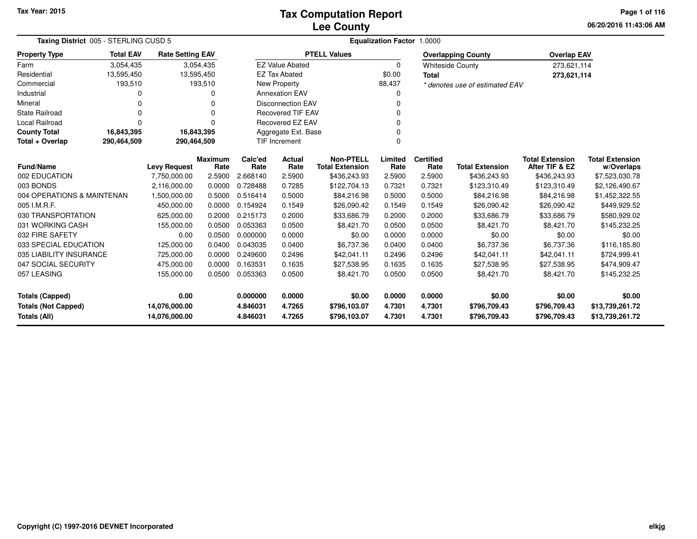## **Lee CountyTax Computation Report**

**06/20/2016 11:43:06 AMPage 1 of 116**

| Taxing District 005 - STERLING CUSD 5      |                  |                                |           |                      |                          |                              | <b>Equalization Factor 1.0000</b> |                  |                                |                              |                                    |
|--------------------------------------------|------------------|--------------------------------|-----------|----------------------|--------------------------|------------------------------|-----------------------------------|------------------|--------------------------------|------------------------------|------------------------------------|
| <b>Property Type</b>                       | <b>Total EAV</b> | <b>Rate Setting EAV</b>        |           |                      |                          | <b>PTELL Values</b>          |                                   |                  | <b>Overlapping County</b>      | <b>Overlap EAV</b>           |                                    |
| Farm                                       | 3,054,435        |                                | 3,054,435 |                      | <b>EZ Value Abated</b>   |                              | $\Omega$                          |                  | <b>Whiteside County</b>        | 273,621,114                  |                                    |
| Residential                                | 13,595,450       | 13,595,450                     |           |                      | <b>EZ Tax Abated</b>     |                              | \$0.00                            | <b>Total</b>     |                                | 273,621,114                  |                                    |
| Commercial                                 | 193,510          |                                | 193,510   |                      | <b>New Property</b>      |                              | 88,437                            |                  | * denotes use of estimated EAV |                              |                                    |
| Industrial                                 |                  |                                |           |                      | <b>Annexation EAV</b>    |                              |                                   |                  |                                |                              |                                    |
| Mineral                                    | 0                |                                | $\Omega$  |                      | <b>Disconnection EAV</b> |                              |                                   |                  |                                |                              |                                    |
| <b>State Railroad</b>                      | 0                |                                | $\Omega$  |                      | <b>Recovered TIF EAV</b> |                              |                                   |                  |                                |                              |                                    |
| Local Railroad                             | $\Omega$         |                                | $\Omega$  |                      | <b>Recovered EZ EAV</b>  |                              |                                   |                  |                                |                              |                                    |
| <b>County Total</b>                        | 16,843,395       | 16,843,395                     |           |                      | Aggregate Ext. Base      |                              |                                   |                  |                                |                              |                                    |
| Total + Overlap                            | 290,464,509      | 290,464,509                    |           |                      | TIF Increment            |                              |                                   |                  |                                |                              |                                    |
|                                            |                  |                                | Maximum   | Calc'ed              | Actual                   | <b>Non-PTELL</b>             | Limited                           | <b>Certified</b> |                                | <b>Total Extension</b>       | <b>Total Extension</b>             |
| <b>Fund/Name</b>                           |                  | <b>Levy Request</b>            | Rate      | Rate                 | Rate                     | <b>Total Extension</b>       | Rate                              | Rate             | <b>Total Extension</b>         | After TIF & EZ               | w/Overlaps                         |
| 002 EDUCATION                              |                  | 7,750,000.00                   | 2.5900    | 2.668140             | 2.5900                   | \$436,243.93                 | 2.5900                            | 2.5900           | \$436,243.93                   | \$436,243.93                 | \$7,523,030.78                     |
| 003 BONDS                                  |                  | 2,116,000.00                   | 0.0000    | 0.728488             | 0.7285                   | \$122,704.13                 | 0.7321                            | 0.7321           | \$123,310.49                   | \$123,310.49                 | \$2,126,490.67                     |
| 004 OPERATIONS & MAINTENAN                 |                  | 1,500,000.00                   | 0.5000    | 0.516414             | 0.5000                   | \$84,216.98                  | 0.5000                            | 0.5000           | \$84,216.98                    | \$84,216.98                  | \$1,452,322.55                     |
| 005 I.M.R.F.                               |                  | 450,000.00                     | 0.0000    | 0.154924             | 0.1549                   | \$26,090.42                  | 0.1549                            | 0.1549           | \$26,090.42                    | \$26,090.42                  | \$449,929.52                       |
| 030 TRANSPORTATION                         |                  | 625,000.00                     | 0.2000    | 0.215173             | 0.2000                   | \$33,686.79                  | 0.2000                            | 0.2000           | \$33,686.79                    | \$33,686.79                  | \$580,929.02                       |
| 031 WORKING CASH                           |                  | 155,000.00                     | 0.0500    | 0.053363             | 0.0500                   | \$8,421.70                   | 0.0500                            | 0.0500           | \$8,421.70                     | \$8,421.70                   | \$145,232.25                       |
| 032 FIRE SAFETY                            |                  | 0.00                           | 0.0500    | 0.000000             | 0.0000                   | \$0.00                       | 0.0000                            | 0.0000           | \$0.00                         | \$0.00                       | \$0.00                             |
| 033 SPECIAL EDUCATION                      |                  | 125,000.00                     | 0.0400    | 0.043035             | 0.0400                   | \$6,737.36                   | 0.0400                            | 0.0400           | \$6,737.36                     | \$6,737.36                   | \$116,185.80                       |
| 035 LIABILITY INSURANCE                    |                  | 725,000.00                     | 0.0000    | 0.249600             | 0.2496                   | \$42,041.11                  | 0.2496                            | 0.2496           | \$42,041.11                    | \$42,041.11                  | \$724,999.41                       |
| 047 SOCIAL SECURITY                        |                  | 475,000.00                     | 0.0000    | 0.163531             | 0.1635                   | \$27,538.95                  | 0.1635                            | 0.1635           | \$27,538.95                    | \$27,538.95                  | \$474,909.47                       |
| 057 LEASING                                |                  | 155,000.00                     | 0.0500    | 0.053363             | 0.0500                   | \$8,421.70                   | 0.0500                            | 0.0500           | \$8,421.70                     | \$8,421.70                   | \$145,232.25                       |
| Totals (Capped)                            |                  | 0.00                           |           | 0.000000             | 0.0000                   | \$0.00                       | 0.0000                            | 0.0000           | \$0.00                         | \$0.00                       | \$0.00                             |
| <b>Totals (Not Capped)</b><br>Totals (All) |                  | 14,076,000.00<br>14,076,000.00 |           | 4.846031<br>4.846031 | 4.7265<br>4.7265         | \$796,103.07<br>\$796,103.07 | 4.7301<br>4.7301                  | 4.7301<br>4.7301 | \$796,709.43<br>\$796,709.43   | \$796,709.43<br>\$796,709.43 | \$13,739,261.72<br>\$13,739,261.72 |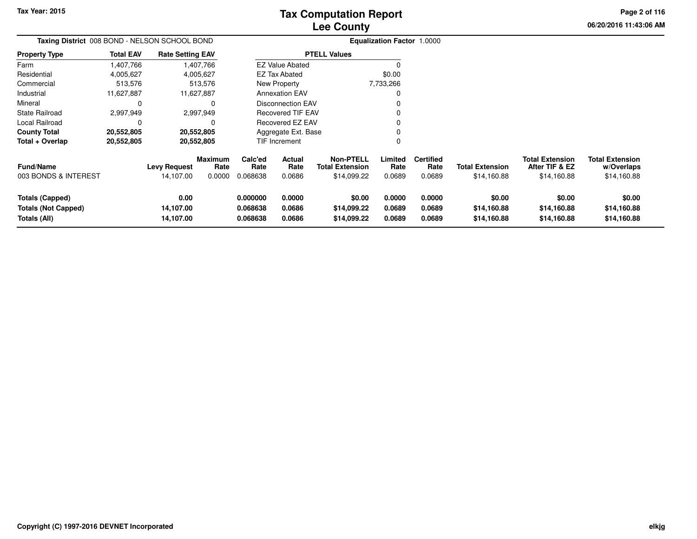# **Lee CountyTax Computation Report**

**06/20/2016 11:43:06 AM Page 2 of 116**

| Taxing District 008 BOND - NELSON SCHOOL BOND                 |                  |                                  |                                  |                                                   |                                                   |                                                           | Equalization Factor 1.0000 |                                    |                                       |                                                         |                                                     |  |
|---------------------------------------------------------------|------------------|----------------------------------|----------------------------------|---------------------------------------------------|---------------------------------------------------|-----------------------------------------------------------|----------------------------|------------------------------------|---------------------------------------|---------------------------------------------------------|-----------------------------------------------------|--|
| Property Type                                                 | <b>Total EAV</b> | <b>Rate Setting EAV</b>          |                                  |                                                   |                                                   | <b>PTELL Values</b>                                       |                            |                                    |                                       |                                                         |                                                     |  |
| Farm                                                          | 1,407,766        | 1,407,766                        |                                  |                                                   | <b>EZ Value Abated</b>                            |                                                           | O                          |                                    |                                       |                                                         |                                                     |  |
| Residential                                                   | 4,005,627        | 4,005,627                        |                                  |                                                   | <b>EZ Tax Abated</b>                              |                                                           | \$0.00                     |                                    |                                       |                                                         |                                                     |  |
| Commercial                                                    | 513,576          |                                  | 513,576                          |                                                   | New Property                                      |                                                           | 7,733,266                  |                                    |                                       |                                                         |                                                     |  |
| Industrial                                                    | 11,627,887       | 11,627,887                       |                                  |                                                   | <b>Annexation EAV</b><br><b>Disconnection EAV</b> |                                                           |                            |                                    |                                       |                                                         |                                                     |  |
| Mineral                                                       | 0                |                                  | $\Omega$                         |                                                   |                                                   |                                                           | 0                          |                                    |                                       |                                                         |                                                     |  |
| State Railroad                                                | 2,997,949        | 2,997,949                        |                                  | <b>Recovered TIF EAV</b><br>0<br>Recovered EZ EAV |                                                   |                                                           |                            |                                    |                                       |                                                         |                                                     |  |
| Local Railroad                                                | 0                |                                  | 0                                |                                                   |                                                   |                                                           | 0                          |                                    |                                       |                                                         |                                                     |  |
| County Total                                                  | 20,552,805       | 20,552,805                       |                                  |                                                   | Aggregate Ext. Base                               |                                                           |                            |                                    |                                       |                                                         |                                                     |  |
| Total + Overlap                                               | 20,552,805       | 20,552,805                       |                                  |                                                   | <b>TIF Increment</b>                              |                                                           | 0                          |                                    |                                       |                                                         |                                                     |  |
| Fund/Name<br>003 BONDS & INTEREST                             |                  | <b>Levy Request</b><br>14,107.00 | <b>Maximum</b><br>Rate<br>0.0000 | Calc'ed<br>Rate<br>0.068638                       | <b>Actual</b><br>Rate<br>0.0686                   | <b>Non-PTELL</b><br><b>Total Extension</b><br>\$14,099.22 | Limited<br>Rate<br>0.0689  | <b>Certified</b><br>Rate<br>0.0689 | <b>Total Extension</b><br>\$14,160.88 | <b>Total Extension</b><br>After TIF & EZ<br>\$14,160.88 | <b>Total Extension</b><br>w/Overlaps<br>\$14,160.88 |  |
| Totals (Capped)<br><b>Totals (Not Capped)</b><br>Totals (All) |                  | 0.00<br>14,107.00<br>14,107.00   |                                  | 0.000000<br>0.068638<br>0.068638                  | 0.0000<br>0.0686<br>0.0686                        | \$0.00<br>\$14,099.22<br>\$14,099.22                      | 0.0000<br>0.0689<br>0.0689 | 0.0000<br>0.0689<br>0.0689         | \$0.00<br>\$14,160.88<br>\$14,160.88  | \$0.00<br>\$14,160.88<br>\$14,160.88                    | \$0.00<br>\$14,160.88<br>\$14,160.88                |  |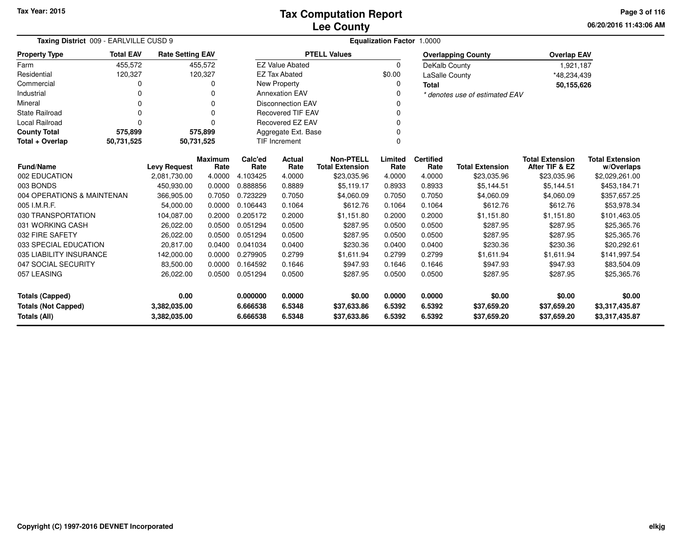**06/20/2016 11:43:06 AMPage 3 of 116**

| Taxing District 009 - EARLVILLE CUSD 9      |                  |                         |                        |                 |                          |                                            | Equalization Factor 1.0000 |                          |                                |                                          |                                      |
|---------------------------------------------|------------------|-------------------------|------------------------|-----------------|--------------------------|--------------------------------------------|----------------------------|--------------------------|--------------------------------|------------------------------------------|--------------------------------------|
| <b>Property Type</b>                        | <b>Total EAV</b> | <b>Rate Setting EAV</b> |                        |                 |                          | <b>PTELL Values</b>                        |                            |                          | <b>Overlapping County</b>      | <b>Overlap EAV</b>                       |                                      |
| Farm                                        | 455,572          |                         | 455,572                |                 | <b>EZ Value Abated</b>   |                                            | $\Omega$                   | DeKalb County            |                                | 1,921,187                                |                                      |
| Residential                                 | 120,327          |                         | 120,327                |                 | <b>EZ Tax Abated</b>     |                                            | \$0.00                     | LaSalle County           |                                | *48,234,439                              |                                      |
| Commercial                                  |                  |                         | 0                      |                 | New Property             |                                            | 0                          | <b>Total</b>             |                                | 50,155,626                               |                                      |
| Industrial                                  |                  |                         | ი                      |                 | <b>Annexation EAV</b>    |                                            | 0                          |                          | * denotes use of estimated EAV |                                          |                                      |
| Mineral                                     |                  |                         | 0                      |                 | <b>Disconnection EAV</b> |                                            | O                          |                          |                                |                                          |                                      |
| <b>State Railroad</b>                       |                  |                         | 0                      |                 | <b>Recovered TIF EAV</b> |                                            |                            |                          |                                |                                          |                                      |
| Local Railroad                              |                  |                         | O                      |                 | Recovered EZ EAV         |                                            |                            |                          |                                |                                          |                                      |
| <b>County Total</b>                         | 575,899          |                         | 575,899                |                 | Aggregate Ext. Base      |                                            |                            |                          |                                |                                          |                                      |
| 50,731,525<br>Total + Overlap<br>50,731,525 |                  |                         |                        |                 | <b>TIF Increment</b>     |                                            | $\Omega$                   |                          |                                |                                          |                                      |
| <b>Fund/Name</b>                            |                  | <b>Levy Request</b>     | <b>Maximum</b><br>Rate | Calc'ed<br>Rate | <b>Actual</b><br>Rate    | <b>Non-PTELL</b><br><b>Total Extension</b> | Limited<br>Rate            | <b>Certified</b><br>Rate | <b>Total Extension</b>         | <b>Total Extension</b><br>After TIF & EZ | <b>Total Extension</b><br>w/Overlaps |
| 002 EDUCATION                               |                  | 2,081,730.00            | 4.0000                 | 4.103425        | 4.0000                   | \$23,035.96                                | 4.0000                     | 4.0000                   | \$23,035.96                    | \$23,035.96                              | \$2,029,261.00                       |
| 003 BONDS                                   |                  | 450,930.00              | 0.0000                 | 0.888856        | 0.8889                   | \$5,119.17                                 | 0.8933                     | 0.8933                   | \$5,144.51                     | \$5,144.51                               | \$453,184.71                         |
| 004 OPERATIONS & MAINTENAN                  |                  | 366,905.00              | 0.7050                 | 0.723229        | 0.7050                   | \$4,060.09                                 | 0.7050                     | 0.7050                   | \$4,060.09                     | \$4,060.09                               | \$357,657.25                         |
| 005 I.M.R.F.                                |                  | 54.000.00               | 0.0000                 | 0.106443        | 0.1064                   | \$612.76                                   | 0.1064                     | 0.1064                   | \$612.76                       | \$612.76                                 | \$53,978.34                          |
| 030 TRANSPORTATION                          |                  | 104,087.00              | 0.2000                 | 0.205172        | 0.2000                   | \$1,151.80                                 | 0.2000                     | 0.2000                   | \$1,151.80                     | \$1,151.80                               | \$101,463.05                         |
| 031 WORKING CASH                            |                  | 26,022.00               | 0.0500                 | 0.051294        | 0.0500                   | \$287.95                                   | 0.0500                     | 0.0500                   | \$287.95                       | \$287.95                                 | \$25,365.76                          |
| 032 FIRE SAFETY                             |                  | 26,022.00               | 0.0500                 | 0.051294        | 0.0500                   | \$287.95                                   | 0.0500                     | 0.0500                   | \$287.95                       | \$287.95                                 | \$25,365.76                          |
| 033 SPECIAL EDUCATION                       |                  | 20,817.00               | 0.0400                 | 0.041034        | 0.0400                   | \$230.36                                   | 0.0400                     | 0.0400                   | \$230.36                       | \$230.36                                 | \$20,292.61                          |
| 035 LIABILITY INSURANCE                     |                  | 142,000.00              | 0.0000                 | 0.279905        | 0.2799                   | \$1,611.94                                 | 0.2799                     | 0.2799                   | \$1,611.94                     | \$1,611.94                               | \$141,997.54                         |
| 047 SOCIAL SECURITY                         |                  | 83,500.00               | 0.0000                 | 0.164592        | 0.1646                   | \$947.93                                   | 0.1646                     | 0.1646                   | \$947.93                       | \$947.93                                 | \$83,504.09                          |
| 057 LEASING                                 |                  | 26,022.00               | 0.0500                 | 0.051294        | 0.0500                   | \$287.95                                   | 0.0500                     | 0.0500                   | \$287.95                       | \$287.95                                 | \$25,365.76                          |
| <b>Totals (Capped)</b>                      |                  | 0.00                    |                        | 0.000000        | 0.0000                   | \$0.00                                     | 0.0000                     | 0.0000                   | \$0.00                         | \$0.00                                   | \$0.00                               |
| <b>Totals (Not Capped)</b>                  |                  | 3,382,035.00            |                        | 6.666538        | 6.5348                   | \$37,633.86                                | 6.5392                     | 6.5392                   | \$37,659.20                    | \$37,659.20                              | \$3,317,435.87                       |
| Totals (All)                                |                  | 3,382,035.00            |                        | 6.666538        | 6.5348                   | \$37,633.86                                | 6.5392                     | 6.5392                   | \$37,659.20                    | \$37,659.20                              | \$3,317,435.87                       |

۰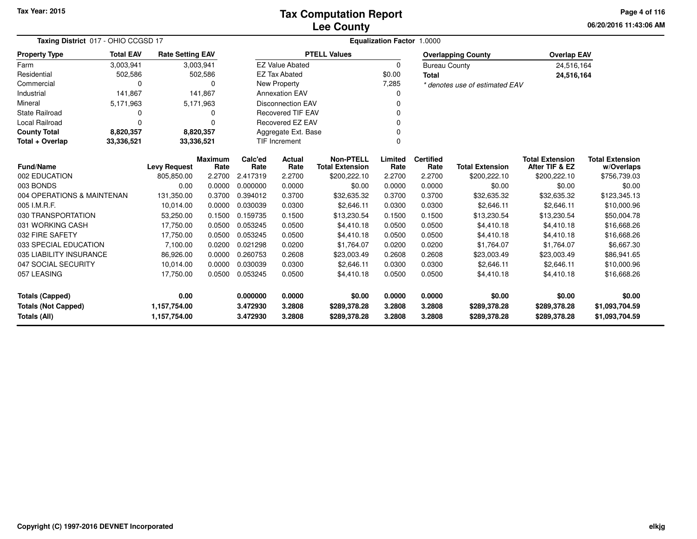**06/20/2016 11:43:06 AM Page 4 of 116**

| Taxing District 017 - OHIO CCGSD 17               |                  |                              |                        |                      |                          |                                            | Equalization Factor 1.0000 |                          |                                |                                          |                                      |
|---------------------------------------------------|------------------|------------------------------|------------------------|----------------------|--------------------------|--------------------------------------------|----------------------------|--------------------------|--------------------------------|------------------------------------------|--------------------------------------|
| <b>Property Type</b>                              | <b>Total EAV</b> | <b>Rate Setting EAV</b>      |                        |                      |                          | <b>PTELL Values</b>                        |                            |                          | <b>Overlapping County</b>      | <b>Overlap EAV</b>                       |                                      |
| Farm                                              | 3,003,941        |                              | 3,003,941              |                      | <b>EZ Value Abated</b>   |                                            | $\mathbf 0$                | <b>Bureau County</b>     |                                | 24,516,164                               |                                      |
| Residential                                       | 502,586          |                              | 502,586                |                      | <b>EZ Tax Abated</b>     |                                            | \$0.00                     | Total                    |                                | 24,516,164                               |                                      |
| Commercial                                        | 0                |                              | 0                      |                      | <b>New Property</b>      |                                            | 7,285                      |                          | * denotes use of estimated EAV |                                          |                                      |
| Industrial                                        | 141,867          |                              | 141,867                |                      | <b>Annexation EAV</b>    |                                            |                            |                          |                                |                                          |                                      |
| Mineral                                           | 5,171,963        |                              | 5,171,963              |                      | <b>Disconnection EAV</b> |                                            | n                          |                          |                                |                                          |                                      |
| <b>State Railroad</b>                             | 0                |                              |                        |                      | <b>Recovered TIF EAV</b> |                                            |                            |                          |                                |                                          |                                      |
| Local Railroad                                    | 0                |                              | ŋ                      |                      | Recovered EZ EAV         |                                            |                            |                          |                                |                                          |                                      |
| <b>County Total</b>                               | 8,820,357        |                              | 8,820,357              |                      | Aggregate Ext. Base      |                                            |                            |                          |                                |                                          |                                      |
| Total + Overlap                                   | 33,336,521       | 33,336,521                   |                        |                      | TIF Increment            |                                            | $\Omega$                   |                          |                                |                                          |                                      |
| <b>Fund/Name</b>                                  |                  | <b>Levy Request</b>          | <b>Maximum</b><br>Rate | Calc'ed<br>Rate      | Actual<br>Rate           | <b>Non-PTELL</b><br><b>Total Extension</b> | Limited<br>Rate            | <b>Certified</b><br>Rate | <b>Total Extension</b>         | <b>Total Extension</b><br>After TIF & EZ | <b>Total Extension</b><br>w/Overlaps |
| 002 EDUCATION                                     |                  | 805,850.00                   | 2.2700                 | 2.417319             | 2.2700                   | \$200,222.10                               | 2.2700                     | 2.2700                   | \$200,222.10                   | \$200,222.10                             | \$756,739.03                         |
| 003 BONDS                                         |                  | 0.00                         | 0.0000                 | 0.000000             | 0.0000                   | \$0.00                                     | 0.0000                     | 0.0000                   | \$0.00                         | \$0.00                                   | \$0.00                               |
| 004 OPERATIONS & MAINTENAN                        |                  | 131,350.00                   | 0.3700                 | 0.394012             | 0.3700                   | \$32,635.32                                | 0.3700                     | 0.3700                   | \$32,635.32                    | \$32,635.32                              | \$123,345.13                         |
| 005 I.M.R.F.                                      |                  | 10,014.00                    | 0.0000                 | 0.030039             | 0.0300                   | \$2,646.11                                 | 0.0300                     | 0.0300                   | \$2,646.11                     | \$2,646.11                               | \$10,000.96                          |
| 030 TRANSPORTATION                                |                  | 53,250.00                    | 0.1500                 | 0.159735             | 0.1500                   | \$13,230.54                                | 0.1500                     | 0.1500                   | \$13,230.54                    | \$13,230.54                              | \$50,004.78                          |
| 031 WORKING CASH                                  |                  | 17,750.00                    | 0.0500                 | 0.053245             | 0.0500                   | \$4,410.18                                 | 0.0500                     | 0.0500                   | \$4,410.18                     | \$4,410.18                               | \$16,668.26                          |
| 032 FIRE SAFETY                                   |                  | 17,750.00                    | 0.0500                 | 0.053245             | 0.0500                   | \$4,410.18                                 | 0.0500                     | 0.0500                   | \$4,410.18                     | \$4,410.18                               | \$16,668.26                          |
| 033 SPECIAL EDUCATION                             |                  | 7,100.00                     | 0.0200                 | 0.021298             | 0.0200                   | \$1,764.07                                 | 0.0200                     | 0.0200                   | \$1,764.07                     | \$1,764.07                               | \$6,667.30                           |
| 035 LIABILITY INSURANCE                           |                  | 86,926.00                    | 0.0000                 | 0.260753             | 0.2608                   | \$23,003.49                                | 0.2608                     | 0.2608                   | \$23,003.49                    | \$23,003.49                              | \$86,941.65                          |
| 047 SOCIAL SECURITY                               |                  | 10,014.00                    | 0.0000                 | 0.030039             | 0.0300                   | \$2,646.11                                 | 0.0300                     | 0.0300                   | \$2,646.11                     | \$2,646.11                               | \$10,000.96                          |
| 057 LEASING                                       |                  | 17,750.00                    | 0.0500                 | 0.053245             | 0.0500                   | \$4,410.18                                 | 0.0500                     | 0.0500                   | \$4,410.18                     | \$4,410.18                               | \$16,668.26                          |
| <b>Totals (Capped)</b>                            |                  | 0.00                         |                        | 0.000000             | 0.0000                   | \$0.00                                     | 0.0000                     | 0.0000                   | \$0.00                         | \$0.00                                   | \$0.00                               |
| <b>Totals (Not Capped)</b><br><b>Totals (All)</b> |                  | 1,157,754.00<br>1,157,754.00 |                        | 3.472930<br>3.472930 | 3.2808<br>3.2808         | \$289,378.28<br>\$289,378.28               | 3.2808<br>3.2808           | 3.2808<br>3.2808         | \$289,378.28<br>\$289,378.28   | \$289,378.28<br>\$289,378.28             | \$1,093,704.59<br>\$1,093,704.59     |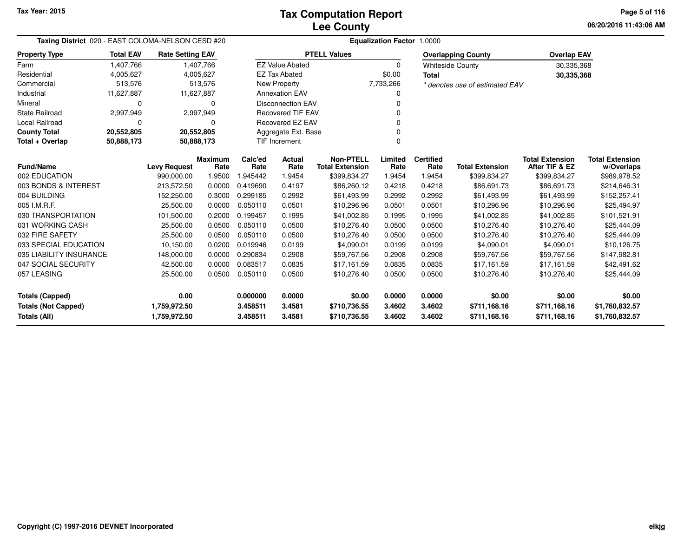**06/20/2016 11:43:06 AM Page 5 of 116**

| Taxing District 020 - EAST COLOMA-NELSON CESD #20 |                  |                         |                        | Equalization Factor 1.0000 |                          |                                            |                 |                          |                                |                                          |                                      |
|---------------------------------------------------|------------------|-------------------------|------------------------|----------------------------|--------------------------|--------------------------------------------|-----------------|--------------------------|--------------------------------|------------------------------------------|--------------------------------------|
| <b>Property Type</b>                              | <b>Total EAV</b> | <b>Rate Setting EAV</b> |                        |                            |                          | <b>PTELL Values</b>                        |                 |                          | <b>Overlapping County</b>      | <b>Overlap EAV</b>                       |                                      |
| Farm                                              | 1,407,766        |                         | 1,407,766              |                            | <b>EZ Value Abated</b>   |                                            | $\Omega$        |                          | <b>Whiteside County</b>        | 30,335,368                               |                                      |
| Residential                                       | 4,005,627        |                         | 4,005,627              |                            | <b>EZ Tax Abated</b>     |                                            | \$0.00          | <b>Total</b>             |                                | 30,335,368                               |                                      |
| Commercial                                        | 513,576          |                         | 513,576                |                            | New Property             |                                            | 7,733,266       |                          | * denotes use of estimated EAV |                                          |                                      |
| Industrial                                        | 11,627,887       |                         | 11,627,887             |                            | <b>Annexation EAV</b>    |                                            |                 |                          |                                |                                          |                                      |
| Mineral                                           | 0                |                         | 0                      |                            | <b>Disconnection EAV</b> |                                            |                 |                          |                                |                                          |                                      |
| <b>State Railroad</b>                             | 2,997,949        |                         | 2,997,949              |                            | <b>Recovered TIF EAV</b> |                                            |                 |                          |                                |                                          |                                      |
| Local Railroad                                    | $\Omega$         |                         | 0                      |                            | Recovered EZ EAV         |                                            |                 |                          |                                |                                          |                                      |
| <b>County Total</b>                               | 20,552,805       |                         | 20,552,805             |                            | Aggregate Ext. Base      |                                            |                 |                          |                                |                                          |                                      |
| Total + Overlap                                   | 50,888,173       |                         | 50,888,173             |                            | TIF Increment            |                                            |                 |                          |                                |                                          |                                      |
| <b>Fund/Name</b>                                  |                  | <b>Levy Request</b>     | <b>Maximum</b><br>Rate | Calc'ed<br>Rate            | Actual<br>Rate           | <b>Non-PTELL</b><br><b>Total Extension</b> | Limited<br>Rate | <b>Certified</b><br>Rate | <b>Total Extension</b>         | <b>Total Extension</b><br>After TIF & EZ | <b>Total Extension</b><br>w/Overlaps |
| 002 EDUCATION                                     |                  | 990,000.00              | 1.9500                 | 945442                     | 1.9454                   | \$399,834.27                               | 1.9454          | 1.9454                   | \$399,834.27                   | \$399,834.27                             | \$989,978.52                         |
| 003 BONDS & INTEREST                              |                  | 213,572.50              | 0.0000                 | 0.419690                   | 0.4197                   | \$86,260.12                                | 0.4218          | 0.4218                   | \$86,691.73                    | \$86,691.73                              | \$214,646.31                         |
| 004 BUILDING                                      |                  | 152,250.00              | 0.3000                 | 0.299185                   | 0.2992                   | \$61,493.99                                | 0.2992          | 0.2992                   | \$61,493.99                    | \$61,493.99                              | \$152,257.41                         |
| 005 I.M.R.F.                                      |                  | 25,500.00               | 0.0000                 | 0.050110                   | 0.0501                   | \$10,296.96                                | 0.0501          | 0.0501                   | \$10,296.96                    | \$10,296.96                              | \$25,494.97                          |
| 030 TRANSPORTATION                                |                  | 101,500.00              | 0.2000                 | 0.199457                   | 0.1995                   | \$41,002.85                                | 0.1995          | 0.1995                   | \$41,002.85                    | \$41,002.85                              | \$101,521.91                         |
| 031 WORKING CASH                                  |                  | 25,500.00               | 0.0500                 | 0.050110                   | 0.0500                   | \$10,276.40                                | 0.0500          | 0.0500                   | \$10,276.40                    | \$10,276.40                              | \$25,444.09                          |
| 032 FIRE SAFETY                                   |                  | 25,500.00               | 0.0500                 | 0.050110                   | 0.0500                   | \$10,276.40                                | 0.0500          | 0.0500                   | \$10,276.40                    | \$10,276.40                              | \$25,444.09                          |
| 033 SPECIAL EDUCATION                             |                  | 10,150.00               | 0.0200                 | 0.019946                   | 0.0199                   | \$4,090.01                                 | 0.0199          | 0.0199                   | \$4,090.01                     | \$4,090.01                               | \$10,126.75                          |
| 035 LIABILITY INSURANCE                           |                  | 148,000.00              | 0.0000                 | 0.290834                   | 0.2908                   | \$59,767.56                                | 0.2908          | 0.2908                   | \$59,767.56                    | \$59,767.56                              | \$147,982.81                         |
| 047 SOCIAL SECURITY                               |                  | 42,500.00               | 0.0000                 | 0.083517                   | 0.0835                   | \$17,161.59                                | 0.0835          | 0.0835                   | \$17,161.59                    | \$17,161.59                              | \$42,491.62                          |
| 057 LEASING                                       |                  | 25,500.00               | 0.0500                 | 0.050110                   | 0.0500                   | \$10,276.40                                | 0.0500          | 0.0500                   | \$10,276.40                    | \$10,276.40                              | \$25,444.09                          |
| <b>Totals (Capped)</b>                            |                  | 0.00                    |                        | 0.000000                   | 0.0000                   | \$0.00                                     | 0.0000          | 0.0000                   | \$0.00                         | \$0.00                                   | \$0.00                               |
| <b>Totals (Not Capped)</b>                        |                  | 1,759,972.50            |                        | 3.458511                   | 3.4581                   | \$710,736.55                               | 3.4602          | 3.4602                   | \$711,168.16                   | \$711,168.16                             | \$1,760,832.57                       |
| Totals (All)                                      |                  | 1,759,972.50            |                        | 3.458511                   | 3.4581                   | \$710,736.55                               | 3.4602          | 3.4602                   | \$711,168.16                   | \$711,168.16                             | \$1,760,832.57                       |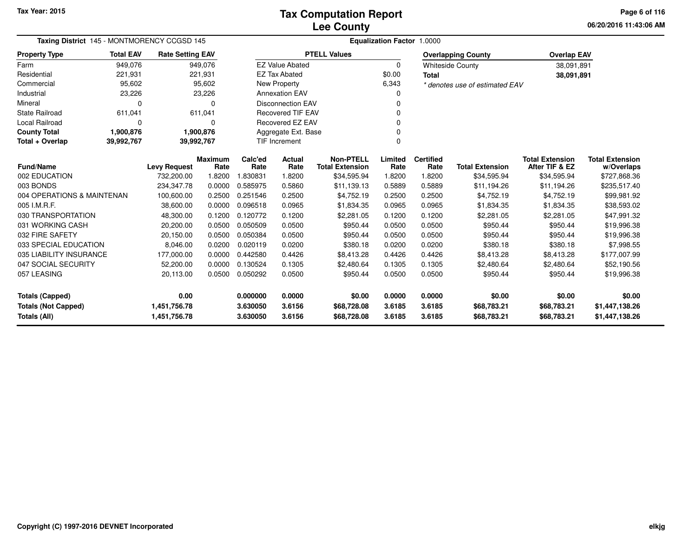**06/20/2016 11:43:06 AMPage 6 of 116**

| Taxing District 145 - MONTMORENCY CCGSD 145                                |                                                    |                         |                |                          | <b>Equalization Factor 1.0000</b> |                                       |                  |                  |                                |                                          |                                  |
|----------------------------------------------------------------------------|----------------------------------------------------|-------------------------|----------------|--------------------------|-----------------------------------|---------------------------------------|------------------|------------------|--------------------------------|------------------------------------------|----------------------------------|
| <b>Property Type</b>                                                       | <b>Total EAV</b>                                   | <b>Rate Setting EAV</b> |                |                          |                                   | <b>PTELL Values</b>                   |                  |                  | <b>Overlapping County</b>      | <b>Overlap EAV</b>                       |                                  |
| Farm                                                                       | 949,076                                            |                         | 949,076        |                          | <b>EZ Value Abated</b>            |                                       | $\Omega$         |                  | <b>Whiteside County</b>        | 38,091,891                               |                                  |
| Residential                                                                | 221,931                                            |                         | 221,931        |                          | <b>EZ Tax Abated</b>              |                                       | \$0.00           | <b>Total</b>     |                                | 38,091,891                               |                                  |
| Commercial                                                                 | 95,602                                             |                         | 95,602         |                          | <b>New Property</b>               |                                       | 6,343            |                  | * denotes use of estimated EAV |                                          |                                  |
| Industrial                                                                 | 23,226                                             |                         | 23,226         |                          | <b>Annexation EAV</b>             |                                       |                  |                  |                                |                                          |                                  |
| Mineral                                                                    | O                                                  |                         | ŋ              | <b>Disconnection EAV</b> |                                   |                                       |                  |                  |                                |                                          |                                  |
| <b>State Railroad</b>                                                      | 611,041                                            |                         | 611,041        | <b>Recovered TIF EAV</b> |                                   |                                       |                  |                  |                                |                                          |                                  |
| Local Railroad                                                             | 0                                                  |                         | 0              |                          | Recovered EZ EAV                  |                                       |                  |                  |                                |                                          |                                  |
| <b>County Total</b>                                                        | 1,900,876                                          |                         | 1,900,876      |                          | Aggregate Ext. Base               |                                       |                  |                  |                                |                                          |                                  |
| Total + Overlap                                                            | 39,992,767                                         | 39,992,767              |                | <b>TIF Increment</b>     |                                   |                                       |                  |                  |                                |                                          |                                  |
|                                                                            | <b>Maximum</b><br>Fund/Name<br><b>Levy Request</b> |                         |                |                          | Actual                            | <b>Non-PTELL</b>                      | Limited          | <b>Certified</b> | <b>Total Extension</b>         | <b>Total Extension</b><br>After TIF & EZ | <b>Total Extension</b>           |
| 002 EDUCATION                                                              |                                                    | 732,200.00              | Rate<br>1.8200 | Rate<br>1.830831         | Rate<br>1.8200                    | <b>Total Extension</b><br>\$34,595.94 | Rate<br>1.8200   | Rate<br>1.8200   | \$34,595.94                    | \$34,595.94                              | w/Overlaps<br>\$727,868.36       |
| 003 BONDS                                                                  |                                                    | 234,347.78              | 0.0000         | 0.585975                 | 0.5860                            | \$11,139.13                           | 0.5889           | 0.5889           | \$11,194.26                    | \$11,194.26                              | \$235,517.40                     |
| 004 OPERATIONS & MAINTENAN                                                 |                                                    | 100,600.00              | 0.2500         | 0.251546                 | 0.2500                            | \$4,752.19                            | 0.2500           | 0.2500           | \$4,752.19                     | \$4,752.19                               | \$99,981.92                      |
| 005 I.M.R.F.                                                               |                                                    | 38,600.00               | 0.0000         | 0.096518                 | 0.0965                            | \$1,834.35                            | 0.0965           | 0.0965           | \$1,834.35                     | \$1,834.35                               | \$38,593.02                      |
| 030 TRANSPORTATION                                                         |                                                    | 48,300.00               | 0.1200         | 0.120772                 | 0.1200                            | \$2,281.05                            | 0.1200           | 0.1200           | \$2,281.05                     | \$2,281.05                               | \$47,991.32                      |
| 031 WORKING CASH                                                           |                                                    | 20,200.00               | 0.0500         | 0.050509                 | 0.0500                            | \$950.44                              | 0.0500           | 0.0500           | \$950.44                       | \$950.44                                 | \$19,996.38                      |
| 032 FIRE SAFETY                                                            |                                                    | 20,150.00               | 0.0500         | 0.050384                 | 0.0500                            | \$950.44                              | 0.0500           | 0.0500           | \$950.44                       | \$950.44                                 | \$19,996.38                      |
| 033 SPECIAL EDUCATION                                                      |                                                    | 8,046.00                | 0.0200         | 0.020119                 | 0.0200                            | \$380.18                              | 0.0200           | 0.0200           | \$380.18                       | \$380.18                                 | \$7,998.55                       |
| 035 LIABILITY INSURANCE                                                    |                                                    | 177,000.00              | 0.0000         | 0.442580                 | 0.4426                            | \$8,413.28                            | 0.4426           | 0.4426           | \$8,413.28                     | \$8,413.28                               | \$177,007.99                     |
| 047 SOCIAL SECURITY                                                        |                                                    | 52,200.00               | 0.0000         | 0.130524                 | 0.1305                            | \$2,480.64                            | 0.1305           | 0.1305           | \$2,480.64                     | \$2,480.64                               | \$52,190.56                      |
| 057 LEASING                                                                |                                                    | 20,113.00               | 0.0500         | 0.050292                 | 0.0500                            | \$950.44                              | 0.0500           | 0.0500           | \$950.44                       | \$950.44                                 | \$19,996.38                      |
| 0.00                                                                       |                                                    |                         |                | 0.000000                 | 0.0000                            | \$0.00                                | 0.0000           | 0.0000           | \$0.00                         | \$0.00                                   | \$0.00                           |
| <b>Totals (Capped)</b>                                                     |                                                    |                         |                |                          |                                   |                                       |                  |                  |                                |                                          |                                  |
| <b>Totals (Not Capped)</b><br>1,451,756.78<br>Totals (All)<br>1,451,756.78 |                                                    |                         |                | 3.630050<br>3.630050     | 3.6156<br>3.6156                  | \$68,728.08<br>\$68,728.08            | 3.6185<br>3.6185 | 3.6185<br>3.6185 | \$68,783.21<br>\$68,783.21     | \$68,783.21<br>\$68,783.21               | \$1,447,138.26<br>\$1,447,138.26 |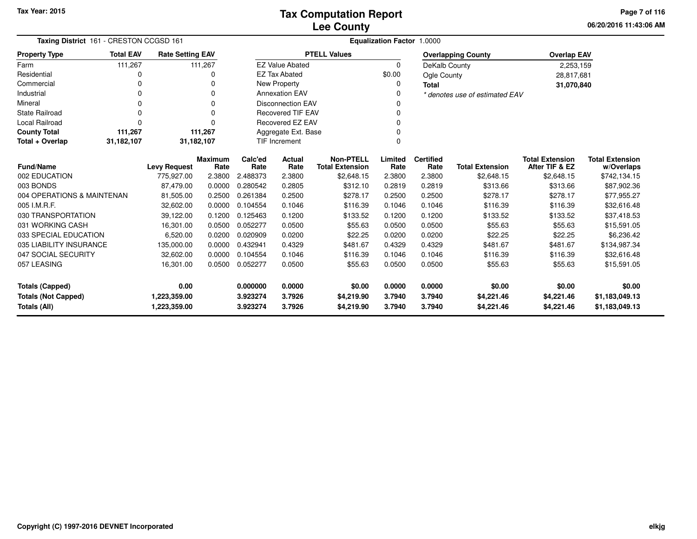**06/20/2016 11:43:06 AMPage 7 of 116**

| Taxing District 161 - CRESTON CCGSD 161    |                  |                              |                        |                      |                          |                                            | <b>Equalization Factor 1.0000</b> |                          |                                |                                          |                                      |
|--------------------------------------------|------------------|------------------------------|------------------------|----------------------|--------------------------|--------------------------------------------|-----------------------------------|--------------------------|--------------------------------|------------------------------------------|--------------------------------------|
| <b>Property Type</b>                       | <b>Total EAV</b> | <b>Rate Setting EAV</b>      |                        |                      |                          | <b>PTELL Values</b>                        |                                   |                          | <b>Overlapping County</b>      | <b>Overlap EAV</b>                       |                                      |
| Farm                                       | 111,267          |                              | 111,267                |                      | <b>EZ Value Abated</b>   |                                            | $\Omega$                          | DeKalb County            |                                | 2,253,159                                |                                      |
| Residential                                | 0                |                              | 0                      |                      | <b>EZ Tax Abated</b>     |                                            | \$0.00                            | Ogle County              |                                | 28,817,681                               |                                      |
| Commercial                                 | $\Omega$         |                              | $\Omega$               |                      | New Property             |                                            | 0                                 | <b>Total</b>             |                                | 31,070,840                               |                                      |
| Industrial                                 | $\Omega$         |                              | 0                      |                      | <b>Annexation EAV</b>    |                                            | $\Omega$                          |                          | * denotes use of estimated EAV |                                          |                                      |
| Mineral                                    | $\Omega$         |                              | 0                      |                      | <b>Disconnection EAV</b> |                                            |                                   |                          |                                |                                          |                                      |
| <b>State Railroad</b>                      | 0                |                              | $\Omega$               |                      | <b>Recovered TIF EAV</b> |                                            |                                   |                          |                                |                                          |                                      |
| Local Railroad                             | $\Omega$         |                              | $\Omega$               |                      | Recovered EZ EAV         |                                            |                                   |                          |                                |                                          |                                      |
| <b>County Total</b>                        | 111,267          |                              | 111,267                |                      | Aggregate Ext. Base      |                                            |                                   |                          |                                |                                          |                                      |
| Total + Overlap                            | 31,182,107       | 31,182,107                   |                        |                      | <b>TIF Increment</b>     |                                            | $\Omega$                          |                          |                                |                                          |                                      |
| <b>Fund/Name</b>                           |                  | <b>Levy Request</b>          | <b>Maximum</b><br>Rate | Calc'ed<br>Rate      | Actual<br>Rate           | <b>Non-PTELL</b><br><b>Total Extension</b> | Limited<br>Rate                   | <b>Certified</b><br>Rate | <b>Total Extension</b>         | <b>Total Extension</b><br>After TIF & EZ | <b>Total Extension</b><br>w/Overlaps |
| 002 EDUCATION                              |                  | 775,927.00                   | 2.3800                 | 2.488373             | 2.3800                   | \$2,648.15                                 | 2.3800                            | 2.3800                   | \$2,648.15                     | \$2,648.15                               | \$742,134.15                         |
| 003 BONDS                                  |                  | 87,479.00                    | 0.0000                 | 0.280542             | 0.2805                   | \$312.10                                   | 0.2819                            | 0.2819                   | \$313.66                       | \$313.66                                 | \$87,902.36                          |
| 004 OPERATIONS & MAINTENAN                 |                  | 81,505.00                    | 0.2500                 | 0.261384             | 0.2500                   | \$278.17                                   | 0.2500                            | 0.2500                   | \$278.17                       | \$278.17                                 | \$77,955.27                          |
| 005 I.M.R.F.                               |                  | 32,602.00                    | 0.0000                 | 0.104554             | 0.1046                   | \$116.39                                   | 0.1046                            | 0.1046                   | \$116.39                       | \$116.39                                 | \$32,616.48                          |
| 030 TRANSPORTATION                         |                  | 39,122.00                    | 0.1200                 | 0.125463             | 0.1200                   | \$133.52                                   | 0.1200                            | 0.1200                   | \$133.52                       | \$133.52                                 | \$37,418.53                          |
| 031 WORKING CASH                           |                  | 16.301.00                    | 0.0500                 | 0.052277             | 0.0500                   | \$55.63                                    | 0.0500                            | 0.0500                   | \$55.63                        | \$55.63                                  | \$15,591.05                          |
| 033 SPECIAL EDUCATION                      |                  | 6,520.00                     | 0.0200                 | 0.020909             | 0.0200                   | \$22.25                                    | 0.0200                            | 0.0200                   | \$22.25                        | \$22.25                                  | \$6,236.42                           |
| 035 LIABILITY INSURANCE                    |                  | 135,000.00                   | 0.0000                 | 0.432941             | 0.4329                   | \$481.67                                   | 0.4329                            | 0.4329                   | \$481.67                       | \$481.67                                 | \$134,987.34                         |
| 047 SOCIAL SECURITY                        |                  | 32,602.00                    | 0.0000                 | 0.104554             | 0.1046                   | \$116.39                                   | 0.1046                            | 0.1046                   | \$116.39                       | \$116.39                                 | \$32,616.48                          |
| 057 LEASING                                |                  | 16,301.00                    | 0.0500                 | 0.052277             | 0.0500                   | \$55.63                                    | 0.0500                            | 0.0500                   | \$55.63                        | \$55.63                                  | \$15,591.05                          |
| <b>Totals (Capped)</b>                     |                  | 0.00                         |                        | 0.000000             | 0.0000                   | \$0.00                                     | 0.0000                            | 0.0000                   | \$0.00                         | \$0.00                                   | \$0.00                               |
| <b>Totals (Not Capped)</b><br>Totals (All) |                  | 1,223,359.00<br>1,223,359.00 |                        | 3.923274<br>3.923274 | 3.7926<br>3.7926         | \$4,219.90<br>\$4,219.90                   | 3.7940<br>3.7940                  | 3.7940<br>3.7940         | \$4,221.46<br>\$4,221.46       | \$4,221.46<br>\$4,221.46                 | \$1,183,049.13<br>\$1,183,049.13     |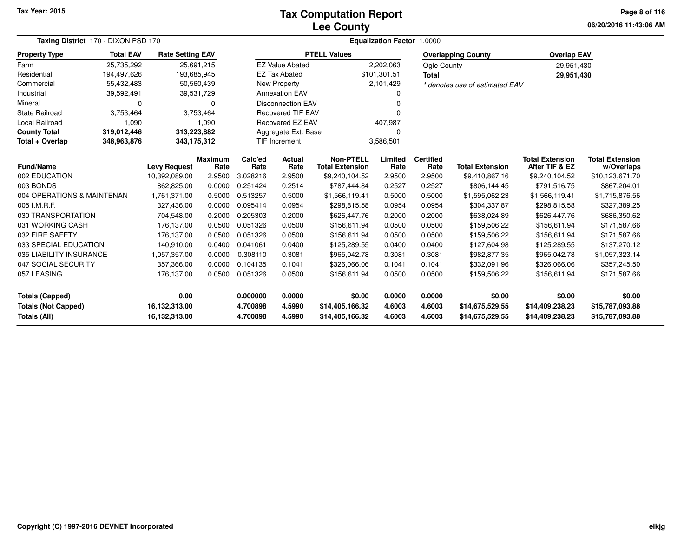### **Lee CountyTax Computation Report**

**06/20/2016 11:43:06 AM Page 8 of 116**

| Taxing District 170 - DIXON PSD 170      |                            |                                      |                        |                 | Equalization Factor 1.0000 |                                            |                |                  |                                |                                          |                                      |
|------------------------------------------|----------------------------|--------------------------------------|------------------------|-----------------|----------------------------|--------------------------------------------|----------------|------------------|--------------------------------|------------------------------------------|--------------------------------------|
| <b>Total EAV</b><br><b>Property Type</b> |                            | <b>Rate Setting EAV</b>              |                        |                 |                            | <b>PTELL Values</b>                        |                |                  | <b>Overlapping County</b>      | <b>Overlap EAV</b>                       |                                      |
| 25,735,292<br>Farm                       |                            |                                      | 25,691,215             |                 | <b>EZ Value Abated</b>     |                                            | 2,202,063      | Ogle County      |                                | 29,951,430                               |                                      |
| Residential<br>194,497,626               |                            | 193,685,945                          |                        |                 | <b>EZ Tax Abated</b>       |                                            | \$101,301.51   | <b>Total</b>     |                                | 29,951,430                               |                                      |
| 55,432,483<br>Commercial                 |                            | 50,560,439                           |                        |                 | New Property               |                                            | 2,101,429      |                  | * denotes use of estimated EAV |                                          |                                      |
| Industrial<br>39,592,491                 |                            | 39,531,729                           |                        |                 | <b>Annexation EAV</b>      |                                            | 0              |                  |                                |                                          |                                      |
| Mineral                                  | $\Omega$                   |                                      | $\Omega$               |                 | Disconnection EAV          |                                            | 0              |                  |                                |                                          |                                      |
| <b>State Railroad</b><br>3,753,464       |                            |                                      | 3,753,464              |                 | <b>Recovered TIF EAV</b>   |                                            | O              |                  |                                |                                          |                                      |
| <b>Local Railroad</b>                    | 1,090                      |                                      | 1,090                  |                 | Recovered EZ EAV           |                                            | 407,987        |                  |                                |                                          |                                      |
| <b>County Total</b>                      | 319,012,446<br>313,223,882 |                                      |                        |                 | Aggregate Ext. Base        |                                            | 0              |                  |                                |                                          |                                      |
| Total + Overlap<br>348,963,876           |                            | 343,175,312                          |                        |                 | TIF Increment<br>3,586,501 |                                            |                |                  |                                |                                          |                                      |
| <b>Fund/Name</b>                         |                            |                                      | <b>Maximum</b><br>Rate | Calc'ed<br>Rate | Actual<br>Rate             | <b>Non-PTELL</b><br><b>Total Extension</b> | Limited        | <b>Certified</b> | <b>Total Extension</b>         | <b>Total Extension</b><br>After TIF & EZ | <b>Total Extension</b><br>w/Overlaps |
| 002 EDUCATION                            |                            | <b>Levy Request</b><br>10,392,089.00 | 2.9500                 | 3.028216        | 2.9500                     | \$9,240,104.52                             | Rate<br>2.9500 | Rate<br>2.9500   | \$9,410,867.16                 | \$9,240,104.52                           | \$10,123,671.70                      |
| 003 BONDS                                |                            | 862,825.00                           | 0.0000                 | 0.251424        | 0.2514                     | \$787,444.84                               | 0.2527         | 0.2527           | \$806,144.45                   | \$791,516.75                             | \$867,204.01                         |
| 004 OPERATIONS & MAINTENAN               |                            | 1,761,371.00                         | 0.5000                 | 0.513257        | 0.5000                     | \$1,566,119.41                             | 0.5000         | 0.5000           | \$1,595,062.23                 | \$1,566,119.41                           | \$1,715,876.56                       |
| 005 I.M.R.F.                             |                            | 327.436.00                           | 0.0000                 | 0.095414        | 0.0954                     | \$298,815.58                               | 0.0954         | 0.0954           | \$304,337.87                   | \$298,815.58                             | \$327,389.25                         |
| 030 TRANSPORTATION                       |                            | 704,548.00                           | 0.2000                 | 0.205303        | 0.2000                     | \$626,447.76                               | 0.2000         | 0.2000           | \$638,024.89                   | \$626,447.76                             | \$686,350.62                         |
| 031 WORKING CASH                         |                            | 176,137.00                           | 0.0500                 | 0.051326        | 0.0500                     | \$156,611.94                               | 0.0500         | 0.0500           | \$159,506.22                   | \$156,611.94                             | \$171,587.66                         |
| 032 FIRE SAFETY                          |                            | 176,137.00                           | 0.0500                 | 0.051326        | 0.0500                     | \$156,611.94                               | 0.0500         | 0.0500           | \$159,506.22                   | \$156,611.94                             | \$171,587.66                         |
| 033 SPECIAL EDUCATION                    |                            | 140.910.00                           | 0.0400                 | 0.041061        | 0.0400                     | \$125,289.55                               | 0.0400         | 0.0400           | \$127,604.98                   | \$125,289.55                             | \$137,270.12                         |
| 035 LIABILITY INSURANCE                  |                            | 1,057,357.00                         | 0.0000                 | 0.308110        | 0.3081                     | \$965,042.78                               | 0.3081         | 0.3081           | \$982,877.35                   | \$965,042.78                             | \$1,057,323.14                       |
| 047 SOCIAL SECURITY                      |                            | 357,366.00                           | 0.0000                 | 0.104135        | 0.1041                     | \$326,066.06                               | 0.1041         | 0.1041           | \$332,091.96                   | \$326,066.06                             | \$357,245.50                         |
| 057 LEASING                              |                            | 176,137.00                           | 0.0500                 | 0.051326        | 0.0500                     | \$156,611.94                               | 0.0500         | 0.0500           | \$159,506.22                   | \$156,611.94                             | \$171,587.66                         |
|                                          |                            |                                      |                        |                 |                            |                                            |                |                  |                                |                                          |                                      |
| Totals (Capped)                          |                            | 0.00                                 |                        | 0.000000        | 0.0000                     | \$0.00                                     | 0.0000         | 0.0000           | \$0.00                         | \$0.00                                   | \$0.00                               |
| <b>Totals (Not Capped)</b>               |                            | 16,132,313.00                        |                        | 4.700898        | 4.5990                     | \$14,405,166.32                            | 4.6003         | 4.6003           | \$14,675,529.55                | \$14,409,238.23                          | \$15,787,093.88                      |
| Totals (All)                             |                            | 16,132,313.00                        |                        | 4.700898        | 4.5990                     | \$14,405,166.32                            | 4.6003         | 4.6003           | \$14,675,529.55                | \$14,409,238.23                          | \$15,787,093.88                      |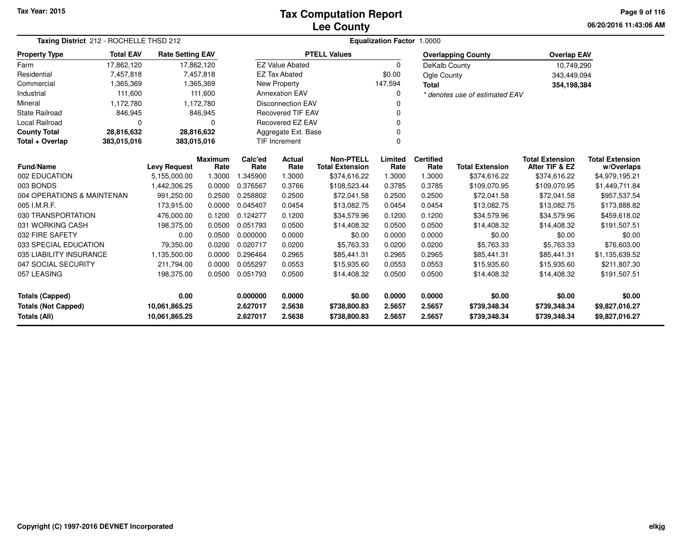## **Lee CountyTax Computation Report**

**06/20/2016 11:43:06 AM Page 9 of 116**

| Taxing District 212 - ROCHELLE THSD 212                                      |                  |                         |                        |                  | <b>Equalization Factor 1.0000</b> |                                            |                  |                              |                                |                                          |                                      |  |
|------------------------------------------------------------------------------|------------------|-------------------------|------------------------|------------------|-----------------------------------|--------------------------------------------|------------------|------------------------------|--------------------------------|------------------------------------------|--------------------------------------|--|
| <b>Property Type</b>                                                         | <b>Total EAV</b> | <b>Rate Setting EAV</b> |                        |                  |                                   | <b>PTELL Values</b>                        |                  |                              | <b>Overlapping County</b>      | <b>Overlap EAV</b>                       |                                      |  |
| Farm                                                                         | 17,862,120       | 17,862,120              |                        |                  | <b>EZ Value Abated</b>            |                                            | $\mathbf 0$      | DeKalb County                |                                | 10,749,290                               |                                      |  |
| Residential                                                                  | 7,457,818        |                         | 7,457,818              |                  | <b>EZ Tax Abated</b>              |                                            | \$0.00           | Ogle County                  |                                | 343,449,094                              |                                      |  |
| Commercial                                                                   | 1,365,369        |                         | 1,365,369              |                  | New Property                      |                                            | 147,594          | <b>Total</b>                 |                                | 354,198,384                              |                                      |  |
| Industrial                                                                   | 111,600          |                         | 111,600                |                  | <b>Annexation EAV</b>             |                                            | $\Omega$         |                              | * denotes use of estimated EAV |                                          |                                      |  |
| Mineral                                                                      | 1,172,780        |                         | 1,172,780              |                  | <b>Disconnection EAV</b>          |                                            |                  |                              |                                |                                          |                                      |  |
| State Railroad                                                               | 846,945          |                         | 846,945                |                  | <b>Recovered TIF EAV</b>          |                                            | $\Omega$         |                              |                                |                                          |                                      |  |
| Local Railroad                                                               | 0                |                         | 0                      |                  | Recovered EZ EAV                  |                                            |                  |                              |                                |                                          |                                      |  |
| <b>County Total</b>                                                          | 28,816,632       |                         | 28,816,632             |                  | Aggregate Ext. Base               |                                            | $\Omega$         |                              |                                |                                          |                                      |  |
| Total + Overlap                                                              | 383,015,016      | 383,015,016             |                        |                  | TIF Increment                     |                                            | $\Omega$         |                              |                                |                                          |                                      |  |
| <b>Fund/Name</b>                                                             |                  | <b>Levy Request</b>     | <b>Maximum</b><br>Rate | Calc'ed<br>Rate  | <b>Actual</b><br>Rate             | <b>Non-PTELL</b><br><b>Total Extension</b> | Limited<br>Rate  | <b>Certified</b><br>Rate     | <b>Total Extension</b>         | <b>Total Extension</b><br>After TIF & EZ | <b>Total Extension</b><br>w/Overlaps |  |
| 002 EDUCATION                                                                |                  | 5,155,000.00            | 1.3000                 | 1.345900         | 1.3000                            | \$374,616.22                               | 1.3000           | 1.3000                       | \$374,616.22                   | \$374,616.22                             | \$4,979,195.21                       |  |
| 003 BONDS                                                                    |                  | 1,442,306.25            | 0.0000                 | 0.376567         | 0.3766                            | \$108,523.44                               | 0.3785           | 0.3785                       | \$109,070.95                   | \$109,070.95                             | \$1,449,711.84                       |  |
| 004 OPERATIONS & MAINTENAN                                                   |                  | 991,250.00              | 0.2500                 | 0.258802         | 0.2500                            | \$72,041.58                                | 0.2500           | 0.2500                       | \$72,041.58                    | \$72,041.58                              | \$957,537.54                         |  |
| 005 I.M.R.F.                                                                 |                  | 173,915.00              | 0.0000                 | 0.045407         | 0.0454                            | \$13,082.75                                | 0.0454           | 0.0454                       | \$13,082.75                    | \$13,082.75                              | \$173,888.82                         |  |
| 030 TRANSPORTATION                                                           |                  | 476,000.00              | 0.1200                 | 0.124277         | 0.1200                            | \$34,579.96                                | 0.1200           | 0.1200                       | \$34,579.96                    | \$34,579.96                              | \$459,618.02                         |  |
| 031 WORKING CASH                                                             |                  | 198,375.00              | 0.0500                 | 0.051793         | 0.0500                            | \$14,408.32                                | 0.0500           | 0.0500                       | \$14,408.32                    | \$14,408.32                              | \$191,507.51                         |  |
| 032 FIRE SAFETY                                                              |                  | 0.00                    | 0.0500                 | 0.000000         | 0.0000                            | \$0.00                                     | 0.0000           | 0.0000                       | \$0.00                         | \$0.00                                   | \$0.00                               |  |
| 033 SPECIAL EDUCATION                                                        |                  | 79,350.00               | 0.0200                 | 0.020717         | 0.0200                            | \$5,763.33                                 | 0.0200           | 0.0200                       | \$5,763.33                     | \$5,763.33                               | \$76,603.00                          |  |
| 035 LIABILITY INSURANCE                                                      |                  | 1,135,500.00            | 0.0000                 | 0.296464         | 0.2965                            | \$85,441.31                                | 0.2965           | 0.2965                       | \$85,441.31                    | \$85,441.31                              | \$1,135,639.52                       |  |
| 047 SOCIAL SECURITY                                                          |                  | 211,794.00              | 0.0000                 | 0.055297         | 0.0553                            | \$15,935.60                                | 0.0553           | 0.0553                       | \$15,935.60                    | \$15,935.60                              | \$211,807.30                         |  |
| 057 LEASING                                                                  |                  | 198,375.00              | 0.0500                 | 0.051793         | 0.0500                            | \$14,408.32                                | 0.0500           | 0.0500                       | \$14,408.32                    | \$14,408.32                              | \$191,507.51                         |  |
| 0.00<br><b>Totals (Capped)</b>                                               |                  |                         | 0.000000               | 0.0000           | \$0.00                            | 0.0000                                     | 0.0000           | \$0.00                       | \$0.00                         | \$0.00                                   |                                      |  |
| <b>Totals (Not Capped)</b><br>10,061,865.25<br>Totals (All)<br>10,061,865.25 |                  |                         | 2.627017<br>2.627017   | 2.5638<br>2.5638 | \$738,800.83<br>\$738,800.83      | 2.5657<br>2.5657                           | 2.5657<br>2.5657 | \$739,348.34<br>\$739,348.34 | \$739,348.34<br>\$739,348.34   | \$9,827,016.27<br>\$9,827,016.27         |                                      |  |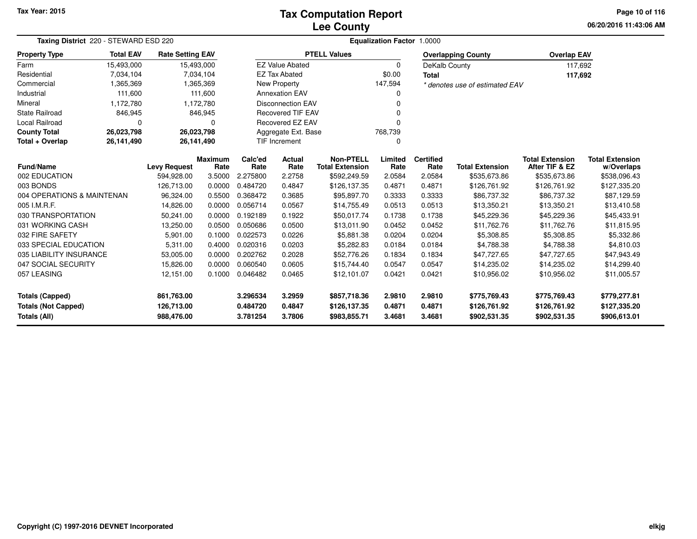## **Lee CountyTax Computation Report**

**06/20/2016 11:43:06 AM Page 10 of 116**

| Taxing District 220 - STEWARD ESD 220 |                  |                         |                        |                 | Equalization Factor 1.0000     |  |                                            |                 |                          |                                |                                          |                                      |
|---------------------------------------|------------------|-------------------------|------------------------|-----------------|--------------------------------|--|--------------------------------------------|-----------------|--------------------------|--------------------------------|------------------------------------------|--------------------------------------|
| <b>Property Type</b>                  | <b>Total EAV</b> | <b>Rate Setting EAV</b> |                        |                 |                                |  | <b>PTELL Values</b>                        |                 |                          | <b>Overlapping County</b>      | <b>Overlap EAV</b>                       |                                      |
| Farm                                  | 15,493,000       | 15,493,000              |                        |                 | <b>EZ Value Abated</b>         |  |                                            | 0               | DeKalb County            |                                | 117,692                                  |                                      |
| Residential                           | 7,034,104        |                         | 7,034,104              |                 | <b>EZ Tax Abated</b>           |  |                                            | \$0.00          | <b>Total</b>             |                                | 117,692                                  |                                      |
| Commercial                            | 1,365,369        |                         | 1,365,369              |                 | New Property                   |  |                                            | 147,594         |                          | * denotes use of estimated EAV |                                          |                                      |
| Industrial                            | 111,600          |                         | 111.600                |                 | <b>Annexation EAV</b>          |  |                                            | 0               |                          |                                |                                          |                                      |
| Mineral                               | 1,172,780        |                         | 1,172,780              |                 | <b>Disconnection EAV</b>       |  |                                            |                 |                          |                                |                                          |                                      |
| <b>State Railroad</b>                 | 846,945          |                         | 846,945                |                 | <b>Recovered TIF EAV</b><br>U  |  |                                            |                 |                          |                                |                                          |                                      |
| Local Railroad                        |                  |                         | 0                      |                 | Recovered EZ EAV               |  |                                            | $\Omega$        |                          |                                |                                          |                                      |
| <b>County Total</b>                   | 26,023,798       | 26,023,798              |                        |                 | 768,739<br>Aggregate Ext. Base |  |                                            |                 |                          |                                |                                          |                                      |
| Total + Overlap                       | 26,141,490       | 26,141,490              |                        |                 | TIF Increment                  |  |                                            | 0               |                          |                                |                                          |                                      |
| <b>Fund/Name</b>                      |                  | <b>Levy Request</b>     | <b>Maximum</b><br>Rate | Calc'ed<br>Rate | Actual<br>Rate                 |  | <b>Non-PTELL</b><br><b>Total Extension</b> | Limited<br>Rate | <b>Certified</b><br>Rate | <b>Total Extension</b>         | <b>Total Extension</b><br>After TIF & EZ | <b>Total Extension</b><br>w/Overlaps |
| 002 EDUCATION                         |                  | 594,928.00              | 3.5000                 | 2.275800        | 2.2758                         |  | \$592,249.59                               | 2.0584          | 2.0584                   | \$535,673.86                   | \$535,673.86                             | \$538,096.43                         |
| 003 BONDS                             |                  | 126,713.00              | 0.0000                 | 0.484720        | 0.4847                         |  | \$126,137.35                               | 0.4871          | 0.4871                   | \$126,761.92                   | \$126,761.92                             | \$127,335.20                         |
| 004 OPERATIONS & MAINTENAN            |                  | 96,324.00               | 0.5500                 | 0.368472        | 0.3685                         |  | \$95,897.70                                | 0.3333          | 0.3333                   | \$86,737.32                    | \$86,737.32                              | \$87,129.59                          |
| 005 I.M.R.F.                          |                  | 14,826.00               | 0.0000                 | 0.056714        | 0.0567                         |  | \$14,755.49                                | 0.0513          | 0.0513                   | \$13,350.21                    | \$13,350.21                              | \$13,410.58                          |
| 030 TRANSPORTATION                    |                  | 50,241.00               | 0.0000                 | 0.192189        | 0.1922                         |  | \$50,017.74                                | 0.1738          | 0.1738                   | \$45,229.36                    | \$45,229.36                              | \$45,433.91                          |
| 031 WORKING CASH                      |                  | 13,250.00               | 0.0500                 | 0.050686        | 0.0500                         |  | \$13,011.90                                | 0.0452          | 0.0452                   | \$11,762.76                    | \$11,762.76                              | \$11,815.95                          |
| 032 FIRE SAFETY                       |                  | 5,901.00                | 0.1000                 | 0.022573        | 0.0226                         |  | \$5,881.38                                 | 0.0204          | 0.0204                   | \$5,308.85                     | \$5,308.85                               | \$5,332.86                           |
| 033 SPECIAL EDUCATION                 |                  | 5,311.00                | 0.4000                 | 0.020316        | 0.0203                         |  | \$5,282.83                                 | 0.0184          | 0.0184                   | \$4,788.38                     | \$4,788.38                               | \$4,810.03                           |
| 035 LIABILITY INSURANCE               |                  | 53,005.00               | 0.0000                 | 0.202762        | 0.2028                         |  | \$52,776.26                                | 0.1834          | 0.1834                   | \$47,727.65                    | \$47,727.65                              | \$47,943.49                          |
| 047 SOCIAL SECURITY                   |                  | 15,826.00               | 0.0000                 | 0.060540        | 0.0605                         |  | \$15,744.40                                | 0.0547          | 0.0547                   | \$14,235.02                    | \$14,235.02                              | \$14,299.40                          |
| 057 LEASING                           |                  | 12,151.00               | 0.1000                 | 0.046482        | 0.0465                         |  | \$12,101.07                                | 0.0421          | 0.0421                   | \$10,956.02                    | \$10,956.02                              | \$11,005.57                          |
| <b>Totals (Capped)</b>                |                  | 861,763.00              |                        | 3.296534        | 3.2959                         |  | \$857,718.36                               | 2.9810          | 2.9810                   | \$775,769.43                   | \$775,769.43                             | \$779,277.81                         |
| <b>Totals (Not Capped)</b>            |                  | 126,713.00              |                        | 0.484720        | 0.4847                         |  | \$126,137.35                               | 0.4871          | 0.4871                   | \$126,761.92                   | \$126,761.92                             | \$127,335.20                         |
| Totals (All)                          |                  | 988,476.00              |                        | 3.781254        | 3.7806                         |  | \$983,855.71                               | 3.4681          | 3.4681                   | \$902,531.35                   | \$902,531.35                             | \$906,613.01                         |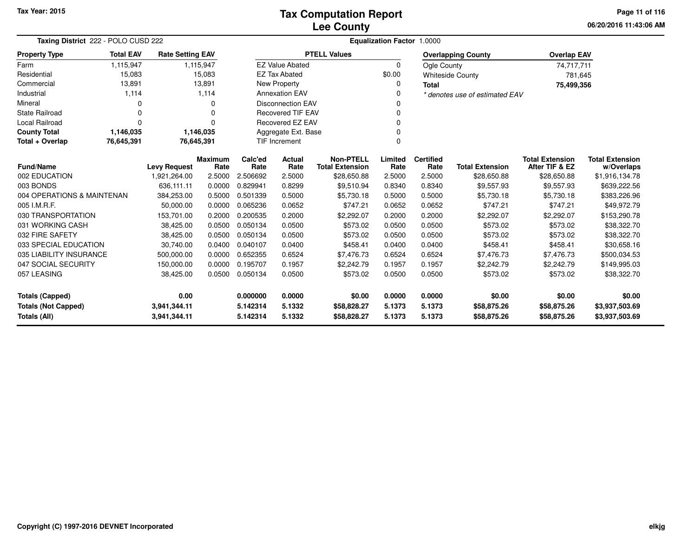**06/20/2016 11:43:06 AMPage 11 of 116**

| Taxing District 222 - POLO CUSD 222 |                  |                         |                        | Equalization Factor 1.0000 |                          |                                            |                 |                          |                                |                                          |                                      |
|-------------------------------------|------------------|-------------------------|------------------------|----------------------------|--------------------------|--------------------------------------------|-----------------|--------------------------|--------------------------------|------------------------------------------|--------------------------------------|
| <b>Property Type</b>                | <b>Total EAV</b> | <b>Rate Setting EAV</b> |                        |                            |                          | <b>PTELL Values</b>                        |                 |                          | <b>Overlapping County</b>      | <b>Overlap EAV</b>                       |                                      |
| Farm                                | 1,115,947        |                         | 1,115,947              |                            | <b>EZ Value Abated</b>   |                                            | $\Omega$        | <b>Ogle County</b>       |                                | 74,717,711                               |                                      |
| Residential                         | 15,083           |                         | 15,083                 |                            | <b>EZ Tax Abated</b>     |                                            | \$0.00          |                          | <b>Whiteside County</b>        | 781,645                                  |                                      |
| Commercial                          | 13,891           |                         | 13,891                 |                            | New Property             |                                            | 0               | <b>Total</b>             |                                | 75,499,356                               |                                      |
| Industrial                          | 1,114            |                         | 1,114                  |                            | <b>Annexation EAV</b>    |                                            | 0               |                          | * denotes use of estimated EAV |                                          |                                      |
| Mineral                             | O                |                         | 0                      |                            | <b>Disconnection EAV</b> |                                            | 0               |                          |                                |                                          |                                      |
| <b>State Railroad</b>               | $\Omega$         |                         | 0                      |                            | <b>Recovered TIF EAV</b> |                                            |                 |                          |                                |                                          |                                      |
| <b>Local Railroad</b>               | $\Omega$         |                         | 0                      |                            | Recovered EZ EAV         |                                            | $\Omega$        |                          |                                |                                          |                                      |
| <b>County Total</b>                 | 1,146,035        |                         | 1,146,035              |                            | Aggregate Ext. Base      |                                            |                 |                          |                                |                                          |                                      |
| Total + Overlap                     | 76,645,391       | 76,645,391              |                        |                            | TIF Increment            |                                            | $\Omega$        |                          |                                |                                          |                                      |
| <b>Fund/Name</b>                    |                  | <b>Levy Request</b>     | <b>Maximum</b><br>Rate | Calc'ed<br>Rate            | <b>Actual</b><br>Rate    | <b>Non-PTELL</b><br><b>Total Extension</b> | Limited<br>Rate | <b>Certified</b><br>Rate | <b>Total Extension</b>         | <b>Total Extension</b><br>After TIF & EZ | <b>Total Extension</b><br>w/Overlaps |
| 002 EDUCATION                       |                  | 1,921,264.00            | 2.5000                 | 2.506692                   | 2.5000                   | \$28,650.88                                | 2.5000          | 2.5000                   | \$28,650.88                    | \$28,650.88                              | \$1,916,134.78                       |
| 003 BONDS                           |                  | 636,111.11              | 0.0000                 | 0.829941                   | 0.8299                   | \$9,510.94                                 | 0.8340          | 0.8340                   | \$9,557.93                     | \$9,557.93                               | \$639,222.56                         |
| 004 OPERATIONS & MAINTENAN          |                  | 384,253.00              | 0.5000                 | 0.501339                   | 0.5000                   | \$5,730.18                                 | 0.5000          | 0.5000                   | \$5,730.18                     | \$5,730.18                               | \$383,226.96                         |
| 005 I.M.R.F.                        |                  | 50.000.00               | 0.0000                 | 0.065236                   | 0.0652                   | \$747.21                                   | 0.0652          | 0.0652                   | \$747.21                       | \$747.21                                 | \$49,972.79                          |
| 030 TRANSPORTATION                  |                  | 153,701.00              | 0.2000                 | 0.200535                   | 0.2000                   | \$2,292.07                                 | 0.2000          | 0.2000                   | \$2,292.07                     | \$2,292.07                               | \$153,290.78                         |
| 031 WORKING CASH                    |                  | 38,425.00               | 0.0500                 | 0.050134                   | 0.0500                   | \$573.02                                   | 0.0500          | 0.0500                   | \$573.02                       | \$573.02                                 | \$38,322.70                          |
| 032 FIRE SAFETY                     |                  | 38,425.00               | 0.0500                 | 0.050134                   | 0.0500                   | \$573.02                                   | 0.0500          | 0.0500                   | \$573.02                       | \$573.02                                 | \$38,322.70                          |
| 033 SPECIAL EDUCATION               |                  | 30,740.00               | 0.0400                 | 0.040107                   | 0.0400                   | \$458.41                                   | 0.0400          | 0.0400                   | \$458.41                       | \$458.41                                 | \$30,658.16                          |
| 035 LIABILITY INSURANCE             |                  | 500,000.00              | 0.0000                 | 0.652355                   | 0.6524                   | \$7,476.73                                 | 0.6524          | 0.6524                   | \$7,476.73                     | \$7,476.73                               | \$500,034.53                         |
| 047 SOCIAL SECURITY                 |                  | 150,000.00              | 0.0000                 | 0.195707                   | 0.1957                   | \$2,242.79                                 | 0.1957          | 0.1957                   | \$2,242.79                     | \$2,242.79                               | \$149,995.03                         |
| 057 LEASING                         |                  | 38,425.00               | 0.0500                 | 0.050134                   | 0.0500                   | \$573.02                                   | 0.0500          | 0.0500                   | \$573.02                       | \$573.02                                 | \$38,322.70                          |
| <b>Totals (Capped)</b>              |                  | 0.00                    |                        | 0.000000                   | 0.0000                   | \$0.00                                     | 0.0000          | 0.0000                   | \$0.00                         | \$0.00                                   | \$0.00                               |
| <b>Totals (Not Capped)</b>          |                  | 3,941,344.11            |                        | 5.142314                   | 5.1332                   | \$58,828.27                                | 5.1373          | 5.1373                   | \$58,875.26                    | \$58,875.26                              | \$3,937,503.69                       |
| <b>Totals (All)</b><br>3,941,344.11 |                  |                         |                        | 5.142314                   | 5.1332                   | \$58,828.27                                | 5.1373          | 5.1373                   | \$58,875.26                    | \$58,875.26                              | \$3,937,503.69                       |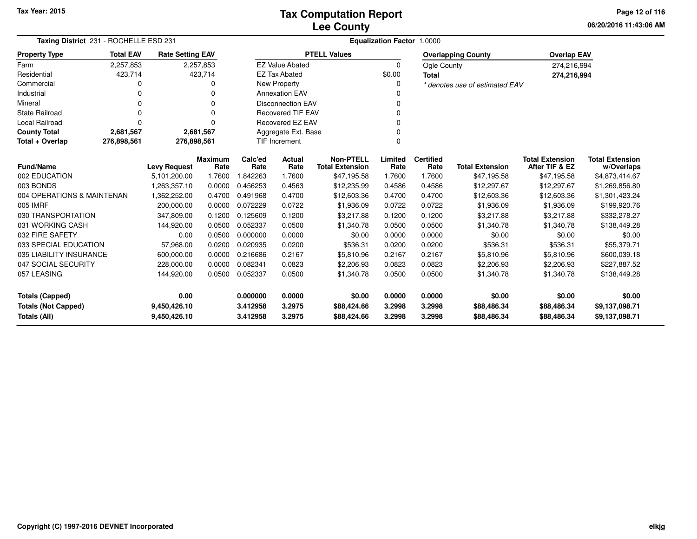**06/20/2016 11:43:06 AM Page 12 of 116**

| Taxing District 231 - ROCHELLE ESD 231        |                  |                         |                        |                 |                          |                                            | <b>Equalization Factor 1.0000</b> |                          |                                |                                          |                                      |
|-----------------------------------------------|------------------|-------------------------|------------------------|-----------------|--------------------------|--------------------------------------------|-----------------------------------|--------------------------|--------------------------------|------------------------------------------|--------------------------------------|
| <b>Property Type</b>                          | <b>Total EAV</b> | <b>Rate Setting EAV</b> |                        |                 |                          | <b>PTELL Values</b>                        |                                   |                          | <b>Overlapping County</b>      | <b>Overlap EAV</b>                       |                                      |
| Farm                                          | 2,257,853        |                         | 2,257,853              |                 | <b>EZ Value Abated</b>   |                                            | $\Omega$                          | Ogle County              |                                | 274,216,994                              |                                      |
| Residential                                   | 423,714          |                         | 423,714                |                 | <b>EZ Tax Abated</b>     |                                            | \$0.00                            | <b>Total</b>             |                                | 274,216,994                              |                                      |
| Commercial                                    |                  |                         | 0                      |                 | New Property             |                                            |                                   |                          | * denotes use of estimated EAV |                                          |                                      |
| Industrial                                    |                  |                         |                        |                 | <b>Annexation EAV</b>    |                                            |                                   |                          |                                |                                          |                                      |
| Mineral                                       |                  |                         | 0                      |                 | <b>Disconnection EAV</b> |                                            |                                   |                          |                                |                                          |                                      |
| <b>State Railroad</b>                         |                  |                         | 0                      |                 | <b>Recovered TIF EAV</b> |                                            |                                   |                          |                                |                                          |                                      |
| Local Railroad                                | $\Omega$         |                         | 0                      |                 | Recovered EZ EAV         |                                            |                                   |                          |                                |                                          |                                      |
| <b>County Total</b>                           | 2,681,567        |                         | 2,681,567              |                 | Aggregate Ext. Base      |                                            |                                   |                          |                                |                                          |                                      |
| Total + Overlap<br>276,898,561<br>276,898,561 |                  |                         |                        |                 | <b>TIF Increment</b>     |                                            |                                   |                          |                                |                                          |                                      |
| <b>Fund/Name</b>                              |                  | <b>Levy Request</b>     | <b>Maximum</b><br>Rate | Calc'ed<br>Rate | Actual<br>Rate           | <b>Non-PTELL</b><br><b>Total Extension</b> | Limited<br>Rate                   | <b>Certified</b><br>Rate | <b>Total Extension</b>         | <b>Total Extension</b><br>After TIF & EZ | <b>Total Extension</b><br>w/Overlaps |
| 002 EDUCATION                                 |                  | 5,101,200.00            | 1.7600                 | 842263.         | 1.7600                   | \$47,195.58                                | 1.7600                            | 1.7600                   | \$47,195.58                    | \$47,195.58                              | \$4,873,414.67                       |
| 003 BONDS                                     |                  | 1,263,357.10            | 0.0000                 | 0.456253        | 0.4563                   | \$12,235.99                                | 0.4586                            | 0.4586                   | \$12,297.67                    | \$12,297.67                              | \$1,269,856.80                       |
| 004 OPERATIONS & MAINTENAN                    |                  | 1,362,252.00            | 0.4700                 | 0.491968        | 0.4700                   | \$12,603.36                                | 0.4700                            | 0.4700                   | \$12,603.36                    | \$12,603.36                              | \$1,301,423.24                       |
| 005 IMRF                                      |                  | 200,000.00              | 0.0000                 | 0.072229        | 0.0722                   | \$1,936.09                                 | 0.0722                            | 0.0722                   | \$1,936.09                     | \$1,936.09                               | \$199,920.76                         |
| 030 TRANSPORTATION                            |                  | 347,809.00              | 0.1200                 | 0.125609        | 0.1200                   | \$3,217.88                                 | 0.1200                            | 0.1200                   | \$3,217.88                     | \$3,217.88                               | \$332,278.27                         |
| 031 WORKING CASH                              |                  | 144,920.00              | 0.0500                 | 0.052337        | 0.0500                   | \$1,340.78                                 | 0.0500                            | 0.0500                   | \$1,340.78                     | \$1,340.78                               | \$138,449.28                         |
| 032 FIRE SAFETY                               |                  | 0.00                    | 0.0500                 | 0.000000        | 0.0000                   | \$0.00                                     | 0.0000                            | 0.0000                   | \$0.00                         | \$0.00                                   | \$0.00                               |
| 033 SPECIAL EDUCATION                         |                  | 57,968.00               | 0.0200                 | 0.020935        | 0.0200                   | \$536.31                                   | 0.0200                            | 0.0200                   | \$536.31                       | \$536.31                                 | \$55,379.71                          |
| 035 LIABILITY INSURANCE                       |                  | 600,000.00              | 0.0000                 | 0.216686        | 0.2167                   | \$5,810.96                                 | 0.2167                            | 0.2167                   | \$5,810.96                     | \$5,810.96                               | \$600,039.18                         |
| 047 SOCIAL SECURITY                           |                  | 228,000.00              | 0.0000                 | 0.082341        | 0.0823                   | \$2,206.93                                 | 0.0823                            | 0.0823                   | \$2,206.93                     | \$2,206.93                               | \$227,887.52                         |
| 057 LEASING                                   |                  | 144,920.00              | 0.0500                 | 0.052337        | 0.0500                   | \$1,340.78                                 | 0.0500                            | 0.0500                   | \$1,340.78                     | \$1,340.78                               | \$138,449.28                         |
| <b>Totals (Capped)</b>                        |                  | 0.00                    |                        | 0.000000        | 0.0000                   | \$0.00                                     | 0.0000                            | 0.0000                   | \$0.00                         | \$0.00                                   | \$0.00                               |
| <b>Totals (Not Capped)</b>                    |                  | 9,450,426.10            |                        | 3.412958        | 3.2975                   | \$88,424.66                                | 3.2998                            | 3.2998                   | \$88,486.34                    | \$88,486.34                              | \$9,137,098.71                       |
| Totals (All)                                  |                  | 9,450,426.10            |                        | 3.412958        | 3.2975                   | \$88,424.66                                | 3.2998                            | 3.2998                   | \$88,486.34                    | \$88,486.34                              | \$9,137,098.71                       |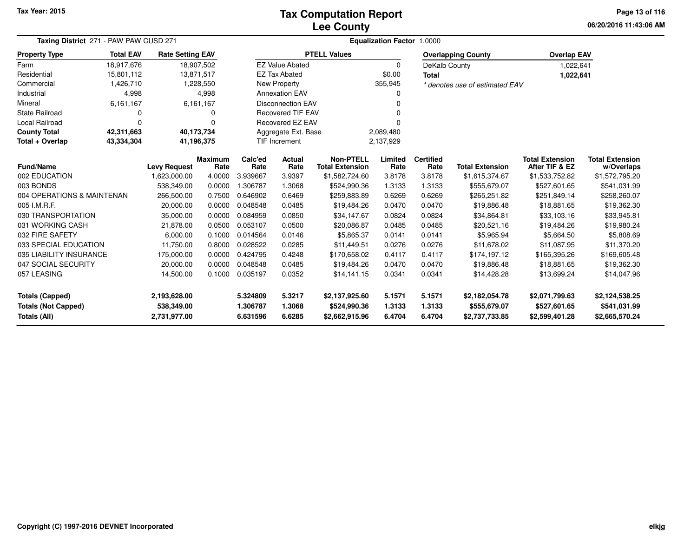## **Lee CountyTax Computation Report**

**06/20/2016 11:43:06 AM Page 13 of 116**

| <b>Taxing District</b> 271 - PAW PAW CUSD 271        |                  |                            |                        |                                   | <b>Equalization Factor 1.0000</b> |                                            |                  |                          |                                |                                          |                                      |  |  |  |  |
|------------------------------------------------------|------------------|----------------------------|------------------------|-----------------------------------|-----------------------------------|--------------------------------------------|------------------|--------------------------|--------------------------------|------------------------------------------|--------------------------------------|--|--|--|--|
| <b>Property Type</b>                                 | <b>Total EAV</b> | <b>Rate Setting EAV</b>    |                        |                                   |                                   | <b>PTELL Values</b>                        |                  |                          | <b>Overlapping County</b>      | <b>Overlap EAV</b>                       |                                      |  |  |  |  |
| Farm                                                 | 18,917,676       |                            | 18,907,502             |                                   | <b>EZ Value Abated</b>            |                                            | 0                | DeKalb County            |                                | 1,022,641                                |                                      |  |  |  |  |
| Residential                                          | 15,801,112       |                            | 13,871,517             |                                   | <b>EZ Tax Abated</b>              |                                            | \$0.00           | <b>Total</b>             |                                | 1,022,641                                |                                      |  |  |  |  |
| Commercial                                           | 1,426,710        |                            | 1,228,550              |                                   | New Property                      |                                            | 355,945          |                          | * denotes use of estimated EAV |                                          |                                      |  |  |  |  |
| Industrial                                           | 4,998            |                            | 4,998                  |                                   | <b>Annexation EAV</b>             |                                            | 0                |                          |                                |                                          |                                      |  |  |  |  |
| Mineral                                              | 6,161,167        |                            | 6,161,167              |                                   | <b>Disconnection EAV</b>          |                                            |                  |                          |                                |                                          |                                      |  |  |  |  |
| <b>State Railroad</b>                                | 0                |                            | 0                      |                                   | <b>Recovered TIF EAV</b>          |                                            |                  |                          |                                |                                          |                                      |  |  |  |  |
| Local Railroad                                       | $\Omega$         |                            | 0                      |                                   | Recovered EZ EAV                  |                                            |                  |                          |                                |                                          |                                      |  |  |  |  |
| <b>County Total</b>                                  | 42,311,663       | 40,173,734                 |                        |                                   | Aggregate Ext. Base<br>2,089,480  |                                            |                  |                          |                                |                                          |                                      |  |  |  |  |
| Total + Overlap                                      | 43,334,304       | 41,196,375                 |                        | <b>TIF Increment</b><br>2,137,929 |                                   |                                            |                  |                          |                                |                                          |                                      |  |  |  |  |
| Fund/Name                                            |                  | <b>Levy Request</b>        | <b>Maximum</b><br>Rate | Calc'ed<br>Rate                   | Actual<br>Rate                    | <b>Non-PTELL</b><br><b>Total Extension</b> | Limited<br>Rate  | <b>Certified</b><br>Rate | <b>Total Extension</b>         | <b>Total Extension</b><br>After TIF & EZ | <b>Total Extension</b><br>w/Overlaps |  |  |  |  |
| 002 EDUCATION                                        |                  | 1,623,000.00               | 4.0000                 | 3.939667                          | 3.9397                            | \$1,582,724.60                             | 3.8178           | 3.8178                   | \$1,615,374.67                 | \$1,533,752.82                           | \$1,572,795.20                       |  |  |  |  |
| 003 BONDS                                            |                  | 538,349.00                 | 0.0000                 | .306787                           | 1.3068                            | \$524,990.36                               | 1.3133           | 1.3133                   | \$555,679.07                   | \$527,601.65                             | \$541,031.99                         |  |  |  |  |
| 004 OPERATIONS & MAINTENAN                           |                  | 266,500.00                 | 0.7500                 | 0.646902                          | 0.6469                            | \$259,883.89                               | 0.6269           | 0.6269                   | \$265,251.82                   | \$251,849.14                             | \$258,260.07                         |  |  |  |  |
| 005 I.M.R.F.                                         |                  | 20,000.00                  | 0.0000                 | 0.048548                          | 0.0485                            | \$19,484.26                                | 0.0470           | 0.0470                   | \$19,886.48                    | \$18,881.65                              | \$19,362.30                          |  |  |  |  |
| 030 TRANSPORTATION                                   |                  | 35,000.00                  | 0.0000                 | 0.084959                          | 0.0850                            | \$34,147.67                                | 0.0824           | 0.0824                   | \$34,864.81                    | \$33,103.16                              | \$33,945.81                          |  |  |  |  |
| 031 WORKING CASH                                     |                  | 21,878.00                  | 0.0500                 | 0.053107                          | 0.0500                            | \$20,086.87                                | 0.0485           | 0.0485                   | \$20,521.16                    | \$19,484.26                              | \$19,980.24                          |  |  |  |  |
| 032 FIRE SAFETY                                      |                  | 6,000.00                   | 0.1000                 | 0.014564                          | 0.0146                            | \$5,865.37                                 | 0.0141           | 0.0141                   | \$5,965.94                     | \$5,664.50                               | \$5,808.69                           |  |  |  |  |
| 033 SPECIAL EDUCATION                                |                  | 11,750.00                  | 0.8000                 | 0.028522                          | 0.0285                            | \$11,449.51                                | 0.0276           | 0.0276                   | \$11,678.02                    | \$11,087.95                              | \$11,370.20                          |  |  |  |  |
| 035 LIABILITY INSURANCE                              |                  | 175,000.00                 | 0.0000                 | 0.424795                          | 0.4248                            | \$170,658.02                               | 0.4117           | 0.4117                   | \$174,197.12                   | \$165,395.26                             | \$169,605.48                         |  |  |  |  |
| 047 SOCIAL SECURITY                                  |                  | 20,000.00                  | 0.0000                 | 0.048548                          | 0.0485                            | \$19,484.26                                | 0.0470           | 0.0470                   | \$19,886.48                    | \$18,881.65                              | \$19,362.30                          |  |  |  |  |
| 057 LEASING                                          |                  | 14,500.00                  | 0.1000                 | 0.035197                          | 0.0352                            | \$14,141.15                                | 0.0341           | 0.0341                   | \$14,428.28                    | \$13,699.24                              | \$14,047.96                          |  |  |  |  |
| <b>Totals (Capped)</b><br><b>Totals (Not Capped)</b> |                  | 2,193,628.00<br>538,349.00 |                        | 5.324809<br>1.306787              | 5.3217<br>1.3068                  | \$2,137,925.60<br>\$524,990.36             | 5.1571<br>1.3133 | 5.1571<br>1.3133         | \$2,182,054.78<br>\$555,679.07 | \$2,071,799.63<br>\$527,601.65           | \$2,124,538.25<br>\$541,031.99       |  |  |  |  |
| <b>Totals (All)</b>                                  | 2,731,977.00     |                            | 6.631596               | 6.6285                            | \$2,662,915.96                    | 6.4704                                     | 6.4704           | \$2,737,733.85           | \$2,599,401.28                 | \$2,665,570.24                           |                                      |  |  |  |  |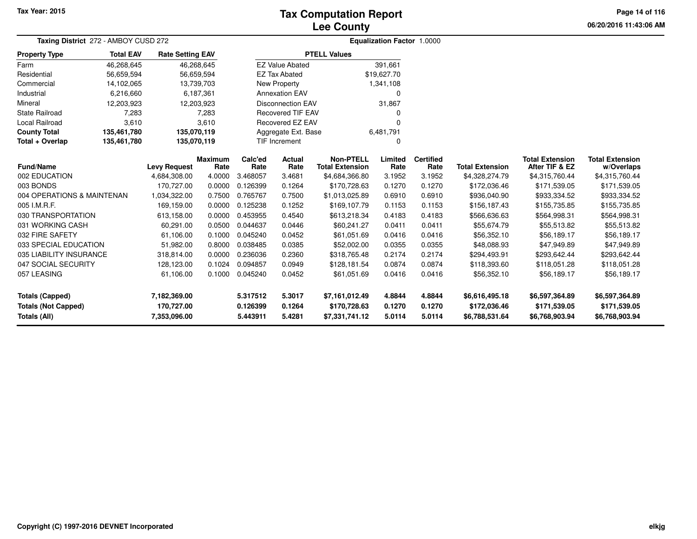## **Lee CountyTax Computation Report**

**06/20/2016 11:43:06 AMPage 14 of 116**

| Taxing District 272 - AMBOY CUSD 272 |                  |                         | <b>Equalization Factor 1.0000</b> |          |                          |                        |             |                  |                        |                        |                        |  |
|--------------------------------------|------------------|-------------------------|-----------------------------------|----------|--------------------------|------------------------|-------------|------------------|------------------------|------------------------|------------------------|--|
| <b>Property Type</b>                 | <b>Total EAV</b> | <b>Rate Setting EAV</b> |                                   |          |                          | <b>PTELL Values</b>    |             |                  |                        |                        |                        |  |
| Farm                                 | 46,268,645       | 46,268,645              |                                   |          | <b>EZ Value Abated</b>   |                        | 391,661     |                  |                        |                        |                        |  |
| Residential                          | 56,659,594       | 56,659,594              |                                   |          | <b>EZ Tax Abated</b>     |                        | \$19,627.70 |                  |                        |                        |                        |  |
| Commercial                           | 14,102,065       | 13,739,703              |                                   |          | New Property             |                        | 1,341,108   |                  |                        |                        |                        |  |
| Industrial                           | 6,216,660        |                         | 6,187,361                         |          | <b>Annexation EAV</b>    |                        | $\Omega$    |                  |                        |                        |                        |  |
| Mineral                              | 12,203,923       | 12,203,923              |                                   |          | <b>Disconnection EAV</b> |                        | 31,867      |                  |                        |                        |                        |  |
| <b>State Railroad</b>                | 7,283            |                         | 7,283                             |          | <b>Recovered TIF EAV</b> |                        | 0           |                  |                        |                        |                        |  |
| Local Railroad                       | 3,610            |                         | 3,610                             |          | <b>Recovered EZ EAV</b>  |                        | $\Omega$    |                  |                        |                        |                        |  |
| <b>County Total</b>                  | 135,461,780      | 135,070,119             |                                   |          | Aggregate Ext. Base      |                        | 6,481,791   |                  |                        |                        |                        |  |
| Total + Overlap                      | 135,461,780      | 135,070,119             |                                   |          | <b>TIF Increment</b>     |                        | $\Omega$    |                  |                        |                        |                        |  |
|                                      |                  |                         | <b>Maximum</b>                    | Calc'ed  | <b>Actual</b>            | <b>Non-PTELL</b>       | Limited     | <b>Certified</b> |                        | <b>Total Extension</b> | <b>Total Extension</b> |  |
| Fund/Name                            |                  | <b>Levy Request</b>     | Rate                              | Rate     | Rate                     | <b>Total Extension</b> | Rate        | Rate             | <b>Total Extension</b> | After TIF & EZ         | w/Overlaps             |  |
| 002 EDUCATION                        |                  | 4,684,308.00            | 4.0000                            | 3.468057 | 3.4681                   | \$4,684,366.80         | 3.1952      | 3.1952           | \$4,328,274.79         | \$4,315,760.44         | \$4,315,760.44         |  |
| 003 BONDS                            |                  | 170,727.00              | 0.0000                            | 0.126399 | 0.1264                   | \$170,728.63           | 0.1270      | 0.1270           | \$172,036.46           | \$171,539.05           | \$171,539.05           |  |
| 004 OPERATIONS & MAINTENAN           |                  | 1,034,322.00            | 0.7500                            | 0.765767 | 0.7500                   | \$1,013,025.89         | 0.6910      | 0.6910           | \$936,040.90           | \$933,334.52           | \$933,334.52           |  |
| 005 I.M.R.F.                         |                  | 169,159.00              | 0.0000                            | 0.125238 | 0.1252                   | \$169,107.79           | 0.1153      | 0.1153           | \$156,187.43           | \$155,735.85           | \$155,735.85           |  |
| 030 TRANSPORTATION                   |                  | 613,158.00              | 0.0000                            | 0.453955 | 0.4540                   | \$613,218.34           | 0.4183      | 0.4183           | \$566,636.63           | \$564,998.31           | \$564,998.31           |  |
| 031 WORKING CASH                     |                  | 60,291.00               | 0.0500                            | 0.044637 | 0.0446                   | \$60,241.27            | 0.0411      | 0.0411           | \$55,674.79            | \$55,513.82            | \$55,513.82            |  |
| 032 FIRE SAFETY                      |                  | 61,106.00               | 0.1000                            | 0.045240 | 0.0452                   | \$61,051.69            | 0.0416      | 0.0416           | \$56,352.10            | \$56,189.17            | \$56,189.17            |  |
| 033 SPECIAL EDUCATION                |                  | 51,982.00               | 0.8000                            | 0.038485 | 0.0385                   | \$52,002.00            | 0.0355      | 0.0355           | \$48,088.93            | \$47,949.89            | \$47,949.89            |  |
| 035 LIABILITY INSURANCE              |                  | 318,814.00              | 0.0000                            | 0.236036 | 0.2360                   | \$318,765.48           | 0.2174      | 0.2174           | \$294,493.91           | \$293,642.44           | \$293,642.44           |  |
| 047 SOCIAL SECURITY                  |                  | 128,123.00              | 0.1024                            | 0.094857 | 0.0949                   | \$128,181.54           | 0.0874      | 0.0874           | \$118,393.60           | \$118,051.28           | \$118,051.28           |  |
| 057 LEASING                          |                  | 61,106.00               | 0.1000                            | 0.045240 | 0.0452                   | \$61,051.69            | 0.0416      | 0.0416           | \$56,352.10            | \$56,189.17            | \$56,189.17            |  |
| <b>Totals (Capped)</b>               |                  | 7,182,369.00            |                                   | 5.317512 | 5.3017                   | \$7,161,012.49         | 4.8844      | 4.8844           | \$6,616,495.18         | \$6,597,364.89         | \$6,597,364.89         |  |
| <b>Totals (Not Capped)</b>           |                  | 170,727.00              |                                   | 0.126399 | 0.1264                   | \$170,728.63           | 0.1270      | 0.1270           | \$172,036.46           | \$171,539.05           | \$171,539.05           |  |
| <b>Totals (All)</b>                  |                  | 7,353,096.00            |                                   | 5.443911 | 5.4281                   | \$7,331,741.12         | 5.0114      | 5.0114           | \$6,788,531.64         | \$6,768,903.94         | \$6,768,903.94         |  |

-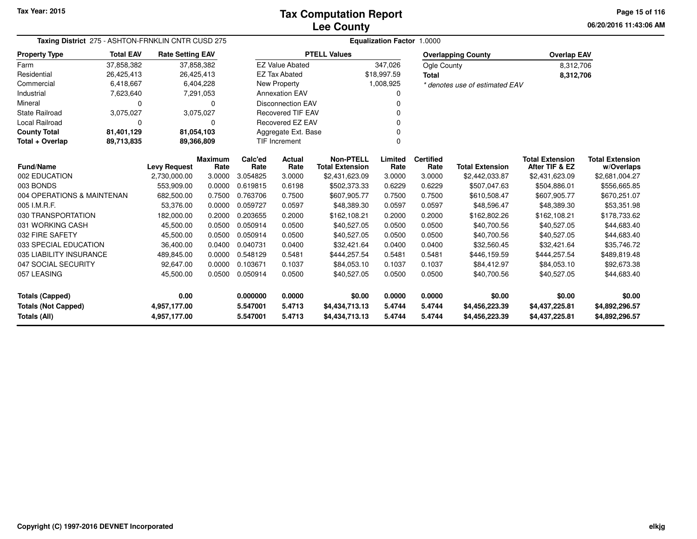| Taxing District 275 - ASHTON-FRNKLIN CNTR CUSD 275                                                                                                                                                                                                                                                                                                                                                                                                                                                            |              |                                     |                                                                                                                                    |                          | <b>Equalization Factor 1.0000</b>                                                                         |                                                                                                                                             |                                            |                        |                                                            |                                                                                                  |  |  |  |  |
|---------------------------------------------------------------------------------------------------------------------------------------------------------------------------------------------------------------------------------------------------------------------------------------------------------------------------------------------------------------------------------------------------------------------------------------------------------------------------------------------------------------|--------------|-------------------------------------|------------------------------------------------------------------------------------------------------------------------------------|--------------------------|-----------------------------------------------------------------------------------------------------------|---------------------------------------------------------------------------------------------------------------------------------------------|--------------------------------------------|------------------------|------------------------------------------------------------|--------------------------------------------------------------------------------------------------|--|--|--|--|
| <b>Total EAV</b>                                                                                                                                                                                                                                                                                                                                                                                                                                                                                              |              |                                     |                                                                                                                                    |                          |                                                                                                           |                                                                                                                                             |                                            |                        |                                                            |                                                                                                  |  |  |  |  |
| 37,858,382                                                                                                                                                                                                                                                                                                                                                                                                                                                                                                    |              |                                     |                                                                                                                                    |                          |                                                                                                           | 347,026                                                                                                                                     |                                            |                        |                                                            |                                                                                                  |  |  |  |  |
| 26,425,413                                                                                                                                                                                                                                                                                                                                                                                                                                                                                                    |              |                                     |                                                                                                                                    |                          |                                                                                                           |                                                                                                                                             | <b>Total</b>                               |                        |                                                            |                                                                                                  |  |  |  |  |
| 6,418,667                                                                                                                                                                                                                                                                                                                                                                                                                                                                                                     |              |                                     |                                                                                                                                    |                          |                                                                                                           |                                                                                                                                             |                                            |                        |                                                            |                                                                                                  |  |  |  |  |
| 7,623,640                                                                                                                                                                                                                                                                                                                                                                                                                                                                                                     |              |                                     |                                                                                                                                    |                          |                                                                                                           | 0                                                                                                                                           |                                            |                        |                                                            |                                                                                                  |  |  |  |  |
| 0                                                                                                                                                                                                                                                                                                                                                                                                                                                                                                             |              | 0                                   |                                                                                                                                    |                          |                                                                                                           |                                                                                                                                             |                                            |                        |                                                            |                                                                                                  |  |  |  |  |
| 3,075,027                                                                                                                                                                                                                                                                                                                                                                                                                                                                                                     |              |                                     |                                                                                                                                    |                          |                                                                                                           |                                                                                                                                             |                                            |                        |                                                            |                                                                                                  |  |  |  |  |
| 0                                                                                                                                                                                                                                                                                                                                                                                                                                                                                                             |              | 0                                   |                                                                                                                                    |                          |                                                                                                           |                                                                                                                                             |                                            |                        |                                                            |                                                                                                  |  |  |  |  |
| 81,401,129                                                                                                                                                                                                                                                                                                                                                                                                                                                                                                    |              |                                     |                                                                                                                                    | Aggregate Ext. Base<br>ŋ |                                                                                                           |                                                                                                                                             |                                            |                        |                                                            |                                                                                                  |  |  |  |  |
| 89,713,835<br>89,366,809<br>TIF Increment                                                                                                                                                                                                                                                                                                                                                                                                                                                                     |              |                                     |                                                                                                                                    |                          | 0                                                                                                         |                                                                                                                                             |                                            |                        |                                                            |                                                                                                  |  |  |  |  |
|                                                                                                                                                                                                                                                                                                                                                                                                                                                                                                               |              |                                     | Calc'ed                                                                                                                            | Actual                   | <b>Non-PTELL</b>                                                                                          | Limited                                                                                                                                     | <b>Certified</b>                           | <b>Total Extension</b> | <b>Total Extension</b><br>After TIF & EZ                   | <b>Total Extension</b><br>w/Overlaps                                                             |  |  |  |  |
|                                                                                                                                                                                                                                                                                                                                                                                                                                                                                                               | 2,730,000.00 | 3.0000                              | 3.054825                                                                                                                           | 3.0000                   | \$2,431,623.09                                                                                            | 3.0000                                                                                                                                      | 3.0000                                     | \$2,442,033.87         | \$2,431,623.09                                             | \$2,681,004.27                                                                                   |  |  |  |  |
|                                                                                                                                                                                                                                                                                                                                                                                                                                                                                                               | 553,909.00   | 0.0000                              | 0.619815                                                                                                                           | 0.6198                   | \$502,373.33                                                                                              | 0.6229                                                                                                                                      | 0.6229                                     | \$507,047.63           | \$504,886.01                                               | \$556,665.85                                                                                     |  |  |  |  |
|                                                                                                                                                                                                                                                                                                                                                                                                                                                                                                               | 682,500.00   | 0.7500                              | 0.763706                                                                                                                           | 0.7500                   | \$607,905.77                                                                                              | 0.7500                                                                                                                                      | 0.7500                                     | \$610,508.47           | \$607,905.77                                               | \$670,251.07                                                                                     |  |  |  |  |
|                                                                                                                                                                                                                                                                                                                                                                                                                                                                                                               | 53.376.00    | 0.0000                              | 0.059727                                                                                                                           | 0.0597                   | \$48,389.30                                                                                               | 0.0597                                                                                                                                      | 0.0597                                     | \$48,596.47            | \$48,389.30                                                | \$53,351.98                                                                                      |  |  |  |  |
|                                                                                                                                                                                                                                                                                                                                                                                                                                                                                                               | 182,000.00   | 0.2000                              | 0.203655                                                                                                                           | 0.2000                   | \$162,108.21                                                                                              | 0.2000                                                                                                                                      | 0.2000                                     | \$162,802.26           | \$162,108.21                                               | \$178,733.62                                                                                     |  |  |  |  |
|                                                                                                                                                                                                                                                                                                                                                                                                                                                                                                               | 45,500.00    | 0.0500                              | 0.050914                                                                                                                           | 0.0500                   | \$40,527.05                                                                                               | 0.0500                                                                                                                                      | 0.0500                                     | \$40,700.56            | \$40,527.05                                                | \$44,683.40                                                                                      |  |  |  |  |
|                                                                                                                                                                                                                                                                                                                                                                                                                                                                                                               | 45,500.00    | 0.0500                              | 0.050914                                                                                                                           | 0.0500                   | \$40,527.05                                                                                               | 0.0500                                                                                                                                      | 0.0500                                     | \$40,700.56            | \$40,527.05                                                | \$44,683.40                                                                                      |  |  |  |  |
|                                                                                                                                                                                                                                                                                                                                                                                                                                                                                                               | 36,400.00    | 0.0400                              | 0.040731                                                                                                                           | 0.0400                   | \$32,421.64                                                                                               | 0.0400                                                                                                                                      | 0.0400                                     | \$32,560.45            | \$32,421.64                                                | \$35,746.72                                                                                      |  |  |  |  |
|                                                                                                                                                                                                                                                                                                                                                                                                                                                                                                               | 489,845.00   | 0.0000                              | 0.548129                                                                                                                           | 0.5481                   | \$444,257.54                                                                                              | 0.5481                                                                                                                                      | 0.5481                                     | \$446,159.59           | \$444,257.54                                               | \$489,819.48                                                                                     |  |  |  |  |
|                                                                                                                                                                                                                                                                                                                                                                                                                                                                                                               | 92,647.00    | 0.0000                              | 0.103671                                                                                                                           | 0.1037                   | \$84,053.10                                                                                               | 0.1037                                                                                                                                      | 0.1037                                     | \$84,412.97            | \$84,053.10                                                | \$92,673.38                                                                                      |  |  |  |  |
|                                                                                                                                                                                                                                                                                                                                                                                                                                                                                                               | 45,500.00    | 0.0500                              | 0.050914                                                                                                                           | 0.0500                   | \$40,527.05                                                                                               | 0.0500                                                                                                                                      | 0.0500                                     | \$40,700.56            | \$40,527.05                                                | \$44,683.40                                                                                      |  |  |  |  |
|                                                                                                                                                                                                                                                                                                                                                                                                                                                                                                               | 0.00         |                                     | 0.000000                                                                                                                           | 0.0000                   | \$0.00                                                                                                    | 0.0000                                                                                                                                      | 0.0000                                     | \$0.00                 | \$0.00                                                     | \$0.00                                                                                           |  |  |  |  |
|                                                                                                                                                                                                                                                                                                                                                                                                                                                                                                               | 4,957,177.00 |                                     | 5.547001                                                                                                                           | 5.4713                   | \$4,434,713.13                                                                                            | 5.4744                                                                                                                                      | 5.4744                                     | \$4,456,223.39         | \$4,437,225.81                                             | \$4,892,296.57<br>\$4,892,296.57                                                                 |  |  |  |  |
| <b>Property Type</b><br>Farm<br>Residential<br>Commercial<br>Industrial<br>Mineral<br><b>State Railroad</b><br>Local Railroad<br><b>County Total</b><br>Total + Overlap<br><b>Fund/Name</b><br>002 EDUCATION<br>003 BONDS<br>004 OPERATIONS & MAINTENAN<br>005 I.M.R.F.<br>030 TRANSPORTATION<br>031 WORKING CASH<br>032 FIRE SAFETY<br>033 SPECIAL EDUCATION<br>035 LIABILITY INSURANCE<br>047 SOCIAL SECURITY<br>057 LEASING<br><b>Totals (Capped)</b><br><b>Totals (Not Capped)</b><br><b>Totals (All)</b> |              | <b>Levy Request</b><br>4,957,177.00 | <b>Rate Setting EAV</b><br>37,858,382<br>26,425,413<br>6,404,228<br>7,291,053<br>3,075,027<br>81,054,103<br><b>Maximum</b><br>Rate | Rate<br>5.547001         | <b>EZ Value Abated</b><br><b>EZ Tax Abated</b><br>New Property<br><b>Annexation EAV</b><br>Rate<br>5.4713 | <b>PTELL Values</b><br><b>Disconnection EAV</b><br><b>Recovered TIF EAV</b><br>Recovered EZ EAV<br><b>Total Extension</b><br>\$4,434,713.13 | \$18,997.59<br>1,008,925<br>Rate<br>5.4744 | Rate<br>5.4744         | <b>Overlapping County</b><br>Ogle County<br>\$4,456,223.39 | <b>Overlap EAV</b><br>8,312,706<br>8,312,706<br>* denotes use of estimated EAV<br>\$4,437,225.81 |  |  |  |  |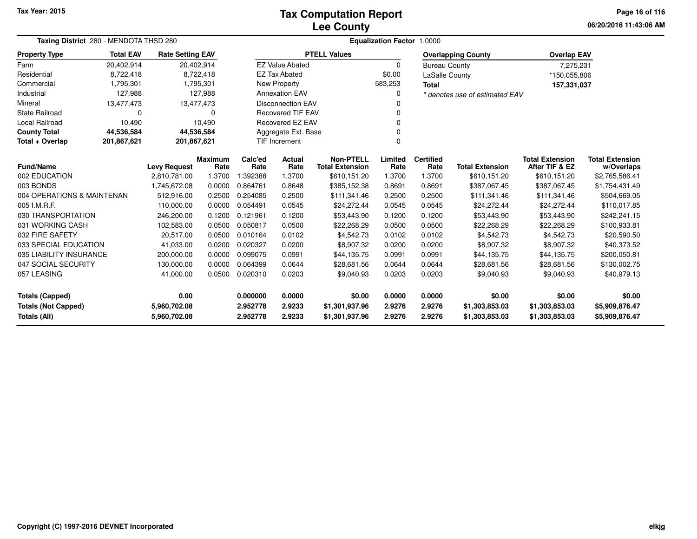## **Lee CountyTax Computation Report**

**06/20/2016 11:43:06 AM Page 16 of 116**

| Taxing District 280 - MENDOTA THSD 280                                            |                  | <b>Equalization Factor</b><br>1.0000 |                |                      |                          |                                  |                  |                      |                                  |                                  |                                  |
|-----------------------------------------------------------------------------------|------------------|--------------------------------------|----------------|----------------------|--------------------------|----------------------------------|------------------|----------------------|----------------------------------|----------------------------------|----------------------------------|
| <b>Property Type</b>                                                              | <b>Total EAV</b> | <b>Rate Setting EAV</b>              |                |                      |                          | <b>PTELL Values</b>              |                  |                      | <b>Overlapping County</b>        | <b>Overlap EAV</b>               |                                  |
| Farm                                                                              | 20,402,914       | 20,402,914                           |                |                      | <b>EZ Value Abated</b>   |                                  | $\Omega$         | <b>Bureau County</b> |                                  | 7,275,231                        |                                  |
| Residential                                                                       | 8,722,418        |                                      | 8,722,418      |                      | <b>EZ Tax Abated</b>     |                                  | \$0.00           | LaSalle County       |                                  | *150,055,806                     |                                  |
| Commercial                                                                        | 1,795,301        |                                      | 1,795,301      |                      | New Property             |                                  | 583,253          | Total                |                                  | 157,331,037                      |                                  |
| Industrial                                                                        | 127,988          |                                      | 127,988        |                      | <b>Annexation EAV</b>    |                                  | O                |                      | * denotes use of estimated EAV   |                                  |                                  |
| Mineral                                                                           | 13,477,473       | 13,477,473                           |                |                      | <b>Disconnection EAV</b> |                                  |                  |                      |                                  |                                  |                                  |
| State Railroad                                                                    | 0                |                                      | 0              |                      | <b>Recovered TIF EAV</b> |                                  |                  |                      |                                  |                                  |                                  |
| Local Railroad                                                                    | 10,490           |                                      | 10,490         |                      | Recovered EZ EAV         |                                  |                  |                      |                                  |                                  |                                  |
| <b>County Total</b>                                                               | 44,536,584       | 44,536,584                           |                |                      | Aggregate Ext. Base      |                                  |                  |                      |                                  |                                  |                                  |
| Total + Overlap                                                                   | 201,867,621      | 201,867,621                          |                |                      | TIF Increment            |                                  |                  |                      |                                  |                                  |                                  |
|                                                                                   |                  |                                      | <b>Maximum</b> | Calc'ed<br>Actual    |                          | <b>Non-PTELL</b>                 | Limited          | <b>Certified</b>     |                                  | <b>Total Extension</b>           | <b>Total Extension</b>           |
| <b>Fund/Name</b>                                                                  |                  | <b>Levy Request</b>                  | Rate           | Rate                 | Rate                     | <b>Total Extension</b>           | Rate             | Rate                 | <b>Total Extension</b>           | After TIF & EZ                   | w/Overlaps                       |
| 002 EDUCATION                                                                     |                  | 2,810,781.00                         | 1.3700         | 1.392388             | 1.3700                   | \$610,151.20                     | 1.3700           | 1.3700               | \$610,151.20                     | \$610,151.20                     | \$2,765,586.41                   |
| 003 BONDS                                                                         |                  | 1,745,672.08                         | 0.0000         | 0.864761             | 0.8648                   | \$385,152.38                     | 0.8691           | 0.8691               | \$387,067.45                     | \$387,067.45                     | \$1,754,431.49                   |
| 004 OPERATIONS & MAINTENAN                                                        |                  | 512,916.00                           | 0.2500         | 0.254085             | 0.2500                   | \$111,341.46                     | 0.2500           | 0.2500               | \$111,341.46                     | \$111,341.46                     | \$504,669.05                     |
| 005 I.M.R.F.                                                                      |                  | 110,000.00                           | 0.0000         | 0.054491             | 0.0545                   | \$24,272.44                      | 0.0545           | 0.0545               | \$24,272.44                      | \$24,272.44                      | \$110,017.85                     |
| 030 TRANSPORTATION                                                                |                  | 246,200.00                           | 0.1200         | 0.121961             | 0.1200                   | \$53,443.90                      | 0.1200           | 0.1200               | \$53,443.90                      | \$53,443.90                      | \$242,241.15                     |
| 031 WORKING CASH                                                                  |                  | 102,583.00                           | 0.0500         | 0.050817             | 0.0500                   | \$22,268.29                      | 0.0500           | 0.0500               | \$22,268.29                      | \$22,268.29                      | \$100,933.81                     |
| 032 FIRE SAFETY                                                                   |                  | 20.517.00                            | 0.0500         | 0.010164             | 0.0102                   | \$4,542.73                       | 0.0102           | 0.0102               | \$4,542.73                       | \$4,542.73                       | \$20,590.50                      |
| 033 SPECIAL EDUCATION                                                             |                  | 41,033.00                            | 0.0200         | 0.020327             | 0.0200                   | \$8,907.32                       | 0.0200           | 0.0200               | \$8,907.32                       | \$8,907.32                       | \$40,373.52                      |
| 035 LIABILITY INSURANCE                                                           |                  | 200,000.00                           | 0.0000         | 0.099075             | 0.0991                   | \$44,135.75                      | 0.0991           | 0.0991               | \$44,135.75                      | \$44,135.75                      | \$200,050.81                     |
| 047 SOCIAL SECURITY<br>130,000.00                                                 |                  |                                      | 0.0000         | 0.064399             | 0.0644                   | \$28,681.56                      | 0.0644           | 0.0644               | \$28,681.56                      | \$28,681.56                      | \$130,002.75                     |
| 057 LEASING<br>41,000.00                                                          |                  | 0.0500                               | 0.020310       | 0.0203               | \$9,040.93               | 0.0203                           | 0.0203           | \$9,040.93           | \$9,040.93                       | \$40,979.13                      |                                  |
| 0.00<br><b>Totals (Capped)</b>                                                    |                  |                                      |                | 0.000000             | 0.0000                   | \$0.00                           | 0.0000           | 0.0000               | \$0.00                           | \$0.00                           | \$0.00                           |
| <b>Totals (Not Capped)</b><br>5,960,702.08<br><b>Totals (All)</b><br>5,960,702.08 |                  |                                      |                | 2.952778<br>2.952778 | 2.9233<br>2.9233         | \$1,301,937.96<br>\$1,301,937.96 | 2.9276<br>2.9276 | 2.9276<br>2.9276     | \$1,303,853.03<br>\$1,303,853.03 | \$1,303,853.03<br>\$1,303,853.03 | \$5,909,876.47<br>\$5,909,876.47 |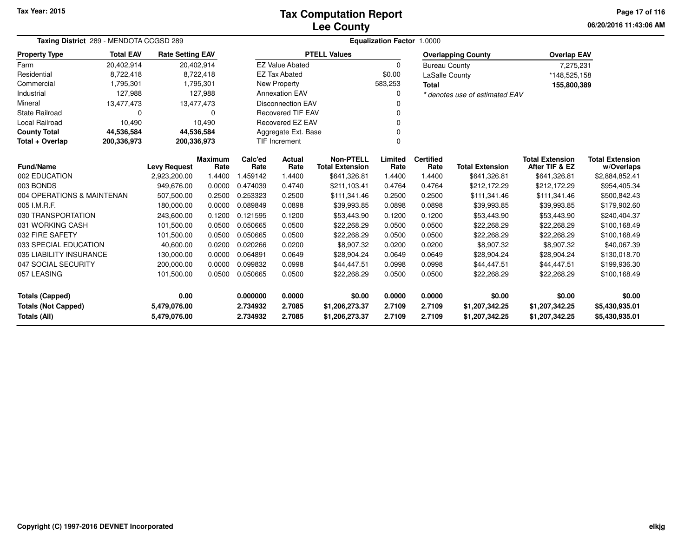## **Lee CountyTax Computation Report**

**06/20/2016 11:43:06 AM Page 17 of 116**

| Taxing District 289 - MENDOTA CCGSD 289                                    |                            |                         |                 | Equalization Factor 1.0000 |                          |                                            |                  |                          |                                  |                                          |                                      |  |  |
|----------------------------------------------------------------------------|----------------------------|-------------------------|-----------------|----------------------------|--------------------------|--------------------------------------------|------------------|--------------------------|----------------------------------|------------------------------------------|--------------------------------------|--|--|
| <b>Property Type</b>                                                       | <b>Total EAV</b>           | <b>Rate Setting EAV</b> |                 |                            |                          | <b>PTELL Values</b>                        |                  |                          | <b>Overlapping County</b>        | <b>Overlap EAV</b>                       |                                      |  |  |
| Farm                                                                       | 20,402,914                 |                         | 20,402,914      |                            | <b>EZ Value Abated</b>   |                                            | $\Omega$         | <b>Bureau County</b>     |                                  | 7,275,231                                |                                      |  |  |
| Residential                                                                | 8,722,418                  |                         | 8,722,418       |                            | <b>EZ Tax Abated</b>     |                                            | \$0.00           | LaSalle County           |                                  | *148,525,158                             |                                      |  |  |
| Commercial                                                                 | 1,795,301                  |                         | 1,795,301       |                            | New Property             |                                            | 583,253          | <b>Total</b>             |                                  | 155,800,389                              |                                      |  |  |
| Industrial                                                                 | 127,988                    |                         | 127,988         |                            | <b>Annexation EAV</b>    |                                            |                  |                          | * denotes use of estimated EAV   |                                          |                                      |  |  |
| Mineral                                                                    | 13,477,473                 |                         | 13,477,473      |                            | <b>Disconnection EAV</b> |                                            |                  |                          |                                  |                                          |                                      |  |  |
| <b>State Railroad</b>                                                      | $\Omega$                   |                         | 0               |                            | <b>Recovered TIF EAV</b> |                                            |                  |                          |                                  |                                          |                                      |  |  |
| Local Railroad                                                             | 10,490                     |                         | 10,490          |                            | Recovered EZ EAV         |                                            |                  |                          |                                  |                                          |                                      |  |  |
| <b>County Total</b>                                                        | 44,536,584                 | 44,536,584              |                 |                            | Aggregate Ext. Base      |                                            |                  |                          |                                  |                                          |                                      |  |  |
| Total + Overlap                                                            | 200,336,973<br>200,336,973 |                         |                 |                            | TIF Increment            |                                            |                  |                          |                                  |                                          |                                      |  |  |
| <b>Fund/Name</b>                                                           |                            | <b>Levy Request</b>     | Maximum<br>Rate | Calc'ed<br>Rate            | Actual<br>Rate           | <b>Non-PTELL</b><br><b>Total Extension</b> | Limited<br>Rate  | <b>Certified</b><br>Rate | <b>Total Extension</b>           | <b>Total Extension</b><br>After TIF & EZ | <b>Total Extension</b><br>w/Overlaps |  |  |
| 002 EDUCATION                                                              |                            | 2,923,200.00            | 1.4400          | 1.459142                   | 1.4400                   | \$641,326.81                               | 1.4400           | 1.4400                   | \$641,326.81                     | \$641,326.81                             | \$2,884,852.41                       |  |  |
| 003 BONDS                                                                  |                            | 949,676.00              | 0.0000          | 0.474039                   | 0.4740                   | \$211,103.41                               | 0.4764           | 0.4764                   | \$212,172.29                     | \$212,172.29                             | \$954,405.34                         |  |  |
| 004 OPERATIONS & MAINTENAN                                                 |                            | 507,500.00              | 0.2500          | 0.253323                   | 0.2500                   | \$111,341.46                               | 0.2500           | 0.2500                   | \$111,341.46                     | \$111,341.46                             | \$500,842.43                         |  |  |
| 005 I.M.R.F.                                                               |                            | 180,000.00              | 0.0000          | 0.089849                   | 0.0898                   | \$39,993.85                                | 0.0898           | 0.0898                   | \$39,993.85                      | \$39,993.85                              | \$179,902.60                         |  |  |
| 030 TRANSPORTATION                                                         |                            | 243,600.00              | 0.1200          | 0.121595                   | 0.1200                   | \$53,443.90                                | 0.1200           | 0.1200                   | \$53,443.90                      | \$53,443.90                              | \$240,404.37                         |  |  |
| 031 WORKING CASH                                                           |                            | 101,500.00              | 0.0500          | 0.050665                   | 0.0500                   | \$22,268.29                                | 0.0500           | 0.0500                   | \$22,268.29                      | \$22,268.29                              | \$100,168.49                         |  |  |
| 032 FIRE SAFETY                                                            |                            | 101,500.00              | 0.0500          | 0.050665                   | 0.0500                   | \$22,268.29                                | 0.0500           | 0.0500                   | \$22,268.29                      | \$22,268.29                              | \$100,168.49                         |  |  |
| 033 SPECIAL EDUCATION                                                      |                            | 40,600.00               | 0.0200          | 0.020266                   | 0.0200                   | \$8,907.32                                 | 0.0200           | 0.0200                   | \$8,907.32                       | \$8,907.32                               | \$40,067.39                          |  |  |
| 035 LIABILITY INSURANCE                                                    |                            | 130,000.00              | 0.0000          | 0.064891                   | 0.0649                   | \$28,904.24                                | 0.0649           | 0.0649                   | \$28,904.24                      | \$28,904.24                              | \$130,018.70                         |  |  |
| 047 SOCIAL SECURITY                                                        |                            | 200,000.00              | 0.0000          | 0.099832                   | 0.0998                   | \$44,447.51                                | 0.0998           | 0.0998                   | \$44,447.51                      | \$44,447.51                              | \$199,936.30                         |  |  |
| 057 LEASING                                                                |                            | 101,500.00              | 0.0500          | 0.050665                   | 0.0500                   | \$22,268.29                                | 0.0500           | 0.0500                   | \$22,268.29                      | \$22,268.29                              | \$100,168.49                         |  |  |
| 0.00<br><b>Totals (Capped)</b>                                             |                            |                         | 0.000000        | 0.0000                     | \$0.00                   | 0.0000                                     | 0.0000           | \$0.00                   | \$0.00                           | \$0.00                                   |                                      |  |  |
| <b>Totals (Not Capped)</b><br>5,479,076.00<br>Totals (All)<br>5,479,076.00 |                            |                         |                 | 2.734932<br>2.734932       | 2.7085<br>2.7085         | \$1,206,273.37<br>\$1,206,273.37           | 2.7109<br>2.7109 | 2.7109<br>2.7109         | \$1,207,342.25<br>\$1,207,342.25 | \$1,207,342.25<br>\$1,207,342.25         | \$5,430,935.01<br>\$5,430,935.01     |  |  |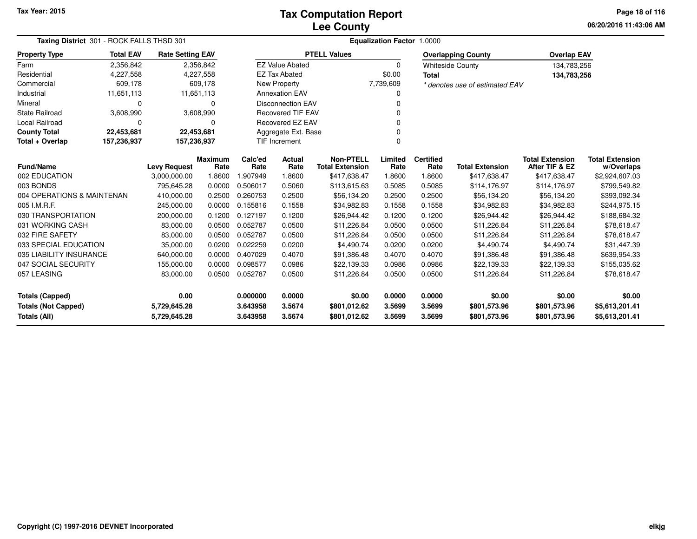**06/20/2016 11:43:06 AM Page 18 of 116**

| Taxing District 301 - ROCK FALLS THSD 301  |                  |                              |                        | Equalization Factor 1.0000 |                          |                                            |                  |                          |                                |                                          |                                      |  |  |
|--------------------------------------------|------------------|------------------------------|------------------------|----------------------------|--------------------------|--------------------------------------------|------------------|--------------------------|--------------------------------|------------------------------------------|--------------------------------------|--|--|
| <b>Property Type</b>                       | <b>Total EAV</b> | <b>Rate Setting EAV</b>      |                        |                            |                          | <b>PTELL Values</b>                        |                  |                          | <b>Overlapping County</b>      | <b>Overlap EAV</b>                       |                                      |  |  |
| Farm                                       | 2,356,842        |                              | 2,356,842              |                            | <b>EZ Value Abated</b>   |                                            | $\Omega$         |                          | <b>Whiteside County</b>        | 134,783,256                              |                                      |  |  |
| Residential                                | 4,227,558        |                              | 4,227,558              |                            | <b>EZ Tax Abated</b>     |                                            | \$0.00           | <b>Total</b>             |                                | 134,783,256                              |                                      |  |  |
| Commercial                                 | 609,178          |                              | 609,178                |                            | New Property             |                                            | 7,739,609        |                          | * denotes use of estimated EAV |                                          |                                      |  |  |
| Industrial                                 | 11,651,113       | 11,651,113                   |                        |                            | <b>Annexation EAV</b>    |                                            | $\Omega$         |                          |                                |                                          |                                      |  |  |
| Mineral                                    | 0                |                              | 0                      |                            | <b>Disconnection EAV</b> |                                            | 0                |                          |                                |                                          |                                      |  |  |
| <b>State Railroad</b>                      | 3,608,990        |                              | 3,608,990              |                            | <b>Recovered TIF EAV</b> | 0                                          |                  |                          |                                |                                          |                                      |  |  |
| Local Railroad                             | $\mathbf 0$      |                              | 0                      |                            | Recovered EZ EAV         |                                            |                  |                          |                                |                                          |                                      |  |  |
| <b>County Total</b>                        | 22,453,681       | 22,453,681                   |                        |                            | Aggregate Ext. Base      |                                            | 0                |                          |                                |                                          |                                      |  |  |
| Total + Overlap                            | 157,236,937      | 157,236,937                  |                        |                            | <b>TIF Increment</b>     |                                            | $\Omega$         |                          |                                |                                          |                                      |  |  |
| <b>Fund/Name</b>                           |                  | <b>Levy Request</b>          | <b>Maximum</b><br>Rate | Calc'ed<br>Rate            | Actual<br>Rate           | <b>Non-PTELL</b><br><b>Total Extension</b> | Limited<br>Rate  | <b>Certified</b><br>Rate | <b>Total Extension</b>         | <b>Total Extension</b><br>After TIF & EZ | <b>Total Extension</b><br>w/Overlaps |  |  |
| 002 EDUCATION                              |                  | 3,000,000.00                 | 1.8600                 | 1.907949                   | 1.8600                   | \$417,638.47                               | 1.8600           | 1.8600                   | \$417,638.47                   | \$417,638.47                             | \$2,924,607.03                       |  |  |
| 003 BONDS                                  |                  | 795,645.28                   | 0.0000                 | 0.506017                   | 0.5060                   | \$113,615.63                               | 0.5085           | 0.5085                   | \$114,176.97                   | \$114,176.97                             | \$799,549.82                         |  |  |
| 004 OPERATIONS & MAINTENAN                 |                  | 410,000.00                   | 0.2500                 | 0.260753                   | 0.2500                   | \$56,134.20                                | 0.2500           | 0.2500                   | \$56,134.20                    | \$56,134.20                              | \$393,092.34                         |  |  |
| 005 I.M.R.F.                               |                  | 245,000.00                   | 0.0000                 | 0.155816                   | 0.1558                   | \$34,982.83                                | 0.1558           | 0.1558                   | \$34,982.83                    | \$34,982.83                              | \$244,975.15                         |  |  |
| 030 TRANSPORTATION                         |                  | 200,000.00                   | 0.1200                 | 0.127197                   | 0.1200                   | \$26,944.42                                | 0.1200           | 0.1200                   | \$26,944.42                    | \$26,944.42                              | \$188,684.32                         |  |  |
| 031 WORKING CASH                           |                  | 83,000.00                    | 0.0500                 | 0.052787                   | 0.0500                   | \$11,226.84                                | 0.0500           | 0.0500                   | \$11,226.84                    | \$11,226.84                              | \$78,618.47                          |  |  |
| 032 FIRE SAFETY                            |                  | 83,000.00                    | 0.0500                 | 0.052787                   | 0.0500                   | \$11,226.84                                | 0.0500           | 0.0500                   | \$11,226.84                    | \$11,226.84                              | \$78,618.47                          |  |  |
| 033 SPECIAL EDUCATION                      |                  | 35,000.00                    | 0.0200                 | 0.022259                   | 0.0200                   | \$4,490.74                                 | 0.0200           | 0.0200                   | \$4,490.74                     | \$4,490.74                               | \$31,447.39                          |  |  |
| 035 LIABILITY INSURANCE                    |                  | 640,000.00                   | 0.0000                 | 0.407029                   | 0.4070                   | \$91,386.48                                | 0.4070           | 0.4070                   | \$91,386.48                    | \$91,386.48                              | \$639,954.33                         |  |  |
| 047 SOCIAL SECURITY                        |                  | 155,000.00                   | 0.0000                 | 0.098577                   | 0.0986                   | \$22,139.33                                | 0.0986           | 0.0986                   | \$22,139.33                    | \$22,139.33                              | \$155,035.62                         |  |  |
| 057 LEASING                                |                  | 83,000.00                    | 0.0500                 | 0.052787                   | 0.0500                   | \$11,226.84                                | 0.0500           | 0.0500                   | \$11,226.84                    | \$11,226.84                              | \$78,618.47                          |  |  |
| <b>Totals (Capped)</b>                     |                  | 0.00                         |                        | 0.000000                   | 0.0000                   | \$0.00                                     | 0.0000           | 0.0000                   | \$0.00                         | \$0.00                                   | \$0.00                               |  |  |
| <b>Totals (Not Capped)</b><br>Totals (All) |                  | 5,729,645.28<br>5,729,645.28 |                        | 3.643958<br>3.643958       | 3.5674<br>3.5674         | \$801,012.62<br>\$801,012.62               | 3.5699<br>3.5699 | 3.5699<br>3.5699         | \$801,573.96<br>\$801,573.96   | \$801,573.96<br>\$801,573.96             | \$5,613,201.41<br>\$5,613,201.41     |  |  |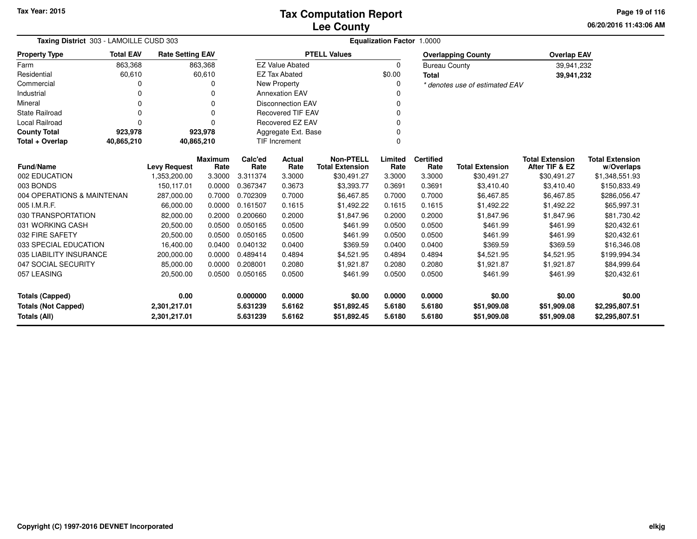**06/20/2016 11:43:06 AM Page 19 of 116**

| Taxing District 303 - LAMOILLE CUSD 303                                    |                  |                         |                      |                  | <b>Equalization Factor 1.0000</b> |                                            |                  |                            |                                |                                          |                                      |  |  |
|----------------------------------------------------------------------------|------------------|-------------------------|----------------------|------------------|-----------------------------------|--------------------------------------------|------------------|----------------------------|--------------------------------|------------------------------------------|--------------------------------------|--|--|
| <b>Property Type</b>                                                       | <b>Total EAV</b> | <b>Rate Setting EAV</b> |                      |                  |                                   | <b>PTELL Values</b>                        |                  |                            | <b>Overlapping County</b>      | <b>Overlap EAV</b>                       |                                      |  |  |
| Farm                                                                       | 863,368          |                         | 863,368              |                  | <b>EZ Value Abated</b>            |                                            | $\Omega$         | <b>Bureau County</b>       |                                | 39,941,232                               |                                      |  |  |
| Residential                                                                | 60,610           |                         | 60,610               |                  | <b>EZ Tax Abated</b>              |                                            | \$0.00           | <b>Total</b>               |                                | 39,941,232                               |                                      |  |  |
| Commercial                                                                 | 0                |                         | 0                    |                  | <b>New Property</b>               |                                            | 0                |                            | * denotes use of estimated EAV |                                          |                                      |  |  |
| Industrial                                                                 | 0                |                         | ŋ                    |                  | <b>Annexation EAV</b>             |                                            | 0                |                            |                                |                                          |                                      |  |  |
| Mineral                                                                    | 0                |                         | 0                    |                  | <b>Disconnection EAV</b>          |                                            | 0                |                            |                                |                                          |                                      |  |  |
| <b>State Railroad</b>                                                      | $\Omega$         |                         | $\Omega$             |                  | <b>Recovered TIF EAV</b>          |                                            | $\Omega$         |                            |                                |                                          |                                      |  |  |
| <b>Local Railroad</b>                                                      | $\Omega$         |                         | $\Omega$             |                  | Recovered EZ EAV                  |                                            | 0                |                            |                                |                                          |                                      |  |  |
| <b>County Total</b>                                                        | 923,978          |                         | 923,978              |                  | Aggregate Ext. Base               |                                            | 0                |                            |                                |                                          |                                      |  |  |
| Total + Overlap                                                            | 40,865,210       | 40,865,210              |                      |                  | TIF Increment                     |                                            | 0                |                            |                                |                                          |                                      |  |  |
| <b>Fund/Name</b>                                                           |                  | <b>Levy Request</b>     | Maximum<br>Rate      | Calc'ed<br>Rate  | <b>Actual</b><br>Rate             | <b>Non-PTELL</b><br><b>Total Extension</b> | Limited<br>Rate  | <b>Certified</b><br>Rate   | <b>Total Extension</b>         | <b>Total Extension</b><br>After TIF & EZ | <b>Total Extension</b><br>w/Overlaps |  |  |
| 002 EDUCATION                                                              |                  | 1,353,200.00            | 3.3000               | 3.311374         | 3.3000                            | \$30,491.27                                | 3.3000           | 3.3000                     | \$30,491.27                    | \$30,491.27                              | \$1,348,551.93                       |  |  |
| 003 BONDS                                                                  |                  | 150,117.01              | 0.0000               | 0.367347         | 0.3673                            | \$3,393.77                                 | 0.3691           | 0.3691                     | \$3,410.40                     | \$3,410.40                               | \$150,833.49                         |  |  |
| 004 OPERATIONS & MAINTENAN                                                 |                  | 287,000.00              | 0.7000               | 0.702309         | 0.7000                            | \$6,467.85                                 | 0.7000           | 0.7000                     | \$6,467.85                     | \$6,467.85                               | \$286,056.47                         |  |  |
| 005 I.M.R.F.                                                               |                  | 66,000.00               | 0.0000               | 0.161507         | 0.1615                            | \$1,492.22                                 | 0.1615           | 0.1615                     | \$1,492.22                     | \$1,492.22                               | \$65,997.31                          |  |  |
| 030 TRANSPORTATION                                                         |                  | 82,000.00               | 0.2000               | 0.200660         | 0.2000                            | \$1,847.96                                 | 0.2000           | 0.2000                     | \$1,847.96                     | \$1,847.96                               | \$81,730.42                          |  |  |
| 031 WORKING CASH                                                           |                  | 20,500.00               | 0.0500               | 0.050165         | 0.0500                            | \$461.99                                   | 0.0500           | 0.0500                     | \$461.99                       | \$461.99                                 | \$20,432.61                          |  |  |
| 032 FIRE SAFETY                                                            |                  | 20,500.00               | 0.0500               | 0.050165         | 0.0500                            | \$461.99                                   | 0.0500           | 0.0500                     | \$461.99                       | \$461.99                                 | \$20,432.61                          |  |  |
| 033 SPECIAL EDUCATION                                                      |                  | 16,400.00               | 0.0400               | 0.040132         | 0.0400                            | \$369.59                                   | 0.0400           | 0.0400                     | \$369.59                       | \$369.59                                 | \$16,346.08                          |  |  |
| 035 LIABILITY INSURANCE                                                    |                  | 200,000.00              | 0.0000               | 0.489414         | 0.4894                            | \$4,521.95                                 | 0.4894           | 0.4894                     | \$4,521.95                     | \$4,521.95                               | \$199,994.34                         |  |  |
| 047 SOCIAL SECURITY                                                        |                  | 85,000.00               | 0.0000               | 0.208001         | 0.2080                            | \$1,921.87                                 | 0.2080           | 0.2080                     | \$1,921.87                     | \$1,921.87                               | \$84,999.64                          |  |  |
| 057 LEASING                                                                |                  | 20,500.00               | 0.0500               | 0.050165         | 0.0500                            | \$461.99                                   | 0.0500           | 0.0500                     | \$461.99                       | \$461.99                                 | \$20,432.61                          |  |  |
| <b>Totals (Capped)</b>                                                     |                  | 0.00                    |                      | 0.000000         | 0.0000                            | \$0.00                                     | 0.0000           | 0.0000                     | \$0.00                         | \$0.00                                   | \$0.00                               |  |  |
| <b>Totals (Not Capped)</b><br>2,301,217.01<br>Totals (All)<br>2,301,217.01 |                  |                         | 5.631239<br>5.631239 | 5.6162<br>5.6162 | \$51,892.45<br>\$51,892.45        | 5.6180<br>5.6180                           | 5.6180<br>5.6180 | \$51,909.08<br>\$51,909.08 | \$51,909.08<br>\$51,909.08     | \$2,295,807.51<br>\$2,295,807.51         |                                      |  |  |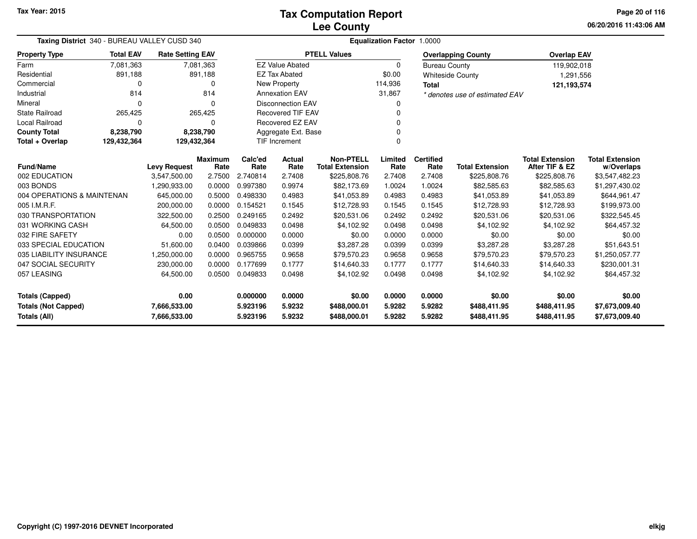**06/20/2016 11:43:06 AM Page 20 of 116**

| Taxing District 340 - BUREAU VALLEY CUSD 340                               |                                  |                         |                 | <b>Equalization Factor 1.0000</b> |                           |                                            |                  |                          |                                |                                          |                                      |  |  |
|----------------------------------------------------------------------------|----------------------------------|-------------------------|-----------------|-----------------------------------|---------------------------|--------------------------------------------|------------------|--------------------------|--------------------------------|------------------------------------------|--------------------------------------|--|--|
| <b>Property Type</b>                                                       | <b>Total EAV</b>                 | <b>Rate Setting EAV</b> |                 |                                   |                           | <b>PTELL Values</b>                        |                  |                          | <b>Overlapping County</b>      | <b>Overlap EAV</b>                       |                                      |  |  |
| Farm                                                                       | 7,081,363                        |                         | 7,081,363       |                                   | <b>EZ Value Abated</b>    |                                            | 0                | <b>Bureau County</b>     |                                | 119,902,018                              |                                      |  |  |
| Residential                                                                | 891,188                          |                         | 891,188         |                                   | <b>EZ Tax Abated</b>      |                                            | \$0.00           |                          | <b>Whiteside County</b>        | 1,291,556                                |                                      |  |  |
| Commercial                                                                 | 0                                |                         | 0               |                                   | New Property              |                                            | 114,936          | <b>Total</b>             |                                | 121,193,574                              |                                      |  |  |
| Industrial                                                                 | 814                              |                         | 814             |                                   | <b>Annexation EAV</b>     |                                            | 31,867           |                          | * denotes use of estimated EAV |                                          |                                      |  |  |
| Mineral                                                                    | 0                                |                         | $\Omega$        |                                   | <b>Disconnection EAV</b>  |                                            | 0                |                          |                                |                                          |                                      |  |  |
| State Railroad                                                             | 265,425                          |                         | 265,425         |                                   | <b>Recovered TIF EAV</b>  |                                            | U                |                          |                                |                                          |                                      |  |  |
| Local Railroad                                                             | 0                                |                         | $\Omega$        |                                   | <b>Recovered EZ EAV</b>   |                                            |                  |                          |                                |                                          |                                      |  |  |
| <b>County Total</b>                                                        | 8,238,790                        |                         | 8,238,790       |                                   | Aggregate Ext. Base       |                                            |                  |                          |                                |                                          |                                      |  |  |
| Total + Overlap                                                            | 129,432,364                      | 129,432,364             |                 |                                   | <b>TIF Increment</b><br>0 |                                            |                  |                          |                                |                                          |                                      |  |  |
|                                                                            | Fund/Name<br><b>Levy Request</b> |                         | Maximum<br>Rate | Calc'ed<br>Rate                   | <b>Actual</b><br>Rate     | <b>Non-PTELL</b><br><b>Total Extension</b> | Limited<br>Rate  | <b>Certified</b><br>Rate | <b>Total Extension</b>         | <b>Total Extension</b><br>After TIF & EZ | <b>Total Extension</b><br>w/Overlaps |  |  |
| 002 EDUCATION                                                              |                                  | 3,547,500.00            | 2.7500          | 2.740814                          | 2.7408                    | \$225,808.76                               | 2.7408           | 2.7408                   | \$225,808.76                   | \$225,808.76                             | \$3,547,482.23                       |  |  |
| 003 BONDS                                                                  |                                  | 1,290,933.00            | 0.0000          | 0.997380                          | 0.9974                    | \$82,173.69                                | 1.0024           | 1.0024                   | \$82,585.63                    | \$82,585.63                              | \$1,297,430.02                       |  |  |
| 004 OPERATIONS & MAINTENAN                                                 |                                  | 645,000.00              | 0.5000          | 0.498330                          | 0.4983                    | \$41,053.89                                | 0.4983           | 0.4983                   | \$41,053.89                    | \$41,053.89                              | \$644,961.47                         |  |  |
| 005 I.M.R.F.                                                               |                                  | 200,000.00              | 0.0000          | 0.154521                          | 0.1545                    | \$12,728.93                                | 0.1545           | 0.1545                   | \$12,728.93                    | \$12,728.93                              | \$199,973.00                         |  |  |
| 030 TRANSPORTATION                                                         |                                  | 322,500.00              | 0.2500          | 0.249165                          | 0.2492                    | \$20,531.06                                | 0.2492           | 0.2492                   | \$20,531.06                    | \$20,531.06                              | \$322,545.45                         |  |  |
| 031 WORKING CASH                                                           |                                  | 64,500.00               | 0.0500          | 0.049833                          | 0.0498                    | \$4,102.92                                 | 0.0498           | 0.0498                   | \$4,102.92                     | \$4,102.92                               | \$64,457.32                          |  |  |
| 032 FIRE SAFETY                                                            |                                  | 0.00                    | 0.0500          | 0.000000                          | 0.0000                    | \$0.00                                     | 0.0000           | 0.0000                   | \$0.00                         | \$0.00                                   | \$0.00                               |  |  |
| 033 SPECIAL EDUCATION                                                      |                                  | 51,600.00               | 0.0400          | 0.039866                          | 0.0399                    | \$3,287.28                                 | 0.0399           | 0.0399                   | \$3,287.28                     | \$3,287.28                               | \$51,643.51                          |  |  |
| 035 LIABILITY INSURANCE                                                    |                                  | 1,250,000.00            | 0.0000          | 0.965755                          | 0.9658                    | \$79,570.23                                | 0.9658           | 0.9658                   | \$79,570.23                    | \$79,570.23                              | \$1,250,057.77                       |  |  |
| 047 SOCIAL SECURITY                                                        |                                  | 230,000.00              | 0.0000          | 0.177699                          | 0.1777                    | \$14,640.33                                | 0.1777           | 0.1777                   | \$14,640.33                    | \$14,640.33                              | \$230,001.31                         |  |  |
| 057 LEASING                                                                |                                  | 64,500.00               | 0.0500          | 0.049833                          | 0.0498                    | \$4,102.92                                 | 0.0498           | 0.0498                   | \$4,102.92                     | \$4,102.92                               | \$64,457.32                          |  |  |
| 0.00<br><b>Totals (Capped)</b>                                             |                                  |                         | 0.000000        | 0.0000                            | \$0.00                    | 0.0000                                     | 0.0000           | \$0.00                   | \$0.00                         | \$0.00                                   |                                      |  |  |
| <b>Totals (Not Capped)</b><br>7,666,533.00<br>Totals (All)<br>7,666,533.00 |                                  |                         |                 | 5.923196<br>5.923196              | 5.9232<br>5.9232          | \$488,000.01<br>\$488,000.01               | 5.9282<br>5.9282 | 5.9282<br>5.9282         | \$488,411.95<br>\$488,411.95   | \$488,411.95<br>\$488,411.95             | \$7,673,009.40<br>\$7,673,009.40     |  |  |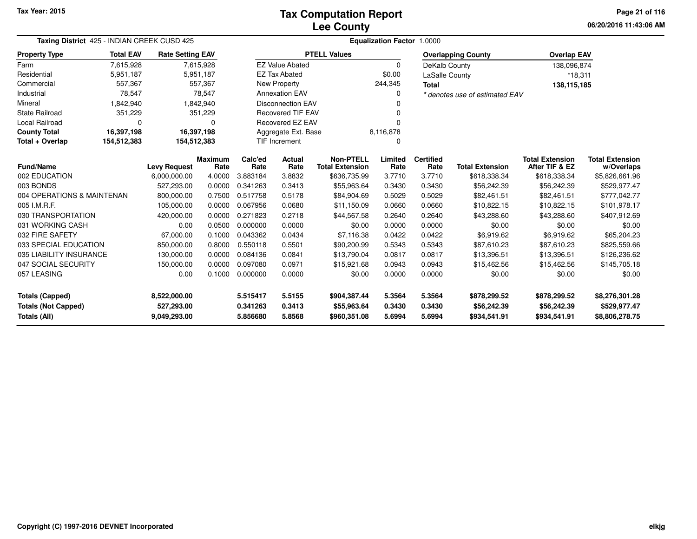## **Lee CountyTax Computation Report**

**06/20/2016 11:43:06 AM Page 21 of 116**

| <b>Taxing District</b> 425 - INDIAN CREEK CUSD 425                                                                        |                  |                         |                                  | <b>Equalization Factor 1.0000</b> |                                             |                                            |                            |                                             |                                             |                                                  |                                      |  |
|---------------------------------------------------------------------------------------------------------------------------|------------------|-------------------------|----------------------------------|-----------------------------------|---------------------------------------------|--------------------------------------------|----------------------------|---------------------------------------------|---------------------------------------------|--------------------------------------------------|--------------------------------------|--|
| <b>Property Type</b>                                                                                                      | <b>Total EAV</b> | <b>Rate Setting EAV</b> |                                  |                                   |                                             | <b>PTELL Values</b>                        |                            |                                             | <b>Overlapping County</b>                   | <b>Overlap EAV</b>                               |                                      |  |
| Farm                                                                                                                      | 7,615,928        |                         | 7,615,928                        |                                   | <b>EZ Value Abated</b>                      |                                            | $\Omega$                   | DeKalb County                               |                                             | 138,096,874                                      |                                      |  |
| Residential                                                                                                               | 5,951,187        |                         | 5,951,187                        |                                   | <b>EZ Tax Abated</b>                        |                                            | \$0.00                     | LaSalle County                              |                                             | $*18,311$                                        |                                      |  |
| Commercial                                                                                                                | 557,367          |                         | 557,367                          |                                   | New Property                                |                                            | 244,345                    | <b>Total</b>                                |                                             | 138,115,185                                      |                                      |  |
| Industrial                                                                                                                | 78,547           |                         | 78,547                           |                                   | <b>Annexation EAV</b>                       |                                            | $\Omega$                   |                                             | * denotes use of estimated EAV              |                                                  |                                      |  |
| Mineral                                                                                                                   | 1,842,940        |                         | 1,842,940                        |                                   | <b>Disconnection EAV</b>                    |                                            |                            |                                             |                                             |                                                  |                                      |  |
| <b>State Railroad</b>                                                                                                     | 351,229          |                         | 351,229                          |                                   | <b>Recovered TIF EAV</b>                    |                                            |                            |                                             |                                             |                                                  |                                      |  |
| Local Railroad                                                                                                            | $\Omega$         |                         | 0                                |                                   | Recovered EZ EAV                            |                                            |                            |                                             |                                             |                                                  |                                      |  |
| <b>County Total</b>                                                                                                       | 16,397,198       |                         | 16,397,198                       |                                   | Aggregate Ext. Base                         |                                            | 8,116,878                  |                                             |                                             |                                                  |                                      |  |
| Total + Overlap                                                                                                           | 154,512,383      | 154,512,383             |                                  |                                   | TIF Increment                               |                                            | $\Omega$                   |                                             |                                             |                                                  |                                      |  |
| Fund/Name                                                                                                                 |                  | <b>Levy Request</b>     | Maximum<br>Rate                  | Calc'ed<br>Rate                   | <b>Actual</b><br>Rate                       | <b>Non-PTELL</b><br><b>Total Extension</b> | Limited<br>Rate            | <b>Certified</b><br>Rate                    | <b>Total Extension</b>                      | <b>Total Extension</b><br>After TIF & EZ         | <b>Total Extension</b><br>w/Overlaps |  |
| 002 EDUCATION                                                                                                             |                  | 6,000,000.00            | 4.0000                           | 3.883184                          | 3.8832                                      | \$636,735.99                               | 3.7710                     | 3.7710                                      | \$618,338.34                                | \$618,338.34                                     | \$5,826,661.96                       |  |
| 003 BONDS                                                                                                                 |                  | 527,293.00              | 0.0000                           | 0.341263                          | 0.3413                                      | \$55,963.64                                | 0.3430                     | 0.3430                                      | \$56,242.39                                 | \$56,242.39                                      | \$529,977.47                         |  |
| 004 OPERATIONS & MAINTENAN                                                                                                |                  | 800,000.00              | 0.7500                           | 0.517758                          | 0.5178                                      | \$84,904.69                                | 0.5029                     | 0.5029                                      | \$82,461.51                                 | \$82,461.51                                      | \$777,042.77                         |  |
| 005 I.M.R.F.                                                                                                              |                  | 105,000.00              | 0.0000                           | 0.067956                          | 0.0680                                      | \$11,150.09                                | 0.0660                     | 0.0660                                      | \$10,822.15                                 | \$10,822.15                                      | \$101,978.17                         |  |
| 030 TRANSPORTATION                                                                                                        |                  | 420,000.00              | 0.0000                           | 0.271823                          | 0.2718                                      | \$44,567.58                                | 0.2640                     | 0.2640                                      | \$43,288.60                                 | \$43,288.60                                      | \$407,912.69                         |  |
| 031 WORKING CASH                                                                                                          |                  | 0.00                    | 0.0500                           | 0.000000                          | 0.0000                                      | \$0.00                                     | 0.0000                     | 0.0000                                      | \$0.00                                      | \$0.00                                           | \$0.00                               |  |
| 032 FIRE SAFETY                                                                                                           |                  | 67,000.00               | 0.1000                           | 0.043362                          | 0.0434                                      | \$7,116.38                                 | 0.0422                     | 0.0422                                      | \$6,919.62                                  | \$6,919.62                                       | \$65,204.23                          |  |
| 033 SPECIAL EDUCATION                                                                                                     |                  | 850,000.00              | 0.8000                           | 0.550118                          | 0.5501                                      | \$90,200.99                                | 0.5343                     | 0.5343                                      | \$87,610.23                                 | \$87,610.23                                      | \$825,559.66                         |  |
| 035 LIABILITY INSURANCE                                                                                                   |                  | 130,000.00              | 0.0000                           | 0.084136                          | 0.0841                                      | \$13,790.04                                | 0.0817                     | 0.0817                                      | \$13,396.51                                 | \$13,396.51                                      | \$126,236.62                         |  |
| 047 SOCIAL SECURITY                                                                                                       |                  | 150,000.00              | 0.0000                           | 0.097080                          | 0.0971                                      | \$15,921.68                                | 0.0943                     | 0.0943                                      | \$15,462.56                                 | \$15,462.56                                      | \$145,705.18                         |  |
| 057 LEASING                                                                                                               |                  | 0.00                    | 0.1000                           | 0.000000                          | 0.0000                                      | \$0.00                                     | 0.0000                     | 0.0000                                      | \$0.00                                      | \$0.00                                           | \$0.00                               |  |
| <b>Totals (Capped)</b><br>8,522,000.00<br><b>Totals (Not Capped)</b><br>527,293.00<br><b>Totals (All)</b><br>9,049,293.00 |                  |                         | 5.515417<br>0.341263<br>5.856680 | 5.5155<br>0.3413<br>5.8568        | \$904,387.44<br>\$55,963.64<br>\$960,351.08 | 5.3564<br>0.3430<br>5.6994                 | 5.3564<br>0.3430<br>5.6994 | \$878,299.52<br>\$56,242.39<br>\$934,541.91 | \$878,299.52<br>\$56,242.39<br>\$934,541.91 | \$8,276,301.28<br>\$529,977.47<br>\$8,806,278.75 |                                      |  |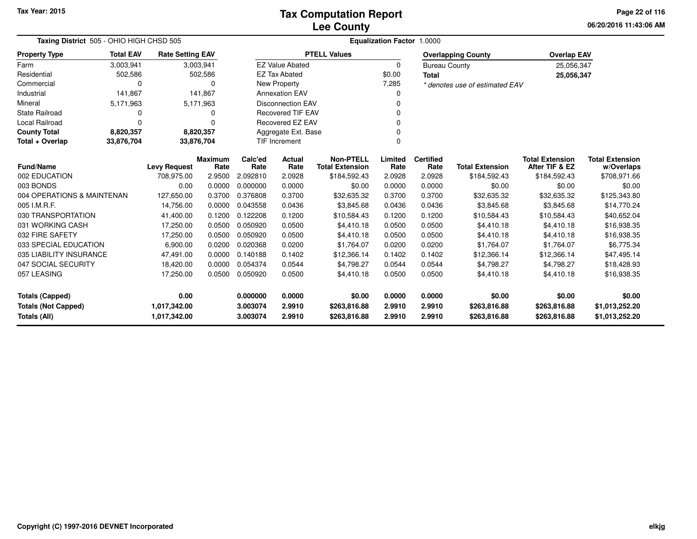**06/20/2016 11:43:06 AM Page 22 of 116**

| <b>Taxing District</b> 505 - OHIO HIGH CHSD 505   | <b>Equalization Factor 1.0000</b> |                              |                        |                      |                               |                                            |                  |                          |                                |                                          |                                      |
|---------------------------------------------------|-----------------------------------|------------------------------|------------------------|----------------------|-------------------------------|--------------------------------------------|------------------|--------------------------|--------------------------------|------------------------------------------|--------------------------------------|
| <b>Property Type</b>                              | <b>Total EAV</b>                  | <b>Rate Setting EAV</b>      |                        |                      |                               | <b>PTELL Values</b>                        |                  |                          | <b>Overlapping County</b>      | <b>Overlap EAV</b>                       |                                      |
| Farm                                              | 3,003,941                         |                              | 3,003,941              |                      | <b>EZ Value Abated</b>        |                                            | 0                | <b>Bureau County</b>     |                                | 25,056,347                               |                                      |
| Residential                                       | 502,586                           |                              | 502,586                |                      | <b>EZ Tax Abated</b>          |                                            | \$0.00           | <b>Total</b>             |                                | 25,056,347                               |                                      |
| Commercial                                        | 0                                 |                              | 0                      |                      | New Property                  |                                            | 7,285            |                          | * denotes use of estimated EAV |                                          |                                      |
| Industrial                                        | 141,867                           |                              | 141,867                |                      | <b>Annexation EAV</b>         |                                            | n                |                          |                                |                                          |                                      |
| Mineral                                           | 5,171,963                         |                              | 5,171,963              |                      | <b>Disconnection EAV</b>      |                                            |                  |                          |                                |                                          |                                      |
| <b>State Railroad</b>                             | 0                                 |                              | 0                      |                      | <b>Recovered TIF EAV</b><br>O |                                            |                  |                          |                                |                                          |                                      |
| Local Railroad                                    | $\Omega$                          |                              | 0                      |                      | Recovered EZ EAV              |                                            |                  |                          |                                |                                          |                                      |
| <b>County Total</b>                               | 8,820,357                         |                              | 8,820,357              |                      | Aggregate Ext. Base           |                                            | O                |                          |                                |                                          |                                      |
| Total + Overlap                                   | 33,876,704<br>33,876,704          |                              |                        |                      | <b>TIF Increment</b>          |                                            | $\Omega$         |                          |                                |                                          |                                      |
| <b>Fund/Name</b>                                  |                                   | <b>Levy Request</b>          | <b>Maximum</b><br>Rate | Calc'ed<br>Rate      | Actual<br>Rate                | <b>Non-PTELL</b><br><b>Total Extension</b> | Limited<br>Rate  | <b>Certified</b><br>Rate | <b>Total Extension</b>         | <b>Total Extension</b><br>After TIF & EZ | <b>Total Extension</b><br>w/Overlaps |
| 002 EDUCATION                                     |                                   | 708,975.00                   | 2.9500                 | 2.092810             | 2.0928                        | \$184,592.43                               | 2.0928           | 2.0928                   | \$184,592.43                   | \$184,592.43                             | \$708,971.66                         |
| 003 BONDS                                         |                                   | 0.00                         | 0.0000                 | 0.000000             | 0.0000                        | \$0.00                                     | 0.0000           | 0.0000                   | \$0.00                         | \$0.00                                   | \$0.00                               |
| 004 OPERATIONS & MAINTENAN                        |                                   | 127,650.00                   | 0.3700                 | 0.376808             | 0.3700                        | \$32,635.32                                | 0.3700           | 0.3700                   | \$32,635.32                    | \$32,635.32                              | \$125,343.80                         |
| 005 I.M.R.F.                                      |                                   | 14,756.00                    | 0.0000                 | 0.043558             | 0.0436                        | \$3,845.68                                 | 0.0436           | 0.0436                   | \$3,845.68                     | \$3,845.68                               | \$14,770.24                          |
| 030 TRANSPORTATION                                |                                   | 41,400.00                    | 0.1200                 | 0.122208             | 0.1200                        | \$10,584.43                                | 0.1200           | 0.1200                   | \$10,584.43                    | \$10,584.43                              | \$40,652.04                          |
| 031 WORKING CASH                                  |                                   | 17,250.00                    | 0.0500                 | 0.050920             | 0.0500                        | \$4,410.18                                 | 0.0500           | 0.0500                   | \$4,410.18                     | \$4,410.18                               | \$16,938.35                          |
| 032 FIRE SAFETY                                   |                                   | 17,250.00                    | 0.0500                 | 0.050920             | 0.0500                        | \$4,410.18                                 | 0.0500           | 0.0500                   | \$4,410.18                     | \$4,410.18                               | \$16,938.35                          |
| 033 SPECIAL EDUCATION                             |                                   | 6,900.00                     | 0.0200                 | 0.020368             | 0.0200                        | \$1,764.07                                 | 0.0200           | 0.0200                   | \$1,764.07                     | \$1,764.07                               | \$6,775.34                           |
| 035 LIABILITY INSURANCE                           |                                   | 47,491.00                    | 0.0000                 | 0.140188             | 0.1402                        | \$12,366.14                                | 0.1402           | 0.1402                   | \$12,366.14                    | \$12,366.14                              | \$47,495.14                          |
| 047 SOCIAL SECURITY                               |                                   | 18,420.00                    | 0.0000                 | 0.054374             | 0.0544                        | \$4,798.27                                 | 0.0544           | 0.0544                   | \$4,798.27                     | \$4,798.27                               | \$18,428.93                          |
| 057 LEASING                                       |                                   | 17,250.00                    | 0.0500                 | 0.050920             | 0.0500                        | \$4,410.18                                 | 0.0500           | 0.0500                   | \$4,410.18                     | \$4,410.18                               | \$16,938.35                          |
| <b>Totals (Capped)</b>                            |                                   | 0.00                         |                        | 0.000000             | 0.0000                        | \$0.00                                     | 0.0000           | 0.0000                   | \$0.00                         | \$0.00                                   | \$0.00                               |
| <b>Totals (Not Capped)</b><br><b>Totals (All)</b> |                                   | 1,017,342.00<br>1,017,342.00 |                        | 3.003074<br>3.003074 | 2.9910<br>2.9910              | \$263,816.88<br>\$263,816.88               | 2.9910<br>2.9910 | 2.9910<br>2.9910         | \$263,816.88<br>\$263,816.88   | \$263,816.88<br>\$263,816.88             | \$1,013,252.20<br>\$1,013,252.20     |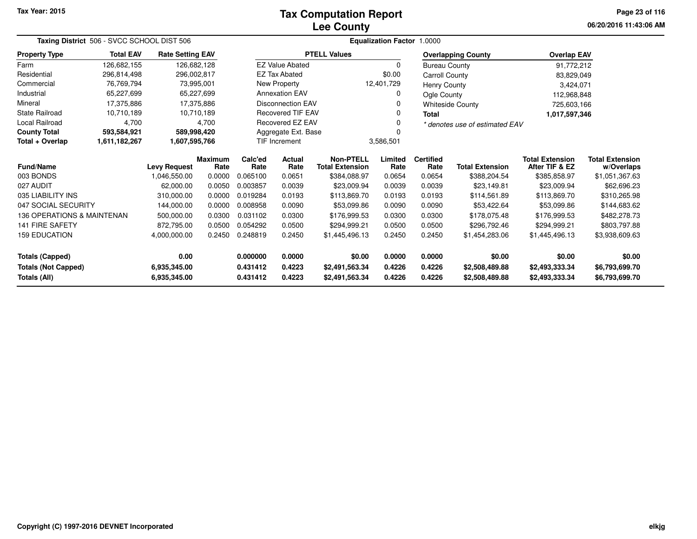## **Lee CountyTax Computation Report**

**06/20/2016 11:43:06 AMPage 23 of 116**

| Taxing District 506 - SVCC SCHOOL DIST 506 |                                |                         |                        |                     |                          |                                            |                 |                          |                                |                                          |                                      |  |
|--------------------------------------------|--------------------------------|-------------------------|------------------------|---------------------|--------------------------|--------------------------------------------|-----------------|--------------------------|--------------------------------|------------------------------------------|--------------------------------------|--|
| <b>Property Type</b>                       | <b>Total EAV</b>               | <b>Rate Setting EAV</b> |                        |                     |                          | <b>PTELL Values</b>                        |                 |                          | <b>Overlapping County</b>      | <b>Overlap EAV</b>                       |                                      |  |
| Farm                                       | 126,682,155                    | 126,682,128             |                        |                     | <b>EZ Value Abated</b>   |                                            | $\Omega$        | <b>Bureau County</b>     |                                | 91,772,212                               |                                      |  |
| Residential                                | 296,814,498                    | 296,002,817             |                        |                     | <b>EZ Tax Abated</b>     |                                            | \$0.00          | Carroll County           |                                | 83,829,049                               |                                      |  |
| Commercial                                 | 76,769,794                     | 73,995,001              |                        |                     | New Property             |                                            | 12,401,729      | Henry County             |                                | 3,424,071                                |                                      |  |
| Industrial                                 | 65,227,699                     | 65,227,699              |                        |                     | <b>Annexation EAV</b>    |                                            | $\Omega$        | Ogle County              |                                | 112,968,848                              |                                      |  |
| Mineral                                    | 17,375,886                     | 17,375,886              |                        |                     | <b>Disconnection EAV</b> |                                            | 0               |                          | <b>Whiteside County</b>        | 725,603,166                              |                                      |  |
| State Railroad                             | 10,710,189                     | 10,710,189              |                        |                     | <b>Recovered TIF EAV</b> |                                            | 0               | <b>Total</b>             |                                | 1,017,597,346                            |                                      |  |
| <b>Local Railroad</b>                      | 4,700                          |                         | 4.700                  |                     | Recovered EZ EAV         |                                            | 0               |                          | * denotes use of estimated EAV |                                          |                                      |  |
| <b>County Total</b>                        | 593,584,921                    | 589,998,420             |                        | Aggregate Ext. Base |                          |                                            |                 |                          |                                |                                          |                                      |  |
| Total + Overlap                            | 1,611,182,267<br>1,607,595,766 |                         |                        |                     | TIF Increment            |                                            | 3,586,501       |                          |                                |                                          |                                      |  |
| Fund/Name                                  |                                | <b>Levy Request</b>     | <b>Maximum</b><br>Rate | Calc'ed<br>Rate     | Actual<br>Rate           | <b>Non-PTELL</b><br><b>Total Extension</b> | Limited<br>Rate | <b>Certified</b><br>Rate | <b>Total Extension</b>         | <b>Total Extension</b><br>After TIF & EZ | <b>Total Extension</b><br>w/Overlaps |  |
| 003 BONDS                                  |                                | 1,046,550.00            | 0.0000                 | 0.065100            | 0.0651                   | \$384,088.97                               | 0.0654          | 0.0654                   | \$388,204.54                   | \$385,858.97                             | \$1,051,367.63                       |  |
| 027 AUDIT                                  |                                | 62,000.00               | 0.0050                 | 0.003857            | 0.0039                   | \$23,009.94                                | 0.0039          | 0.0039                   | \$23,149.81                    | \$23,009.94                              | \$62,696.23                          |  |
| 035 LIABILITY INS                          |                                | 310,000.00              | 0.0000                 | 0.019284            | 0.0193                   | \$113,869.70                               | 0.0193          | 0.0193                   | \$114,561.89                   | \$113,869.70                             | \$310,265.98                         |  |
| 047 SOCIAL SECURITY                        |                                | 144,000.00              | 0.0000                 | 0.008958            | 0.0090                   | \$53,099.86                                | 0.0090          | 0.0090                   | \$53,422.64                    | \$53,099.86                              | \$144,683.62                         |  |
| 136 OPERATIONS & MAINTENAN                 |                                | 500,000.00              | 0.0300                 | 0.031102            | 0.0300                   | \$176,999.53                               | 0.0300          | 0.0300                   | \$178,075.48                   | \$176,999.53                             | \$482,278.73                         |  |
| <b>141 FIRE SAFETY</b>                     |                                | 872,795.00              | 0.0500                 | 0.054292            | 0.0500                   | \$294,999.21                               | 0.0500          | 0.0500                   | \$296,792.46                   | \$294,999.21                             | \$803,797.88                         |  |
| <b>159 EDUCATION</b><br>4,000,000.00       |                                |                         | 0.2450                 | 0.248819            | 0.2450                   | \$1,445,496.13                             | 0.2450          | 0.2450                   | \$1,454,283.06                 | \$1,445,496.13                           | \$3,938,609.63                       |  |
| 0.00<br><b>Totals (Capped)</b>             |                                |                         |                        | 0.000000            | 0.0000                   | \$0.00                                     | 0.0000          | 0.0000                   | \$0.00                         | \$0.00                                   | \$0.00                               |  |
| <b>Totals (Not Capped)</b><br>6,935,345.00 |                                |                         |                        | 0.431412            | 0.4223                   | \$2,491,563.34                             | 0.4226          | 0.4226                   | \$2,508,489.88                 | \$2,493,333.34                           | \$6,793,699.70                       |  |
| Totals (All)<br>6,935,345.00               |                                |                         |                        | 0.431412            | 0.4223                   | \$2,491,563.34                             | 0.4226          | 0.4226                   | \$2,508,489.88                 | \$2,493,333.34                           | \$6,793,699.70                       |  |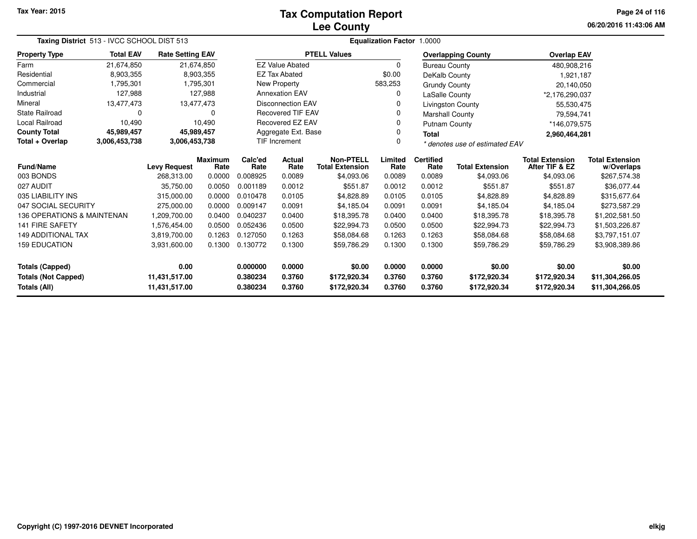## **Lee CountyTax Computation Report**

**06/20/2016 11:43:06 AMPage 24 of 116**

| Taxing District 513 - IVCC SCHOOL DIST 513  |                  |                         |                        |                      |                                                              |                     | <b>Equalization Factor</b> | 1.0000                         |                           |                                          |                                      |
|---------------------------------------------|------------------|-------------------------|------------------------|----------------------|--------------------------------------------------------------|---------------------|----------------------------|--------------------------------|---------------------------|------------------------------------------|--------------------------------------|
| <b>Property Type</b>                        | <b>Total EAV</b> | <b>Rate Setting EAV</b> |                        |                      |                                                              | <b>PTELL Values</b> |                            |                                | <b>Overlapping County</b> | <b>Overlap EAV</b>                       |                                      |
| Farm                                        | 21,674,850       |                         | 21,674,850             |                      | <b>EZ Value Abated</b>                                       |                     | 0                          | <b>Bureau County</b>           |                           | 480,908,216                              |                                      |
| Residential                                 | 8,903,355        |                         | 8,903,355              |                      | <b>EZ Tax Abated</b>                                         |                     | \$0.00                     | DeKalb County                  |                           | 1,921,187                                |                                      |
| Commercial                                  | 1,795,301        |                         | 1,795,301              |                      | New Property                                                 |                     | 583,253                    | <b>Grundy County</b>           |                           | 20,140,050                               |                                      |
| Industrial                                  | 127,988          |                         | 127,988                |                      | <b>Annexation EAV</b>                                        |                     |                            |                                | LaSalle County            | *2,176,290,037                           |                                      |
| Mineral                                     | 13,477,473       |                         | 13,477,473             |                      | <b>Disconnection EAV</b>                                     |                     |                            |                                | Livingston County         | 55,530,475                               |                                      |
| <b>State Railroad</b>                       | 0                |                         | 0                      |                      | <b>Recovered TIF EAV</b>                                     |                     |                            | <b>Marshall County</b>         |                           | 79,594,741                               |                                      |
| Local Railroad                              | 10,490           |                         | 10.490                 | Recovered EZ EAV     |                                                              |                     |                            | <b>Putnam County</b>           |                           | *146,079,575                             |                                      |
| <b>County Total</b>                         | 45,989,457       |                         | 45,989,457             |                      | Aggregate Ext. Base<br>0<br><b>Total</b><br>U                |                     |                            |                                |                           | 2,960,464,281                            |                                      |
| Total + Overlap                             | 3,006,453,738    | 3,006,453,738           |                        | <b>TIF Increment</b> |                                                              |                     |                            | * denotes use of estimated EAV |                           |                                          |                                      |
| <b>Fund/Name</b>                            |                  | <b>Levy Request</b>     | <b>Maximum</b><br>Rate | Calc'ed<br>Rate      | <b>Non-PTELL</b><br>Actual<br><b>Total Extension</b><br>Rate |                     |                            | <b>Certified</b><br>Rate       | <b>Total Extension</b>    | <b>Total Extension</b><br>After TIF & EZ | <b>Total Extension</b><br>w/Overlaps |
| 003 BONDS                                   |                  | 268.313.00              | 0.0000                 | 0.008925             | 0.0089                                                       | \$4,093.06          | 0.0089                     | 0.0089                         | \$4,093.06                | \$4,093.06                               | \$267,574.38                         |
| 027 AUDIT                                   |                  | 35,750.00               | 0.0050                 | 0.001189             | 0.0012                                                       | \$551.87            | 0.0012                     | 0.0012                         | \$551.87                  | \$551.87                                 | \$36,077.44                          |
| 035 LIABILITY INS                           |                  | 315,000.00              | 0.0000                 | 0.010478             | 0.0105                                                       | \$4,828.89          | 0.0105                     | 0.0105                         | \$4,828.89                | \$4,828.89                               | \$315,677.64                         |
| 047 SOCIAL SECURITY                         |                  | 275,000.00              | 0.0000                 | 0.009147             | 0.0091                                                       | \$4,185.04          | 0.0091                     | 0.0091                         | \$4,185.04                | \$4,185.04                               | \$273,587.29                         |
| 136 OPERATIONS & MAINTENAN                  |                  | 1,209,700.00            | 0.0400                 | 0.040237             | 0.0400                                                       | \$18,395.78         | 0.0400                     | 0.0400                         | \$18,395.78               | \$18,395.78                              | \$1,202,581.50                       |
| <b>141 FIRE SAFETY</b>                      |                  | 1.576.454.00            | 0.0500                 | 0.052436             | 0.0500                                                       | \$22,994.73         | 0.0500                     | 0.0500                         | \$22,994.73               | \$22,994.73                              | \$1,503,226.87                       |
| <b>149 ADDITIONAL TAX</b>                   |                  | 3,819,700.00            | 0.1263                 | 0.127050             | 0.1263                                                       | \$58,084.68         | 0.1263                     | 0.1263                         | \$58,084.68               | \$58,084.68                              | \$3,797,151.07                       |
| <b>159 EDUCATION</b>                        |                  | 3,931,600.00            | 0.1300                 | 0.130772             | 0.1300<br>0.1300<br>0.1300<br>\$59,786.29                    |                     |                            | \$59,786.29                    | \$59,786.29               | \$3,908,389.86                           |                                      |
| <b>Totals (Capped)</b><br>0.00              |                  |                         | 0.000000               | 0.0000               | \$0.00                                                       | 0.0000              | 0.0000                     | \$0.00                         | \$0.00                    | \$0.00                                   |                                      |
| <b>Totals (Not Capped)</b><br>11,431,517.00 |                  |                         | 0.380234               | 0.3760               | \$172,920.34                                                 | 0.3760              | 0.3760                     | \$172,920.34                   | \$172,920.34              | \$11,304,266.05                          |                                      |
| Totals (All)<br>11,431,517.00               |                  |                         |                        | 0.380234             | 0.3760                                                       | \$172,920.34        | 0.3760                     | 0.3760                         | \$172,920.34              | \$172,920.34                             | \$11,304,266.05                      |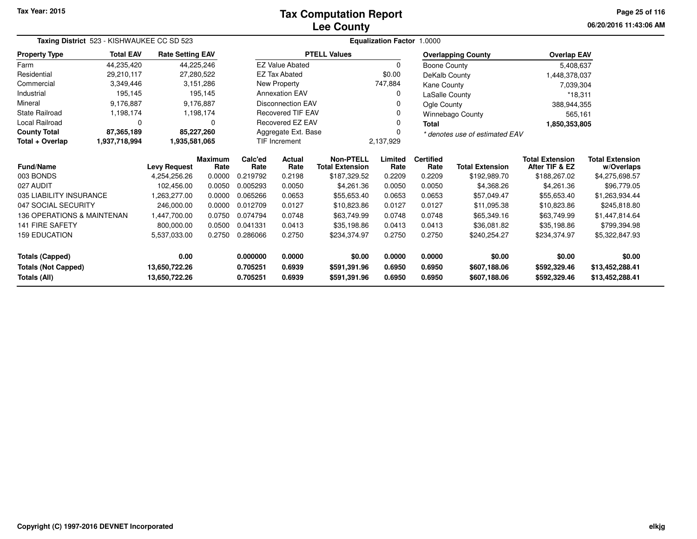## **Lee CountyTax Computation Report**

**06/20/2016 11:43:06 AM Page 25 of 116**

|                            | Taxing District 523 - KISHWAUKEE CC SD 523 |                         |                        |                 |                          |                                            | <b>Equalization Factor 1.0000</b> |                          |                                |                                          |                                      |  |
|----------------------------|--------------------------------------------|-------------------------|------------------------|-----------------|--------------------------|--------------------------------------------|-----------------------------------|--------------------------|--------------------------------|------------------------------------------|--------------------------------------|--|
| <b>Property Type</b>       | <b>Total EAV</b>                           | <b>Rate Setting EAV</b> |                        |                 |                          | <b>PTELL Values</b>                        |                                   |                          | <b>Overlapping County</b>      | <b>Overlap EAV</b>                       |                                      |  |
| Farm                       | 44,235,420                                 | 44,225,246              |                        |                 | <b>EZ Value Abated</b>   |                                            | 0                                 | Boone County             |                                | 5,408,637                                |                                      |  |
| Residential                | 29,210,117                                 | 27,280,522              |                        |                 | <b>EZ Tax Abated</b>     |                                            | \$0.00                            | DeKalb County            |                                | 1,448,378,037                            |                                      |  |
| Commercial                 | 3,349,446                                  |                         | 3,151,286              |                 | New Property             |                                            | 747,884                           | Kane County              |                                | 7,039,304                                |                                      |  |
| Industrial                 | 195,145                                    |                         | 195,145                |                 | <b>Annexation EAV</b>    |                                            | 0                                 | LaSalle County           |                                | $*18,311$                                |                                      |  |
| Mineral                    | 9,176,887                                  |                         | 9,176,887              |                 | <b>Disconnection EAV</b> |                                            | 0                                 | Ogle County              |                                | 388,944,355                              |                                      |  |
| <b>State Railroad</b>      | 1,198,174                                  |                         | 1,198,174              |                 | <b>Recovered TIF EAV</b> |                                            | 0                                 |                          | Winnebago County               | 565,161                                  |                                      |  |
| <b>Local Railroad</b>      | 0                                          |                         | $\Omega$               |                 | Recovered EZ EAV         |                                            | 0                                 | <b>Total</b>             |                                | 1,850,353,805                            |                                      |  |
| <b>County Total</b>        | 87,365,189                                 | 85,227,260              |                        |                 | Aggregate Ext. Base      |                                            | 0                                 |                          | * denotes use of estimated EAV |                                          |                                      |  |
| Total + Overlap            | 1,937,718,994                              | 1,935,581,065           |                        |                 | <b>TIF Increment</b>     |                                            | 2,137,929                         |                          |                                |                                          |                                      |  |
| Fund/Name                  |                                            | <b>Levy Request</b>     | <b>Maximum</b><br>Rate | Calc'ed<br>Rate | Actual<br>Rate           | <b>Non-PTELL</b><br><b>Total Extension</b> | Limited<br>Rate                   | <b>Certified</b><br>Rate | <b>Total Extension</b>         | <b>Total Extension</b><br>After TIF & EZ | <b>Total Extension</b><br>w/Overlaps |  |
| 003 BONDS                  |                                            | 4,254,256.26            | 0.0000                 | 0.219792        | 0.2198                   | \$187,329.52                               | 0.2209                            | 0.2209                   | \$192,989.70                   | \$188,267.02                             | \$4,275,698.57                       |  |
| 027 AUDIT                  |                                            | 102,456.00              | 0.0050                 | 0.005293        | 0.0050                   | \$4,261.36                                 | 0.0050                            | 0.0050                   | \$4,368.26                     | \$4,261.36                               | \$96,779.05                          |  |
| 035 LIABILITY INSURANCE    |                                            | 1,263,277.00            | 0.0000                 | 0.065266        | 0.0653                   | \$55,653.40                                | 0.0653                            | 0.0653                   | \$57,049.47                    | \$55,653.40                              | \$1,263,934.44                       |  |
| 047 SOCIAL SECURITY        |                                            | 246,000.00              | 0.0000                 | 0.012709        | 0.0127                   | \$10,823.86                                | 0.0127                            | 0.0127                   | \$11,095.38                    | \$10,823.86                              | \$245,818.80                         |  |
| 136 OPERATIONS & MAINTENAN |                                            | 1,447,700.00            | 0.0750                 | 0.074794        | 0.0748                   | \$63,749.99                                | 0.0748                            | 0.0748                   | \$65,349.16                    | \$63,749.99                              | \$1,447,814.64                       |  |
| <b>141 FIRE SAFETY</b>     |                                            | 800,000.00              | 0.0500                 | 0.041331        | 0.0413                   | \$35,198.86                                | 0.0413                            | 0.0413                   | \$36,081.82                    | \$35,198.86                              | \$799,394.98                         |  |
| <b>159 EDUCATION</b>       |                                            | 5,537,033.00            | 0.2750                 | 0.286066        | 0.2750                   | \$234,374.97                               | 0.2750                            | 0.2750                   | \$240,254.27                   | \$234,374.97                             | \$5,322,847.93                       |  |
| <b>Totals (Capped)</b>     |                                            | 0.00                    |                        | 0.000000        | 0.0000                   | \$0.00                                     | 0.0000                            | 0.0000                   | \$0.00                         | \$0.00                                   | \$0.00                               |  |
| <b>Totals (Not Capped)</b> |                                            | 13,650,722.26           |                        | 0.705251        | 0.6939                   | \$591,391.96                               | 0.6950                            | 0.6950                   | \$607,188.06                   | \$592,329.46                             | \$13,452,288.41                      |  |
| Totals (All)               |                                            | 13,650,722.26           |                        | 0.705251        | 0.6939                   | \$591,391.96                               | 0.6950                            | 0.6950                   | \$607,188.06                   | \$592,329.46                             | \$13,452,288.41                      |  |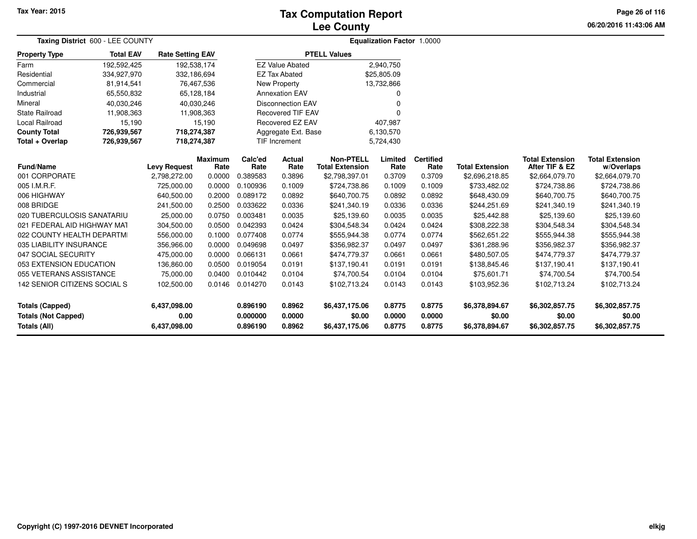## **Lee CountyTax Computation Report**

**06/20/2016 11:43:06 AM Page 26 of 116**

| Taxing District 600 - LEE COUNTY           |                  |                         |                        |                      | <b>Equalization Factor 1.0000</b> |                                            |                  |                          |                          |                                          |                                      |  |
|--------------------------------------------|------------------|-------------------------|------------------------|----------------------|-----------------------------------|--------------------------------------------|------------------|--------------------------|--------------------------|------------------------------------------|--------------------------------------|--|
| <b>Property Type</b>                       | <b>Total EAV</b> | <b>Rate Setting EAV</b> |                        |                      |                                   | <b>PTELL Values</b>                        |                  |                          |                          |                                          |                                      |  |
| Farm                                       | 192,592,425      | 192,538,174             |                        |                      | <b>EZ Value Abated</b>            |                                            | 2,940,750        |                          |                          |                                          |                                      |  |
| Residential                                | 334,927,970      | 332,186,694             |                        |                      | <b>EZ Tax Abated</b>              |                                            | \$25,805.09      |                          |                          |                                          |                                      |  |
| Commercial                                 | 81,914,541       | 76,467,536              |                        |                      | New Property                      |                                            | 13,732,866       |                          |                          |                                          |                                      |  |
| Industrial                                 | 65,550,832       | 65,128,184              |                        |                      | <b>Annexation EAV</b>             |                                            | O                |                          |                          |                                          |                                      |  |
| Mineral                                    | 40,030,246       |                         | 40,030,246             |                      | <b>Disconnection EAV</b>          |                                            | O                |                          |                          |                                          |                                      |  |
| <b>State Railroad</b>                      | 11,908,363       | 11,908,363              |                        |                      | <b>Recovered TIF EAV</b>          |                                            | $\Omega$         |                          |                          |                                          |                                      |  |
| Local Railroad                             | 15,190           |                         | 15,190                 |                      | <b>Recovered EZ EAV</b>           |                                            | 407,987          |                          |                          |                                          |                                      |  |
| <b>County Total</b>                        | 726,939,567      | 718,274,387             |                        |                      | Aggregate Ext. Base               |                                            | 6,130,570        |                          |                          |                                          |                                      |  |
| Total + Overlap                            | 726,939,567      | 718,274,387             |                        |                      | <b>TIF Increment</b>              |                                            | 5,724,430        |                          |                          |                                          |                                      |  |
| <b>Fund/Name</b>                           |                  | <b>Levy Request</b>     | <b>Maximum</b><br>Rate | Calc'ed<br>Rate      | <b>Actual</b><br>Rate             | <b>Non-PTELL</b><br><b>Total Extension</b> | Limited<br>Rate  | <b>Certified</b><br>Rate | <b>Total Extension</b>   | <b>Total Extension</b><br>After TIF & EZ | <b>Total Extension</b><br>w/Overlaps |  |
| 001 CORPORATE                              |                  | 2,798,272.00            | 0.0000                 | 0.389583             | 0.3896                            | \$2,798,397.01                             | 0.3709           | 0.3709                   | \$2,696,218.85           | \$2,664,079.70                           | \$2,664,079.70                       |  |
| 005 I.M.R.F.                               |                  | 725,000.00              | 0.0000                 | 0.100936             | 0.1009                            | \$724,738.86                               | 0.1009           | 0.1009                   | \$733,482.02             | \$724,738.86                             | \$724,738.86                         |  |
| 006 HIGHWAY                                |                  | 640,500.00              | 0.2000                 | 0.089172             | 0.0892                            | \$640,700.75                               | 0.0892           | 0.0892                   | \$648,430.09             | \$640,700.75                             | \$640,700.75                         |  |
| 008 BRIDGE                                 |                  | 241,500.00              | 0.2500                 | 0.033622             | 0.0336                            | \$241,340.19                               | 0.0336           | 0.0336                   | \$244,251.69             | \$241,340.19                             | \$241,340.19                         |  |
| 020 TUBERCULOSIS SANATARIU                 |                  | 25,000.00               | 0.0750                 | 0.003481             | 0.0035                            | \$25,139.60                                | 0.0035           | 0.0035                   | \$25,442.88              | \$25,139.60                              | \$25,139.60                          |  |
| 021 FEDERAL AID HIGHWAY MAT                |                  | 304,500.00              | 0.0500                 | 0.042393             | 0.0424                            | \$304,548.34                               | 0.0424           | 0.0424                   | \$308,222.38             | \$304,548.34                             | \$304,548.34                         |  |
| 022 COUNTY HEALTH DEPARTMI                 |                  | 556,000.00              | 0.1000                 | 0.077408             | 0.0774                            | \$555,944.38                               | 0.0774           | 0.0774                   | \$562,651.22             | \$555,944.38                             | \$555,944.38                         |  |
| 035 LIABILITY INSURANCE                    |                  | 356,966.00              | 0.0000                 | 0.049698             | 0.0497                            | \$356,982.37                               | 0.0497           | 0.0497                   | \$361,288.96             | \$356,982.37                             | \$356,982.37                         |  |
| 047 SOCIAL SECURITY                        |                  | 475,000.00              | 0.0000                 | 0.066131             | 0.0661                            | \$474,779.37                               | 0.0661           | 0.0661                   | \$480,507.05             | \$474,779.37                             | \$474,779.37                         |  |
| 053 EXTENSION EDUCATION                    |                  | 136,860.00              | 0.0500                 | 0.019054             | 0.0191                            | \$137,190.41                               | 0.0191           | 0.0191                   | \$138,845.46             | \$137,190.41                             | \$137,190.41                         |  |
| 055 VETERANS ASSISTANCE                    |                  | 75,000.00               | 0.0400                 | 0.010442             | 0.0104                            | \$74,700.54                                | 0.0104           | 0.0104                   | \$75,601.71              | \$74,700.54                              | \$74,700.54                          |  |
| 142 SENIOR CITIZENS SOCIAL S               |                  | 102,500.00              | 0.0146                 | 0.014270             | 0.0143                            | \$102,713.24                               | 0.0143           | 0.0143                   | \$103,952.36             | \$102,713.24                             | \$102,713.24                         |  |
| <b>Totals (Capped)</b>                     |                  | 6,437,098.00            |                        | 0.896190             | 0.8962                            | \$6,437,175.06                             | 0.8775           | 0.8775                   | \$6,378,894.67           | \$6,302,857.75                           | \$6,302,857.75                       |  |
| <b>Totals (Not Capped)</b><br>Totals (All) |                  | 0.00<br>6,437,098.00    |                        | 0.000000<br>0.896190 | 0.0000<br>0.8962                  | \$0.00<br>\$6,437,175.06                   | 0.0000<br>0.8775 | 0.0000<br>0.8775         | \$0.00<br>\$6,378,894.67 | \$0.00<br>\$6,302,857.75                 | \$0.00<br>\$6,302,857.75             |  |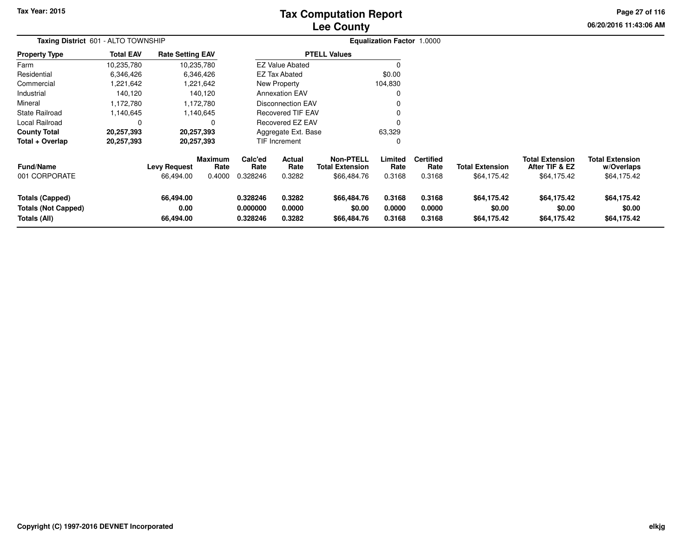# **Lee CountyTax Computation Report**

**06/20/2016 11:43:06 AMPage 27 of 116**

| <b>Taxing District 601 - ALTO TOWNSHIP</b>                           |                  |                                  |                                  |                                  |                            |                                                           | <b>Equalization Factor 1.0000</b> |                                    |                                       |                                                         |                                                     |
|----------------------------------------------------------------------|------------------|----------------------------------|----------------------------------|----------------------------------|----------------------------|-----------------------------------------------------------|-----------------------------------|------------------------------------|---------------------------------------|---------------------------------------------------------|-----------------------------------------------------|
| Property Type                                                        | <b>Total EAV</b> | <b>Rate Setting EAV</b>          |                                  |                                  |                            | <b>PTELL Values</b>                                       |                                   |                                    |                                       |                                                         |                                                     |
| Farm                                                                 | 10,235,780       |                                  | 10,235,780                       |                                  | <b>EZ Value Abated</b>     |                                                           |                                   |                                    |                                       |                                                         |                                                     |
| Residential                                                          | 6,346,426        |                                  | 6,346,426                        |                                  | <b>EZ Tax Abated</b>       |                                                           | \$0.00                            |                                    |                                       |                                                         |                                                     |
| Commercial                                                           | 1,221,642        |                                  | 1,221,642                        |                                  | New Property               |                                                           | 104,830                           |                                    |                                       |                                                         |                                                     |
| Industrial                                                           | 140,120          |                                  | 140,120                          |                                  | <b>Annexation EAV</b>      |                                                           | 0                                 |                                    |                                       |                                                         |                                                     |
| Mineral                                                              | 1,172,780        |                                  | 1,172,780                        |                                  | Disconnection EAV          |                                                           |                                   |                                    |                                       |                                                         |                                                     |
| State Railroad                                                       | 1,140,645        |                                  | 1,140,645                        |                                  | <b>Recovered TIF EAV</b>   |                                                           |                                   |                                    |                                       |                                                         |                                                     |
| Local Railroad                                                       | 0                |                                  | 0                                |                                  | Recovered EZ EAV           |                                                           |                                   |                                    |                                       |                                                         |                                                     |
| County Total                                                         | 20,257,393       |                                  | 20,257,393                       |                                  | Aggregate Ext. Base        |                                                           | 63,329                            |                                    |                                       |                                                         |                                                     |
| Total + Overlap                                                      | 20,257,393       |                                  | 20,257,393                       |                                  | TIF Increment              |                                                           | 0                                 |                                    |                                       |                                                         |                                                     |
| Fund/Name<br>001 CORPORATE                                           |                  | <b>Levy Request</b><br>66,494.00 | <b>Maximum</b><br>Rate<br>0.4000 | Calc'ed<br>Rate<br>0.328246      | Actual<br>Rate<br>0.3282   | <b>Non-PTELL</b><br><b>Total Extension</b><br>\$66,484.76 | Limited<br>Rate<br>0.3168         | <b>Certified</b><br>Rate<br>0.3168 | <b>Total Extension</b><br>\$64,175.42 | <b>Total Extension</b><br>After TIF & EZ<br>\$64,175.42 | <b>Total Extension</b><br>w/Overlaps<br>\$64,175.42 |
| <b>Totals (Capped)</b><br><b>Totals (Not Capped)</b><br>Totals (All) |                  | 66,494.00<br>0.00<br>66,494.00   |                                  | 0.328246<br>0.000000<br>0.328246 | 0.3282<br>0.0000<br>0.3282 | \$66,484.76<br>\$0.00<br>\$66,484.76                      | 0.3168<br>0.0000<br>0.3168        | 0.3168<br>0.0000<br>0.3168         | \$64,175.42<br>\$0.00<br>\$64,175.42  | \$64,175.42<br>\$0.00<br>\$64,175.42                    | \$64,175.42<br>\$0.00<br>\$64,175.42                |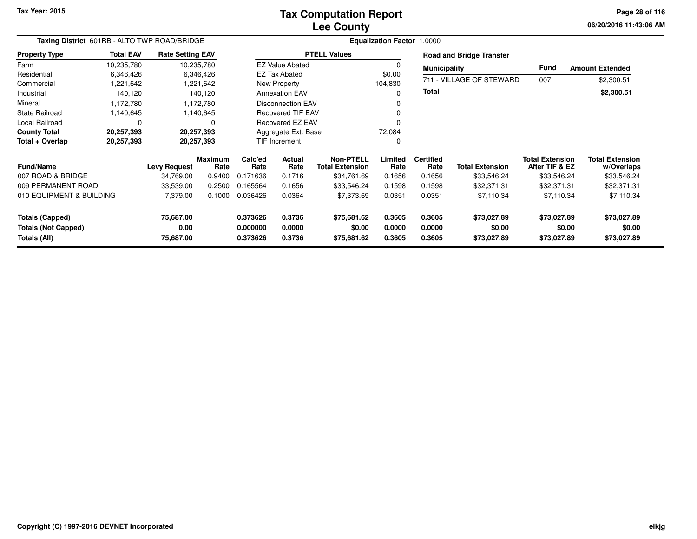# **Lee CountyTax Computation Report**

**06/20/2016 11:43:06 AM Page 28 of 116**

| Taxing District 601RB - ALTO TWP ROAD/BRIDGE |                     |                         |                        |                      |                          |                                            | <b>Equalization Factor 1.0000</b> |                          |                                 |                                          |                                      |
|----------------------------------------------|---------------------|-------------------------|------------------------|----------------------|--------------------------|--------------------------------------------|-----------------------------------|--------------------------|---------------------------------|------------------------------------------|--------------------------------------|
| <b>Property Type</b>                         | <b>Total EAV</b>    | <b>Rate Setting EAV</b> |                        |                      |                          | <b>PTELL Values</b>                        |                                   |                          | <b>Road and Bridge Transfer</b> |                                          |                                      |
| Farm                                         | 10,235,780          |                         | 10,235,780             |                      | <b>EZ Value Abated</b>   |                                            |                                   | <b>Municipality</b>      |                                 | Fund                                     | <b>Amount Extended</b>               |
| Residential                                  | 6,346,426           |                         | 6,346,426              |                      | EZ Tax Abated            |                                            | \$0.00                            |                          | 711 - VILLAGE OF STEWARD        |                                          |                                      |
| Commercial                                   | 1,221,642           |                         | 1,221,642              |                      | New Property             |                                            | 104,830                           |                          |                                 | 007                                      | \$2,300.51                           |
| Industrial                                   | 140,120             |                         | 140,120                |                      | <b>Annexation EAV</b>    |                                            | O                                 | <b>Total</b>             |                                 |                                          | \$2,300.51                           |
| Mineral                                      | 1,172,780           |                         | 1,172,780              |                      | <b>Disconnection EAV</b> |                                            |                                   |                          |                                 |                                          |                                      |
| <b>State Railroad</b>                        | 1,140,645           |                         | 1,140,645              |                      | Recovered TIF EAV        |                                            |                                   |                          |                                 |                                          |                                      |
| Local Railroad                               | 0                   |                         | $\Omega$               |                      | Recovered EZ EAV         |                                            |                                   |                          |                                 |                                          |                                      |
| <b>County Total</b>                          | 20,257,393          |                         | 20,257,393             |                      | Aggregate Ext. Base      |                                            | 72,084                            |                          |                                 |                                          |                                      |
| Total + Overlap                              | 20,257,393          |                         | 20,257,393             |                      | TIF Increment            |                                            | 0                                 |                          |                                 |                                          |                                      |
| <b>Fund/Name</b>                             | <b>Levy Request</b> |                         | <b>Maximum</b><br>Rate | Calc'ed<br>Rate      | Actual<br>Rate           | <b>Non-PTELL</b><br><b>Total Extension</b> | Limited<br>Rate                   | <b>Certified</b><br>Rate | <b>Total Extension</b>          | <b>Total Extension</b><br>After TIF & EZ | <b>Total Extension</b><br>w/Overlaps |
| 007 ROAD & BRIDGE                            |                     | 34,769.00               | 0.9400                 | 0.171636             | 0.1716                   | \$34,761.69                                | 0.1656                            | 0.1656                   | \$33,546.24                     | \$33,546.24                              | \$33,546.24                          |
| 009 PERMANENT ROAD                           |                     | 33,539.00               | 0.2500                 | 0.165564             | 0.1656                   | \$33,546.24                                | 0.1598                            | 0.1598                   | \$32,371.31                     | \$32,371.31                              | \$32,371.31                          |
| 010 EQUIPMENT & BUILDING                     |                     | 7,379.00                | 0.1000                 | 0.036426             | 0.0364                   | \$7,373.69                                 | 0.0351                            | 0.0351                   | \$7,110.34                      | \$7,110.34                               | \$7,110.34                           |
| <b>Totals (Capped)</b>                       |                     | 75,687.00               |                        | 0.373626             | 0.3736                   | \$75,681.62                                | 0.3605                            | 0.3605                   | \$73,027.89                     | \$73,027.89                              | \$73,027.89                          |
| <b>Totals (Not Capped)</b><br>Totals (All)   |                     | 0.00<br>75,687.00       |                        | 0.000000<br>0.373626 | 0.0000<br>0.3736         | \$0.00<br>\$75,681.62                      | 0.0000<br>0.3605                  | 0.0000<br>0.3605         | \$0.00<br>\$73,027.89           | \$0.00<br>\$73,027.89                    | \$0.00<br>\$73,027.89                |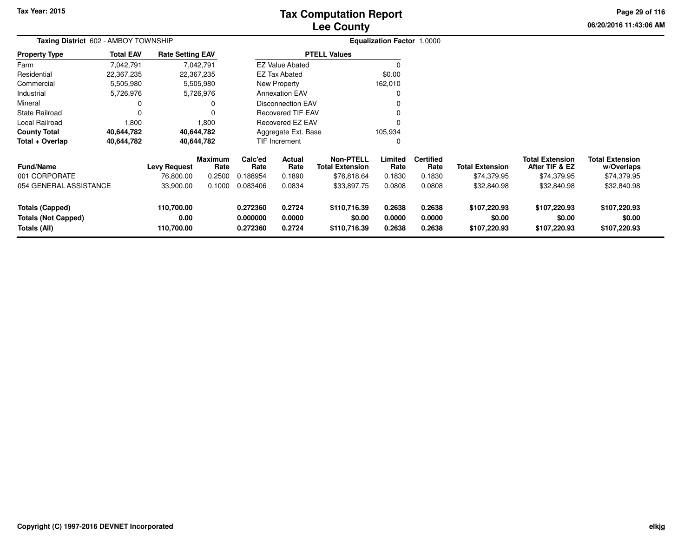# **Lee CountyTax Computation Report**

**06/20/2016 11:43:06 AM Page 29 of 116**

| Taxing District 602 - AMBOY TOWNSHIP                          |                  |                                  |                        |                                  |                                  |                                            | <b>Equalization Factor 1.0000</b> |                            |                                        |                                          |                                        |  |
|---------------------------------------------------------------|------------------|----------------------------------|------------------------|----------------------------------|----------------------------------|--------------------------------------------|-----------------------------------|----------------------------|----------------------------------------|------------------------------------------|----------------------------------------|--|
| <b>Property Type</b>                                          | <b>Total EAV</b> | <b>Rate Setting EAV</b>          |                        |                                  |                                  | <b>PTELL Values</b>                        |                                   |                            |                                        |                                          |                                        |  |
| Farm                                                          | 7,042,791        |                                  | 7,042,791              |                                  | <b>EZ Value Abated</b>           |                                            |                                   |                            |                                        |                                          |                                        |  |
| Residential                                                   | 22,367,235       |                                  | 22,367,235             |                                  | <b>EZ Tax Abated</b>             |                                            | \$0.00                            |                            |                                        |                                          |                                        |  |
| Commercial                                                    | 5,505,980        |                                  | 5,505,980              |                                  | New Property                     |                                            | 162,010                           |                            |                                        |                                          |                                        |  |
| Industrial                                                    | 5,726,976        |                                  | 5,726,976              |                                  | <b>Annexation EAV</b>            |                                            | 0                                 |                            |                                        |                                          |                                        |  |
| Mineral                                                       |                  |                                  | 0                      |                                  | <b>Disconnection EAV</b>         |                                            | $\Omega$                          |                            |                                        |                                          |                                        |  |
| <b>State Railroad</b>                                         |                  |                                  | $\Omega$               | <b>Recovered TIF EAV</b>         |                                  |                                            |                                   |                            |                                        |                                          |                                        |  |
| Local Railroad                                                | 1,800            |                                  | 1,800                  |                                  | Recovered EZ EAV                 |                                            | $\Omega$                          |                            |                                        |                                          |                                        |  |
| <b>County Total</b>                                           | 40,644,782       |                                  | 40,644,782             |                                  | Aggregate Ext. Base              |                                            | 105,934                           |                            |                                        |                                          |                                        |  |
| Total + Overlap                                               | 40,644,782       |                                  | 40,644,782             |                                  | <b>TIF Increment</b><br>$\Omega$ |                                            |                                   |                            |                                        |                                          |                                        |  |
| <b>Fund/Name</b>                                              |                  | <b>Levy Request</b>              | <b>Maximum</b><br>Rate | Calc'ed<br>Rate                  | Actual<br>Rate                   | <b>Non-PTELL</b><br><b>Total Extension</b> | Limited<br>Rate                   | <b>Certified</b><br>Rate   | <b>Total Extension</b>                 | <b>Total Extension</b><br>After TIF & EZ | <b>Total Extension</b><br>w/Overlaps   |  |
| 001 CORPORATE                                                 |                  | 76,800.00                        | 0.2500                 | 0.188954                         | 0.1890                           | \$76,818.64                                | 0.1830                            | 0.1830                     | \$74,379.95                            | \$74,379.95                              | \$74,379.95                            |  |
| 054 GENERAL ASSISTANCE                                        |                  | 33,900.00                        | 0.1000                 | 0.083406                         | 0.0834                           | \$33,897.75                                | 0.0808                            | 0.0808                     | \$32,840.98                            | \$32,840.98                              | \$32,840.98                            |  |
| Totals (Capped)<br><b>Totals (Not Capped)</b><br>Totals (All) |                  | 110,700.00<br>0.00<br>110,700.00 |                        | 0.272360<br>0.000000<br>0.272360 | 0.2724<br>0.0000<br>0.2724       | \$110,716.39<br>\$0.00<br>\$110,716.39     | 0.2638<br>0.0000<br>0.2638        | 0.2638<br>0.0000<br>0.2638 | \$107,220.93<br>\$0.00<br>\$107,220.93 | \$107,220.93<br>\$0.00<br>\$107,220.93   | \$107,220.93<br>\$0.00<br>\$107,220.93 |  |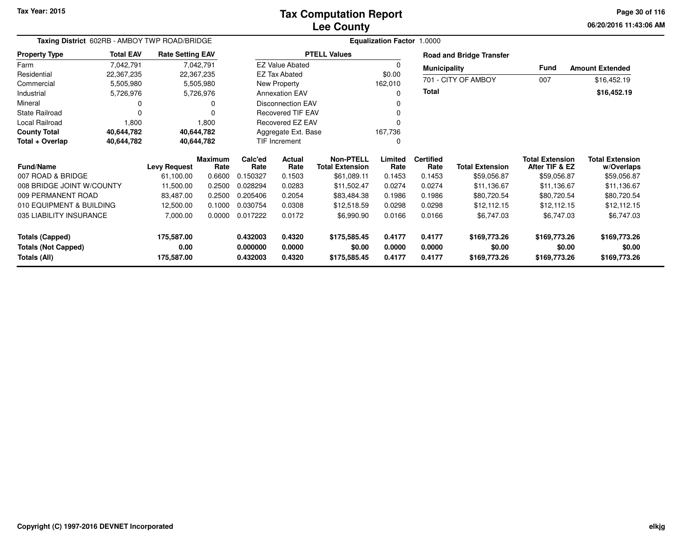## **Lee CountyTax Computation Report**

**06/20/2016 11:43:06 AM Page 30 of 116**

| Taxing District 602RB - AMBOY TWP ROAD/BRIDGE |                  |                         |                        |                 |                          |                                            | <b>Equalization Factor 1.0000</b> |                          |                                 |                                          |                                      |
|-----------------------------------------------|------------------|-------------------------|------------------------|-----------------|--------------------------|--------------------------------------------|-----------------------------------|--------------------------|---------------------------------|------------------------------------------|--------------------------------------|
| <b>Property Type</b>                          | <b>Total EAV</b> | <b>Rate Setting EAV</b> |                        |                 |                          | <b>PTELL Values</b>                        |                                   |                          | <b>Road and Bridge Transfer</b> |                                          |                                      |
| Farm                                          | 7,042,791        |                         | 7,042,791              |                 | <b>EZ Value Abated</b>   |                                            | $\Omega$                          | <b>Municipality</b>      |                                 | Fund                                     | <b>Amount Extended</b>               |
| Residential                                   | 22,367,235       |                         | 22,367,235             |                 | <b>EZ Tax Abated</b>     |                                            | \$0.00                            |                          |                                 |                                          |                                      |
| Commercial                                    | 5,505,980        |                         | 5,505,980              |                 | New Property             |                                            | 162,010                           |                          | 701 - CITY OF AMBOY             | 007                                      | \$16,452.19                          |
| Industrial                                    | 5,726,976        |                         | 5,726,976              |                 | <b>Annexation EAV</b>    |                                            | 0                                 | Total                    |                                 |                                          | \$16,452.19                          |
| Mineral                                       |                  |                         |                        |                 | <b>Disconnection EAV</b> |                                            |                                   |                          |                                 |                                          |                                      |
| <b>State Railroad</b>                         | $\Omega$         |                         |                        |                 | <b>Recovered TIF EAV</b> |                                            | ŋ                                 |                          |                                 |                                          |                                      |
| Local Railroad                                | 1,800            |                         | 1,800                  |                 | Recovered EZ EAV         |                                            |                                   |                          |                                 |                                          |                                      |
| <b>County Total</b>                           | 40,644,782       | 40,644,782              |                        |                 | Aggregate Ext. Base      |                                            | 167,736                           |                          |                                 |                                          |                                      |
| Total + Overlap                               | 40,644,782       | 40,644,782              |                        |                 | TIF Increment            |                                            | 0                                 |                          |                                 |                                          |                                      |
| <b>Fund/Name</b>                              |                  | <b>Levy Request</b>     | <b>Maximum</b><br>Rate | Calc'ed<br>Rate | Actual<br>Rate           | <b>Non-PTELL</b><br><b>Total Extension</b> | Limited<br>Rate                   | <b>Certified</b><br>Rate | <b>Total Extension</b>          | <b>Total Extension</b><br>After TIF & EZ | <b>Total Extension</b><br>w/Overlaps |
| 007 ROAD & BRIDGE                             |                  | 61,100.00               | 0.6600                 | 0.150327        | 0.1503                   | \$61,089.11                                | 0.1453                            | 0.1453                   | \$59,056.87                     | \$59,056.87                              | \$59,056.87                          |
| 008 BRIDGE JOINT W/COUNTY                     |                  | 11,500.00               | 0.2500                 | 0.028294        | 0.0283                   | \$11,502.47                                | 0.0274                            | 0.0274                   | \$11,136.67                     | \$11,136.67                              | \$11,136.67                          |
| 009 PERMANENT ROAD                            |                  | 83,487.00               | 0.2500                 | 0.205406        | 0.2054                   | \$83,484.38                                | 0.1986                            | 0.1986                   | \$80,720.54                     | \$80,720.54                              | \$80,720.54                          |
| 010 EQUIPMENT & BUILDING                      |                  | 12,500.00               | 0.1000                 | 0.030754        | 0.0308                   | \$12,518.59                                | 0.0298                            | 0.0298                   | \$12,112.15                     | \$12,112.15                              | \$12,112.15                          |
| 035 LIABILITY INSURANCE                       |                  | 7,000.00                | 0.0000                 | 0.017222        | 0.0172                   | \$6,990.90                                 | 0.0166                            | 0.0166                   | \$6,747.03                      | \$6,747.03                               | \$6,747.03                           |
| Totals (Capped)                               |                  | 175,587.00              |                        | 0.432003        | 0.4320                   | \$175,585.45                               | 0.4177                            | 0.4177                   | \$169,773.26                    | \$169,773.26                             | \$169,773.26                         |
| <b>Totals (Not Capped)</b>                    |                  | 0.00                    |                        | 0.000000        | 0.0000                   | \$0.00                                     | 0.0000                            | 0.0000                   | \$0.00                          | \$0.00                                   | \$0.00                               |
| Totals (All)                                  |                  | 175,587.00              |                        | 0.432003        | 0.4320                   | \$175,585.45                               | 0.4177                            | 0.4177                   | \$169,773.26                    | \$169,773.26                             | \$169,773.26                         |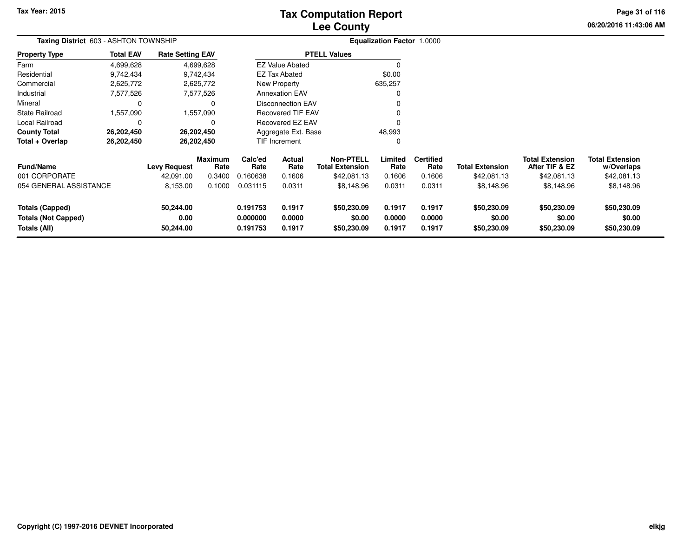# **Lee CountyTax Computation Report**

**06/20/2016 11:43:06 AMPage 31 of 116**

|                                                                      | Taxing District 603 - ASHTON TOWNSHIP |                                |                        |                                  |                            |                                            | Equalization Factor 1.0000 |                            |                                      |                                          |                                      |
|----------------------------------------------------------------------|---------------------------------------|--------------------------------|------------------------|----------------------------------|----------------------------|--------------------------------------------|----------------------------|----------------------------|--------------------------------------|------------------------------------------|--------------------------------------|
| Property Type                                                        | <b>Total EAV</b>                      | <b>Rate Setting EAV</b>        |                        |                                  |                            | <b>PTELL Values</b>                        |                            |                            |                                      |                                          |                                      |
| Farm                                                                 | 4,699,628                             |                                | 4,699,628              |                                  | <b>EZ Value Abated</b>     |                                            | $\Omega$                   |                            |                                      |                                          |                                      |
| Residential                                                          | 9,742,434                             |                                | 9,742,434              |                                  | <b>EZ Tax Abated</b>       |                                            | \$0.00                     |                            |                                      |                                          |                                      |
| Commercial                                                           | 2,625,772                             |                                | 2,625,772              |                                  | New Property               |                                            | 635,257                    |                            |                                      |                                          |                                      |
| Industrial                                                           | 7,577,526                             |                                | 7,577,526              |                                  | <b>Annexation EAV</b>      |                                            |                            |                            |                                      |                                          |                                      |
| Mineral                                                              | 0                                     |                                |                        |                                  | <b>Disconnection EAV</b>   |                                            |                            |                            |                                      |                                          |                                      |
| State Railroad                                                       | 1,557,090                             |                                | 1,557,090              |                                  | <b>Recovered TIF EAV</b>   |                                            |                            |                            |                                      |                                          |                                      |
| Local Railroad                                                       | 0                                     |                                |                        |                                  | Recovered EZ EAV           |                                            | n                          |                            |                                      |                                          |                                      |
| <b>County Total</b>                                                  | 26,202,450                            |                                | 26,202,450             |                                  | Aggregate Ext. Base        |                                            | 48,993                     |                            |                                      |                                          |                                      |
| Total + Overlap                                                      | 26,202,450                            |                                | 26,202,450             |                                  | TIF Increment<br>0         |                                            |                            |                            |                                      |                                          |                                      |
| Fund/Name                                                            |                                       | <b>Levy Request</b>            | <b>Maximum</b><br>Rate | Calc'ed<br>Rate                  | Actual<br>Rate             | <b>Non-PTELL</b><br><b>Total Extension</b> | Limited<br>Rate            | <b>Certified</b><br>Rate   | <b>Total Extension</b>               | <b>Total Extension</b><br>After TIF & EZ | <b>Total Extension</b><br>w/Overlaps |
| 001 CORPORATE                                                        |                                       | 42,091.00                      | 0.3400                 | 0.160638                         | 0.1606                     | \$42,081.13                                | 0.1606                     | 0.1606                     | \$42,081.13                          | \$42,081.13                              | \$42,081.13                          |
| 054 GENERAL ASSISTANCE                                               |                                       | 8,153.00                       | 0.1000                 | 0.031115                         | 0.0311                     | \$8,148.96                                 | 0.0311                     | 0.0311                     | \$8,148.96                           | \$8,148.96                               | \$8,148.96                           |
| <b>Totals (Capped)</b><br><b>Totals (Not Capped)</b><br>Totals (All) |                                       | 50,244.00<br>0.00<br>50,244.00 |                        | 0.191753<br>0.000000<br>0.191753 | 0.1917<br>0.0000<br>0.1917 | \$50,230.09<br>\$0.00<br>\$50,230.09       | 0.1917<br>0.0000<br>0.1917 | 0.1917<br>0.0000<br>0.1917 | \$50,230.09<br>\$0.00<br>\$50,230.09 | \$50,230.09<br>\$0.00<br>\$50,230.09     | \$50,230.09<br>\$0.00<br>\$50,230.09 |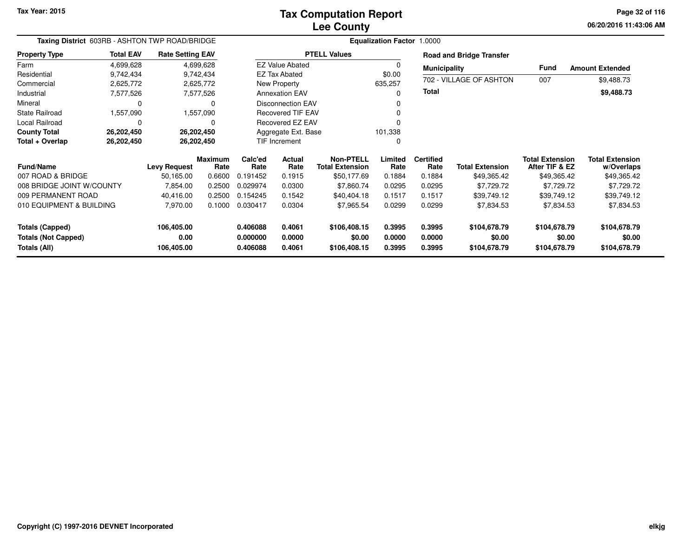# **Lee CountyTax Computation Report**

**06/20/2016 11:43:06 AM Page 32 of 116**

|                                                                      | Taxing District 603RB - ASHTON TWP ROAD/BRIDGE |                                  |                        |                                  |                            |                                            | <b>Equalization Factor 1.0000</b> |                            |                                        |                                          |                                        |
|----------------------------------------------------------------------|------------------------------------------------|----------------------------------|------------------------|----------------------------------|----------------------------|--------------------------------------------|-----------------------------------|----------------------------|----------------------------------------|------------------------------------------|----------------------------------------|
| <b>Property Type</b>                                                 | <b>Total EAV</b>                               | <b>Rate Setting EAV</b>          |                        |                                  |                            | <b>PTELL Values</b>                        |                                   |                            | <b>Road and Bridge Transfer</b>        |                                          |                                        |
| Farm                                                                 | 4,699,628                                      |                                  | 4,699,628              |                                  | <b>EZ Value Abated</b>     |                                            |                                   | <b>Municipality</b>        |                                        | <b>Fund</b>                              | <b>Amount Extended</b>                 |
| Residential                                                          | 9,742,434                                      |                                  | 9,742,434              |                                  | <b>EZ Tax Abated</b>       |                                            | \$0.00                            |                            | 702 - VILLAGE OF ASHTON                |                                          |                                        |
| Commercial                                                           | 2,625,772                                      |                                  | 2,625,772              |                                  | New Property               |                                            | 635,257                           |                            |                                        | 007                                      | \$9,488.73                             |
| Industrial                                                           | 7,577,526                                      |                                  | 7,577,526              |                                  | <b>Annexation EAV</b>      |                                            |                                   | <b>Total</b>               |                                        |                                          | \$9,488.73                             |
| Mineral                                                              | $\Omega$                                       |                                  | $\Omega$               |                                  | <b>Disconnection EAV</b>   |                                            |                                   |                            |                                        |                                          |                                        |
| <b>State Railroad</b>                                                | 1,557,090                                      |                                  | 1,557,090              |                                  | Recovered TIF EAV          |                                            |                                   |                            |                                        |                                          |                                        |
| Local Railroad                                                       | 0                                              |                                  | 0                      |                                  | Recovered EZ EAV           |                                            |                                   |                            |                                        |                                          |                                        |
| <b>County Total</b>                                                  | 26,202,450                                     | 26,202,450                       |                        |                                  | Aggregate Ext. Base        |                                            | 101,338                           |                            |                                        |                                          |                                        |
| Total + Overlap                                                      | 26,202,450                                     |                                  | 26,202,450             |                                  | TIF Increment              |                                            |                                   |                            |                                        |                                          |                                        |
| Fund/Name                                                            |                                                | <b>Levy Request</b>              | <b>Maximum</b><br>Rate | Calc'ed<br>Rate                  | Actual<br>Rate             | <b>Non-PTELL</b><br><b>Total Extension</b> | Limited<br>Rate                   | <b>Certified</b><br>Rate   | <b>Total Extension</b>                 | <b>Total Extension</b><br>After TIF & EZ | <b>Total Extension</b><br>w/Overlaps   |
| 007 ROAD & BRIDGE                                                    |                                                | 50,165.00                        | 0.6600                 | 0.191452                         | 0.1915                     | \$50,177.69                                | 0.1884                            | 0.1884                     | \$49,365.42                            | \$49,365.42                              | \$49,365.42                            |
| 008 BRIDGE JOINT W/COUNTY                                            |                                                | 7,854.00                         | 0.2500                 | 0.029974                         | 0.0300                     | \$7,860.74                                 | 0.0295                            | 0.0295                     | \$7,729.72                             | \$7,729.72                               | \$7,729.72                             |
| 009 PERMANENT ROAD                                                   |                                                | 40,416.00                        | 0.2500                 | 0.154245                         | 0.1542                     | \$40,404.18                                | 0.1517                            | 0.1517                     | \$39,749.12                            | \$39,749.12                              | \$39,749.12                            |
| 010 EQUIPMENT & BUILDING                                             |                                                | 7,970.00                         | 0.1000                 | 0.030417                         | 0.0304                     | \$7,965.54                                 | 0.0299                            | 0.0299                     | \$7,834.53                             | \$7,834.53                               | \$7,834.53                             |
| <b>Totals (Capped)</b><br><b>Totals (Not Capped)</b><br>Totals (All) |                                                | 106,405.00<br>0.00<br>106,405.00 |                        | 0.406088<br>0.000000<br>0.406088 | 0.4061<br>0.0000<br>0.4061 | \$106,408.15<br>\$0.00<br>\$106,408.15     | 0.3995<br>0.0000<br>0.3995        | 0.3995<br>0.0000<br>0.3995 | \$104,678.79<br>\$0.00<br>\$104,678.79 | \$104,678.79<br>\$0.00<br>\$104,678.79   | \$104,678.79<br>\$0.00<br>\$104,678.79 |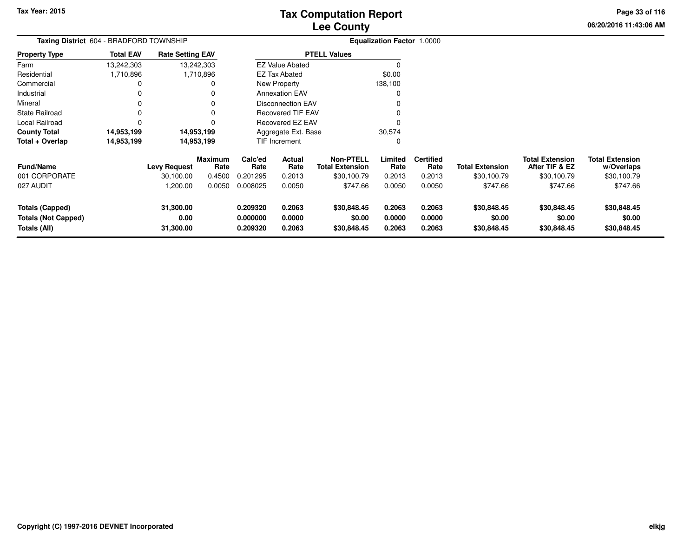**06/20/2016 11:43:06 AM Page 33 of 116**

| Taxing District 604 - BRADFORD TOWNSHIP                              |                  |                                |                 |                                  |                            |                                            | <b>Equalization Factor 1.0000</b> |                            |                                      |                                          |                                      |  |
|----------------------------------------------------------------------|------------------|--------------------------------|-----------------|----------------------------------|----------------------------|--------------------------------------------|-----------------------------------|----------------------------|--------------------------------------|------------------------------------------|--------------------------------------|--|
| <b>Property Type</b>                                                 | <b>Total EAV</b> | <b>Rate Setting EAV</b>        |                 |                                  |                            | <b>PTELL Values</b>                        |                                   |                            |                                      |                                          |                                      |  |
| Farm                                                                 | 13,242,303       | 13,242,303                     |                 |                                  | <b>EZ Value Abated</b>     |                                            |                                   |                            |                                      |                                          |                                      |  |
| Residential                                                          | 1,710,896        |                                | 1,710,896       |                                  | <b>EZ Tax Abated</b>       |                                            | \$0.00                            |                            |                                      |                                          |                                      |  |
| Commercial                                                           |                  |                                | 0               |                                  | New Property               |                                            | 138,100                           |                            |                                      |                                          |                                      |  |
| Industrial                                                           | 0                |                                | 0               |                                  | <b>Annexation EAV</b>      |                                            | 0                                 |                            |                                      |                                          |                                      |  |
| Mineral                                                              | 0                |                                | 0               |                                  | <b>Disconnection EAV</b>   |                                            | 0                                 |                            |                                      |                                          |                                      |  |
| State Railroad                                                       | 0                |                                | 0               |                                  | <b>Recovered TIF EAV</b>   |                                            | 0                                 |                            |                                      |                                          |                                      |  |
| Local Railroad                                                       | $\Omega$         |                                | $\Omega$        |                                  | Recovered EZ EAV           |                                            | 0                                 |                            |                                      |                                          |                                      |  |
| <b>County Total</b>                                                  | 14,953,199       | 14,953,199                     |                 |                                  | Aggregate Ext. Base        |                                            | 30,574                            |                            |                                      |                                          |                                      |  |
| Total + Overlap                                                      | 14,953,199       | 14,953,199                     |                 |                                  | TIF Increment<br>0         |                                            |                                   |                            |                                      |                                          |                                      |  |
| Fund/Name                                                            |                  | <b>Levy Request</b>            | Maximum<br>Rate | Calc'ed<br>Rate                  | Actual<br>Rate             | <b>Non-PTELL</b><br><b>Total Extension</b> | Limited<br>Rate                   | <b>Certified</b><br>Rate   | <b>Total Extension</b>               | <b>Total Extension</b><br>After TIF & EZ | <b>Total Extension</b><br>w/Overlaps |  |
| 001 CORPORATE                                                        |                  | 30,100.00                      | 0.4500          | 0.201295                         | 0.2013                     | \$30,100.79                                | 0.2013                            | 0.2013                     | \$30,100.79                          | \$30,100.79                              | \$30,100.79                          |  |
| 027 AUDIT                                                            |                  | 1,200.00                       | 0.0050          | 0.008025                         | 0.0050                     | \$747.66                                   | 0.0050                            | 0.0050                     | \$747.66                             | \$747.66                                 | \$747.66                             |  |
| <b>Totals (Capped)</b><br><b>Totals (Not Capped)</b><br>Totals (All) |                  | 31,300.00<br>0.00<br>31,300.00 |                 | 0.209320<br>0.000000<br>0.209320 | 0.2063<br>0.0000<br>0.2063 | \$30,848.45<br>\$0.00<br>\$30,848.45       | 0.2063<br>0.0000<br>0.2063        | 0.2063<br>0.0000<br>0.2063 | \$30,848.45<br>\$0.00<br>\$30,848.45 | \$30,848.45<br>\$0.00<br>\$30,848.45     | \$30,848.45<br>\$0.00<br>\$30,848.45 |  |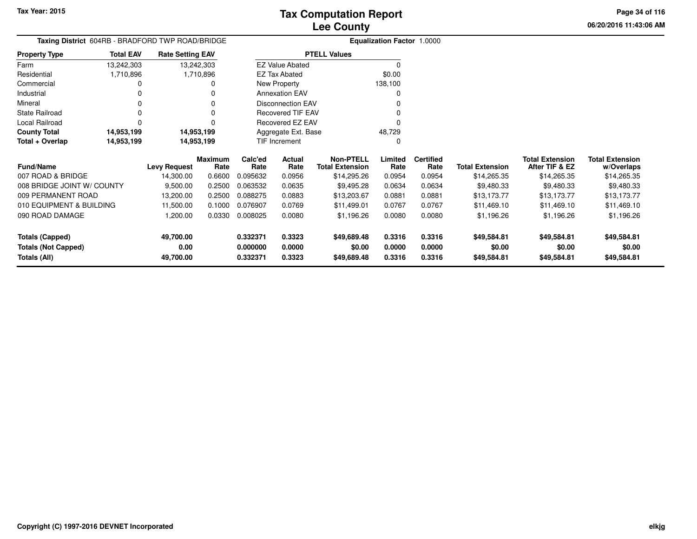**06/20/2016 11:43:06 AM Page 34 of 116**

| Taxing District 604RB - BRADFORD TWP ROAD/BRIDGE |                          |                         |           |          |                          |                        | <b>Equalization Factor 1.0000</b> |                  |                        |                        |                        |
|--------------------------------------------------|--------------------------|-------------------------|-----------|----------|--------------------------|------------------------|-----------------------------------|------------------|------------------------|------------------------|------------------------|
| <b>Property Type</b>                             | <b>Total EAV</b>         | <b>Rate Setting EAV</b> |           |          |                          | <b>PTELL Values</b>    |                                   |                  |                        |                        |                        |
| Farm                                             | 13,242,303               | 13,242,303              |           |          | <b>EZ Value Abated</b>   |                        | $\Omega$                          |                  |                        |                        |                        |
| Residential                                      | 1,710,896                |                         | 1,710,896 |          | <b>EZ Tax Abated</b>     |                        | \$0.00                            |                  |                        |                        |                        |
| Commercial                                       |                          |                         |           |          | New Property             |                        | 138,100                           |                  |                        |                        |                        |
| Industrial                                       |                          |                         |           |          | <b>Annexation EAV</b>    |                        |                                   |                  |                        |                        |                        |
| Mineral                                          |                          |                         |           |          | <b>Disconnection EAV</b> |                        |                                   |                  |                        |                        |                        |
| State Railroad                                   |                          |                         |           |          | <b>Recovered TIF EAV</b> |                        |                                   |                  |                        |                        |                        |
| Local Railroad                                   |                          |                         |           |          | Recovered EZ EAV         |                        |                                   |                  |                        |                        |                        |
| <b>County Total</b>                              | 14,953,199               | 14,953,199              |           |          | Aggregate Ext. Base      |                        | 48,729                            |                  |                        |                        |                        |
| Total + Overlap                                  | 14,953,199<br>14,953,199 |                         |           |          | TIF Increment            |                        | O                                 |                  |                        |                        |                        |
|                                                  |                          |                         | Maximum   | Calc'ed  | Actual                   | <b>Non-PTELL</b>       | Limited                           | <b>Certified</b> |                        | <b>Total Extension</b> | <b>Total Extension</b> |
| <b>Fund/Name</b>                                 |                          | <b>Levy Request</b>     | Rate      | Rate     | Rate                     | <b>Total Extension</b> | Rate                              | Rate             | <b>Total Extension</b> | After TIF & EZ         | w/Overlaps             |
| 007 ROAD & BRIDGE                                |                          | 14,300.00               | 0.6600    | 0.095632 | 0.0956                   | \$14,295.26            | 0.0954                            | 0.0954           | \$14,265.35            | \$14,265.35            | \$14,265.35            |
| 008 BRIDGE JOINT W/ COUNTY                       |                          | 9,500.00                | 0.2500    | 0.063532 | 0.0635                   | \$9,495.28             | 0.0634                            | 0.0634           | \$9,480.33             | \$9,480.33             | \$9,480.33             |
| 009 PERMANENT ROAD                               |                          | 13,200.00               | 0.2500    | 0.088275 | 0.0883                   | \$13,203.67            | 0.0881                            | 0.0881           | \$13,173.77            | \$13,173.77            | \$13,173.77            |
| 010 EQUIPMENT & BUILDING                         |                          | 11,500.00               | 0.1000    | 0.076907 | 0.0769                   | \$11,499.01            | 0.0767                            | 0.0767           | \$11,469.10            | \$11,469.10            | \$11,469.10            |
| 090 ROAD DAMAGE                                  |                          | 1,200.00                | 0.0330    | 0.008025 | 0.0080                   | \$1,196.26             | 0.0080                            | 0.0080           | \$1,196.26             | \$1,196.26             | \$1,196.26             |
| <b>Totals (Capped)</b>                           |                          | 49,700.00               |           | 0.332371 | 0.3323                   | \$49,689.48            | 0.3316                            | 0.3316           | \$49,584.81            | \$49,584.81            | \$49,584.81            |
| <b>Totals (Not Capped)</b>                       |                          | 0.00                    |           | 0.000000 | 0.0000                   | \$0.00                 | 0.0000                            | 0.0000           | \$0.00                 | \$0.00                 | \$0.00                 |
| Totals (All)                                     |                          | 49,700.00               |           | 0.332371 | 0.3323                   | \$49,689.48            | 0.3316                            | 0.3316           | \$49,584.81            | \$49,584.81            | \$49,584.81            |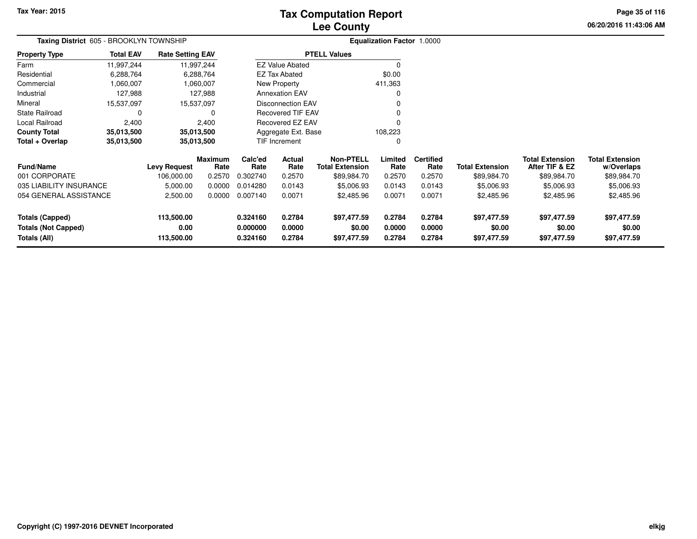# **Lee CountyTax Computation Report**

**06/20/2016 11:43:06 AMPage 35 of 116**

| Taxing District 605 - BROOKLYN TOWNSHIP |                  |                         |                 |                |                                            |                     | <b>Equalization Factor 1.0000</b> |                        |                                          |                                      |             |
|-----------------------------------------|------------------|-------------------------|-----------------|----------------|--------------------------------------------|---------------------|-----------------------------------|------------------------|------------------------------------------|--------------------------------------|-------------|
| <b>Property Type</b>                    | <b>Total EAV</b> | <b>Rate Setting EAV</b> |                 |                |                                            | <b>PTELL Values</b> |                                   |                        |                                          |                                      |             |
| Farm                                    | 11,997,244       |                         | 11,997,244      |                | <b>EZ Value Abated</b>                     |                     |                                   |                        |                                          |                                      |             |
| Residential                             | 6,288,764        |                         | 6,288,764       |                | EZ Tax Abated                              |                     | \$0.00                            |                        |                                          |                                      |             |
| Commercial                              | 1,060,007        |                         | 1,060,007       |                | New Property                               |                     | 411,363                           |                        |                                          |                                      |             |
| Industrial                              | 127,988          |                         | 127,988         |                | <b>Annexation EAV</b>                      |                     |                                   |                        |                                          |                                      |             |
| Mineral                                 | 15,537,097       | 15,537,097              |                 |                | <b>Disconnection EAV</b>                   |                     |                                   |                        |                                          |                                      |             |
| <b>State Railroad</b>                   | $\Omega$         |                         | 0               |                | <b>Recovered TIF EAV</b>                   |                     |                                   |                        |                                          |                                      |             |
| Local Railroad                          | 2,400            |                         | 2,400           |                | Recovered EZ EAV                           |                     |                                   |                        |                                          |                                      |             |
| <b>County Total</b>                     | 35,013,500       | 35,013,500              |                 |                | Aggregate Ext. Base                        |                     | 108,223                           |                        |                                          |                                      |             |
| Total + Overlap                         | 35,013,500       | 35,013,500              |                 |                | TIF Increment                              |                     |                                   |                        |                                          |                                      |             |
| Fund/Name<br><b>Levy Request</b>        |                  | <b>Maximum</b><br>Rate  | Calc'ed<br>Rate | Actual<br>Rate | <b>Non-PTELL</b><br><b>Total Extension</b> | Limited<br>Rate     | <b>Certified</b><br>Rate          | <b>Total Extension</b> | <b>Total Extension</b><br>After TIF & EZ | <b>Total Extension</b><br>w/Overlaps |             |
| 001 CORPORATE                           |                  | 106,000.00              | 0.2570          | 0.302740       | 0.2570                                     | \$89,984.70         | 0.2570                            | 0.2570                 | \$89,984.70                              | \$89,984.70                          | \$89,984.70 |
| 035 LIABILITY INSURANCE                 |                  | 5,000.00                | 0.0000          | 0.014280       | 0.0143                                     | \$5,006.93          | 0.0143                            | 0.0143                 | \$5,006.93                               | \$5,006.93                           | \$5,006.93  |
| 054 GENERAL ASSISTANCE                  |                  | 2,500.00                | 0.0000          | 0.007140       | 0.0071                                     | \$2,485.96          | 0.0071                            | 0.0071                 | \$2,485.96                               | \$2,485.96                           | \$2,485.96  |
| <b>Totals (Capped)</b>                  |                  | 113,500.00              |                 | 0.324160       | 0.2784                                     | \$97,477.59         | 0.2784                            | 0.2784                 | \$97,477.59                              | \$97,477.59                          | \$97,477.59 |
| <b>Totals (Not Capped)</b>              |                  | 0.00                    |                 | 0.000000       | 0.0000                                     | \$0.00              | 0.0000                            | 0.0000                 | \$0.00                                   | \$0.00                               | \$0.00      |
| Totals (All)                            |                  | 113,500.00              |                 | 0.324160       | 0.2784                                     | \$97,477.59         | 0.2784                            | 0.2784                 | \$97,477.59                              | \$97,477.59                          | \$97,477.59 |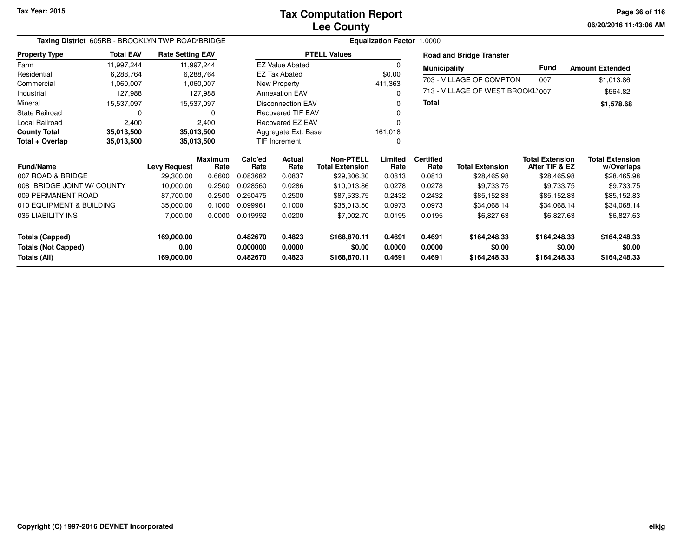**06/20/2016 11:43:06 AM Page 36 of 116**

| Taxing District 605RB - BROOKLYN TWP ROAD/BRIDGE |                  |                         |                        |                 |                          |                                            | Equalization Factor 1.0000 |                          |                                  |                                          |                                      |
|--------------------------------------------------|------------------|-------------------------|------------------------|-----------------|--------------------------|--------------------------------------------|----------------------------|--------------------------|----------------------------------|------------------------------------------|--------------------------------------|
| <b>Property Type</b>                             | <b>Total EAV</b> | <b>Rate Setting EAV</b> |                        |                 |                          | <b>PTELL Values</b>                        |                            |                          | <b>Road and Bridge Transfer</b>  |                                          |                                      |
| Farm                                             | 11,997,244       |                         | 11,997,244             |                 | <b>EZ Value Abated</b>   |                                            | $\Omega$                   | <b>Municipality</b>      |                                  | <b>Fund</b>                              | <b>Amount Extended</b>               |
| Residential                                      | 6,288,764        |                         | 6,288,764              |                 | <b>EZ Tax Abated</b>     |                                            | \$0.00                     |                          |                                  |                                          |                                      |
| Commercial                                       | 1,060,007        |                         | 1,060,007              |                 | <b>New Property</b>      |                                            | 411,363                    |                          | 703 - VILLAGE OF COMPTON         | 007                                      | \$1,013.86                           |
| Industrial                                       | 127,988          |                         | 127,988                |                 | <b>Annexation EAV</b>    |                                            | $\Omega$                   |                          | 713 - VILLAGE OF WEST BROOKL'007 |                                          | \$564.82                             |
| Mineral                                          | 15,537,097       |                         | 15,537,097             |                 | <b>Disconnection EAV</b> |                                            | 0                          | Total                    |                                  |                                          | \$1,578.68                           |
| <b>State Railroad</b>                            | $\Omega$         |                         | 0                      |                 | <b>Recovered TIF EAV</b> |                                            |                            |                          |                                  |                                          |                                      |
| Local Railroad                                   | 2,400            |                         | 2,400                  |                 | <b>Recovered EZ EAV</b>  |                                            |                            |                          |                                  |                                          |                                      |
| <b>County Total</b>                              | 35,013,500       |                         | 35,013,500             |                 | Aggregate Ext. Base      |                                            | 161,018                    |                          |                                  |                                          |                                      |
| Total + Overlap                                  | 35,013,500       |                         | 35,013,500             | TIF Increment   |                          |                                            | O                          |                          |                                  |                                          |                                      |
| <b>Fund/Name</b>                                 |                  | <b>Levy Request</b>     | <b>Maximum</b><br>Rate | Calc'ed<br>Rate | Actual<br>Rate           | <b>Non-PTELL</b><br><b>Total Extension</b> | Limited<br>Rate            | <b>Certified</b><br>Rate | <b>Total Extension</b>           | <b>Total Extension</b><br>After TIF & EZ | <b>Total Extension</b><br>w/Overlaps |
| 007 ROAD & BRIDGE                                |                  | 29,300.00               | 0.6600                 | 0.083682        | 0.0837                   | \$29,306.30                                | 0.0813                     | 0.0813                   | \$28,465.98                      | \$28,465.98                              | \$28,465.98                          |
| 008 BRIDGE JOINT W/ COUNTY                       |                  | 10,000.00               | 0.2500                 | 0.028560        | 0.0286                   | \$10,013.86                                | 0.0278                     | 0.0278                   | \$9,733.75                       | \$9,733.75                               | \$9,733.75                           |
| 009 PERMANENT ROAD                               |                  | 87,700.00               | 0.2500                 | 0.250475        | 0.2500                   | \$87,533.75                                | 0.2432                     | 0.2432                   | \$85,152.83                      | \$85,152.83                              | \$85,152.83                          |
| 010 EQUIPMENT & BUILDING                         |                  | 35,000.00               | 0.1000                 | 0.099961        | 0.1000                   | \$35,013.50                                | 0.0973                     | 0.0973                   | \$34,068.14                      | \$34,068.14                              | \$34,068.14                          |
| 035 LIABILITY INS                                |                  | 7,000.00                | 0.0000                 | 0.019992        | 0.0200                   | \$7,002.70                                 | 0.0195                     | 0.0195                   | \$6,827.63                       | \$6,827.63                               | \$6,827.63                           |
| <b>Totals (Capped)</b>                           |                  | 169,000.00              |                        | 0.482670        | 0.4823                   | \$168,870.11                               | 0.4691                     | 0.4691                   | \$164,248.33                     | \$164,248.33                             | \$164,248.33                         |
| <b>Totals (Not Capped)</b>                       |                  | 0.00                    |                        | 0.000000        | 0.0000                   | \$0.00                                     | 0.0000                     | 0.0000                   | \$0.00                           | \$0.00                                   | \$0.00                               |
| <b>Totals (All)</b>                              |                  | 169,000.00              |                        | 0.482670        | 0.4823                   | \$168,870.11                               | 0.4691                     | 0.4691                   | \$164,248.33                     | \$164,248.33                             | \$164,248.33                         |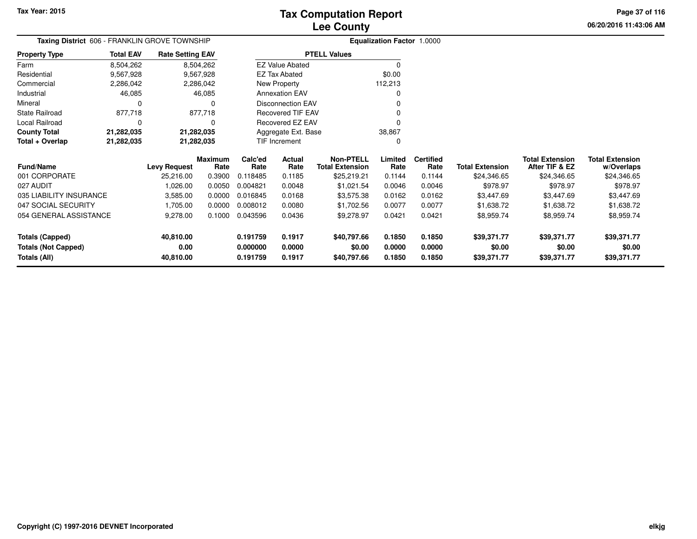**06/20/2016 11:43:06 AM Page 37 of 116**

| <b>Taxing District</b> 606 - FRANKLIN GROVE TOWNSHIP |                  |                         |                        | <b>Equalization Factor 1.0000</b> |                          |                                            |                 |                          |                        |                                          |                                      |
|------------------------------------------------------|------------------|-------------------------|------------------------|-----------------------------------|--------------------------|--------------------------------------------|-----------------|--------------------------|------------------------|------------------------------------------|--------------------------------------|
| <b>Property Type</b>                                 | <b>Total EAV</b> | <b>Rate Setting EAV</b> |                        |                                   |                          | <b>PTELL Values</b>                        |                 |                          |                        |                                          |                                      |
| Farm                                                 | 8,504,262        |                         | 8,504,262              |                                   | <b>EZ Value Abated</b>   |                                            | 0               |                          |                        |                                          |                                      |
| Residential                                          | 9,567,928        |                         | 9,567,928              |                                   | <b>EZ Tax Abated</b>     |                                            | \$0.00          |                          |                        |                                          |                                      |
| Commercial                                           | 2,286,042        |                         | 2,286,042              |                                   | New Property             |                                            | 112,213         |                          |                        |                                          |                                      |
| Industrial                                           | 46,085           |                         | 46,085                 |                                   | <b>Annexation EAV</b>    |                                            |                 |                          |                        |                                          |                                      |
| Mineral                                              | 0                |                         |                        |                                   | <b>Disconnection EAV</b> |                                            |                 |                          |                        |                                          |                                      |
| <b>State Railroad</b>                                | 877,718          |                         | 877,718                |                                   | <b>Recovered TIF EAV</b> |                                            |                 |                          |                        |                                          |                                      |
| Local Railroad                                       | 0                |                         | 0                      |                                   | Recovered EZ EAV         |                                            |                 |                          |                        |                                          |                                      |
| <b>County Total</b>                                  | 21,282,035       | 21,282,035              |                        |                                   | Aggregate Ext. Base      |                                            | 38,867          |                          |                        |                                          |                                      |
| Total + Overlap                                      | 21,282,035       | 21,282,035              |                        |                                   | TIF Increment            |                                            | 0               |                          |                        |                                          |                                      |
| Fund/Name                                            |                  | <b>Levy Request</b>     | <b>Maximum</b><br>Rate | Calc'ed<br>Rate                   | Actual<br>Rate           | <b>Non-PTELL</b><br><b>Total Extension</b> | Limited<br>Rate | <b>Certified</b><br>Rate | <b>Total Extension</b> | <b>Total Extension</b><br>After TIF & EZ | <b>Total Extension</b><br>w/Overlaps |
| 001 CORPORATE                                        |                  | 25,216.00               | 0.3900                 | 0.118485                          | 0.1185                   | \$25,219.21                                | 0.1144          | 0.1144                   | \$24,346.65            | \$24,346.65                              | \$24,346.65                          |
| 027 AUDIT                                            |                  | 1,026.00                | 0.0050                 | 0.004821                          | 0.0048                   | \$1,021.54                                 | 0.0046          | 0.0046                   | \$978.97               | \$978.97                                 | \$978.97                             |
| 035 LIABILITY INSURANCE                              |                  | 3,585.00                | 0.0000                 | 0.016845                          | 0.0168                   | \$3,575.38                                 | 0.0162          | 0.0162                   | \$3,447.69             | \$3,447.69                               | \$3,447.69                           |
| 047 SOCIAL SECURITY                                  |                  | 1,705.00                | 0.0000                 | 0.008012                          | 0.0080                   | \$1,702.56                                 | 0.0077          | 0.0077                   | \$1,638.72             | \$1,638.72                               | \$1,638.72                           |
| 054 GENERAL ASSISTANCE                               |                  | 9,278.00                | 0.1000                 | 0.043596                          | 0.0436                   | \$9,278.97                                 | 0.0421          | 0.0421                   | \$8,959.74             | \$8,959.74                               | \$8,959.74                           |
| <b>Totals (Capped)</b>                               |                  | 40,810.00               |                        | 0.191759                          | 0.1917                   | \$40,797.66                                | 0.1850          | 0.1850                   | \$39,371.77            | \$39,371.77                              | \$39,371.77                          |
| <b>Totals (Not Capped)</b>                           |                  | 0.00                    |                        | 0.000000                          | 0.0000                   | \$0.00                                     | 0.0000          | 0.0000                   | \$0.00                 | \$0.00                                   | \$0.00                               |
| Totals (All)                                         |                  | 40,810.00               |                        | 0.191759                          | 0.1917                   | \$40,797.66                                | 0.1850          | 0.1850                   | \$39,371.77            | \$39,371.77                              | \$39,371.77                          |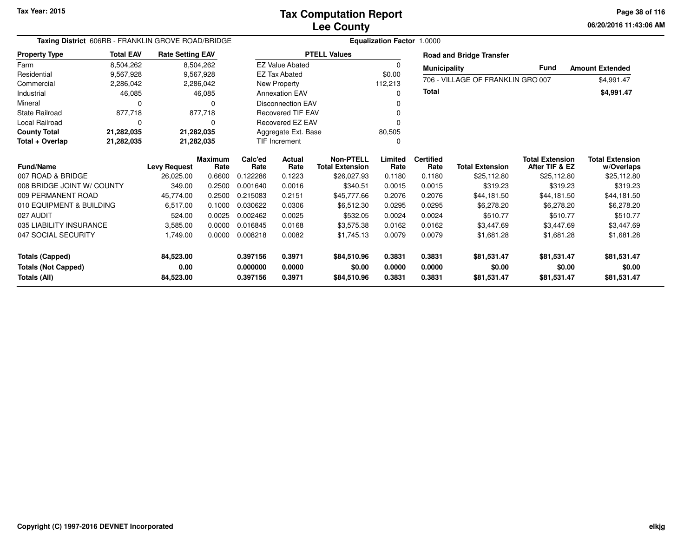**06/20/2016 11:43:06 AM Page 38 of 116**

| Taxing District 606RB - FRANKLIN GROVE ROAD/BRIDGE             |                  |                                  |                | <b>Equalization Factor 1.0000</b> |                          |                        |                |                     |                                   |                         |                           |
|----------------------------------------------------------------|------------------|----------------------------------|----------------|-----------------------------------|--------------------------|------------------------|----------------|---------------------|-----------------------------------|-------------------------|---------------------------|
| <b>Property Type</b>                                           | <b>Total EAV</b> | <b>Rate Setting EAV</b>          |                |                                   |                          | <b>PTELL Values</b>    |                |                     | <b>Road and Bridge Transfer</b>   |                         |                           |
| Farm                                                           | 8,504,262        |                                  | 8,504,262      |                                   | <b>EZ Value Abated</b>   |                        | 0              | <b>Municipality</b> |                                   | <b>Fund</b>             | <b>Amount Extended</b>    |
| Residential                                                    | 9,567,928        |                                  | 9,567,928      |                                   | <b>EZ Tax Abated</b>     |                        | \$0.00         |                     |                                   |                         |                           |
| Commercial                                                     | 2,286,042        |                                  | 2,286,042      |                                   | 112,213<br>New Property  |                        |                |                     | 706 - VILLAGE OF FRANKLIN GRO 007 |                         | \$4,991.47                |
| Industrial                                                     | 46,085           |                                  | 46,085         |                                   | <b>Annexation EAV</b>    |                        | 0              | <b>Total</b>        |                                   |                         | \$4,991.47                |
| Mineral                                                        | 0                |                                  | 0              |                                   | <b>Disconnection EAV</b> |                        | 0              |                     |                                   |                         |                           |
| State Railroad                                                 | 877,718          |                                  | 877,718        |                                   | <b>Recovered TIF EAV</b> |                        | 0              |                     |                                   |                         |                           |
| Local Railroad                                                 | $\Omega$         |                                  | 0              |                                   | Recovered EZ EAV         |                        |                |                     |                                   |                         |                           |
| <b>County Total</b>                                            | 21,282,035       | 21,282,035                       |                |                                   | Aggregate Ext. Base      |                        | 80,505         |                     |                                   |                         |                           |
| Total + Overlap                                                | 21,282,035       |                                  | 21,282,035     |                                   | <b>TIF Increment</b>     |                        | 0              |                     |                                   |                         |                           |
|                                                                |                  |                                  | <b>Maximum</b> | Calc'ed                           | <b>Actual</b>            | <b>Non-PTELL</b>       | Limited        | <b>Certified</b>    |                                   | <b>Total Extension</b>  | <b>Total Extension</b>    |
| <b>Fund/Name</b><br>007 ROAD & BRIDGE                          |                  | <b>Levy Request</b><br>26,025.00 | Rate           | Rate<br>0.122286                  | Rate<br>0.1223           | <b>Total Extension</b> | Rate<br>0.1180 | Rate<br>0.1180      | <b>Total Extension</b>            | After TIF & EZ          | w/Overlaps<br>\$25,112.80 |
| 008 BRIDGE JOINT W/ COUNTY                                     |                  |                                  | 0.6600         |                                   |                          | \$26,027.93            |                |                     | \$25,112.80                       | \$25,112.80<br>\$319.23 | \$319.23                  |
|                                                                |                  | 349.00                           | 0.2500         | 0.001640                          | 0.0016                   | \$340.51               | 0.0015         | 0.0015              | \$319.23                          |                         |                           |
| 009 PERMANENT ROAD                                             |                  | 45,774.00                        | 0.2500         | 0.215083                          | 0.2151                   | \$45,777.66            | 0.2076         | 0.2076              | \$44,181.50                       | \$44,181.50             | \$44,181.50               |
| 010 EQUIPMENT & BUILDING                                       |                  | 6,517.00                         | 0.1000         | 0.030622                          | 0.0306                   | \$6,512.30             | 0.0295         | 0.0295              | \$6,278.20                        | \$6,278.20              | \$6,278.20                |
| 027 AUDIT                                                      |                  | 524.00                           | 0.0025         | 0.002462                          | 0.0025                   | \$532.05               | 0.0024         | 0.0024              | \$510.77                          | \$510.77                | \$510.77                  |
| 035 LIABILITY INSURANCE                                        |                  | 3,585.00                         | 0.0000         | 0.016845                          | 0.0168                   | \$3,575.38             | 0.0162         | 0.0162              | \$3,447.69                        | \$3,447.69              | \$3,447.69                |
| 047 SOCIAL SECURITY                                            |                  | 1,749.00                         | 0.0000         | 0.008218                          | 0.0082                   | \$1,745.13             | 0.0079         | 0.0079              | \$1,681.28                        | \$1,681.28              | \$1,681.28                |
| Totals (Capped)                                                |                  | 84,523.00                        |                | 0.397156                          | 0.3971                   | \$84,510.96            | 0.3831         | 0.3831              | \$81,531.47                       | \$81,531.47             | \$81,531.47               |
| <b>Totals (Not Capped)</b><br>0.00<br>0.000000<br>0.0000       |                  |                                  | \$0.00         | 0.0000                            | 0.0000                   | \$0.00                 | \$0.00         | \$0.00              |                                   |                         |                           |
| 84,523.00<br>0.3971<br>Totals (All)<br>0.397156<br>\$84,510.96 |                  |                                  | 0.3831         | 0.3831                            | \$81,531.47              | \$81,531.47            | \$81,531.47    |                     |                                   |                         |                           |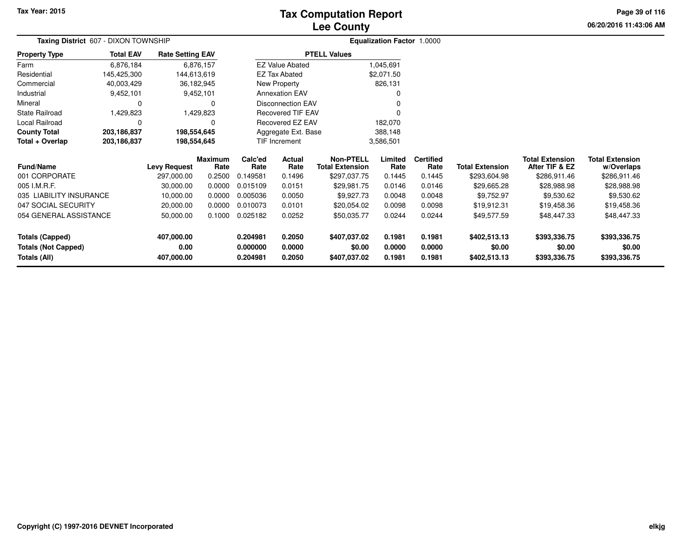## **Lee CountyTax Computation Report**

**06/20/2016 11:43:06 AM Page 39 of 116**

| Taxing District 607 - DIXON TOWNSHIP |                  |                         |                        |                     |                          |                                     | <b>Equalization Factor 1.0000</b> |                          |                        |                                          |                                      |  |
|--------------------------------------|------------------|-------------------------|------------------------|---------------------|--------------------------|-------------------------------------|-----------------------------------|--------------------------|------------------------|------------------------------------------|--------------------------------------|--|
| <b>Property Type</b>                 | <b>Total EAV</b> | <b>Rate Setting EAV</b> |                        | <b>PTELL Values</b> |                          |                                     |                                   |                          |                        |                                          |                                      |  |
| Farm                                 | 6,876,184        |                         | 6,876,157              |                     | <b>EZ Value Abated</b>   |                                     | 1,045,691                         |                          |                        |                                          |                                      |  |
| Residential                          | 145,425,300      | 144,613,619             |                        |                     | EZ Tax Abated            |                                     | \$2,071.50                        |                          |                        |                                          |                                      |  |
| Commercial                           | 40,003,429       | 36,182,945              |                        |                     | New Property             |                                     | 826,131                           |                          |                        |                                          |                                      |  |
| Industrial                           | 9,452,101        |                         | 9,452,101              |                     | <b>Annexation EAV</b>    |                                     |                                   |                          |                        |                                          |                                      |  |
| Mineral                              |                  |                         | 0                      |                     | <b>Disconnection EAV</b> |                                     |                                   |                          |                        |                                          |                                      |  |
| State Railroad                       | 1,429,823        |                         | 1,429,823              |                     | <b>Recovered TIF EAV</b> |                                     |                                   |                          |                        |                                          |                                      |  |
| Local Railroad                       |                  |                         | ი                      |                     | Recovered EZ EAV         |                                     | 182,070                           |                          |                        |                                          |                                      |  |
| <b>County Total</b>                  | 203,186,837      | 198,554,645             |                        |                     | Aggregate Ext. Base      |                                     | 388,148                           |                          |                        |                                          |                                      |  |
| Total + Overlap                      | 203,186,837      | 198,554,645             |                        |                     | <b>TIF Increment</b>     |                                     | 3,586,501                         |                          |                        |                                          |                                      |  |
| Fund/Name                            |                  | <b>Levy Request</b>     | <b>Maximum</b><br>Rate | Calc'ed<br>Rate     | Actual<br>Rate           | Non-PTELL<br><b>Total Extension</b> | Limited<br>Rate                   | <b>Certified</b><br>Rate | <b>Total Extension</b> | <b>Total Extension</b><br>After TIF & EZ | <b>Total Extension</b><br>w/Overlaps |  |
| 001 CORPORATE                        |                  | 297,000.00              | 0.2500                 | 0.149581            | 0.1496                   | \$297,037.75                        | 0.1445                            | 0.1445                   | \$293,604.98           | \$286,911.46                             | \$286,911.46                         |  |
| 005 I.M.R.F.                         |                  | 30,000.00               | 0.0000                 | 0.015109            | 0.0151                   | \$29,981.75                         | 0.0146                            | 0.0146                   | \$29,665.28            | \$28,988.98                              | \$28,988.98                          |  |
| 035 LIABILITY INSURANCE              |                  | 10,000.00               | 0.0000                 | 0.005036            | 0.0050                   | \$9,927.73                          | 0.0048                            | 0.0048                   | \$9,752.97             | \$9,530.62                               | \$9,530.62                           |  |
| 047 SOCIAL SECURITY                  |                  | 20,000.00               | 0.0000                 | 0.010073            | 0.0101                   | \$20,054.02                         | 0.0098                            | 0.0098                   | \$19,912.31            | \$19,458.36                              | \$19,458.36                          |  |
| 054 GENERAL ASSISTANCE               |                  | 50,000.00               | 0.1000                 | 0.025182            | 0.0252                   | \$50,035.77                         | 0.0244                            | 0.0244                   | \$49,577.59            | \$48,447.33                              | \$48,447.33                          |  |
| <b>Totals (Capped)</b>               |                  | 407,000.00              |                        | 0.204981            | 0.2050                   | \$407,037.02                        | 0.1981                            | 0.1981                   | \$402,513.13           | \$393,336.75                             | \$393,336.75                         |  |
| <b>Totals (Not Capped)</b>           |                  | 0.00                    |                        | 0.000000            | 0.0000                   | \$0.00                              | 0.0000                            | 0.0000                   | \$0.00                 | \$0.00                                   | \$0.00                               |  |
| <b>Totals (All)</b>                  |                  | 407,000.00              |                        | 0.204981            | 0.2050                   | \$407,037.02                        | 0.1981                            | 0.1981                   | \$402,513.13           | \$393,336.75                             | \$393,336.75                         |  |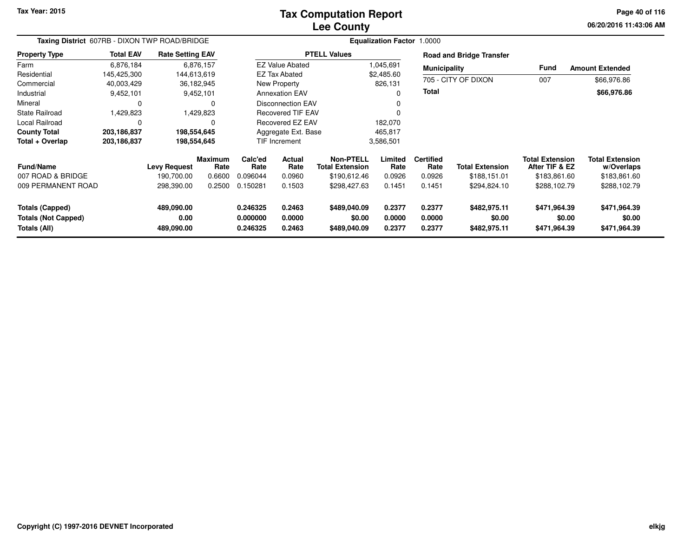#### **Lee CountyTax Computation Report**

**06/20/2016 11:43:06 AMPage 40 of 116**

| Taxing District 607RB - DIXON TWP ROAD/BRIDGE                 |                  |                                  |                        |                                  |                            |                                            | <b>Equalization Factor 1.0000</b> |                            |                                        |                                          |                                        |  |
|---------------------------------------------------------------|------------------|----------------------------------|------------------------|----------------------------------|----------------------------|--------------------------------------------|-----------------------------------|----------------------------|----------------------------------------|------------------------------------------|----------------------------------------|--|
| <b>Property Type</b>                                          | <b>Total EAV</b> | <b>Rate Setting EAV</b>          |                        |                                  |                            | <b>PTELL Values</b>                        |                                   |                            | <b>Road and Bridge Transfer</b>        |                                          |                                        |  |
| Farm                                                          | 6,876,184        |                                  | 6,876,157              |                                  | <b>EZ Value Abated</b>     |                                            | 1,045,691                         | <b>Municipality</b>        |                                        | Fund                                     | <b>Amount Extended</b>                 |  |
| Residential                                                   | 145,425,300      |                                  | 144,613,619            |                                  | EZ Tax Abated              |                                            | \$2,485.60                        |                            |                                        |                                          |                                        |  |
| Commercial                                                    | 40,003,429       |                                  | 36,182,945             |                                  | New Property               |                                            | 826,131                           |                            | 705 - CITY OF DIXON                    | 007                                      | \$66,976.86                            |  |
| Industrial                                                    | 9,452,101        |                                  | 9,452,101              |                                  | <b>Annexation EAV</b>      |                                            | <sup>0</sup>                      | Total                      |                                        |                                          | \$66,976.86                            |  |
| Mineral                                                       |                  |                                  |                        |                                  | <b>Disconnection EAV</b>   |                                            |                                   |                            |                                        |                                          |                                        |  |
| <b>State Railroad</b>                                         | 1,429,823        |                                  | 1,429,823              |                                  | <b>Recovered TIF EAV</b>   |                                            | $\Omega$                          |                            |                                        |                                          |                                        |  |
| Local Railroad                                                |                  |                                  |                        |                                  | <b>Recovered EZ EAV</b>    |                                            | 182,070                           |                            |                                        |                                          |                                        |  |
| <b>County Total</b>                                           | 203,186,837      |                                  | 198,554,645            |                                  | Aggregate Ext. Base        |                                            | 465,817                           |                            |                                        |                                          |                                        |  |
| Total + Overlap                                               | 203,186,837      |                                  | 198,554,645            |                                  | <b>TIF Increment</b>       |                                            | 3,586,501                         |                            |                                        |                                          |                                        |  |
| <b>Fund/Name</b>                                              |                  | <b>Levy Request</b>              | <b>Maximum</b><br>Rate | Calc'ed<br>Rate                  | Actual<br>Rate             | <b>Non-PTELL</b><br><b>Total Extension</b> | Limited<br>Rate                   | <b>Certified</b><br>Rate   | <b>Total Extension</b>                 | <b>Total Extension</b><br>After TIF & EZ | <b>Total Extension</b><br>w/Overlaps   |  |
| 007 ROAD & BRIDGE                                             |                  | 190,700.00                       | 0.6600                 | 0.096044                         | 0.0960                     | \$190,612.46                               | 0.0926                            | 0.0926                     | \$188,151.01                           | \$183,861.60                             | \$183,861.60                           |  |
| 009 PERMANENT ROAD                                            |                  | 298,390.00                       | 0.2500                 | 0.150281                         | 0.1503                     | \$298,427.63                               | 0.1451                            | 0.1451                     | \$294,824.10                           | \$288,102.79                             | \$288,102.79                           |  |
| Totals (Capped)<br><b>Totals (Not Capped)</b><br>Totals (All) |                  | 489,090.00<br>0.00<br>489,090.00 |                        | 0.246325<br>0.000000<br>0.246325 | 0.2463<br>0.0000<br>0.2463 | \$489,040.09<br>\$0.00<br>\$489,040.09     | 0.2377<br>0.0000<br>0.2377        | 0.2377<br>0.0000<br>0.2377 | \$482,975.11<br>\$0.00<br>\$482,975.11 | \$471,964.39<br>\$0.00<br>\$471,964.39   | \$471,964.39<br>\$0.00<br>\$471,964.39 |  |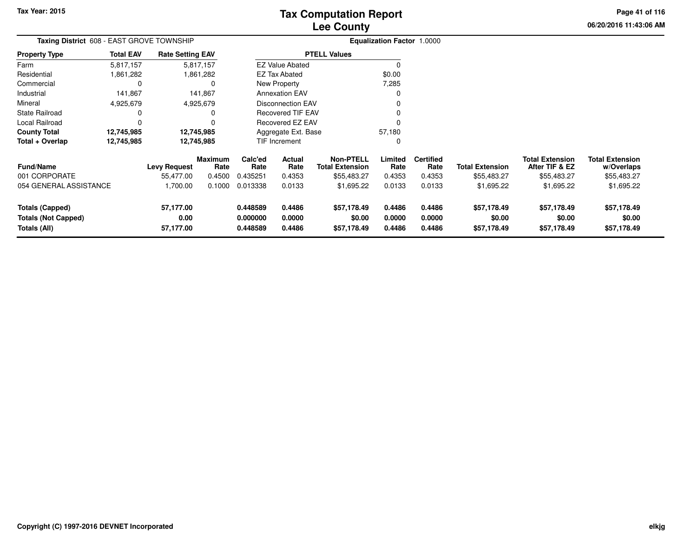# **Lee CountyTax Computation Report**

**06/20/2016 11:43:06 AM Page 41 of 116**

| Taxing District 608 - EAST GROVE TOWNSHIP                            |                  |                                |                        | <b>Equalization Factor 1.0000</b> |                            |                                            |                            |                            |                                      |                                          |                                      |
|----------------------------------------------------------------------|------------------|--------------------------------|------------------------|-----------------------------------|----------------------------|--------------------------------------------|----------------------------|----------------------------|--------------------------------------|------------------------------------------|--------------------------------------|
| <b>Property Type</b>                                                 | <b>Total EAV</b> | <b>Rate Setting EAV</b>        |                        |                                   |                            | <b>PTELL Values</b>                        |                            |                            |                                      |                                          |                                      |
| Farm                                                                 | 5,817,157        |                                | 5,817,157              |                                   | <b>EZ Value Abated</b>     |                                            |                            |                            |                                      |                                          |                                      |
| Residential                                                          | 861,282.         |                                | 1,861,282              |                                   | EZ Tax Abated              |                                            | \$0.00                     |                            |                                      |                                          |                                      |
| Commercial                                                           |                  |                                |                        |                                   | New Property               |                                            | 7,285                      |                            |                                      |                                          |                                      |
| Industrial                                                           | 141,867          |                                | 141,867                |                                   | <b>Annexation EAV</b>      |                                            |                            |                            |                                      |                                          |                                      |
| Mineral                                                              | 4,925,679        |                                | 4,925,679              |                                   | <b>Disconnection EAV</b>   |                                            |                            |                            |                                      |                                          |                                      |
| State Railroad                                                       |                  |                                |                        |                                   | <b>Recovered TIF EAV</b>   |                                            |                            |                            |                                      |                                          |                                      |
| Local Railroad                                                       |                  |                                |                        |                                   | Recovered EZ EAV           |                                            |                            |                            |                                      |                                          |                                      |
| <b>County Total</b>                                                  | 12,745,985       |                                | 12,745,985             |                                   | Aggregate Ext. Base        |                                            | 57,180                     |                            |                                      |                                          |                                      |
| Total + Overlap                                                      | 12,745,985       |                                | 12,745,985             |                                   | TIF Increment              |                                            | 0                          |                            |                                      |                                          |                                      |
| <b>Fund/Name</b>                                                     |                  | <b>Levy Request</b>            | <b>Maximum</b><br>Rate | Calc'ed<br>Rate                   | Actual<br>Rate             | <b>Non-PTELL</b><br><b>Total Extension</b> | Limited<br>Rate            | <b>Certified</b><br>Rate   | <b>Total Extension</b>               | <b>Total Extension</b><br>After TIF & EZ | <b>Total Extension</b><br>w/Overlaps |
| 001 CORPORATE                                                        |                  | 55,477.00                      | 0.4500                 | 0.435251                          | 0.4353                     | \$55,483.27                                | 0.4353                     | 0.4353                     | \$55,483.27                          | \$55,483.27                              | \$55,483.27                          |
| 054 GENERAL ASSISTANCE                                               |                  | 1,700.00                       | 0.1000                 | 0.013338                          | 0.0133                     | \$1,695.22                                 | 0.0133                     | 0.0133                     | \$1,695.22                           | \$1,695.22                               | \$1,695.22                           |
| <b>Totals (Capped)</b><br><b>Totals (Not Capped)</b><br>Totals (All) |                  | 57,177.00<br>0.00<br>57,177.00 |                        | 0.448589<br>0.000000<br>0.448589  | 0.4486<br>0.0000<br>0.4486 | \$57,178.49<br>\$0.00<br>\$57,178.49       | 0.4486<br>0.0000<br>0.4486 | 0.4486<br>0.0000<br>0.4486 | \$57,178.49<br>\$0.00<br>\$57,178.49 | \$57,178.49<br>\$0.00<br>\$57,178.49     | \$57,178.49<br>\$0.00<br>\$57,178.49 |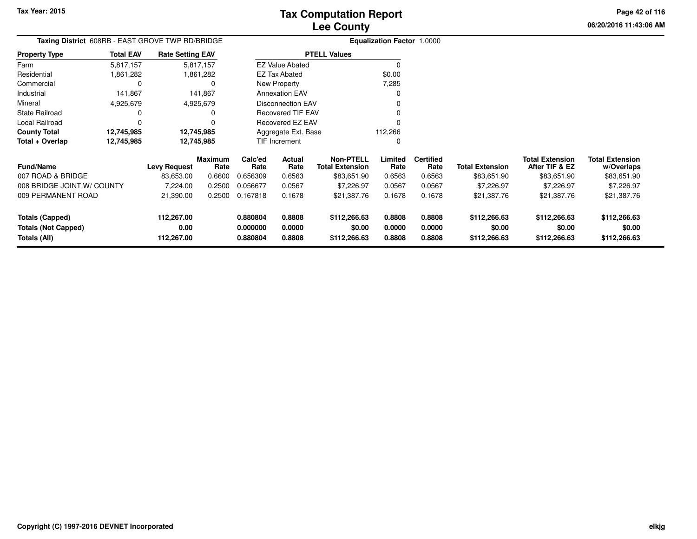**06/20/2016 11:43:06 AMPage 42 of 116**

|                  | Taxing District 608RB - EAST GROVE TWP RD/BRIDGE |                                   |                                                                                                                         |                  |                                                                                   | <b>Equalization Factor 1.0000</b>                                                                                                                                |                          |                        |                                          |                                        |
|------------------|--------------------------------------------------|-----------------------------------|-------------------------------------------------------------------------------------------------------------------------|------------------|-----------------------------------------------------------------------------------|------------------------------------------------------------------------------------------------------------------------------------------------------------------|--------------------------|------------------------|------------------------------------------|----------------------------------------|
| <b>Total EAV</b> |                                                  |                                   |                                                                                                                         |                  |                                                                                   |                                                                                                                                                                  |                          |                        |                                          |                                        |
| 5,817,157        |                                                  |                                   |                                                                                                                         |                  |                                                                                   | $\Omega$                                                                                                                                                         |                          |                        |                                          |                                        |
| 861,282. ا       |                                                  |                                   |                                                                                                                         |                  |                                                                                   | \$0.00                                                                                                                                                           |                          |                        |                                          |                                        |
| O                |                                                  | 0                                 |                                                                                                                         |                  |                                                                                   | 7,285                                                                                                                                                            |                          |                        |                                          |                                        |
| 141,867          |                                                  |                                   |                                                                                                                         |                  |                                                                                   | $\Omega$                                                                                                                                                         |                          |                        |                                          |                                        |
| 4,925,679        |                                                  |                                   |                                                                                                                         |                  |                                                                                   |                                                                                                                                                                  |                          |                        |                                          |                                        |
| 0                |                                                  | 0                                 |                                                                                                                         |                  |                                                                                   |                                                                                                                                                                  |                          |                        |                                          |                                        |
|                  |                                                  |                                   |                                                                                                                         |                  |                                                                                   |                                                                                                                                                                  |                          |                        |                                          |                                        |
| 12,745,985       |                                                  |                                   |                                                                                                                         |                  |                                                                                   |                                                                                                                                                                  |                          |                        |                                          |                                        |
| 12,745,985       |                                                  |                                   |                                                                                                                         |                  |                                                                                   | 0                                                                                                                                                                |                          |                        |                                          |                                        |
|                  |                                                  | Rate                              | Calc'ed<br>Rate                                                                                                         | Actual<br>Rate   | <b>Non-PTELL</b><br><b>Total Extension</b>                                        | Limited<br>Rate                                                                                                                                                  | <b>Certified</b><br>Rate | <b>Total Extension</b> | <b>Total Extension</b><br>After TIF & EZ | <b>Total Extension</b><br>w/Overlaps   |
|                  | 83,653.00                                        | 0.6600                            | 0.656309                                                                                                                | 0.6563           | \$83,651.90                                                                       | 0.6563                                                                                                                                                           | 0.6563                   | \$83,651.90            | \$83,651.90                              | \$83,651.90                            |
|                  | 7,224.00                                         | 0.2500                            | 0.056677                                                                                                                | 0.0567           | \$7,226.97                                                                        | 0.0567                                                                                                                                                           | 0.0567                   | \$7,226.97             | \$7,226.97                               | \$7,226.97                             |
|                  | 21,390.00                                        | 0.2500                            | 0.167818                                                                                                                | 0.1678           | \$21,387.76                                                                       | 0.1678                                                                                                                                                           | 0.1678                   | \$21,387.76            | \$21,387.76                              | \$21,387.76                            |
|                  | 112,267.00<br>0.00                               |                                   | 0.880804<br>0.000000                                                                                                    | 0.8808<br>0.0000 | \$112,266.63<br>\$0.00                                                            | 0.8808<br>0.0000                                                                                                                                                 | 0.8808<br>0.0000         | \$112,266.63<br>\$0.00 | \$112,266.63<br>\$0.00                   | \$112,266.63<br>\$0.00<br>\$112,266.63 |
|                  | 008 BRIDGE JOINT W/ COUNTY                       | <b>Levy Request</b><br>112,267.00 | <b>Rate Setting EAV</b><br>5,817,157<br>1,861,282<br>141,867<br>4,925,679<br>12,745,985<br>12,745,985<br><b>Maximum</b> | 0.880804         | EZ Tax Abated<br>New Property<br><b>Annexation EAV</b><br>TIF Increment<br>0.8808 | <b>PTELL Values</b><br><b>EZ Value Abated</b><br><b>Disconnection EAV</b><br><b>Recovered TIF EAV</b><br>Recovered EZ EAV<br>Aggregate Ext. Base<br>\$112,266.63 | 112,266<br>0.8808        | 0.8808                 | \$112,266.63                             | \$112,266.63                           |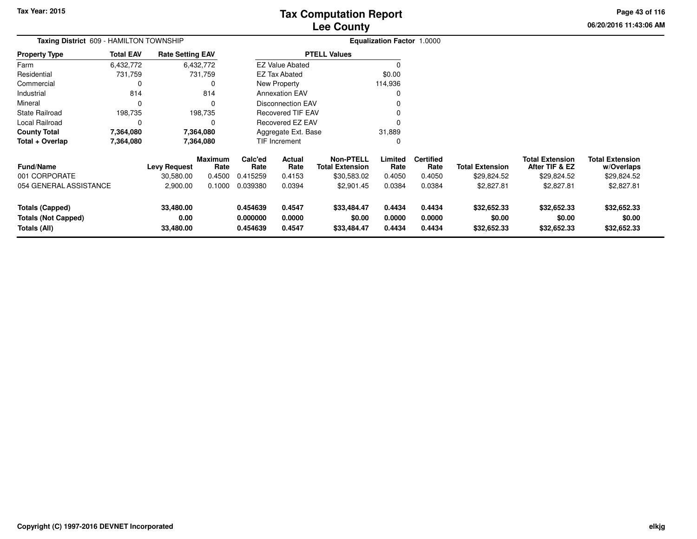**06/20/2016 11:43:06 AMPage 43 of 116**

| Taxing District 609 - HAMILTON TOWNSHIP                              |                  |                                |                        |                                  |                            |                                            | Equalization Factor 1.0000 |                            |                                      |                                          |                                      |
|----------------------------------------------------------------------|------------------|--------------------------------|------------------------|----------------------------------|----------------------------|--------------------------------------------|----------------------------|----------------------------|--------------------------------------|------------------------------------------|--------------------------------------|
| Property Type                                                        | <b>Total EAV</b> | <b>Rate Setting EAV</b>        |                        |                                  |                            | <b>PTELL Values</b>                        |                            |                            |                                      |                                          |                                      |
| Farm                                                                 | 6,432,772        |                                | 6,432,772              |                                  | <b>EZ Value Abated</b>     |                                            |                            |                            |                                      |                                          |                                      |
| Residential                                                          | 731,759          |                                | 731,759                |                                  | <b>EZ Tax Abated</b>       |                                            | \$0.00                     |                            |                                      |                                          |                                      |
| Commercial                                                           | 0                |                                | 0                      |                                  | New Property               |                                            | 114,936                    |                            |                                      |                                          |                                      |
| Industrial                                                           | 814              |                                | 814                    |                                  | <b>Annexation EAV</b>      |                                            |                            |                            |                                      |                                          |                                      |
| Mineral                                                              | 0                |                                |                        |                                  | Disconnection EAV          |                                            |                            |                            |                                      |                                          |                                      |
| State Railroad                                                       | 198,735          |                                | 198,735                |                                  | <b>Recovered TIF EAV</b>   |                                            |                            |                            |                                      |                                          |                                      |
| Local Railroad                                                       | 0                |                                |                        |                                  | Recovered EZ EAV           |                                            |                            |                            |                                      |                                          |                                      |
| County Total                                                         | 7,364,080        |                                | 7,364,080              |                                  | Aggregate Ext. Base        |                                            | 31,889                     |                            |                                      |                                          |                                      |
| Total + Overlap                                                      | 7,364,080        |                                | 7,364,080              |                                  | <b>TIF Increment</b>       |                                            | 0                          |                            |                                      |                                          |                                      |
| Fund/Name                                                            |                  | <b>Levy Request</b>            | <b>Maximum</b><br>Rate | Calc'ed<br>Rate                  | Actual<br>Rate             | <b>Non-PTELL</b><br><b>Total Extension</b> | Limited<br>Rate            | <b>Certified</b><br>Rate   | <b>Total Extension</b>               | <b>Total Extension</b><br>After TIF & EZ | <b>Total Extension</b><br>w/Overlaps |
| 001 CORPORATE                                                        |                  | 30,580.00                      | 0.4500                 | 0.415259                         | 0.4153                     | \$30,583.02                                | 0.4050                     | 0.4050                     | \$29,824.52                          | \$29,824.52                              | \$29,824.52                          |
| 054 GENERAL ASSISTANCE                                               |                  | 2,900.00                       | 0.1000                 | 0.039380                         | 0.0394                     | \$2,901.45                                 | 0.0384                     | 0.0384                     | \$2,827.81                           | \$2,827.81                               | \$2,827.81                           |
| <b>Totals (Capped)</b><br><b>Totals (Not Capped)</b><br>Totals (All) |                  | 33,480.00<br>0.00<br>33,480.00 |                        | 0.454639<br>0.000000<br>0.454639 | 0.4547<br>0.0000<br>0.4547 | \$33,484.47<br>\$0.00<br>\$33,484.47       | 0.4434<br>0.0000<br>0.4434 | 0.4434<br>0.0000<br>0.4434 | \$32,652.33<br>\$0.00<br>\$32,652.33 | \$32,652.33<br>\$0.00<br>\$32,652.33     | \$32,652.33<br>\$0.00<br>\$32,652.33 |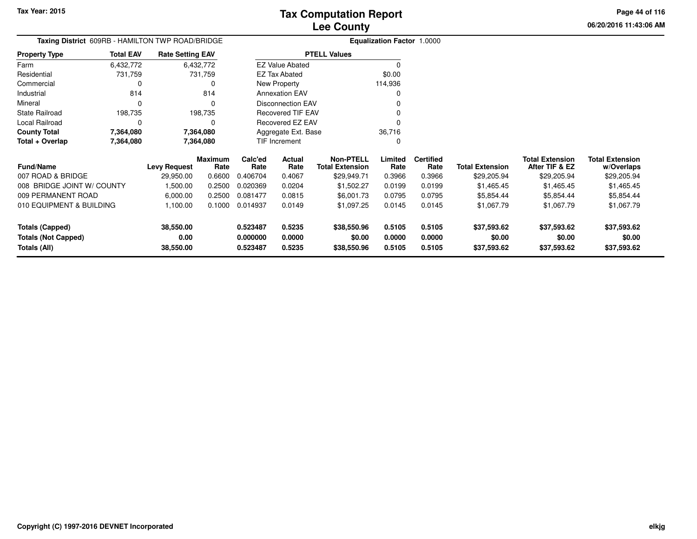**06/20/2016 11:43:06 AMPage 44 of 116**

| Taxing District 609RB - HAMILTON TWP ROAD/BRIDGE |                  |                         |                        |                      | <b>Equalization Factor 1.0000</b> |                                            |                  |                          |                        |                                          |                                      |
|--------------------------------------------------|------------------|-------------------------|------------------------|----------------------|-----------------------------------|--------------------------------------------|------------------|--------------------------|------------------------|------------------------------------------|--------------------------------------|
| <b>Property Type</b>                             | <b>Total EAV</b> | <b>Rate Setting EAV</b> |                        |                      |                                   | <b>PTELL Values</b>                        |                  |                          |                        |                                          |                                      |
| Farm                                             | 6,432,772        |                         | 6,432,772              |                      | <b>EZ Value Abated</b>            |                                            | $\Omega$         |                          |                        |                                          |                                      |
| Residential                                      | 731,759          |                         | 731,759                |                      | EZ Tax Abated                     |                                            | \$0.00           |                          |                        |                                          |                                      |
| Commercial                                       | C                |                         | 0                      |                      | New Property                      |                                            | 114,936          |                          |                        |                                          |                                      |
| Industrial                                       | 814              |                         | 814                    |                      | <b>Annexation EAV</b>             |                                            |                  |                          |                        |                                          |                                      |
| Mineral                                          | $\Omega$         |                         | 0                      |                      | <b>Disconnection EAV</b>          |                                            |                  |                          |                        |                                          |                                      |
| <b>State Railroad</b>                            | 198,735          |                         | 198,735                |                      | Recovered TIF EAV                 |                                            |                  |                          |                        |                                          |                                      |
| Local Railroad                                   | $\mathbf 0$      |                         | 0                      |                      | Recovered EZ EAV                  |                                            |                  |                          |                        |                                          |                                      |
| <b>County Total</b>                              | 7,364,080        |                         | 7,364,080              |                      | Aggregate Ext. Base               |                                            | 36,716           |                          |                        |                                          |                                      |
| Total + Overlap                                  | 7,364,080        |                         | 7,364,080              |                      | TIF Increment                     |                                            | 0                |                          |                        |                                          |                                      |
| Fund/Name                                        |                  | <b>Levy Request</b>     | <b>Maximum</b><br>Rate | Calc'ed<br>Rate      | Actual<br>Rate                    | <b>Non-PTELL</b><br><b>Total Extension</b> | Limited<br>Rate  | <b>Certified</b><br>Rate | <b>Total Extension</b> | <b>Total Extension</b><br>After TIF & EZ | <b>Total Extension</b><br>w/Overlaps |
| 007 ROAD & BRIDGE                                |                  | 29,950.00               | 0.6600                 | 0.406704             | 0.4067                            | \$29,949.71                                | 0.3966           | 0.3966                   | \$29,205.94            | \$29,205.94                              | \$29,205.94                          |
| 008 BRIDGE JOINT W/ COUNTY                       |                  | 1,500.00                | 0.2500                 | 0.020369             | 0.0204                            | \$1,502.27                                 | 0.0199           | 0.0199                   | \$1,465.45             | \$1,465.45                               | \$1,465.45                           |
| 009 PERMANENT ROAD                               |                  | 6,000.00                | 0.2500                 | 0.081477             | 0.0815                            | \$6,001.73                                 | 0.0795           | 0.0795                   | \$5,854.44             | \$5,854.44                               | \$5,854.44                           |
| 010 EQUIPMENT & BUILDING                         |                  | 1,100.00                | 0.1000                 | 0.014937             | 0.0149                            | \$1,097.25                                 | 0.0145           | 0.0145                   | \$1,067.79             | \$1,067.79                               | \$1,067.79                           |
| <b>Totals (Capped)</b>                           |                  | 38,550.00               |                        | 0.523487             | 0.5235                            | \$38,550.96                                | 0.5105           | 0.5105                   | \$37,593.62            | \$37,593.62                              | \$37,593.62                          |
| <b>Totals (Not Capped)</b><br>Totals (All)       |                  | 0.00<br>38,550.00       |                        | 0.000000<br>0.523487 | 0.0000<br>0.5235                  | \$0.00<br>\$38,550.96                      | 0.0000<br>0.5105 | 0.0000<br>0.5105         | \$0.00<br>\$37,593.62  | \$0.00<br>\$37,593.62                    | \$0.00<br>\$37,593.62                |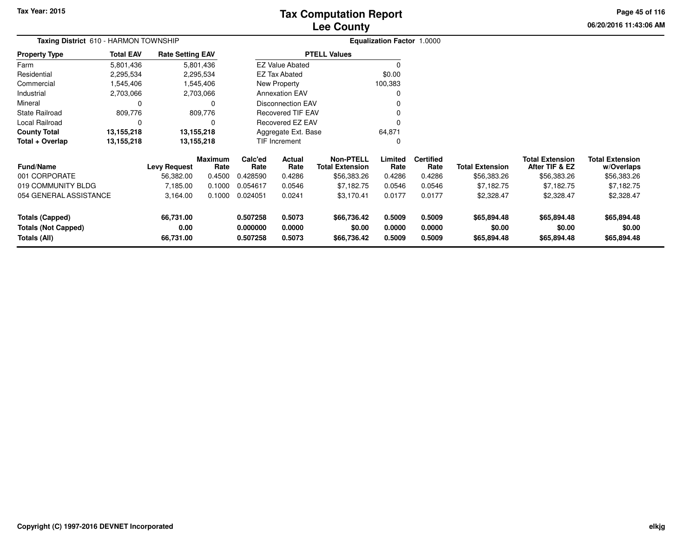# **Lee CountyTax Computation Report**

**06/20/2016 11:43:06 AM Page 45 of 116**

| Taxing District 610 - HARMON TOWNSHIP |                        |           |                                                                                                                               |                  |                                                                                                                           |                                                                                                                                       |                          |                                             |                                          |                                      |
|---------------------------------------|------------------------|-----------|-------------------------------------------------------------------------------------------------------------------------------|------------------|---------------------------------------------------------------------------------------------------------------------------|---------------------------------------------------------------------------------------------------------------------------------------|--------------------------|---------------------------------------------|------------------------------------------|--------------------------------------|
| <b>Total EAV</b>                      |                        |           |                                                                                                                               |                  |                                                                                                                           |                                                                                                                                       |                          |                                             |                                          |                                      |
| 5,801,436                             |                        |           |                                                                                                                               |                  |                                                                                                                           |                                                                                                                                       |                          |                                             |                                          |                                      |
| 2,295,534                             |                        |           |                                                                                                                               |                  |                                                                                                                           | \$0.00                                                                                                                                |                          |                                             |                                          |                                      |
| 1,545,406                             |                        |           |                                                                                                                               |                  |                                                                                                                           | 100,383                                                                                                                               |                          |                                             |                                          |                                      |
| 2,703,066                             |                        |           |                                                                                                                               |                  |                                                                                                                           |                                                                                                                                       |                          |                                             |                                          |                                      |
| $\Omega$                              |                        | 0         |                                                                                                                               |                  |                                                                                                                           |                                                                                                                                       |                          |                                             |                                          |                                      |
| 809,776                               |                        |           |                                                                                                                               |                  |                                                                                                                           |                                                                                                                                       |                          |                                             |                                          |                                      |
| $\Omega$                              |                        |           |                                                                                                                               |                  |                                                                                                                           |                                                                                                                                       |                          |                                             |                                          |                                      |
| 13,155,218                            |                        |           |                                                                                                                               |                  |                                                                                                                           | 64,871                                                                                                                                |                          |                                             |                                          |                                      |
| 13,155,218                            |                        |           |                                                                                                                               |                  |                                                                                                                           | 0                                                                                                                                     |                          |                                             |                                          |                                      |
|                                       | Levy Request           | Rate      | Calc'ed<br>Rate                                                                                                               | Actual<br>Rate   | <b>Non-PTELL</b><br><b>Total Extension</b>                                                                                | Limited<br>Rate                                                                                                                       | <b>Certified</b><br>Rate | <b>Total Extension</b>                      | <b>Total Extension</b><br>After TIF & EZ | <b>Total Extension</b><br>w/Overlaps |
|                                       | 56,382.00              | 0.4500    | 0.428590                                                                                                                      | 0.4286           | \$56,383.26                                                                                                               | 0.4286                                                                                                                                | 0.4286                   | \$56,383.26                                 | \$56,383.26                              | \$56,383.26                          |
|                                       | 7,185.00               | 0.1000    | 0.054617                                                                                                                      | 0.0546           | \$7,182.75                                                                                                                | 0.0546                                                                                                                                | 0.0546                   | \$7,182.75                                  | \$7,182.75                               | \$7,182.75                           |
|                                       | 3,164.00               | 0.1000    | 0.024051                                                                                                                      | 0.0241           | \$3,170.41                                                                                                                | 0.0177                                                                                                                                | 0.0177                   | \$2,328.47                                  | \$2,328.47                               | \$2,328.47                           |
|                                       | 66,731.00<br>0.00      |           | 0.507258<br>0.000000                                                                                                          | 0.5073<br>0.0000 | \$66,736.42<br>\$0.00                                                                                                     | 0.5009<br>0.0000                                                                                                                      | 0.5009<br>0.0000         | \$65,894.48<br>\$0.00                       | \$65,894.48<br>\$0.00                    | \$65,894.48<br>\$0.00<br>\$65,894.48 |
|                                       | 054 GENERAL ASSISTANCE | 66,731.00 | <b>Rate Setting EAV</b><br>5,801,436<br>2,295,534<br>1,545,406<br>2,703,066<br>809,776<br>13,155,218<br>13,155,218<br>Maximum | 0.507258         | <b>EZ Value Abated</b><br><b>EZ Tax Abated</b><br>New Property<br><b>Annexation EAV</b><br><b>TIF Increment</b><br>0.5073 | <b>PTELL Values</b><br><b>Disconnection EAV</b><br>Recovered TIF EAV<br><b>Recovered EZ EAV</b><br>Aggregate Ext. Base<br>\$66,736.42 | 0.5009                   | <b>Equalization Factor 1.0000</b><br>0.5009 | \$65,894.48                              | \$65,894.48                          |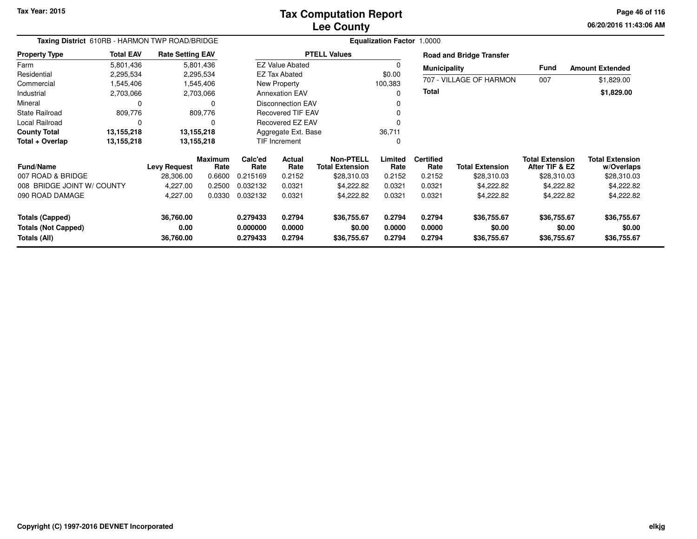**06/20/2016 11:43:06 AMPage 46 of 116**

| Taxing District 610RB - HARMON TWP ROAD/BRIDGE                       |                  |                                |                 |                                  |                            |                                      | <b>Equalization Factor 1.0000</b> |                            |                                      |                                          |                                      |
|----------------------------------------------------------------------|------------------|--------------------------------|-----------------|----------------------------------|----------------------------|--------------------------------------|-----------------------------------|----------------------------|--------------------------------------|------------------------------------------|--------------------------------------|
| <b>Property Type</b>                                                 | <b>Total EAV</b> | <b>Rate Setting EAV</b>        |                 |                                  |                            | <b>PTELL Values</b>                  |                                   |                            | <b>Road and Bridge Transfer</b>      |                                          |                                      |
| Farm                                                                 | 5,801,436        |                                | 5,801,436       |                                  | <b>EZ Value Abated</b>     |                                      |                                   | <b>Municipality</b>        |                                      | <b>Fund</b>                              | <b>Amount Extended</b>               |
| Residential                                                          | 2,295,534        |                                | 2,295,534       |                                  | <b>EZ Tax Abated</b>       |                                      | \$0.00                            |                            |                                      |                                          |                                      |
| Commercial                                                           | ,545,406         |                                | 1,545,406       |                                  | New Property               |                                      | 100,383                           |                            | 707 - VILLAGE OF HARMON              | 007                                      | \$1,829.00                           |
| Industrial                                                           | 2,703,066        |                                | 2,703,066       |                                  | <b>Annexation EAV</b>      |                                      | 0                                 | <b>Total</b>               |                                      |                                          | \$1,829.00                           |
| Mineral                                                              | 0                |                                | 0               |                                  | <b>Disconnection EAV</b>   |                                      |                                   |                            |                                      |                                          |                                      |
| <b>State Railroad</b>                                                | 809,776          |                                | 809,776         |                                  | <b>Recovered TIF EAV</b>   |                                      |                                   |                            |                                      |                                          |                                      |
| <b>Local Railroad</b>                                                | $\Omega$         |                                |                 |                                  | Recovered EZ EAV           |                                      |                                   |                            |                                      |                                          |                                      |
| <b>County Total</b>                                                  | 13,155,218       |                                | 13,155,218      |                                  | Aggregate Ext. Base        |                                      | 36,711                            |                            |                                      |                                          |                                      |
| Total + Overlap                                                      | 13,155,218       |                                | 13,155,218      |                                  | <b>TIF Increment</b>       |                                      | 0                                 |                            |                                      |                                          |                                      |
| <b>Fund/Name</b>                                                     |                  | <b>Levy Request</b>            | Maximum<br>Rate | Calc'ed<br>Rate                  | <b>Actual</b><br>Rate      | Non-PTELL<br><b>Total Extension</b>  | Limited<br>Rate                   | <b>Certified</b><br>Rate   | <b>Total Extension</b>               | <b>Total Extension</b><br>After TIF & EZ | <b>Total Extension</b><br>w/Overlaps |
| 007 ROAD & BRIDGE                                                    |                  | 28,306.00                      | 0.6600          | 0.215169                         | 0.2152                     | \$28,310.03                          | 0.2152                            | 0.2152                     | \$28,310.03                          | \$28,310.03                              | \$28,310.03                          |
| 008 BRIDGE JOINT W/ COUNTY                                           |                  | 4,227.00                       | 0.2500          | 0.032132                         | 0.0321                     | \$4,222.82                           | 0.0321                            | 0.0321                     | \$4,222.82                           | \$4,222.82                               | \$4,222.82                           |
| 090 ROAD DAMAGE                                                      |                  | 4,227.00                       | 0.0330          | 0.032132                         | 0.0321                     | \$4,222.82                           | 0.0321                            | 0.0321                     | \$4,222.82                           | \$4,222.82                               | \$4,222.82                           |
| <b>Totals (Capped)</b><br><b>Totals (Not Capped)</b><br>Totals (All) |                  | 36,760.00<br>0.00<br>36,760.00 |                 | 0.279433<br>0.000000<br>0.279433 | 0.2794<br>0.0000<br>0.2794 | \$36,755.67<br>\$0.00<br>\$36,755.67 | 0.2794<br>0.0000<br>0.2794        | 0.2794<br>0.0000<br>0.2794 | \$36,755.67<br>\$0.00<br>\$36,755.67 | \$36,755.67<br>\$0.00<br>\$36,755.67     | \$36,755.67<br>\$0.00<br>\$36,755.67 |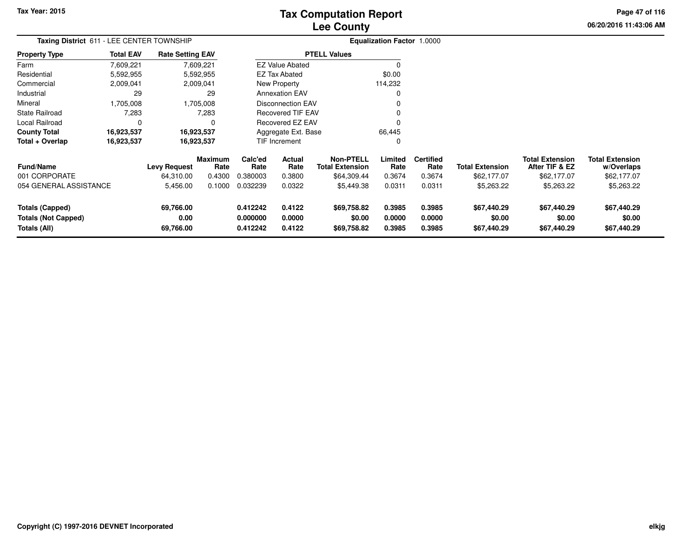# **Lee CountyTax Computation Report**

**06/20/2016 11:43:06 AM Page 47 of 116**

| Taxing District 611 - LEE CENTER TOWNSHIP                            |                  |                                |                        |                                  |                            |                                            | Equalization Factor 1.0000 |                            |                                      |                                          |                                      |
|----------------------------------------------------------------------|------------------|--------------------------------|------------------------|----------------------------------|----------------------------|--------------------------------------------|----------------------------|----------------------------|--------------------------------------|------------------------------------------|--------------------------------------|
| Property Type                                                        | <b>Total EAV</b> | <b>Rate Setting EAV</b>        |                        |                                  |                            | <b>PTELL Values</b>                        |                            |                            |                                      |                                          |                                      |
| Farm                                                                 | 7,609,221        |                                | 7,609,221              |                                  | <b>EZ Value Abated</b>     |                                            |                            |                            |                                      |                                          |                                      |
| Residential                                                          | 5,592,955        |                                | 5,592,955              |                                  | EZ Tax Abated              |                                            | \$0.00                     |                            |                                      |                                          |                                      |
| Commercial                                                           | 2,009,041        |                                | 2,009,041              |                                  | New Property               |                                            | 114,232                    |                            |                                      |                                          |                                      |
| Industrial                                                           | 29               |                                | 29                     |                                  | <b>Annexation EAV</b>      |                                            |                            |                            |                                      |                                          |                                      |
| Mineral                                                              | 1,705,008        |                                | 1,705,008              |                                  | <b>Disconnection EAV</b>   |                                            |                            |                            |                                      |                                          |                                      |
| State Railroad                                                       | 7,283            |                                | 7,283                  |                                  | <b>Recovered TIF EAV</b>   |                                            |                            |                            |                                      |                                          |                                      |
| Local Railroad                                                       | $\Omega$         |                                | 0                      |                                  | Recovered EZ EAV           |                                            |                            |                            |                                      |                                          |                                      |
| County Total                                                         | 16,923,537       |                                | 16,923,537             |                                  | Aggregate Ext. Base        |                                            | 66,445                     |                            |                                      |                                          |                                      |
| Total + Overlap                                                      | 16,923,537       |                                | 16,923,537             |                                  | <b>TIF Increment</b>       |                                            |                            |                            |                                      |                                          |                                      |
| <b>Fund/Name</b>                                                     |                  | <b>Levy Request</b>            | <b>Maximum</b><br>Rate | Calc'ed<br>Rate                  | Actual<br>Rate             | <b>Non-PTELL</b><br><b>Total Extension</b> | Limited<br>Rate            | <b>Certified</b><br>Rate   | <b>Total Extension</b>               | <b>Total Extension</b><br>After TIF & EZ | <b>Total Extension</b><br>w/Overlaps |
| 001 CORPORATE                                                        |                  | 64,310.00                      | 0.4300                 | 0.380003                         | 0.3800                     | \$64,309.44                                | 0.3674                     | 0.3674                     | \$62,177.07                          | \$62,177.07                              | \$62,177.07                          |
| 054 GENERAL ASSISTANCE                                               |                  | 5,456.00                       | 0.1000                 | 0.032239                         | 0.0322                     | \$5,449.38                                 | 0.0311                     | 0.0311                     | \$5,263.22                           | \$5,263.22                               | \$5,263.22                           |
| <b>Totals (Capped)</b><br><b>Totals (Not Capped)</b><br>Totals (All) |                  | 69,766.00<br>0.00<br>69,766.00 |                        | 0.412242<br>0.000000<br>0.412242 | 0.4122<br>0.0000<br>0.4122 | \$69,758.82<br>\$0.00<br>\$69,758.82       | 0.3985<br>0.0000<br>0.3985 | 0.3985<br>0.0000<br>0.3985 | \$67,440.29<br>\$0.00<br>\$67,440.29 | \$67,440.29<br>\$0.00<br>\$67,440.29     | \$67,440.29<br>\$0.00<br>\$67,440.29 |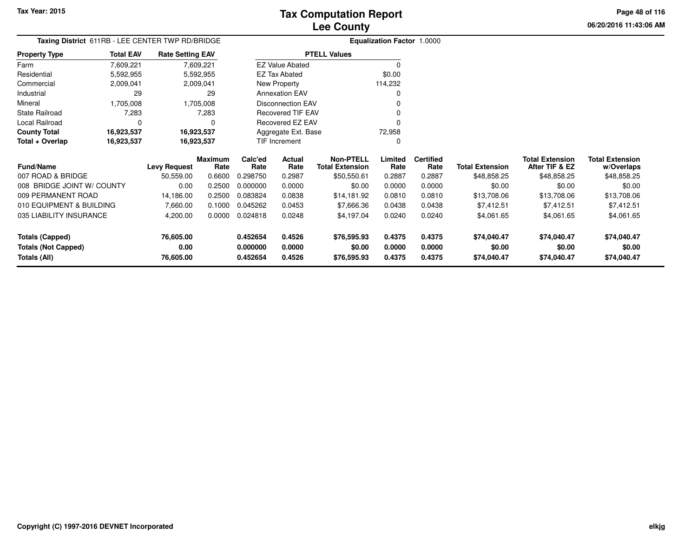**06/20/2016 11:43:06 AMPage 48 of 116**

| 06/20/2016 11:43:06 |  |
|---------------------|--|
|                     |  |

|                       |                  | Taxing District 611RB - LEE CENTER TWP RD/BRIDGE |                          | <b>Equalization Factor 1.0000</b> |
|-----------------------|------------------|--------------------------------------------------|--------------------------|-----------------------------------|
| <b>Property Type</b>  | <b>Total EAV</b> | <b>Rate Setting EAV</b>                          | <b>PTELL Values</b>      |                                   |
| Farm                  | 7,609,221        | 7,609,221                                        | <b>EZ Value Abated</b>   | 0                                 |
| Residential           | 5,592,955        | 5,592,955                                        | EZ Tax Abated            | \$0.00                            |
| Commercial            | 2,009,041        | 2,009,041                                        | New Property             | 114,232                           |
| Industrial            | 29               | 29                                               | <b>Annexation EAV</b>    | 0                                 |
| Mineral               | 1.705.008        | 1,705,008                                        | <b>Disconnection EAV</b> | 0                                 |
| <b>State Railroad</b> | 7,283            | 7,283                                            | Recovered TIF EAV        | 0                                 |
| Local Railroad        | 0                | 0                                                | Recovered EZ EAV         | 0                                 |
| <b>County Total</b>   | 16,923,537       | 16,923,537                                       | Aggregate Ext. Base      | 72,958                            |
| Total + Overlap       | 16,923,537       | 16,923,537                                       | <b>TIF Increment</b>     | 0                                 |

| <b>Fund/Name</b>           | <b>Levy Request</b> | <b>Maximum</b><br>Rate | Calc'ed<br>Rate | Actual<br>Rate | Non-PTELL<br><b>Total Extension</b> | Limited<br>Rate | <b>Certified</b><br>Rate | <b>Total Extension</b> | <b>Total Extension</b><br>After TIF & EZ | <b>Total Extension</b><br>w/Overlaps |
|----------------------------|---------------------|------------------------|-----------------|----------------|-------------------------------------|-----------------|--------------------------|------------------------|------------------------------------------|--------------------------------------|
| 007 ROAD & BRIDGE          | 50.559.00           | 0.6600                 | 0.298750        | 0.2987         | \$50,550.61                         | 0.2887          | 0.2887                   | \$48,858.25            | \$48,858.25                              | \$48,858.25                          |
| 008 BRIDGE JOINT W/ COUNTY | 0.00                | 0.2500                 | 0.000000        | 0.0000         | \$0.00                              | 0.0000          | 0.0000                   | \$0.00                 | \$0.00                                   | \$0.00                               |
| 009 PERMANENT ROAD         | 14.186.00           | 0.2500                 | 0.083824        | 0.0838         | \$14,181.92                         | 0.0810          | 0.0810                   | \$13,708.06            | \$13,708.06                              | \$13,708.06                          |
| 010 EQUIPMENT & BUILDING   | 7.660.00            | 0.1000                 | 0.045262        | 0.0453         | \$7.666.36                          | 0.0438          | 0.0438                   | \$7.412.51             | \$7.412.51                               | \$7.412.51                           |
| 035 LIABILITY INSURANCE    | 4,200.00            | 0.0000                 | 0.024818        | 0.0248         | \$4.197.04                          | 0.0240          | 0.0240                   | \$4,061.65             | \$4.061.65                               | \$4,061.65                           |
| Totals (Capped)            | 76,605.00           |                        | 0.452654        | 0.4526         | \$76,595.93                         | 0.4375          | 0.4375                   | \$74.040.47            | \$74.040.47                              | \$74,040.47                          |
| <b>Totals (Not Capped)</b> | 0.00                |                        | 0.000000        | 0.0000         | \$0.00                              | 0.0000          | 0.0000                   | \$0.00                 | \$0.00                                   | \$0.00                               |
| Totals (All)               | 76,605.00           |                        | 0.452654        | 0.4526         | \$76,595.93                         | 0.4375          | 0.4375                   | \$74,040.47            | \$74,040.47                              | \$74,040.47                          |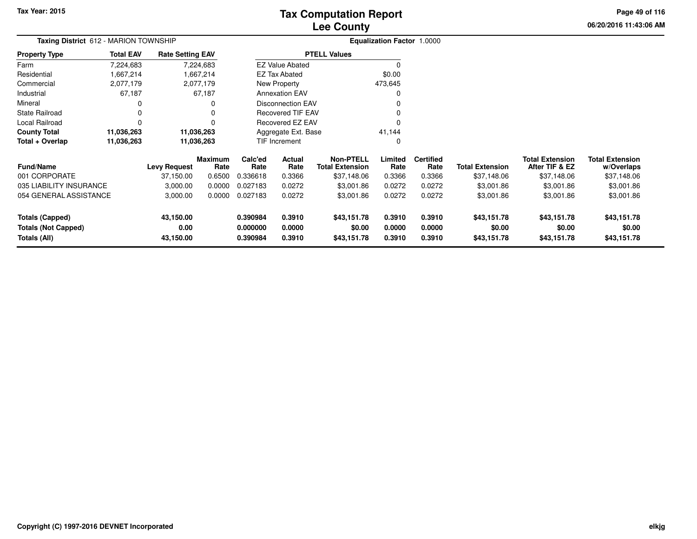# **Lee CountyTax Computation Report**

**06/20/2016 11:43:06 AM Page 49 of 116**

| <b>Taxing District 612 - MARION TOWNSHIP</b> |                  |                         |                 | Equalization Factor 1.0000 |                          |                                            |                  |                          |                        |                                          |                                      |
|----------------------------------------------|------------------|-------------------------|-----------------|----------------------------|--------------------------|--------------------------------------------|------------------|--------------------------|------------------------|------------------------------------------|--------------------------------------|
| <b>Property Type</b>                         | <b>Total EAV</b> | <b>Rate Setting EAV</b> |                 |                            |                          | <b>PTELL Values</b>                        |                  |                          |                        |                                          |                                      |
| Farm                                         | 7,224,683        | 7,224,683               |                 |                            | <b>EZ Value Abated</b>   |                                            |                  |                          |                        |                                          |                                      |
| Residential                                  | 1,667,214        | 1,667,214               |                 |                            | <b>EZ Tax Abated</b>     |                                            | \$0.00           |                          |                        |                                          |                                      |
| Commercial                                   | 2,077,179        | 2,077,179               |                 |                            | New Property             |                                            | 473,645          |                          |                        |                                          |                                      |
| Industrial                                   | 67,187           |                         | 67,187          |                            | <b>Annexation EAV</b>    |                                            | 0                |                          |                        |                                          |                                      |
| Mineral                                      | 0                |                         | 0               |                            | <b>Disconnection EAV</b> |                                            |                  |                          |                        |                                          |                                      |
| <b>State Railroad</b>                        | 0                |                         | 0               |                            | Recovered TIF EAV        |                                            |                  |                          |                        |                                          |                                      |
| Local Railroad                               | $\Omega$         |                         | 0               |                            | Recovered EZ EAV         |                                            | 0                |                          |                        |                                          |                                      |
| <b>County Total</b>                          | 11,036,263       | 11,036,263              |                 |                            | Aggregate Ext. Base      |                                            | 41,144           |                          |                        |                                          |                                      |
| Total + Overlap                              | 11,036,263       | 11,036,263              |                 |                            | TIF Increment            |                                            | 0                |                          |                        |                                          |                                      |
| <b>Fund/Name</b>                             |                  | <b>Levy Request</b>     | Maximum<br>Rate | Calc'ed<br>Rate            | Actual<br>Rate           | <b>Non-PTELL</b><br><b>Total Extension</b> | Limited<br>Rate  | <b>Certified</b><br>Rate | <b>Total Extension</b> | <b>Total Extension</b><br>After TIF & EZ | <b>Total Extension</b><br>w/Overlaps |
| 001 CORPORATE                                |                  | 37,150.00               | 0.6500          | 0.336618                   | 0.3366                   | \$37,148.06                                | 0.3366           | 0.3366                   | \$37,148.06            | \$37,148.06                              | \$37,148.06                          |
| 035 LIABILITY INSURANCE                      |                  | 3,000.00                | 0.0000          | 0.027183                   | 0.0272                   | \$3,001.86                                 | 0.0272           | 0.0272                   | \$3,001.86             | \$3,001.86                               | \$3,001.86                           |
| 054 GENERAL ASSISTANCE                       |                  | 3,000.00                | 0.0000          | 0.027183                   | 0.0272                   | \$3,001.86                                 | 0.0272           | 0.0272                   | \$3,001.86             | \$3,001.86                               | \$3,001.86                           |
| <b>Totals (Capped)</b>                       |                  | 43,150.00               |                 | 0.390984                   | 0.3910                   | \$43,151.78                                | 0.3910           | 0.3910                   | \$43,151.78            | \$43,151.78                              | \$43,151.78                          |
| <b>Totals (Not Capped)</b><br>Totals (All)   |                  | 0.00<br>43,150.00       |                 | 0.000000<br>0.390984       | 0.0000<br>0.3910         | \$0.00<br>\$43,151.78                      | 0.0000<br>0.3910 | 0.0000<br>0.3910         | \$0.00<br>\$43,151.78  | \$0.00<br>\$43,151.78                    | \$0.00<br>\$43,151.78                |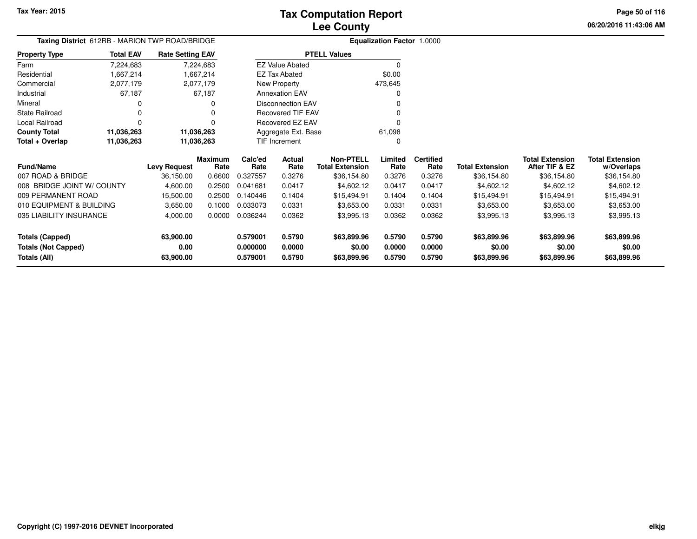**06/20/2016 11:43:06 AM Page 50 of 116**

| Taxing District 612RB - MARION TWP ROAD/BRIDGE |                  |                         |                 |                 | <b>Equalization Factor 1.0000</b> |                                            |                 |                          |                        |                                          |                                      |
|------------------------------------------------|------------------|-------------------------|-----------------|-----------------|-----------------------------------|--------------------------------------------|-----------------|--------------------------|------------------------|------------------------------------------|--------------------------------------|
| <b>Property Type</b>                           | <b>Total EAV</b> | <b>Rate Setting EAV</b> |                 |                 |                                   | <b>PTELL Values</b>                        |                 |                          |                        |                                          |                                      |
| Farm                                           | 7,224,683        |                         | 7,224,683       |                 | <b>EZ Value Abated</b>            |                                            | $\Omega$        |                          |                        |                                          |                                      |
| Residential                                    | 1,667,214        |                         | 1,667,214       |                 | <b>EZ Tax Abated</b>              |                                            | \$0.00          |                          |                        |                                          |                                      |
| Commercial                                     | 2,077,179        |                         | 2,077,179       |                 | New Property                      |                                            | 473,645         |                          |                        |                                          |                                      |
| Industrial                                     | 67,187           |                         | 67,187          |                 | <b>Annexation EAV</b>             |                                            |                 |                          |                        |                                          |                                      |
| Mineral                                        |                  |                         | 0               |                 | <b>Disconnection EAV</b>          |                                            |                 |                          |                        |                                          |                                      |
| <b>State Railroad</b>                          |                  |                         | $\Omega$        |                 | Recovered TIF EAV                 |                                            |                 |                          |                        |                                          |                                      |
| Local Railroad                                 | $\Omega$         |                         | $\Omega$        |                 | <b>Recovered EZ EAV</b>           |                                            |                 |                          |                        |                                          |                                      |
| <b>County Total</b>                            | 11,036,263       | 11,036,263              |                 |                 | Aggregate Ext. Base               |                                            | 61,098          |                          |                        |                                          |                                      |
| Total + Overlap                                | 11,036,263       | 11,036,263              |                 |                 | TIF Increment                     |                                            | $\Omega$        |                          |                        |                                          |                                      |
| <b>Fund/Name</b>                               |                  | <b>Levy Request</b>     | Maximum<br>Rate | Calc'ed<br>Rate | Actual<br>Rate                    | <b>Non-PTELL</b><br><b>Total Extension</b> | Limited<br>Rate | <b>Certified</b><br>Rate | <b>Total Extension</b> | <b>Total Extension</b><br>After TIF & EZ | <b>Total Extension</b><br>w/Overlaps |
| 007 ROAD & BRIDGE                              |                  | 36,150.00               | 0.6600          | 0.327557        | 0.3276                            | \$36,154.80                                | 0.3276          | 0.3276                   | \$36,154.80            | \$36,154.80                              | \$36,154.80                          |
| 008 BRIDGE JOINT W/ COUNTY                     |                  | 4,600.00                | 0.2500          | 0.041681        | 0.0417                            | \$4,602.12                                 | 0.0417          | 0.0417                   | \$4,602.12             | \$4,602.12                               | \$4,602.12                           |
| 009 PERMANENT ROAD                             |                  | 15,500.00               | 0.2500          | 0.140446        | 0.1404                            | \$15,494.91                                | 0.1404          | 0.1404                   | \$15,494.91            | \$15,494.91                              | \$15,494.91                          |
| 010 EQUIPMENT & BUILDING                       |                  | 3,650.00                | 0.1000          | 0.033073        | 0.0331                            | \$3,653.00                                 | 0.0331          | 0.0331                   | \$3,653.00             | \$3,653.00                               | \$3,653.00                           |
| 035 LIABILITY INSURANCE                        |                  | 4,000.00                | 0.0000          | 0.036244        | 0.0362                            | \$3,995.13                                 | 0.0362          | 0.0362                   | \$3,995.13             | \$3,995.13                               | \$3,995.13                           |
| <b>Totals (Capped)</b>                         |                  | 63,900.00               |                 | 0.579001        | 0.5790                            | \$63,899.96                                | 0.5790          | 0.5790                   | \$63,899.96            | \$63,899.96                              | \$63,899.96                          |
| <b>Totals (Not Capped)</b>                     |                  | 0.00                    |                 | 0.000000        | 0.0000                            | \$0.00                                     | 0.0000          | 0.0000                   | \$0.00                 | \$0.00                                   | \$0.00                               |
| Totals (All)                                   |                  | 63,900.00               |                 | 0.579001        | 0.5790                            | \$63,899.96                                | 0.5790          | 0.5790                   | \$63,899.96            | \$63,899.96                              | \$63,899.96                          |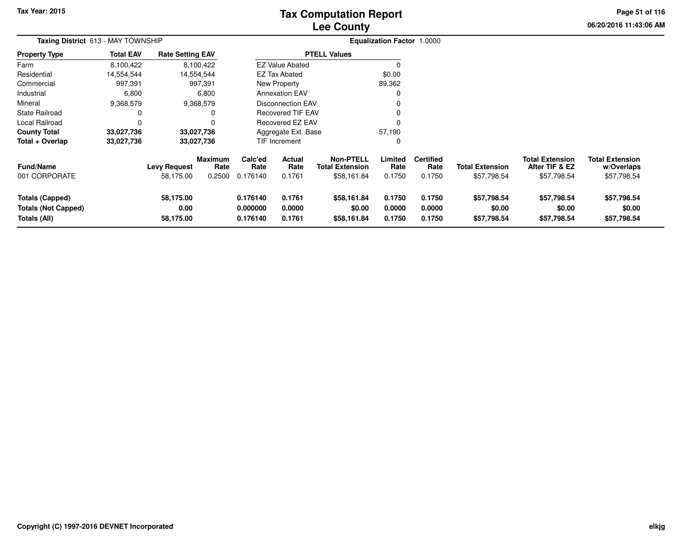# **Lee CountyTax Computation Report**

**06/20/2016 11:43:06 AM Page 51 of 116**

| Taxing District 613 - MAY TOWNSHIP                            |                  |                                  |                                  |                                  |                            |                                                           | Equalization Factor 1.0000 |                                    |                                       |                                                         |                                                     |
|---------------------------------------------------------------|------------------|----------------------------------|----------------------------------|----------------------------------|----------------------------|-----------------------------------------------------------|----------------------------|------------------------------------|---------------------------------------|---------------------------------------------------------|-----------------------------------------------------|
| <b>Property Type</b>                                          | <b>Total EAV</b> | <b>Rate Setting EAV</b>          |                                  |                                  |                            | <b>PTELL Values</b>                                       |                            |                                    |                                       |                                                         |                                                     |
| Farm                                                          | 8,100,422        |                                  | 8,100,422                        |                                  | <b>EZ Value Abated</b>     |                                                           |                            |                                    |                                       |                                                         |                                                     |
| Residential                                                   | 14,554,544       | 14,554,544                       |                                  |                                  | <b>EZ Tax Abated</b>       |                                                           | \$0.00                     |                                    |                                       |                                                         |                                                     |
| Commercial                                                    | 997,391          |                                  | 997,391                          |                                  | New Property               |                                                           | 89,362                     |                                    |                                       |                                                         |                                                     |
| Industrial                                                    | 6,800            |                                  | 6,800                            |                                  | <b>Annexation EAV</b>      |                                                           |                            |                                    |                                       |                                                         |                                                     |
| Mineral                                                       | 9,368,579        |                                  | 9,368,579                        |                                  | <b>Disconnection EAV</b>   |                                                           |                            |                                    |                                       |                                                         |                                                     |
| <b>State Railroad</b>                                         |                  |                                  |                                  |                                  | <b>Recovered TIF EAV</b>   |                                                           |                            |                                    |                                       |                                                         |                                                     |
| Local Railroad                                                |                  |                                  |                                  |                                  | Recovered EZ EAV           |                                                           |                            |                                    |                                       |                                                         |                                                     |
| <b>County Total</b>                                           | 33,027,736       | 33,027,736                       |                                  |                                  | Aggregate Ext. Base        |                                                           | 57,190                     |                                    |                                       |                                                         |                                                     |
| Total + Overlap                                               | 33,027,736       | 33,027,736                       |                                  |                                  | TIF Increment              |                                                           |                            |                                    |                                       |                                                         |                                                     |
| <b>Fund/Name</b><br>001 CORPORATE                             |                  | <b>Levy Request</b><br>58,175.00 | <b>Maximum</b><br>Rate<br>0.2500 | Calc'ed<br>Rate<br>0.176140      | Actual<br>Rate<br>0.1761   | <b>Non-PTELL</b><br><b>Total Extension</b><br>\$58,161.84 | Limited<br>Rate<br>0.1750  | <b>Certified</b><br>Rate<br>0.1750 | <b>Total Extension</b><br>\$57,798.54 | <b>Total Extension</b><br>After TIF & EZ<br>\$57,798.54 | <b>Total Extension</b><br>w/Overlaps<br>\$57,798.54 |
| Totals (Capped)<br><b>Totals (Not Capped)</b><br>Totals (All) |                  | 58,175.00<br>0.00<br>58,175.00   |                                  | 0.176140<br>0.000000<br>0.176140 | 0.1761<br>0.0000<br>0.1761 | \$58,161.84<br>\$0.00<br>\$58,161.84                      | 0.1750<br>0.0000<br>0.1750 | 0.1750<br>0.0000<br>0.1750         | \$57,798.54<br>\$0.00<br>\$57,798.54  | \$57,798.54<br>\$0.00<br>\$57,798.54                    | \$57,798.54<br>\$0.00<br>\$57,798.54                |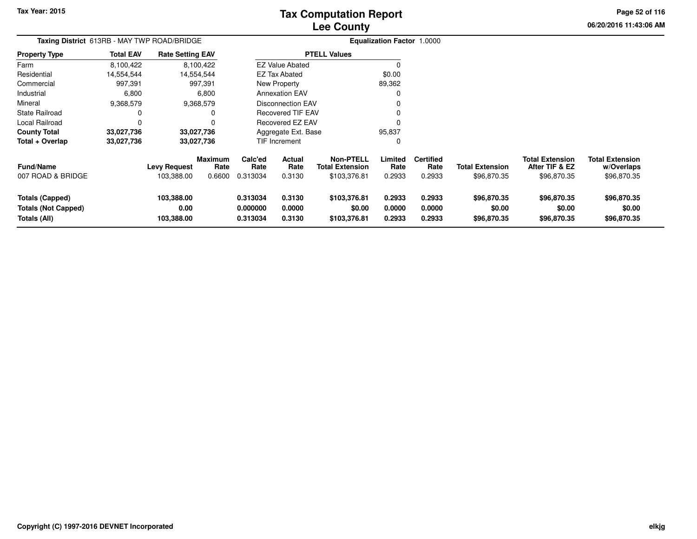# **Lee CountyTax Computation Report**

**06/20/2016 11:43:06 AM Page 52 of 116**

| Taxing District 613RB - MAY TWP ROAD/BRIDGE                          |                  |                                   |                                  |                                  |                            |                                                     | <b>Equalization Factor 1.0000</b> |                                    |                                       |                                                         |                                                     |
|----------------------------------------------------------------------|------------------|-----------------------------------|----------------------------------|----------------------------------|----------------------------|-----------------------------------------------------|-----------------------------------|------------------------------------|---------------------------------------|---------------------------------------------------------|-----------------------------------------------------|
| Property Type                                                        | <b>Total EAV</b> | <b>Rate Setting EAV</b>           |                                  |                                  |                            | <b>PTELL Values</b>                                 |                                   |                                    |                                       |                                                         |                                                     |
| Farm                                                                 | 8,100,422        |                                   | 8,100,422                        |                                  | <b>EZ Value Abated</b>     |                                                     |                                   |                                    |                                       |                                                         |                                                     |
| Residential                                                          | 14,554,544       |                                   | 14,554,544                       |                                  | <b>EZ Tax Abated</b>       |                                                     | \$0.00                            |                                    |                                       |                                                         |                                                     |
| Commercial                                                           | 997,391          |                                   | 997,391                          |                                  | New Property               |                                                     | 89,362                            |                                    |                                       |                                                         |                                                     |
| Industrial                                                           | 6,800            |                                   | 6,800                            |                                  | <b>Annexation EAV</b>      |                                                     |                                   |                                    |                                       |                                                         |                                                     |
| Mineral                                                              | 9,368,579        |                                   | 9,368,579                        |                                  | <b>Disconnection EAV</b>   |                                                     |                                   |                                    |                                       |                                                         |                                                     |
| State Railroad                                                       | 0                |                                   |                                  |                                  | <b>Recovered TIF EAV</b>   |                                                     |                                   |                                    |                                       |                                                         |                                                     |
| Local Railroad                                                       | 0                |                                   |                                  |                                  | Recovered EZ EAV           |                                                     |                                   |                                    |                                       |                                                         |                                                     |
| County Total                                                         | 33,027,736       |                                   | 33,027,736                       |                                  | Aggregate Ext. Base        |                                                     | 95,837                            |                                    |                                       |                                                         |                                                     |
| Total + Overlap                                                      | 33,027,736       |                                   | 33,027,736                       |                                  | TIF Increment              |                                                     | 0                                 |                                    |                                       |                                                         |                                                     |
| Fund/Name<br>007 ROAD & BRIDGE                                       |                  | <b>Levy Request</b><br>103,388.00 | <b>Maximum</b><br>Rate<br>0.6600 | Calc'ed<br>Rate<br>0.313034      | Actual<br>Rate<br>0.3130   | Non-PTELL<br><b>Total Extension</b><br>\$103,376.81 | Limited<br>Rate<br>0.2933         | <b>Certified</b><br>Rate<br>0.2933 | <b>Total Extension</b><br>\$96,870.35 | <b>Total Extension</b><br>After TIF & EZ<br>\$96,870.35 | <b>Total Extension</b><br>w/Overlaps<br>\$96,870.35 |
| <b>Totals (Capped)</b><br><b>Totals (Not Capped)</b><br>Totals (All) |                  | 103,388.00<br>0.00<br>103,388.00  |                                  | 0.313034<br>0.000000<br>0.313034 | 0.3130<br>0.0000<br>0.3130 | \$103,376.81<br>\$0.00<br>\$103,376.81              | 0.2933<br>0.0000<br>0.2933        | 0.2933<br>0.0000<br>0.2933         | \$96,870.35<br>\$0.00<br>\$96,870.35  | \$96,870.35<br>\$0.00<br>\$96,870.35                    | \$96,870.35<br>\$0.00<br>\$96,870.35                |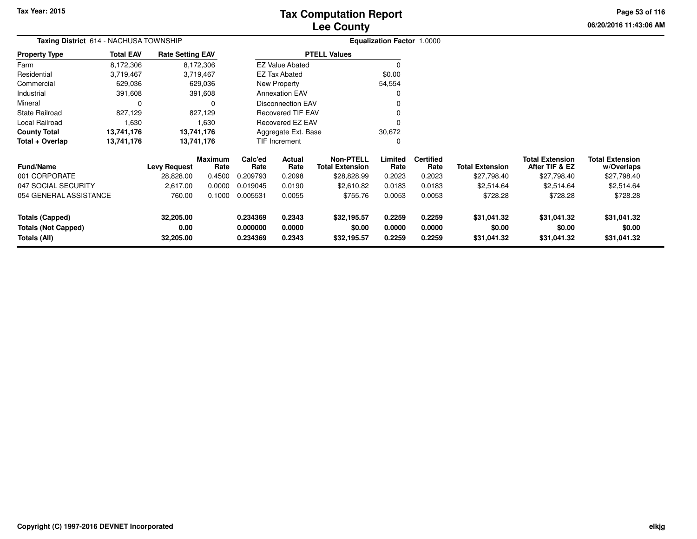# **Lee CountyTax Computation Report**

**06/20/2016 11:43:06 AM Page 53 of 116**

| Taxing District 614 - NACHUSA TOWNSHIP            |                  |                         |                 |                      |                          |                                            | <b>Equalization Factor 1.0000</b> |                          |                        |                                          |                                      |
|---------------------------------------------------|------------------|-------------------------|-----------------|----------------------|--------------------------|--------------------------------------------|-----------------------------------|--------------------------|------------------------|------------------------------------------|--------------------------------------|
| Property Type                                     | <b>Total EAV</b> | <b>Rate Setting EAV</b> |                 |                      |                          | <b>PTELL Values</b>                        |                                   |                          |                        |                                          |                                      |
| Farm                                              | 8,172,306        |                         | 8,172,306       |                      | <b>EZ Value Abated</b>   |                                            | $\Omega$                          |                          |                        |                                          |                                      |
| Residential                                       | 3,719,467        |                         | 3,719,467       |                      | <b>EZ Tax Abated</b>     |                                            | \$0.00                            |                          |                        |                                          |                                      |
| Commercial                                        | 629,036          |                         | 629,036         |                      | New Property             |                                            | 54,554                            |                          |                        |                                          |                                      |
| Industrial                                        | 391,608          |                         | 391,608         |                      | <b>Annexation EAV</b>    |                                            | 0                                 |                          |                        |                                          |                                      |
| Mineral                                           | 0                |                         |                 |                      | <b>Disconnection EAV</b> |                                            |                                   |                          |                        |                                          |                                      |
| State Railroad                                    | 827,129          |                         | 827,129         |                      | <b>Recovered TIF EAV</b> |                                            |                                   |                          |                        |                                          |                                      |
| Local Railroad                                    | 1,630            |                         | 1,630           |                      | Recovered EZ EAV         |                                            | O                                 |                          |                        |                                          |                                      |
| <b>County Total</b>                               | 13,741,176       | 13,741,176              |                 |                      | Aggregate Ext. Base      |                                            | 30,672                            |                          |                        |                                          |                                      |
| Total + Overlap                                   | 13,741,176       | 13,741,176              |                 |                      | <b>TIF Increment</b>     |                                            | O                                 |                          |                        |                                          |                                      |
| <b>Fund/Name</b>                                  |                  | <b>Levy Request</b>     | Maximum<br>Rate | Calc'ed<br>Rate      | Actual<br>Rate           | <b>Non-PTELL</b><br><b>Total Extension</b> | Limited<br>Rate                   | <b>Certified</b><br>Rate | <b>Total Extension</b> | <b>Total Extension</b><br>After TIF & EZ | <b>Total Extension</b><br>w/Overlaps |
| 001 CORPORATE                                     |                  | 28,828.00               | 0.4500          | 0.209793             | 0.2098                   | \$28,828.99                                | 0.2023                            | 0.2023                   | \$27,798.40            | \$27,798.40                              | \$27,798.40                          |
| 047 SOCIAL SECURITY                               |                  | 2,617.00                | 0.0000          | 0.019045             | 0.0190                   | \$2,610.82                                 | 0.0183                            | 0.0183                   | \$2,514.64             | \$2,514.64                               | \$2,514.64                           |
| 054 GENERAL ASSISTANCE                            |                  | 760.00                  | 0.1000          | 0.005531             | 0.0055                   | \$755.76                                   | 0.0053                            | 0.0053                   | \$728.28               | \$728.28                                 | \$728.28                             |
| <b>Totals (Capped)</b>                            |                  | 32,205.00               |                 | 0.234369             | 0.2343                   | \$32,195.57                                | 0.2259                            | 0.2259                   | \$31,041.32            | \$31,041.32                              | \$31,041.32                          |
| <b>Totals (Not Capped)</b><br><b>Totals (All)</b> |                  | 0.00<br>32,205.00       |                 | 0.000000<br>0.234369 | 0.0000<br>0.2343         | \$0.00<br>\$32,195.57                      | 0.0000<br>0.2259                  | 0.0000<br>0.2259         | \$0.00<br>\$31,041.32  | \$0.00<br>\$31,041.32                    | \$0.00<br>\$31,041.32                |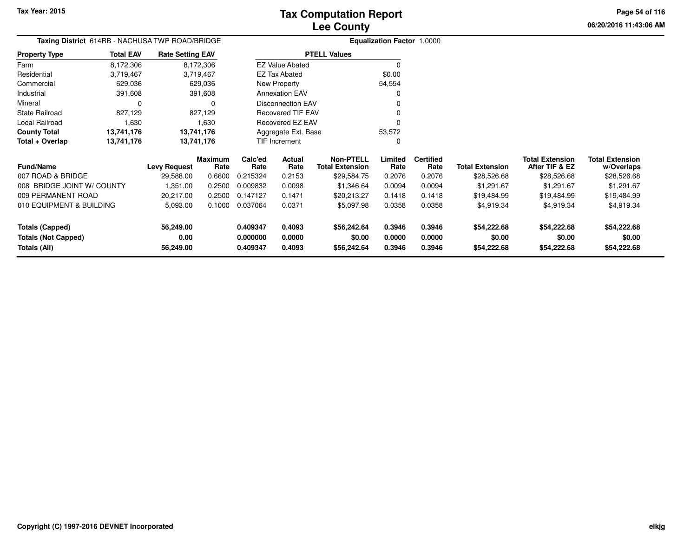**Totals (All)**

## **Lee CountyTax Computation Report**

**0.409347 0.4093 \$56,242.64 0.3946 0.3946 \$54,222.68 \$54,222.68 \$54,222.68**

**06/20/2016 11:43:06 AMPage 54 of 116**

> **w/Overlaps**\$28,526.68

| Taxing District 614RB - NACHUSA TWP ROAD/BRIDGE |                  |                         |                        |                 |                          |                                            | <b>Equalization Factor 1.0000</b> |                          |                        |                                          |                                      |
|-------------------------------------------------|------------------|-------------------------|------------------------|-----------------|--------------------------|--------------------------------------------|-----------------------------------|--------------------------|------------------------|------------------------------------------|--------------------------------------|
| <b>Property Type</b>                            | <b>Total EAV</b> | <b>Rate Setting EAV</b> |                        |                 |                          | <b>PTELL Values</b>                        |                                   |                          |                        |                                          |                                      |
| Farm                                            | 8,172,306        |                         | 8,172,306              |                 | <b>EZ Value Abated</b>   |                                            | 0                                 |                          |                        |                                          |                                      |
| Residential                                     | 3,719,467        |                         | 3,719,467              |                 | EZ Tax Abated            |                                            | \$0.00                            |                          |                        |                                          |                                      |
| Commercial                                      | 629,036          |                         | 629,036                |                 | New Property             |                                            | 54,554                            |                          |                        |                                          |                                      |
| Industrial                                      | 391,608          |                         | 391,608                |                 | <b>Annexation EAV</b>    |                                            | 0                                 |                          |                        |                                          |                                      |
| Mineral                                         | 0                |                         | 0                      |                 | Disconnection EAV        |                                            | 0                                 |                          |                        |                                          |                                      |
| <b>State Railroad</b>                           | 827,129          |                         | 827,129                |                 | <b>Recovered TIF EAV</b> |                                            | 0                                 |                          |                        |                                          |                                      |
| Local Railroad                                  | 1,630            |                         | 1,630                  |                 | Recovered EZ EAV         |                                            | 0                                 |                          |                        |                                          |                                      |
| <b>County Total</b>                             | 13,741,176       |                         | 13,741,176             |                 | Aggregate Ext. Base      |                                            | 53,572                            |                          |                        |                                          |                                      |
| Total + Overlap                                 | 13,741,176       |                         | 13,741,176             |                 | TIF Increment            |                                            | 0                                 |                          |                        |                                          |                                      |
| <b>Fund/Name</b>                                |                  | <b>Levy Request</b>     | <b>Maximum</b><br>Rate | Calc'ed<br>Rate | Actual<br>Rate           | <b>Non-PTELL</b><br><b>Total Extension</b> | Limited<br>Rate                   | <b>Certified</b><br>Rate | <b>Total Extension</b> | <b>Total Extension</b><br>After TIF & EZ | <b>Total Extension</b><br>w/Overlaps |
| 007 ROAD & BRIDGE                               |                  | 29,588.00               | 0.6600                 | 0.215324        | 0.2153                   | \$29,584.75                                | 0.2076                            | 0.2076                   | \$28,526.68            | \$28,526.68                              | \$28,526.68                          |
| 008 BRIDGE JOINT W/ COUNTY                      |                  | 1,351.00                | 0.2500                 | 0.009832        | 0.0098                   | \$1,346.64                                 | 0.0094                            | 0.0094                   | \$1,291.67             | \$1,291.67                               | \$1,291.67                           |
| 009 PERMANENT ROAD                              |                  | 20,217.00               | 0.2500                 | 0.147127        | 0.1471                   | \$20,213.27                                | 0.1418                            | 0.1418                   | \$19,484.99            | \$19,484.99                              | \$19,484.99                          |
| 010 EQUIPMENT & BUILDING                        |                  | 5,093.00                | 0.1000                 | 0.037064        | 0.0371                   | \$5,097.98                                 | 0.0358                            | 0.0358                   | \$4,919.34             | \$4,919.34                               | \$4,919.34                           |
| <b>Totals (Capped)</b>                          |                  | 56,249.00               |                        | 0.409347        | 0.4093                   | \$56,242.64                                | 0.3946                            | 0.3946                   | \$54,222.68            | \$54,222.68                              | \$54,222.68                          |
| <b>Totals (Not Capped)</b>                      |                  | 0.00                    |                        | 0.000000        | 0.0000                   | \$0.00                                     | 0.0000                            | 0.0000                   | \$0.00                 | \$0.00                                   | \$0.00                               |

**56,249.00**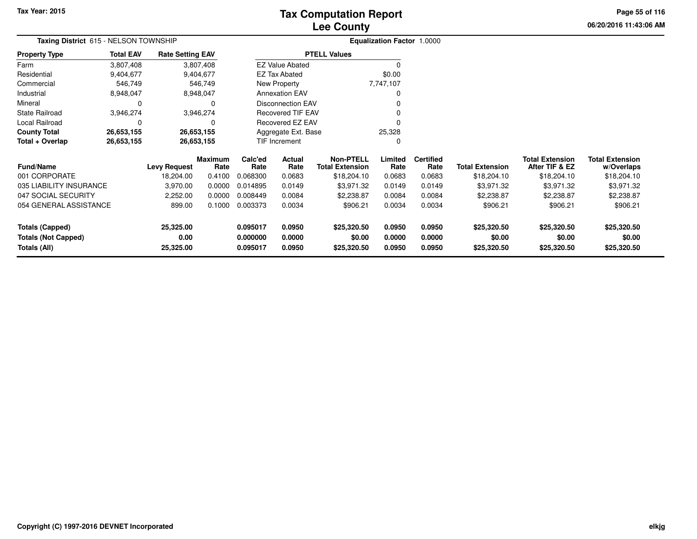# **Lee CountyTax Computation Report**

**06/20/2016 11:43:06 AM Page 55 of 116**

| Taxing District 615 - NELSON TOWNSHIP      |                  |                         |                        | <b>Equalization Factor 1.0000</b> |                          |                                            |                  |                          |                        |                                          |                                      |
|--------------------------------------------|------------------|-------------------------|------------------------|-----------------------------------|--------------------------|--------------------------------------------|------------------|--------------------------|------------------------|------------------------------------------|--------------------------------------|
| Property Type                              | <b>Total EAV</b> | <b>Rate Setting EAV</b> |                        |                                   |                          | <b>PTELL Values</b>                        |                  |                          |                        |                                          |                                      |
| Farm                                       | 3,807,408        |                         | 3,807,408              |                                   | <b>EZ Value Abated</b>   |                                            |                  |                          |                        |                                          |                                      |
| Residential                                | 9,404,677        |                         | 9,404,677              |                                   | <b>EZ Tax Abated</b>     |                                            | \$0.00           |                          |                        |                                          |                                      |
| Commercial                                 | 546,749          |                         | 546,749                |                                   | New Property             |                                            | 7,747,107        |                          |                        |                                          |                                      |
| Industrial                                 | 8,948,047        | 8,948,047               |                        |                                   | <b>Annexation EAV</b>    |                                            | 0                |                          |                        |                                          |                                      |
| Mineral                                    | 0                |                         | $\Omega$               |                                   | <b>Disconnection EAV</b> |                                            |                  |                          |                        |                                          |                                      |
| State Railroad                             | 3,946,274        |                         | 3,946,274              |                                   | Recovered TIF EAV        |                                            |                  |                          |                        |                                          |                                      |
| Local Railroad                             | 0                |                         | $\Omega$               |                                   | Recovered EZ EAV         |                                            |                  |                          |                        |                                          |                                      |
| County Total                               | 26,653,155       | 26,653,155              |                        |                                   | Aggregate Ext. Base      |                                            | 25,328           |                          |                        |                                          |                                      |
| Total + Overlap                            | 26,653,155       | 26,653,155              |                        |                                   | TIF Increment            |                                            | 0                |                          |                        |                                          |                                      |
| <b>Fund/Name</b>                           |                  | <b>Levy Request</b>     | <b>Maximum</b><br>Rate | Calc'ed<br>Rate                   | Actual<br>Rate           | <b>Non-PTELL</b><br><b>Total Extension</b> | Limited<br>Rate  | <b>Certified</b><br>Rate | <b>Total Extension</b> | <b>Total Extension</b><br>After TIF & EZ | <b>Total Extension</b><br>w/Overlaps |
| 001 CORPORATE                              |                  | 18,204.00               | 0.4100                 | 0.068300                          | 0.0683                   | \$18,204.10                                | 0.0683           | 0.0683                   | \$18,204.10            | \$18,204.10                              | \$18,204.10                          |
| 035 LIABILITY INSURANCE                    |                  | 3,970.00                | 0.0000                 | 0.014895                          | 0.0149                   | \$3,971.32                                 | 0.0149           | 0.0149                   | \$3,971.32             | \$3,971.32                               | \$3,971.32                           |
| 047 SOCIAL SECURITY                        |                  | 2,252.00                | 0.0000                 | 0.008449                          | 0.0084                   | \$2,238.87                                 | 0.0084           | 0.0084                   | \$2,238.87             | \$2,238.87                               | \$2,238.87                           |
| 054 GENERAL ASSISTANCE                     |                  | 899.00                  | 0.1000                 | 0.003373                          | 0.0034                   | \$906.21                                   | 0.0034           | 0.0034                   | \$906.21               | \$906.21                                 | \$906.21                             |
| <b>Totals (Capped)</b>                     |                  | 25,325.00               |                        | 0.095017                          | 0.0950                   | \$25,320.50                                | 0.0950           | 0.0950                   | \$25,320.50            | \$25,320.50                              | \$25,320.50                          |
| <b>Totals (Not Capped)</b><br>Totals (All) |                  | 0.00<br>25,325.00       |                        | 0.000000<br>0.095017              | 0.0000<br>0.0950         | \$0.00<br>\$25,320.50                      | 0.0000<br>0.0950 | 0.0000<br>0.0950         | \$0.00<br>\$25,320.50  | \$0.00<br>\$25,320.50                    | \$0.00<br>\$25,320.50                |
|                                            |                  |                         |                        |                                   |                          |                                            |                  |                          |                        |                                          |                                      |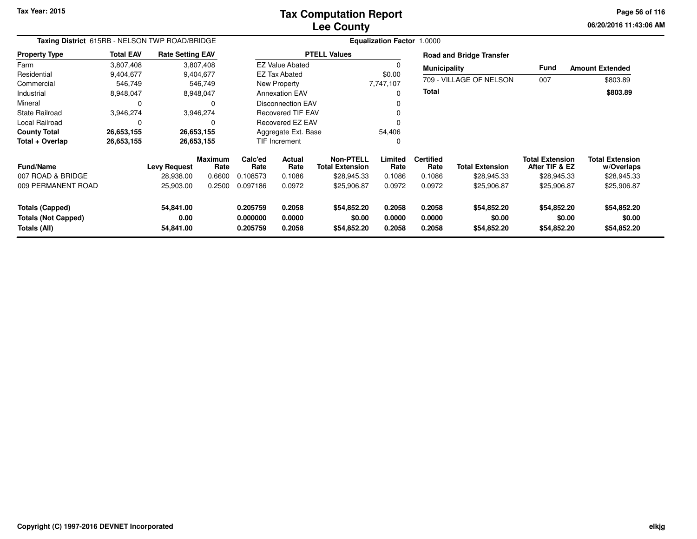# **Lee CountyTax Computation Report**

**06/20/2016 11:43:06 AMPage 56 of 116**

| Taxing District 615RB - NELSON TWP ROAD/BRIDGE                       |                  |                                |                        | <b>Equalization Factor 1.0000</b> |                            |                                            |                            |                            |                                      |                                          |                                      |
|----------------------------------------------------------------------|------------------|--------------------------------|------------------------|-----------------------------------|----------------------------|--------------------------------------------|----------------------------|----------------------------|--------------------------------------|------------------------------------------|--------------------------------------|
| <b>Property Type</b>                                                 | <b>Total EAV</b> | <b>Rate Setting EAV</b>        |                        |                                   |                            | <b>PTELL Values</b>                        |                            |                            | <b>Road and Bridge Transfer</b>      |                                          |                                      |
| Farm                                                                 | 3,807,408        |                                | 3,807,408              |                                   | <b>EZ Value Abated</b>     |                                            |                            | <b>Municipality</b>        |                                      | <b>Fund</b>                              | <b>Amount Extended</b>               |
| Residential                                                          | 9,404,677        |                                | 9,404,677              |                                   | EZ Tax Abated              |                                            | \$0.00                     |                            |                                      |                                          |                                      |
| Commercial                                                           | 546,749          |                                | 546,749                |                                   | New Property               |                                            | 7,747,107                  |                            | 709 - VILLAGE OF NELSON              | 007                                      | \$803.89                             |
| Industrial                                                           | 8,948,047        |                                | 8,948,047              |                                   | <b>Annexation EAV</b>      |                                            | 0                          | Total                      |                                      |                                          | \$803.89                             |
| Mineral                                                              |                  |                                |                        |                                   | <b>Disconnection EAV</b>   |                                            |                            |                            |                                      |                                          |                                      |
| <b>State Railroad</b>                                                | 3,946,274        |                                | 3,946,274              |                                   | <b>Recovered TIF EAV</b>   |                                            |                            |                            |                                      |                                          |                                      |
| Local Railroad                                                       |                  |                                |                        | Recovered EZ EAV                  |                            |                                            |                            |                            |                                      |                                          |                                      |
| <b>County Total</b>                                                  | 26,653,155       |                                | 26,653,155             |                                   | Aggregate Ext. Base        |                                            | 54,406                     |                            |                                      |                                          |                                      |
| Total + Overlap                                                      | 26,653,155       |                                | 26,653,155             |                                   | TIF Increment              |                                            | 0                          |                            |                                      |                                          |                                      |
| <b>Fund/Name</b>                                                     |                  | <b>Levy Request</b>            | <b>Maximum</b><br>Rate | Calc'ed<br>Rate                   | Actual<br>Rate             | <b>Non-PTELL</b><br><b>Total Extension</b> | Limited<br>Rate            | <b>Certified</b><br>Rate   | <b>Total Extension</b>               | <b>Total Extension</b><br>After TIF & EZ | <b>Total Extension</b><br>w/Overlaps |
| 007 ROAD & BRIDGE                                                    |                  | 28,938.00                      | 0.6600                 | 0.108573                          | 0.1086                     | \$28,945.33                                | 0.1086                     | 0.1086                     | \$28,945.33                          | \$28,945.33                              | \$28,945.33                          |
| 009 PERMANENT ROAD                                                   |                  | 25,903.00                      | 0.2500                 | 0.097186                          | 0.0972                     | \$25,906.87                                | 0.0972                     | 0.0972                     | \$25,906.87                          | \$25,906.87                              | \$25,906.87                          |
| <b>Totals (Capped)</b><br><b>Totals (Not Capped)</b><br>Totals (All) |                  | 54,841.00<br>0.00<br>54,841.00 |                        | 0.205759<br>0.000000<br>0.205759  | 0.2058<br>0.0000<br>0.2058 | \$54,852.20<br>\$0.00<br>\$54,852.20       | 0.2058<br>0.0000<br>0.2058 | 0.2058<br>0.0000<br>0.2058 | \$54,852.20<br>\$0.00<br>\$54,852.20 | \$54,852.20<br>\$0.00<br>\$54,852.20     | \$54,852.20<br>\$0.00<br>\$54,852.20 |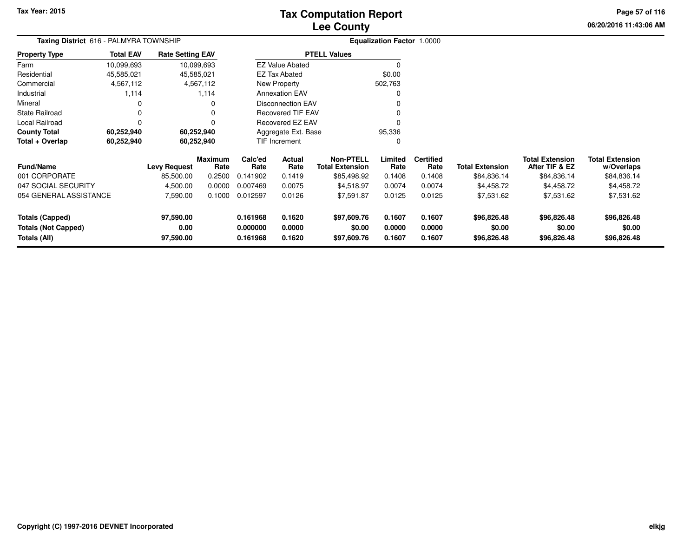# **Lee CountyTax Computation Report**

**06/20/2016 11:43:06 AM Page 57 of 116**

|                  | <b>Taxing District</b> 616 - PALMYRA TOWNSHIP |                                  |                                                                                                                         |                  |                                                                                                 | <b>Equalization Factor 1.0000</b>                                                                                                                                      |                          |                        |                                          |                                      |
|------------------|-----------------------------------------------|----------------------------------|-------------------------------------------------------------------------------------------------------------------------|------------------|-------------------------------------------------------------------------------------------------|------------------------------------------------------------------------------------------------------------------------------------------------------------------------|--------------------------|------------------------|------------------------------------------|--------------------------------------|
| <b>Total EAV</b> |                                               |                                  |                                                                                                                         |                  |                                                                                                 |                                                                                                                                                                        |                          |                        |                                          |                                      |
| 10,099,693       |                                               |                                  |                                                                                                                         |                  |                                                                                                 | 0                                                                                                                                                                      |                          |                        |                                          |                                      |
| 45,585,021       |                                               |                                  |                                                                                                                         |                  |                                                                                                 | \$0.00                                                                                                                                                                 |                          |                        |                                          |                                      |
| 4,567,112        |                                               |                                  |                                                                                                                         |                  |                                                                                                 | 502,763                                                                                                                                                                |                          |                        |                                          |                                      |
| 1,114            |                                               |                                  |                                                                                                                         |                  |                                                                                                 | 0                                                                                                                                                                      |                          |                        |                                          |                                      |
|                  |                                               | 0                                |                                                                                                                         |                  |                                                                                                 |                                                                                                                                                                        |                          |                        |                                          |                                      |
| 0                |                                               | 0                                |                                                                                                                         |                  |                                                                                                 | O                                                                                                                                                                      |                          |                        |                                          |                                      |
| 0                |                                               | 0                                |                                                                                                                         |                  |                                                                                                 | 0                                                                                                                                                                      |                          |                        |                                          |                                      |
| 60,252,940       |                                               |                                  |                                                                                                                         |                  |                                                                                                 | 95,336                                                                                                                                                                 |                          |                        |                                          |                                      |
| 60,252,940       |                                               |                                  |                                                                                                                         |                  |                                                                                                 | 0                                                                                                                                                                      |                          |                        |                                          |                                      |
|                  |                                               | Rate                             | Calc'ed<br>Rate                                                                                                         | Actual<br>Rate   | <b>Non-PTELL</b><br><b>Total Extension</b>                                                      | Limited<br>Rate                                                                                                                                                        | <b>Certified</b><br>Rate | <b>Total Extension</b> | <b>Total Extension</b><br>After TIF & EZ | <b>Total Extension</b><br>w/Overlaps |
|                  | 85,500.00                                     | 0.2500                           | 0.141902                                                                                                                | 0.1419           | \$85,498.92                                                                                     | 0.1408                                                                                                                                                                 | 0.1408                   | \$84,836.14            | \$84,836.14                              | \$84,836.14                          |
|                  | 4,500.00                                      | 0.0000                           | 0.007469                                                                                                                | 0.0075           | \$4,518.97                                                                                      | 0.0074                                                                                                                                                                 | 0.0074                   | \$4,458.72             | \$4,458.72                               | \$4,458.72                           |
|                  | 7,590.00                                      | 0.1000                           | 0.012597                                                                                                                | 0.0126           | \$7,591.87                                                                                      | 0.0125                                                                                                                                                                 | 0.0125                   | \$7,531.62             | \$7,531.62                               | \$7,531.62                           |
|                  | 97,590.00<br>0.00                             |                                  | 0.161968<br>0.000000                                                                                                    | 0.1620<br>0.0000 | \$97,609.76<br>\$0.00                                                                           | 0.1607<br>0.0000                                                                                                                                                       | 0.1607<br>0.0000         | \$96,826.48<br>\$0.00  | \$96,826.48<br>\$0.00                    | \$96,826.48<br>\$0.00<br>\$96,826.48 |
|                  | 054 GENERAL ASSISTANCE                        | <b>Levy Request</b><br>97,590.00 | <b>Rate Setting EAV</b><br>10,099,693<br>45,585,021<br>4,567,112<br>1,114<br>60,252,940<br>60,252,940<br><b>Maximum</b> | 0.161968         | <b>EZ Tax Abated</b><br>New Property<br><b>Annexation EAV</b><br><b>TIF Increment</b><br>0.1620 | <b>PTELL Values</b><br><b>EZ Value Abated</b><br><b>Disconnection EAV</b><br><b>Recovered TIF EAV</b><br><b>Recovered EZ EAV</b><br>Aggregate Ext. Base<br>\$97,609.76 | 0.1607                   | 0.1607                 | \$96,826.48                              | \$96,826.48                          |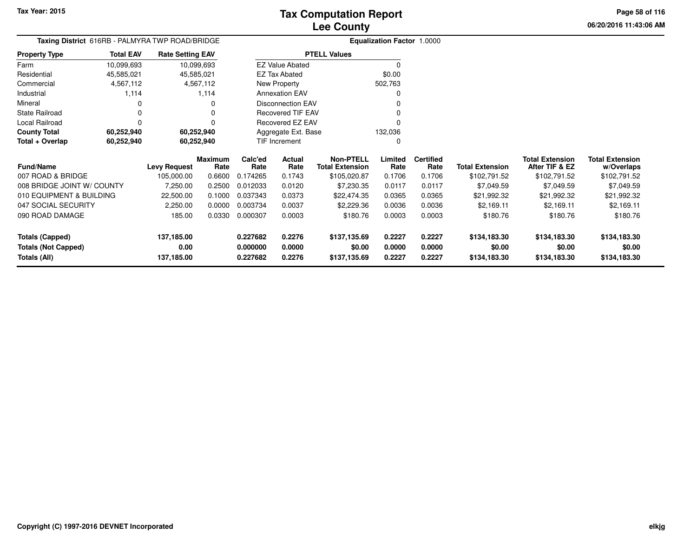**06/20/2016 11:43:06 AM Page 58 of 116**

| Taxing District 616RB - PALMYRA TWP ROAD/BRIDGE |                  |                         |                 |                 | <b>Equalization Factor 1.0000</b> |                                            |                 |                          |                        |                                          |                                      |
|-------------------------------------------------|------------------|-------------------------|-----------------|-----------------|-----------------------------------|--------------------------------------------|-----------------|--------------------------|------------------------|------------------------------------------|--------------------------------------|
| <b>Property Type</b>                            | <b>Total EAV</b> | <b>Rate Setting EAV</b> |                 |                 |                                   | <b>PTELL Values</b>                        |                 |                          |                        |                                          |                                      |
| Farm                                            | 10,099,693       | 10,099,693              |                 |                 | <b>EZ Value Abated</b>            |                                            | $\Omega$        |                          |                        |                                          |                                      |
| Residential                                     | 45,585,021       | 45,585,021              |                 |                 | <b>EZ Tax Abated</b>              |                                            | \$0.00          |                          |                        |                                          |                                      |
| Commercial                                      | 4,567,112        |                         | 4,567,112       |                 | New Property                      |                                            | 502,763         |                          |                        |                                          |                                      |
| Industrial                                      | 1,114            |                         | 1,114           |                 | <b>Annexation EAV</b>             |                                            | 0               |                          |                        |                                          |                                      |
| Mineral                                         |                  |                         |                 |                 | <b>Disconnection EAV</b>          |                                            |                 |                          |                        |                                          |                                      |
| <b>State Railroad</b>                           |                  |                         |                 |                 | Recovered TIF EAV                 |                                            |                 |                          |                        |                                          |                                      |
| Local Railroad                                  |                  |                         |                 |                 | Recovered EZ EAV                  |                                            | 0               |                          |                        |                                          |                                      |
| <b>County Total</b>                             | 60,252,940       | 60,252,940              |                 |                 | Aggregate Ext. Base               |                                            | 132,036         |                          |                        |                                          |                                      |
| Total + Overlap                                 | 60,252,940       | 60,252,940              |                 |                 | TIF Increment                     |                                            | 0               |                          |                        |                                          |                                      |
| <b>Fund/Name</b>                                |                  | <b>Levy Request</b>     | Maximum<br>Rate | Calc'ed<br>Rate | Actual<br>Rate                    | <b>Non-PTELL</b><br><b>Total Extension</b> | Limited<br>Rate | <b>Certified</b><br>Rate | <b>Total Extension</b> | <b>Total Extension</b><br>After TIF & EZ | <b>Total Extension</b><br>w/Overlaps |
| 007 ROAD & BRIDGE                               |                  | 105,000.00              | 0.6600          | 0.174265        | 0.1743                            | \$105,020.87                               | 0.1706          | 0.1706                   | \$102,791.52           | \$102,791.52                             | \$102,791.52                         |
| 008 BRIDGE JOINT W/ COUNTY                      |                  | 7,250.00                | 0.2500          | 0.012033        | 0.0120                            | \$7,230.35                                 | 0.0117          | 0.0117                   | \$7,049.59             | \$7,049.59                               | \$7,049.59                           |
| 010 EQUIPMENT & BUILDING                        |                  | 22,500.00               | 0.1000          | 0.037343        | 0.0373                            | \$22,474.35                                | 0.0365          | 0.0365                   | \$21,992.32            | \$21,992.32                              | \$21,992.32                          |
| 047 SOCIAL SECURITY                             |                  | 2,250.00                | 0.0000          | 0.003734        | 0.0037                            | \$2,229.36                                 | 0.0036          | 0.0036                   | \$2,169.11             | \$2,169.11                               | \$2,169.11                           |
| 090 ROAD DAMAGE                                 |                  | 185.00                  | 0.0330          | 0.000307        | 0.0003                            | \$180.76                                   | 0.0003          | 0.0003                   | \$180.76               | \$180.76                                 | \$180.76                             |
| <b>Totals (Capped)</b>                          |                  | 137,185.00              |                 | 0.227682        | 0.2276                            | \$137,135.69                               | 0.2227          | 0.2227                   | \$134,183.30           | \$134,183.30                             | \$134,183.30                         |
| <b>Totals (Not Capped)</b>                      |                  | 0.00                    |                 | 0.000000        | 0.0000                            | \$0.00                                     | 0.0000          | 0.0000                   | \$0.00                 | \$0.00                                   | \$0.00                               |
| Totals (All)                                    |                  | 137,185.00              |                 | 0.227682        | 0.2276                            | \$137,135.69                               | 0.2227          | 0.2227                   | \$134,183.30           | \$134,183.30                             | \$134,183.30                         |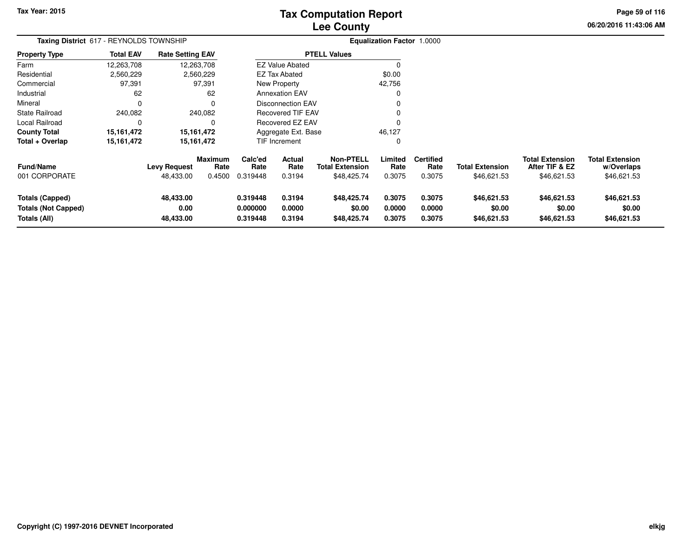# **Lee CountyTax Computation Report**

**06/20/2016 11:43:06 AM Page 59 of 116**

| Taxing District 617 - REYNOLDS TOWNSHIP                              |                  |                                  |                           | Equalization Factor 1.0000       |                            |                                                           |                            |                                    |                                       |                                                         |                                                     |  |
|----------------------------------------------------------------------|------------------|----------------------------------|---------------------------|----------------------------------|----------------------------|-----------------------------------------------------------|----------------------------|------------------------------------|---------------------------------------|---------------------------------------------------------|-----------------------------------------------------|--|
| <b>Property Type</b>                                                 | <b>Total EAV</b> | <b>Rate Setting EAV</b>          |                           |                                  |                            | <b>PTELL Values</b>                                       |                            |                                    |                                       |                                                         |                                                     |  |
| Farm                                                                 | 12,263,708       |                                  | 12,263,708                |                                  | <b>EZ Value Abated</b>     |                                                           | 0                          |                                    |                                       |                                                         |                                                     |  |
| Residential                                                          | 2,560,229        |                                  | 2,560,229                 |                                  | EZ Tax Abated              |                                                           | \$0.00                     |                                    |                                       |                                                         |                                                     |  |
| Commercial                                                           | 97,391           |                                  | 97,391                    |                                  | New Property               |                                                           | 42,756                     |                                    |                                       |                                                         |                                                     |  |
| Industrial                                                           | 62               |                                  | 62                        |                                  | <b>Annexation EAV</b>      |                                                           | 0                          |                                    |                                       |                                                         |                                                     |  |
| Mineral                                                              | 0                |                                  | $\Omega$                  |                                  | Disconnection EAV          |                                                           | 0                          |                                    |                                       |                                                         |                                                     |  |
| <b>State Railroad</b>                                                | 240,082          |                                  | 240,082                   |                                  | <b>Recovered TIF EAV</b>   |                                                           | 0                          |                                    |                                       |                                                         |                                                     |  |
| Local Railroad                                                       | 0                |                                  | $\Omega$                  |                                  | <b>Recovered EZ EAV</b>    |                                                           | $\Omega$                   |                                    |                                       |                                                         |                                                     |  |
| <b>County Total</b>                                                  | 15, 161, 472     | 15,161,472                       |                           |                                  | Aggregate Ext. Base        |                                                           | 46,127                     |                                    |                                       |                                                         |                                                     |  |
| Total + Overlap                                                      | 15, 161, 472     |                                  | 15,161,472                |                                  | <b>TIF Increment</b>       |                                                           | 0                          |                                    |                                       |                                                         |                                                     |  |
| <b>Fund/Name</b><br>001 CORPORATE                                    |                  | <b>Levy Request</b><br>48,433.00 | Maximum<br>Rate<br>0.4500 | Calc'ed<br>Rate<br>0.319448      | Actual<br>Rate<br>0.3194   | <b>Non-PTELL</b><br><b>Total Extension</b><br>\$48,425.74 | Limited<br>Rate<br>0.3075  | <b>Certified</b><br>Rate<br>0.3075 | <b>Total Extension</b><br>\$46,621.53 | <b>Total Extension</b><br>After TIF & EZ<br>\$46,621.53 | <b>Total Extension</b><br>w/Overlaps<br>\$46,621.53 |  |
| <b>Totals (Capped)</b><br><b>Totals (Not Capped)</b><br>Totals (All) |                  | 48,433.00<br>0.00<br>48,433.00   |                           | 0.319448<br>0.000000<br>0.319448 | 0.3194<br>0.0000<br>0.3194 | \$48,425.74<br>\$0.00<br>\$48,425.74                      | 0.3075<br>0.0000<br>0.3075 | 0.3075<br>0.0000<br>0.3075         | \$46,621.53<br>\$0.00<br>\$46,621.53  | \$46,621.53<br>\$0.00<br>\$46,621.53                    | \$46,621.53<br>\$0.00<br>\$46,621.53                |  |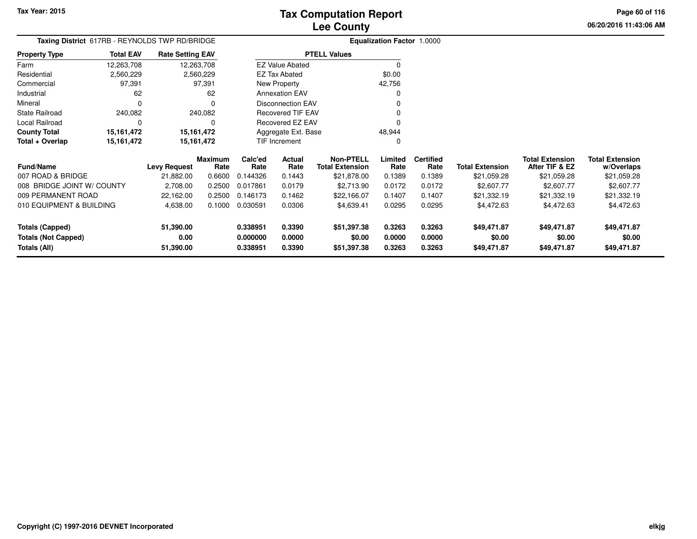**06/20/2016 11:43:06 AM Page 60 of 116**

| Taxing District 617RB - REYNOLDS TWP RD/BRIDGE<br><b>Property Type</b> |                   |           |                                                                                                                  |                  |                                                                                   |                                                                                                                                                                 |                          |                                      |                                          |                                      |
|------------------------------------------------------------------------|-------------------|-----------|------------------------------------------------------------------------------------------------------------------|------------------|-----------------------------------------------------------------------------------|-----------------------------------------------------------------------------------------------------------------------------------------------------------------|--------------------------|--------------------------------------|------------------------------------------|--------------------------------------|
| <b>Total EAV</b>                                                       |                   |           |                                                                                                                  |                  |                                                                                   |                                                                                                                                                                 |                          |                                      |                                          |                                      |
| 12,263,708                                                             |                   |           |                                                                                                                  |                  |                                                                                   | 0                                                                                                                                                               |                          |                                      |                                          |                                      |
| 2,560,229                                                              |                   |           |                                                                                                                  |                  |                                                                                   | \$0.00                                                                                                                                                          |                          |                                      |                                          |                                      |
| 97,391                                                                 |                   |           |                                                                                                                  |                  |                                                                                   | 42,756                                                                                                                                                          |                          |                                      |                                          |                                      |
| 62                                                                     |                   | 62        |                                                                                                                  |                  |                                                                                   | O                                                                                                                                                               |                          |                                      |                                          |                                      |
| 0                                                                      |                   | 0         |                                                                                                                  |                  |                                                                                   |                                                                                                                                                                 |                          |                                      |                                          |                                      |
| 240,082                                                                |                   |           |                                                                                                                  |                  |                                                                                   |                                                                                                                                                                 |                          |                                      |                                          |                                      |
| 0                                                                      |                   | 0         |                                                                                                                  |                  |                                                                                   |                                                                                                                                                                 |                          |                                      |                                          |                                      |
| 15, 161, 472                                                           |                   |           |                                                                                                                  |                  |                                                                                   | 48,944                                                                                                                                                          |                          |                                      |                                          |                                      |
| 15,161,472                                                             |                   |           |                                                                                                                  |                  |                                                                                   | 0                                                                                                                                                               |                          |                                      |                                          |                                      |
|                                                                        | Levy Request      | Rate      | Calc'ed<br>Rate                                                                                                  | Actual<br>Rate   | <b>Non-PTELL</b><br><b>Total Extension</b>                                        | Limited<br>Rate                                                                                                                                                 | <b>Certified</b><br>Rate | <b>Total Extension</b>               | <b>Total Extension</b><br>After TIF & EZ | <b>Total Extension</b><br>w/Overlaps |
|                                                                        | 21,882.00         | 0.6600    | 0.144326                                                                                                         | 0.1443           | \$21,878.00                                                                       | 0.1389                                                                                                                                                          | 0.1389                   | \$21,059.28                          | \$21,059.28                              | \$21,059.28                          |
| 008 BRIDGE JOINT W/ COUNTY                                             | 2,708.00          | 0.2500    | 0.017861                                                                                                         | 0.0179           | \$2,713.90                                                                        | 0.0172                                                                                                                                                          | 0.0172                   | \$2,607.77                           | \$2,607.77                               | \$2,607.77                           |
|                                                                        | 22,162.00         | 0.2500    | 0.146173                                                                                                         | 0.1462           | \$22,166.07                                                                       | 0.1407                                                                                                                                                          | 0.1407                   | \$21,332.19                          | \$21,332.19                              | \$21,332.19                          |
| 010 EQUIPMENT & BUILDING                                               | 4,638.00          | 0.1000    | 0.030591                                                                                                         | 0.0306           | \$4,639.41                                                                        | 0.0295                                                                                                                                                          | 0.0295                   | \$4,472.63                           | \$4,472.63                               | \$4,472.63                           |
|                                                                        | 51,390.00<br>0.00 |           | 0.338951<br>0.000000                                                                                             | 0.3390<br>0.0000 | \$51,397.38<br>\$0.00                                                             | 0.3263<br>0.0000                                                                                                                                                | 0.3263<br>0.0000         | \$49,471.87<br>\$0.00                | \$49,471.87<br>\$0.00                    | \$49,471.87<br>\$0.00<br>\$49,471.87 |
|                                                                        |                   | 51,390.00 | <b>Rate Setting EAV</b><br>12,263,708<br>2,560,229<br>97,391<br>240,082<br>15, 161, 472<br>15,161,472<br>Maximum | 0.338951         | EZ Tax Abated<br>New Property<br><b>Annexation EAV</b><br>TIF Increment<br>0.3390 | <b>PTELL Values</b><br><b>EZ Value Abated</b><br><b>Disconnection EAV</b><br>Recovered TIF EAV<br><b>Recovered EZ EAV</b><br>Aggregate Ext. Base<br>\$51,397.38 | 0.3263                   | Equalization Factor 1.0000<br>0.3263 | \$49,471.87                              | \$49,471.87                          |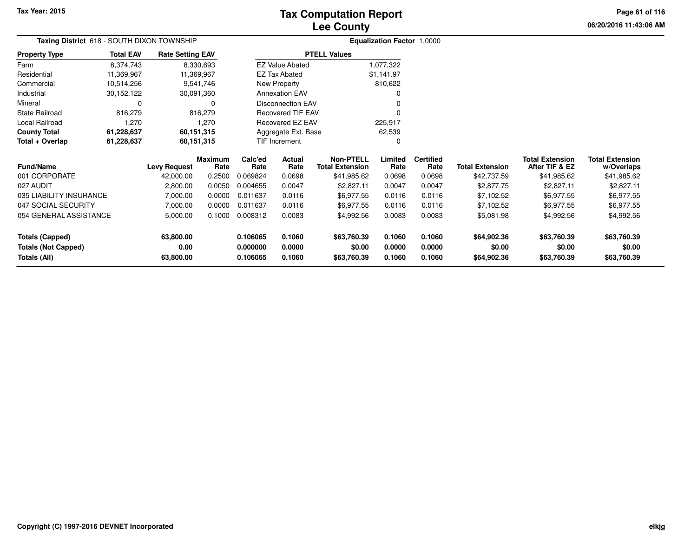## **Lee CountyTax Computation Report**

**06/20/2016 11:43:06 AMPage 61 of 116**

| Taxing District 618 - SOUTH DIXON TOWNSHIP           |                                                               |                         |                        | <b>Equalization Factor 1.0000</b> |                               |                                            |                  |                          |                        |                                          |                                      |
|------------------------------------------------------|---------------------------------------------------------------|-------------------------|------------------------|-----------------------------------|-------------------------------|--------------------------------------------|------------------|--------------------------|------------------------|------------------------------------------|--------------------------------------|
| <b>Property Type</b>                                 | <b>Total EAV</b>                                              | <b>Rate Setting EAV</b> |                        |                                   |                               | <b>PTELL Values</b>                        |                  |                          |                        |                                          |                                      |
| Farm                                                 | 8,374,743                                                     |                         | 8,330,693              |                                   | <b>EZ Value Abated</b>        |                                            | 1,077,322        |                          |                        |                                          |                                      |
| Residential                                          | 11,369,967                                                    | 11,369,967              |                        |                                   | <b>EZ Tax Abated</b>          |                                            | \$1,141.97       |                          |                        |                                          |                                      |
| Commercial                                           | 10,514,256                                                    |                         | 9,541,746              |                                   | New Property                  |                                            | 810,622          |                          |                        |                                          |                                      |
| Industrial                                           | 30,152,122                                                    | 30,091,360              |                        |                                   | <b>Annexation EAV</b>         |                                            |                  |                          |                        |                                          |                                      |
| Mineral                                              | 0                                                             |                         | 0                      |                                   | <b>Disconnection EAV</b>      |                                            | $\Omega$         |                          |                        |                                          |                                      |
| <b>State Railroad</b>                                | 816,279                                                       |                         | 816,279                |                                   | <b>Recovered TIF EAV</b>      |                                            | $\Omega$         |                          |                        |                                          |                                      |
| Local Railroad                                       | 1,270                                                         |                         | 1,270                  |                                   | Recovered EZ EAV              |                                            | 225,917          |                          |                        |                                          |                                      |
| <b>County Total</b>                                  | 61,228,637                                                    | 60,151,315              |                        |                                   | Aggregate Ext. Base<br>62,539 |                                            |                  |                          |                        |                                          |                                      |
| Total + Overlap                                      | 61,228,637                                                    | 60,151,315              |                        | <b>TIF Increment</b>              |                               |                                            | $\Omega$         |                          |                        |                                          |                                      |
| <b>Fund/Name</b>                                     |                                                               | Levy Request            | <b>Maximum</b><br>Rate | Calc'ed<br>Rate                   | <b>Actual</b><br>Rate         | <b>Non-PTELL</b><br><b>Total Extension</b> | Limited<br>Rate  | <b>Certified</b><br>Rate | <b>Total Extension</b> | <b>Total Extension</b><br>After TIF & EZ | <b>Total Extension</b><br>w/Overlaps |
| 001 CORPORATE                                        |                                                               | 42,000.00               | 0.2500                 | 0.069824                          | 0.0698                        | \$41,985.62                                | 0.0698           | 0.0698                   | \$42,737.59            | \$41,985.62                              | \$41,985.62                          |
| 027 AUDIT                                            |                                                               | 2,800.00                | 0.0050                 | 0.004655                          | 0.0047                        | \$2,827.11                                 | 0.0047           | 0.0047                   | \$2,877.75             | \$2,827.11                               | \$2,827.11                           |
| 035 LIABILITY INSURANCE                              |                                                               | 7,000.00                | 0.0000                 | 0.011637                          | 0.0116                        | \$6,977.55                                 | 0.0116           | 0.0116                   | \$7,102.52             | \$6,977.55                               | \$6,977.55                           |
| 047 SOCIAL SECURITY                                  |                                                               | 7,000.00                | 0.0000                 | 0.011637                          | 0.0116                        | \$6,977.55                                 | 0.0116           | 0.0116                   | \$7,102.52             | \$6,977.55                               | \$6,977.55                           |
| 054 GENERAL ASSISTANCE                               |                                                               | 5,000.00                | 0.1000                 | 0.008312                          | 0.0083                        | \$4,992.56                                 | 0.0083           | 0.0083                   | \$5,081.98             | \$4,992.56                               | \$4,992.56                           |
| <b>Totals (Capped)</b><br><b>Totals (Not Capped)</b> | 63,800.00<br>0.106065<br>0.1060<br>0.00<br>0.0000<br>0.000000 |                         |                        |                                   | \$63,760.39<br>\$0.00         | 0.1060<br>0.0000                           | 0.1060<br>0.0000 | \$64,902.36<br>\$0.00    | \$63,760.39<br>\$0.00  | \$63,760.39<br>\$0.00                    |                                      |
| Totals (All)<br>63,800.00<br>0.106065                |                                                               |                         | 0.1060                 | \$63,760.39                       | 0.1060                        | 0.1060                                     | \$64,902.36      | \$63,760.39              | \$63,760.39            |                                          |                                      |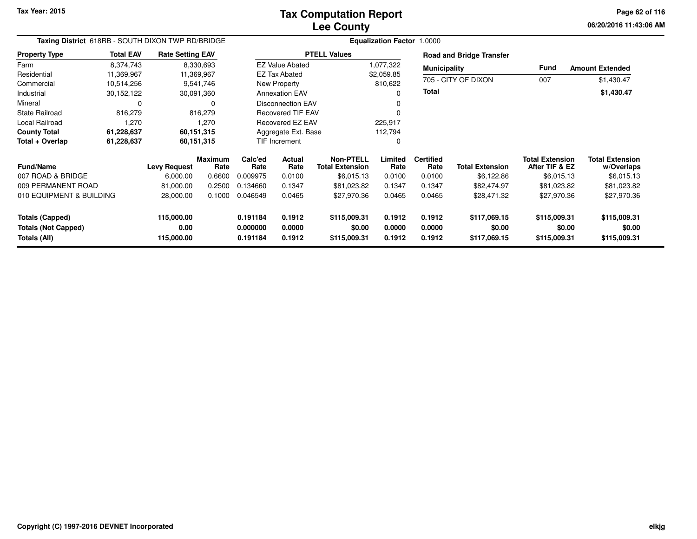**06/20/2016 11:43:06 AM Page 62 of 116**

| Taxing District_618RB - SOUTH DIXON TWP RD/BRIDGE                       |                          |                         |                        | <b>Equalization Factor</b><br>1.0000 |                          |                                            |                        |                          |                                 |                                          |                                      |
|-------------------------------------------------------------------------|--------------------------|-------------------------|------------------------|--------------------------------------|--------------------------|--------------------------------------------|------------------------|--------------------------|---------------------------------|------------------------------------------|--------------------------------------|
| <b>Property Type</b>                                                    | <b>Total EAV</b>         | <b>Rate Setting EAV</b> |                        |                                      |                          | <b>PTELL Values</b>                        |                        |                          | <b>Road and Bridge Transfer</b> |                                          |                                      |
| Farm                                                                    | 8,374,743                |                         | 8,330,693              |                                      | <b>EZ Value Abated</b>   |                                            | 1,077,322              | <b>Municipality</b>      |                                 | Fund                                     | <b>Amount Extended</b>               |
| Residential                                                             | 11,369,967               | 11,369,967              |                        |                                      | EZ Tax Abated            |                                            | \$2,059.85             |                          | 705 - CITY OF DIXON             |                                          |                                      |
| Commercial                                                              | 10,514,256               |                         | 9,541,746              |                                      | New Property             |                                            | 810,622                |                          |                                 | 007                                      | \$1,430.47                           |
| Industrial                                                              | 30,152,122               | 30,091,360              |                        |                                      | <b>Annexation EAV</b>    |                                            |                        | Total                    |                                 |                                          | \$1,430.47                           |
| Mineral                                                                 | $\Omega$                 |                         | $\Omega$               |                                      | <b>Disconnection EAV</b> |                                            |                        |                          |                                 |                                          |                                      |
| <b>State Railroad</b>                                                   | 816,279                  |                         | 816,279                |                                      | <b>Recovered TIF EAV</b> |                                            |                        |                          |                                 |                                          |                                      |
| Local Railroad                                                          | 1,270                    |                         | 1,270                  |                                      | Recovered EZ EAV         |                                            | 225,917                |                          |                                 |                                          |                                      |
| <b>County Total</b>                                                     | 61,228,637<br>60,151,315 |                         |                        |                                      | Aggregate Ext. Base      |                                            | 112,794                |                          |                                 |                                          |                                      |
| Total + Overlap                                                         | 61,228,637               | 60,151,315              |                        |                                      | TIF Increment            |                                            |                        |                          |                                 |                                          |                                      |
| <b>Fund/Name</b>                                                        |                          | <b>Levy Request</b>     | <b>Maximum</b><br>Rate | Calc'ed<br>Rate                      | Actual<br>Rate           | <b>Non-PTELL</b><br><b>Total Extension</b> | Limited<br>Rate        | <b>Certified</b><br>Rate | <b>Total Extension</b>          | <b>Total Extension</b><br>After TIF & EZ | <b>Total Extension</b><br>w/Overlaps |
| 007 ROAD & BRIDGE                                                       |                          | 6,000.00                | 0.6600                 | 0.009975                             | 0.0100                   | \$6,015.13                                 | 0.0100                 | 0.0100                   | \$6,122.86                      | \$6,015.13                               | \$6,015.13                           |
| 009 PERMANENT ROAD                                                      |                          | 81,000.00               | 0.2500                 | 0.134660                             | 0.1347                   | \$81,023.82                                | 0.1347                 | 0.1347                   | \$82,474.97                     | \$81,023.82                              | \$81,023.82                          |
| 010 EQUIPMENT & BUILDING                                                |                          | 28,000.00               | 0.1000                 | 0.046549                             | 0.0465                   | \$27,970.36                                | 0.0465                 | 0.0465                   | \$28,471.32                     | \$27,970.36                              | \$27,970.36                          |
| 115,000.00<br><b>Totals (Capped)</b>                                    |                          | 0.191184                | 0.1912                 | \$115,009.31                         | 0.1912                   | 0.1912                                     | \$117,069.15           | \$115,009.31             | \$115,009.31                    |                                          |                                      |
| 0.00<br><b>Totals (Not Capped)</b><br><b>Totals (All)</b><br>115,000.00 |                          | 0.000000<br>0.191184    | 0.0000<br>0.1912       | \$0.00<br>\$115,009.31               | 0.0000<br>0.1912         | 0.0000<br>0.1912                           | \$0.00<br>\$117,069.15 | \$0.00<br>\$115,009.31   | \$0.00<br>\$115,009.31          |                                          |                                      |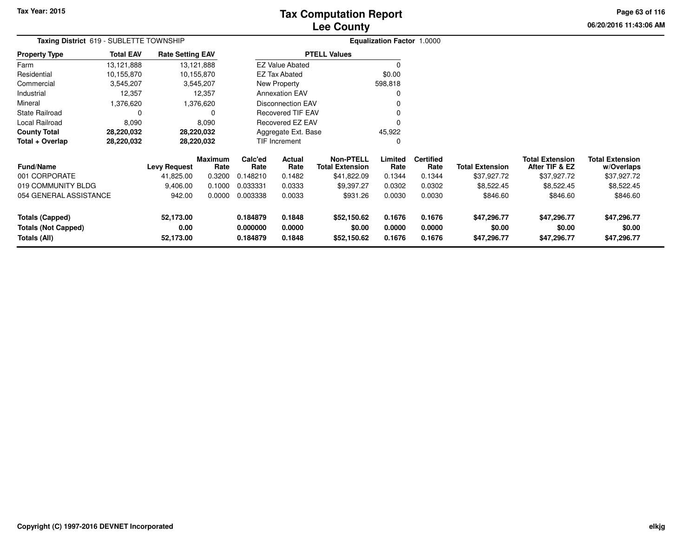# **Lee CountyTax Computation Report**

**06/20/2016 11:43:06 AM Page 63 of 116**

| <b>Taxing District</b> 619 - SUBLETTE TOWNSHIP |                  |                         |                        | <b>Equalization Factor 1.0000</b> |                          |                                            |                  |                          |                        |                                          |                                      |
|------------------------------------------------|------------------|-------------------------|------------------------|-----------------------------------|--------------------------|--------------------------------------------|------------------|--------------------------|------------------------|------------------------------------------|--------------------------------------|
| Property Type                                  | <b>Total EAV</b> | <b>Rate Setting EAV</b> |                        |                                   |                          | <b>PTELL Values</b>                        |                  |                          |                        |                                          |                                      |
| Farm                                           | 13,121,888       |                         | 13,121,888             |                                   | <b>EZ Value Abated</b>   |                                            |                  |                          |                        |                                          |                                      |
| Residential                                    | 10,155,870       |                         | 10,155,870             |                                   | <b>EZ Tax Abated</b>     |                                            | \$0.00           |                          |                        |                                          |                                      |
| Commercial                                     | 3,545,207        |                         | 3,545,207              |                                   | New Property             |                                            | 598,818          |                          |                        |                                          |                                      |
| Industrial                                     | 12,357           |                         | 12,357                 |                                   | <b>Annexation EAV</b>    |                                            | 0                |                          |                        |                                          |                                      |
| Mineral                                        | 1,376,620        |                         | 1,376,620              |                                   | <b>Disconnection EAV</b> |                                            |                  |                          |                        |                                          |                                      |
| State Railroad                                 | C                |                         | O                      |                                   | <b>Recovered TIF EAV</b> |                                            |                  |                          |                        |                                          |                                      |
| Local Railroad                                 | 8,090            |                         | 8,090                  |                                   | Recovered EZ EAV         |                                            |                  |                          |                        |                                          |                                      |
| County Total                                   | 28,220,032       |                         | 28,220,032             |                                   | Aggregate Ext. Base      |                                            | 45,922           |                          |                        |                                          |                                      |
| Total + Overlap                                | 28,220,032       |                         | 28,220,032             | TIF Increment                     |                          |                                            | 0                |                          |                        |                                          |                                      |
| <b>Fund/Name</b>                               |                  | <b>Levy Request</b>     | <b>Maximum</b><br>Rate | Calc'ed<br>Rate                   | Actual<br>Rate           | <b>Non-PTELL</b><br><b>Total Extension</b> | Limited<br>Rate  | <b>Certified</b><br>Rate | <b>Total Extension</b> | <b>Total Extension</b><br>After TIF & EZ | <b>Total Extension</b><br>w/Overlaps |
| 001 CORPORATE                                  |                  | 41,825.00               | 0.3200                 | 0.148210                          | 0.1482                   | \$41,822.09                                | 0.1344           | 0.1344                   | \$37,927.72            | \$37,927.72                              | \$37,927.72                          |
| 019 COMMUNITY BLDG                             |                  | 9,406.00                | 0.1000                 | 0.033331                          | 0.0333                   | \$9,397.27                                 | 0.0302           | 0.0302                   | \$8,522.45             | \$8,522.45                               | \$8,522.45                           |
| 054 GENERAL ASSISTANCE                         |                  | 942.00                  | 0.0000                 | 0.003338                          | 0.0033                   | \$931.26                                   | 0.0030           | 0.0030                   | \$846.60               | \$846.60                                 | \$846.60                             |
| <b>Totals (Capped)</b>                         |                  | 52,173.00               |                        | 0.184879                          | 0.1848                   | \$52,150.62                                | 0.1676           | 0.1676                   | \$47,296.77            | \$47,296.77                              | \$47,296.77                          |
| <b>Totals (Not Capped)</b><br>Totals (All)     |                  | 0.00<br>52,173.00       |                        | 0.000000<br>0.184879              | 0.0000<br>0.1848         | \$0.00<br>\$52,150.62                      | 0.0000<br>0.1676 | 0.0000<br>0.1676         | \$0.00<br>\$47,296.77  | \$0.00<br>\$47,296.77                    | \$0.00<br>\$47,296.77                |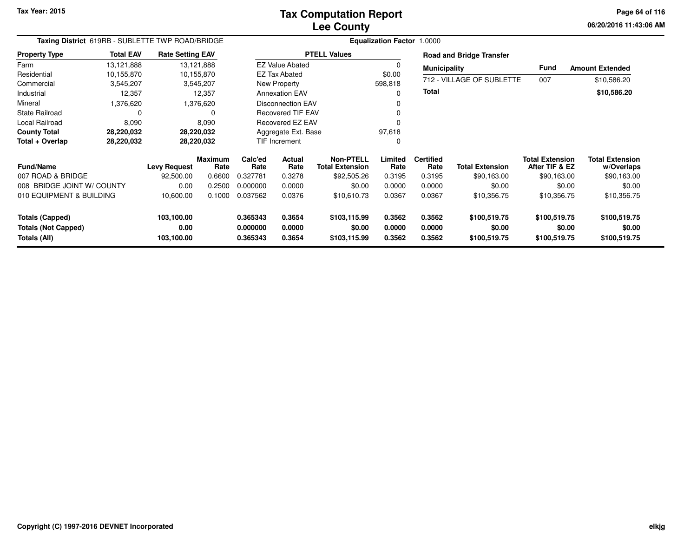**06/20/2016 11:43:06 AM Page 64 of 116**

| Taxing District 619RB - SUBLETTE TWP ROAD/BRIDGE |                                                                         |                     |                        |                      |                          |                                            | <b>Equalization Factor 1.0000</b> |                          |                                 |                                          |                               |
|--------------------------------------------------|-------------------------------------------------------------------------|---------------------|------------------------|----------------------|--------------------------|--------------------------------------------|-----------------------------------|--------------------------|---------------------------------|------------------------------------------|-------------------------------|
| <b>Property Type</b>                             | <b>Total EAV</b><br><b>Rate Setting EAV</b><br>13,121,888<br>13,121,888 |                     |                        |                      |                          | <b>PTELL Values</b>                        |                                   |                          | <b>Road and Bridge Transfer</b> |                                          |                               |
| Farm                                             |                                                                         |                     |                        |                      | <b>EZ Value Abated</b>   |                                            |                                   | <b>Municipality</b>      |                                 | Fund                                     | <b>Amount Extended</b>        |
| Residential                                      | 10,155,870                                                              |                     | 10,155,870             |                      | <b>EZ Tax Abated</b>     |                                            | \$0.00                            |                          |                                 |                                          |                               |
| Commercial                                       | 3,545,207                                                               |                     | 3,545,207              |                      | New Property             |                                            | 598,818                           |                          | 712 - VILLAGE OF SUBLETTE       | 007                                      | \$10,586.20                   |
| Industrial                                       | 12,357                                                                  |                     | 12,357                 |                      | <b>Annexation EAV</b>    |                                            | 0                                 | <b>Total</b>             |                                 |                                          | \$10,586.20                   |
| Mineral                                          | 1,376,620                                                               |                     | 1,376,620              |                      | Disconnection EAV        |                                            |                                   |                          |                                 |                                          |                               |
| <b>State Railroad</b>                            | 0                                                                       |                     |                        |                      | <b>Recovered TIF EAV</b> |                                            |                                   |                          |                                 |                                          |                               |
| Local Railroad                                   | 8,090                                                                   |                     | 8,090                  |                      | Recovered EZ EAV         |                                            |                                   |                          |                                 |                                          |                               |
| <b>County Total</b>                              | 28,220,032                                                              |                     | 28,220,032             |                      | Aggregate Ext. Base      |                                            | 97,618                            |                          |                                 |                                          |                               |
| Total + Overlap                                  | 28,220,032                                                              |                     | 28,220,032             | <b>TIF Increment</b> |                          |                                            | 0                                 |                          |                                 |                                          |                               |
| <b>Fund/Name</b>                                 |                                                                         | <b>Levy Request</b> | <b>Maximum</b><br>Rate | Calc'ed<br>Rate      | <b>Actual</b><br>Rate    | <b>Non-PTELL</b><br><b>Total Extension</b> | Limited<br>Rate                   | <b>Certified</b><br>Rate | <b>Total Extension</b>          | <b>Total Extension</b><br>After TIF & EZ | Total Extension<br>w/Overlaps |
| 007 ROAD & BRIDGE                                |                                                                         | 92,500.00           | 0.6600                 | 0.327781             | 0.3278                   | \$92,505.26                                | 0.3195                            | 0.3195                   | \$90,163.00                     | \$90,163.00                              | \$90,163.00                   |
| 008 BRIDGE JOINT W/ COUNTY                       |                                                                         | 0.00                | 0.2500                 | 0.000000             | 0.0000                   | \$0.00                                     | 0.0000                            | 0.0000                   | \$0.00                          | \$0.00                                   | \$0.00                        |
| 010 EQUIPMENT & BUILDING                         |                                                                         | 10,600.00           | 0.1000                 | 0.037562             | 0.0376                   | \$10,610.73                                | 0.0367                            | 0.0367                   | \$10,356.75                     | \$10,356.75                              | \$10,356.75                   |
| <b>Totals (Capped)</b>                           |                                                                         | 103,100.00          |                        | 0.365343             | 0.3654                   | \$103,115.99                               | 0.3562                            | 0.3562                   | \$100,519.75                    | \$100,519.75                             | \$100,519.75                  |
| <b>Totals (Not Capped)</b>                       |                                                                         | 0.00                |                        | 0.000000             | 0.0000                   | \$0.00                                     | 0.0000                            | 0.0000                   | \$0.00                          | \$0.00                                   | \$0.00                        |
| Totals (All)                                     |                                                                         | 103,100.00          |                        | 0.365343             | 0.3654                   | \$103,115.99                               | 0.3562                            | 0.3562                   | \$100,519.75                    | \$100,519.75                             | \$100,519.75                  |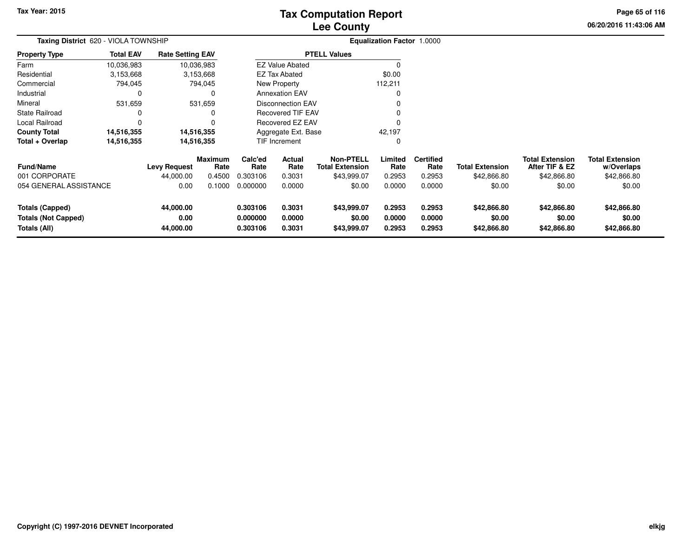# **Lee CountyTax Computation Report**

**06/20/2016 11:43:06 AMPage 65 of 116**

| Taxing District 620 - VIOLA TOWNSHIP                                 |                  |                                |                        | <b>Equalization Factor 1.0000</b>                        |                            |                                            |                            |                            |                                      |                                          |                                      |  |
|----------------------------------------------------------------------|------------------|--------------------------------|------------------------|----------------------------------------------------------|----------------------------|--------------------------------------------|----------------------------|----------------------------|--------------------------------------|------------------------------------------|--------------------------------------|--|
| <b>Property Type</b>                                                 | <b>Total EAV</b> | <b>Rate Setting EAV</b>        |                        |                                                          |                            | <b>PTELL Values</b>                        |                            |                            |                                      |                                          |                                      |  |
| Farm                                                                 | 10,036,983       |                                | 10,036,983             |                                                          | <b>EZ Value Abated</b>     |                                            |                            |                            |                                      |                                          |                                      |  |
| Residential                                                          | 3,153,668        |                                | 3,153,668              |                                                          | <b>EZ Tax Abated</b>       |                                            | \$0.00                     |                            |                                      |                                          |                                      |  |
| Commercial                                                           | 794,045          |                                | 794,045                |                                                          | New Property               |                                            | 112,211                    |                            |                                      |                                          |                                      |  |
| Industrial                                                           | 0                |                                |                        |                                                          | <b>Annexation EAV</b>      |                                            | 0                          |                            |                                      |                                          |                                      |  |
| Mineral                                                              | 531,659          |                                | 531,659                |                                                          | <b>Disconnection EAV</b>   |                                            |                            |                            |                                      |                                          |                                      |  |
| <b>State Railroad</b>                                                |                  |                                |                        | Recovered TIF EAV<br><b>Recovered EZ EAV</b><br>$\Omega$ |                            |                                            |                            |                            |                                      |                                          |                                      |  |
| Local Railroad                                                       | 0                |                                |                        |                                                          |                            |                                            |                            |                            |                                      |                                          |                                      |  |
| <b>County Total</b>                                                  | 14,516,355       |                                | 14,516,355             | Aggregate Ext. Base                                      |                            |                                            | 42,197                     |                            |                                      |                                          |                                      |  |
| Total + Overlap                                                      | 14,516,355       |                                | 14,516,355             |                                                          | <b>TIF Increment</b>       |                                            | 0                          |                            |                                      |                                          |                                      |  |
| <b>Fund/Name</b>                                                     |                  | <b>Levy Request</b>            | <b>Maximum</b><br>Rate | Calc'ed<br>Rate                                          | Actual<br>Rate             | <b>Non-PTELL</b><br><b>Total Extension</b> | Limited<br>Rate            | <b>Certified</b><br>Rate   | <b>Total Extension</b>               | <b>Total Extension</b><br>After TIF & EZ | <b>Total Extension</b><br>w/Overlaps |  |
| 001 CORPORATE                                                        |                  | 44,000.00                      | 0.4500                 | 0.303106                                                 | 0.3031                     | \$43,999.07                                | 0.2953                     | 0.2953                     | \$42,866.80                          | \$42,866.80                              | \$42,866.80                          |  |
| 054 GENERAL ASSISTANCE                                               |                  | 0.00                           | 0.1000                 | 0.000000                                                 | 0.0000                     | \$0.00                                     | 0.0000                     | 0.0000                     | \$0.00                               | \$0.00                                   | \$0.00                               |  |
| <b>Totals (Capped)</b><br><b>Totals (Not Capped)</b><br>Totals (All) |                  | 44,000.00<br>0.00<br>44,000.00 |                        | 0.303106<br>0.000000<br>0.303106                         | 0.3031<br>0.0000<br>0.3031 | \$43,999.07<br>\$0.00<br>\$43,999.07       | 0.2953<br>0.0000<br>0.2953 | 0.2953<br>0.0000<br>0.2953 | \$42,866.80<br>\$0.00<br>\$42,866.80 | \$42,866.80<br>\$0.00<br>\$42,866.80     | \$42,866.80<br>\$0.00<br>\$42,866.80 |  |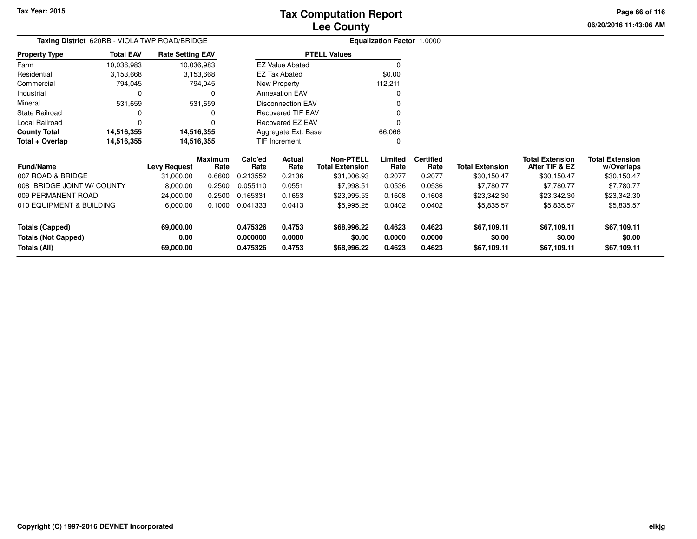**Total + Overlap**

**Totals (Capped)**

**Totals (All)**

**Totals (Not Capped)**

007 ROAD & BRIDGE

009 PERMANENT ROAD

**Fund/Name**

**County Total 14,516,355 14,516,355**

008 BRIDGE JOINT W/ COUNTY

010 EQUIPMENT & BUILDING

**14,516,355 14,516,355**

14,516,355

14,516,355

**69,000.00**

**69,000.00**

**0.00**

**Levy Request Rate**

 **Calc'ed Rate**0.213552 **ActualRate**

Aggregate Ext. BaseTIF Increment

**Rate**

**Maximum**

## **Lee CountyTax Computation Report**

**06/20/2016 11:43:06 AMPage 66 of 116**

> **w/Overlaps** \$30,150.47

**Total Extension**

**After TIF & EZ** \$30,150.47

**Total Extension**

\$30,150.47

|                       |                                               |                         | <b>LUU VUUIILV</b>     |                                   |
|-----------------------|-----------------------------------------------|-------------------------|------------------------|-----------------------------------|
|                       | Taxing District 620RB - VIOLA TWP ROAD/BRIDGE |                         |                        | <b>Equalization Factor 1.0000</b> |
| <b>Property Type</b>  | <b>Total EAV</b>                              | <b>Rate Setting EAV</b> | <b>PTELL Values</b>    |                                   |
| Farm                  | 10.036.983                                    | 10.036.983              | <b>EZ Value Abated</b> |                                   |
| Residential           | 3.153.668                                     | 3,153,668               | EZ Tax Abated          | \$0.00                            |
| Commercial            | 794.045                                       | 794,045                 | New Property           | 112,211                           |
| Industrial            |                                               |                         | <b>Annexation EAV</b>  |                                   |
| Mineral               | 531.659                                       | 531.659                 | Disconnection EAV      |                                   |
| <b>State Railroad</b> |                                               |                         | Recovered TIF EAV      |                                   |
| Local Railroad        |                                               |                         | Recovered EZ EAV       |                                   |
| _ _ _ _ .             |                                               |                         |                        |                                   |

**Certified**

**0.475326 0.4753 \$68,996.22 0.4623 0.4623 \$67,109.11 \$67,109.11 \$67,109.11**

**0.000000 0.0000 \$0.00 0.0000 0.0000 \$0.00 \$0.00 \$0.00**

**0.475326 0.4753 \$68,996.22 0.4623 0.4623 \$67,109.11 \$67,109.11 \$67,109.11**

**Limited**Rate

66,066 $\mathbf{0}$ 

**Total Extension Rate Total Extension**

24,000.00 0.2500 0.165331 0.1653 \$23,995.53 0.1608 0.1608 \$23,342.30 \$23,342.30 \$23,342.30

8,000.00 0.2500 0.055110 0.0551 \$7,998.51 0.0536 0.0536 \$7,780.77 \$7,780.77 \$7,780.77

6,000.00 0.1000 0.041333 0.0413 \$5,995.25 0.0402 0.0402 \$5,835.57 \$5,835.57 \$5,835.57

31,000.00 0.6600 0.213552 0.2136 \$31,006.93 0.2077 0.2077 \$30,150.47 \$30,150.47 \$30,150.47

**Non-PTELL**

0

\$31,006.93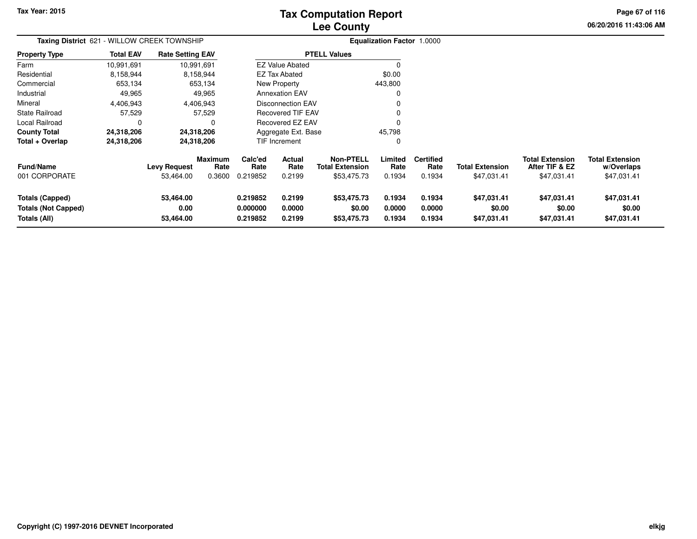# **Lee CountyTax Computation Report**

**06/20/2016 11:43:06 AM Page 67 of 116**

| Taxing District 621 - WILLOW CREEK TOWNSHIP                   |                  |                                  |                                  |                                  |                                 |                                                           | <b>Equalization Factor 1.0000</b> |                                    |                                       |                                                         |                                                     |
|---------------------------------------------------------------|------------------|----------------------------------|----------------------------------|----------------------------------|---------------------------------|-----------------------------------------------------------|-----------------------------------|------------------------------------|---------------------------------------|---------------------------------------------------------|-----------------------------------------------------|
| <b>Property Type</b>                                          | <b>Total EAV</b> | <b>Rate Setting EAV</b>          |                                  |                                  |                                 | <b>PTELL Values</b>                                       |                                   |                                    |                                       |                                                         |                                                     |
| Farm                                                          | 10,991,691       |                                  | 10,991,691                       |                                  | <b>EZ Value Abated</b>          |                                                           | 0                                 |                                    |                                       |                                                         |                                                     |
| Residential                                                   | 8,158,944        |                                  | 8,158,944                        |                                  | EZ Tax Abated                   |                                                           | \$0.00                            |                                    |                                       |                                                         |                                                     |
| Commercial                                                    | 653,134          |                                  | 653,134                          |                                  | New Property                    |                                                           | 443,800                           |                                    |                                       |                                                         |                                                     |
| Industrial                                                    | 49,965           |                                  | 49,965                           |                                  | <b>Annexation EAV</b>           |                                                           |                                   |                                    |                                       |                                                         |                                                     |
| Mineral                                                       | 4,406,943        |                                  | 4,406,943                        |                                  | <b>Disconnection EAV</b>        |                                                           |                                   |                                    |                                       |                                                         |                                                     |
| <b>State Railroad</b>                                         | 57,529           |                                  | 57,529                           |                                  | <b>Recovered TIF EAV</b>        |                                                           |                                   |                                    |                                       |                                                         |                                                     |
| Local Railroad                                                | 0                |                                  | 0                                |                                  | Recovered EZ EAV                |                                                           |                                   |                                    |                                       |                                                         |                                                     |
| <b>County Total</b>                                           | 24,318,206       |                                  | 24,318,206                       |                                  | Aggregate Ext. Base             |                                                           | 45,798                            |                                    |                                       |                                                         |                                                     |
| Total + Overlap                                               | 24,318,206       |                                  | 24,318,206                       |                                  | <b>TIF Increment</b>            |                                                           | 0                                 |                                    |                                       |                                                         |                                                     |
| <b>Fund/Name</b><br>001 CORPORATE                             |                  | <b>Levy Request</b><br>53,464.00 | <b>Maximum</b><br>Rate<br>0.3600 | Calc'ed<br>Rate<br>0.219852      | <b>Actual</b><br>Rate<br>0.2199 | <b>Non-PTELL</b><br><b>Total Extension</b><br>\$53,475.73 | Limited<br>Rate<br>0.1934         | <b>Certified</b><br>Rate<br>0.1934 | <b>Total Extension</b><br>\$47,031.41 | <b>Total Extension</b><br>After TIF & EZ<br>\$47,031.41 | <b>Total Extension</b><br>w/Overlaps<br>\$47,031.41 |
| Totals (Capped)<br><b>Totals (Not Capped)</b><br>Totals (All) |                  | 53,464.00<br>0.00<br>53,464.00   |                                  | 0.219852<br>0.000000<br>0.219852 | 0.2199<br>0.0000<br>0.2199      | \$53,475.73<br>\$0.00<br>\$53,475.73                      | 0.1934<br>0.0000<br>0.1934        | 0.1934<br>0.0000<br>0.1934         | \$47,031.41<br>\$0.00<br>\$47,031.41  | \$47,031.41<br>\$0.00<br>\$47,031.41                    | \$47,031.41<br>\$0.00<br>\$47,031.41                |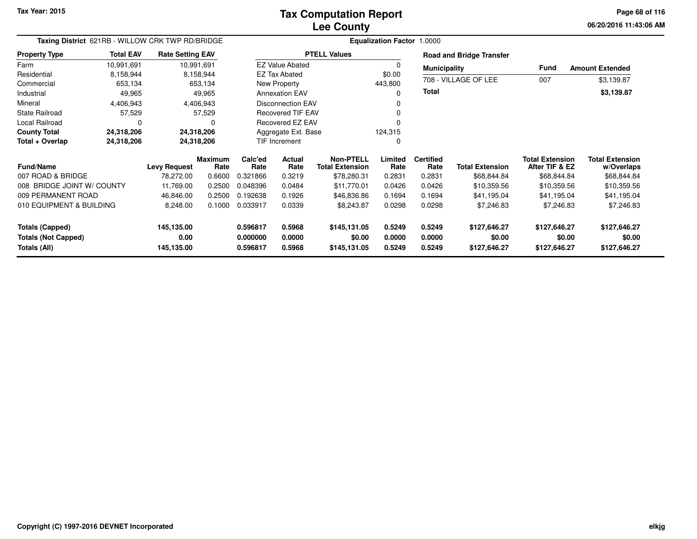**06/20/2016 11:43:06 AM Page 68 of 116**

| Taxing District 621RB - WILLOW CRK TWP RD/BRIDGE     |                  |                         |                        |                      |                          |                                            |                  |                          |                                 |                                          |                                      |
|------------------------------------------------------|------------------|-------------------------|------------------------|----------------------|--------------------------|--------------------------------------------|------------------|--------------------------|---------------------------------|------------------------------------------|--------------------------------------|
| <b>Property Type</b>                                 | <b>Total EAV</b> | <b>Rate Setting EAV</b> |                        |                      |                          | <b>PTELL Values</b>                        |                  |                          | <b>Road and Bridge Transfer</b> |                                          |                                      |
| Farm                                                 | 10,991,691       | 10,991,691              |                        |                      | <b>EZ Value Abated</b>   |                                            |                  | <b>Municipality</b>      |                                 | Fund                                     | <b>Amount Extended</b>               |
| Residential                                          | 8.158.944        |                         | 8,158,944              |                      | <b>EZ Tax Abated</b>     |                                            | \$0.00           |                          | 708 - VILLAGE OF LEE            | 007                                      | \$3,139.87                           |
| Commercial                                           | 653,134          |                         | 653,134                |                      | New Property             |                                            | 443,800          |                          |                                 |                                          |                                      |
| Industrial                                           | 49,965           |                         | 49,965                 |                      | <b>Annexation EAV</b>    |                                            |                  | <b>Total</b>             |                                 |                                          | \$3,139.87                           |
| Mineral                                              | 4,406,943        |                         | 4,406,943              |                      | <b>Disconnection EAV</b> |                                            |                  |                          |                                 |                                          |                                      |
| <b>State Railroad</b>                                | 57,529           |                         | 57,529                 |                      | <b>Recovered TIF EAV</b> |                                            |                  |                          |                                 |                                          |                                      |
| Local Railroad                                       |                  |                         |                        |                      | <b>Recovered EZ EAV</b>  |                                            |                  |                          |                                 |                                          |                                      |
| <b>County Total</b>                                  | 24,318,206       | 24,318,206              |                        |                      | Aggregate Ext. Base      |                                            | 124,315          |                          |                                 |                                          |                                      |
| Total + Overlap                                      | 24,318,206       | 24,318,206              |                        |                      | <b>TIF Increment</b>     |                                            | 0                |                          |                                 |                                          |                                      |
| <b>Fund/Name</b>                                     |                  | <b>Levy Request</b>     | <b>Maximum</b><br>Rate | Calc'ed<br>Rate      | Actual<br>Rate           | <b>Non-PTELL</b><br><b>Total Extension</b> | Limited<br>Rate  | <b>Certified</b><br>Rate | <b>Total Extension</b>          | <b>Total Extension</b><br>After TIF & EZ | <b>Total Extension</b><br>w/Overlaps |
| 007 ROAD & BRIDGE                                    |                  | 78,272.00               | 0.6600                 | 0.321866             | 0.3219                   | \$78,280.31                                | 0.2831           | 0.2831                   | \$68,844.84                     | \$68,844.84                              | \$68,844.84                          |
| 008 BRIDGE JOINT W/ COUNTY                           |                  | 11,769.00               | 0.2500                 | 0.048396             | 0.0484                   | \$11,770.01                                | 0.0426           | 0.0426                   | \$10,359.56                     | \$10,359.56                              | \$10,359.56                          |
| 009 PERMANENT ROAD                                   |                  | 46,846.00               | 0.2500                 | 0.192638             | 0.1926                   | \$46,836.86                                | 0.1694           | 0.1694                   | \$41,195.04                     | \$41,195.04                              | \$41,195.04                          |
| 010 EQUIPMENT & BUILDING                             |                  | 8,248.00                | 0.1000                 | 0.033917             | 0.0339                   | \$8,243.87                                 | 0.0298           | 0.0298                   | \$7,246.83                      | \$7,246.83                               | \$7,246.83                           |
| <b>Totals (Capped)</b><br><b>Totals (Not Capped)</b> |                  | 145,135.00<br>0.00      |                        | 0.596817<br>0.000000 | 0.5968<br>0.0000         | \$145,131.05<br>\$0.00                     | 0.5249<br>0.0000 | 0.5249<br>0.0000         | \$127,646.27<br>\$0.00          | \$127,646.27<br>\$0.00                   | \$127,646.27<br>\$0.00               |
| Totals (All)                                         |                  | 145,135.00              |                        | 0.596817             | 0.5968                   | \$145,131.05                               | 0.5249           | 0.5249                   | \$127,646.27                    | \$127,646.27                             | \$127,646.27                         |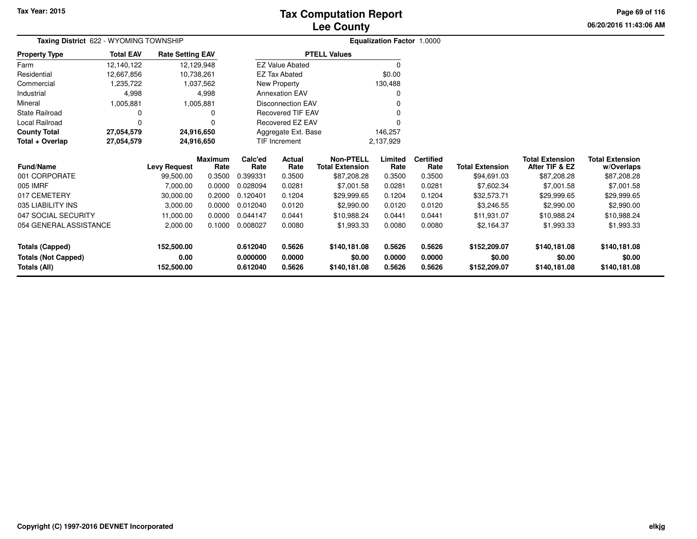## **Lee CountyTax Computation Report**

**06/20/2016 11:43:06 AM Page 69 of 116**

| Taxing District 622 - WYOMING TOWNSHIP |                  |                         |                        |                 |                          |                                            | <b>Equalization Factor 1.0000</b> |                          |                        |                                          |                                      |
|----------------------------------------|------------------|-------------------------|------------------------|-----------------|--------------------------|--------------------------------------------|-----------------------------------|--------------------------|------------------------|------------------------------------------|--------------------------------------|
| <b>Property Type</b>                   | <b>Total EAV</b> | <b>Rate Setting EAV</b> |                        |                 |                          | <b>PTELL Values</b>                        |                                   |                          |                        |                                          |                                      |
| Farm                                   | 12,140,122       | 12,129,948              |                        |                 | <b>EZ Value Abated</b>   |                                            |                                   |                          |                        |                                          |                                      |
| Residential                            | 12,667,856       | 10,738,261              |                        |                 | EZ Tax Abated            |                                            | \$0.00                            |                          |                        |                                          |                                      |
| Commercial                             | 1,235,722        |                         | 1,037,562              |                 | New Property             |                                            | 130,488                           |                          |                        |                                          |                                      |
| Industrial                             | 4,998            |                         | 4,998                  |                 | <b>Annexation EAV</b>    |                                            |                                   |                          |                        |                                          |                                      |
| Mineral                                | 1,005,881        |                         | 1,005,881              |                 | Disconnection EAV        |                                            |                                   |                          |                        |                                          |                                      |
| State Railroad                         | 0                |                         | 0                      |                 | <b>Recovered TIF EAV</b> |                                            |                                   |                          |                        |                                          |                                      |
| Local Railroad                         | 0                |                         | O                      |                 | Recovered EZ EAV         |                                            |                                   |                          |                        |                                          |                                      |
| <b>County Total</b>                    | 27,054,579       | 24,916,650              |                        |                 | Aggregate Ext. Base      |                                            | 146,257                           |                          |                        |                                          |                                      |
| Total + Overlap                        | 27,054,579       | 24,916,650              |                        |                 | TIF Increment            |                                            | 2,137,929                         |                          |                        |                                          |                                      |
| <b>Fund/Name</b>                       |                  | <b>Levy Request</b>     | <b>Maximum</b><br>Rate | Calc'ed<br>Rate | Actual<br>Rate           | <b>Non-PTELL</b><br><b>Total Extension</b> | Limited<br>Rate                   | <b>Certified</b><br>Rate | <b>Total Extension</b> | <b>Total Extension</b><br>After TIF & EZ | <b>Total Extension</b><br>w/Overlaps |
| 001 CORPORATE                          |                  | 99,500.00               | 0.3500                 | 0.399331        | 0.3500                   | \$87,208.28                                | 0.3500                            | 0.3500                   | \$94,691.03            | \$87,208.28                              | \$87,208.28                          |
| 005 IMRF                               |                  | 7,000.00                | 0.0000                 | 0.028094        | 0.0281                   | \$7,001.58                                 | 0.0281                            | 0.0281                   | \$7,602.34             | \$7,001.58                               | \$7,001.58                           |
| 017 CEMETERY                           |                  | 30,000.00               | 0.2000                 | 0.120401        | 0.1204                   | \$29,999.65                                | 0.1204                            | 0.1204                   | \$32,573.71            | \$29,999.65                              | \$29,999.65                          |
| 035 LIABILITY INS                      |                  | 3,000.00                | 0.0000                 | 0.012040        | 0.0120                   | \$2,990.00                                 | 0.0120                            | 0.0120                   | \$3,246.55             | \$2,990.00                               | \$2,990.00                           |
| 047 SOCIAL SECURITY                    |                  | 11,000.00               | 0.0000                 | 0.044147        | 0.0441                   | \$10,988.24                                | 0.0441                            | 0.0441                   | \$11,931.07            | \$10,988.24                              | \$10,988.24                          |
| 054 GENERAL ASSISTANCE                 |                  | 2,000.00                | 0.1000                 | 0.008027        | 0.0080                   | \$1,993.33                                 | 0.0080                            | 0.0080                   | \$2,164.37             | \$1,993.33                               | \$1,993.33                           |
| <b>Totals (Capped)</b>                 |                  | 152,500.00              |                        | 0.612040        | 0.5626                   | \$140,181.08                               | 0.5626                            | 0.5626                   | \$152,209.07           | \$140,181.08                             | \$140,181.08                         |
| <b>Totals (Not Capped)</b>             |                  | 0.00                    | 0.000000<br>0.0000     |                 | \$0.00                   | 0.0000                                     | 0.0000                            | \$0.00                   | \$0.00                 | \$0.00                                   |                                      |
| Totals (All)                           |                  | 152,500.00              | 0.612040<br>0.5626     |                 |                          | \$140,181.08                               | 0.5626                            | 0.5626                   | \$152,209.07           | \$140,181.08                             | \$140,181.08                         |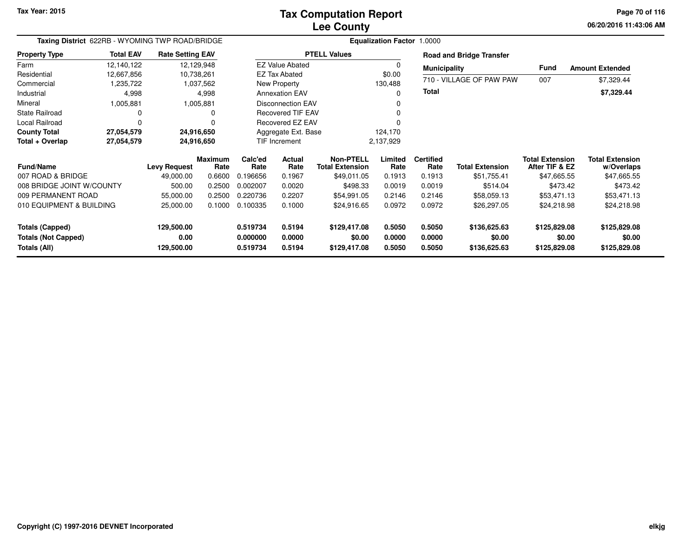**06/20/2016 11:43:06 AM Page 70 of 116**

| Taxing District 622RB - WYOMING TWP ROAD/BRIDGE |                                                                         |                     |                 |                 |                          |                                            | <b>Equalization Factor 1.0000</b> |                          |                                 |                                          |                                      |
|-------------------------------------------------|-------------------------------------------------------------------------|---------------------|-----------------|-----------------|--------------------------|--------------------------------------------|-----------------------------------|--------------------------|---------------------------------|------------------------------------------|--------------------------------------|
| <b>Property Type</b>                            | <b>Total EAV</b><br><b>Rate Setting EAV</b><br>12,140,122<br>12,129,948 |                     |                 |                 |                          | <b>PTELL Values</b>                        |                                   |                          | <b>Road and Bridge Transfer</b> |                                          |                                      |
| Farm                                            |                                                                         |                     |                 |                 | <b>EZ Value Abated</b>   |                                            | $\Omega$                          | <b>Municipality</b>      |                                 | Fund                                     | <b>Amount Extended</b>               |
| Residential                                     | 12,667,856                                                              | 10,738,261          |                 |                 | <b>EZ Tax Abated</b>     |                                            | \$0.00                            |                          |                                 |                                          |                                      |
| Commercial                                      | 1,235,722                                                               |                     | 1,037,562       |                 | New Property             |                                            | 130,488                           |                          | 710 - VILLAGE OF PAW PAW        | 007                                      | \$7,329.44                           |
| Industrial                                      | 4,998                                                                   |                     | 4,998           |                 | <b>Annexation EAV</b>    |                                            | O                                 | <b>Total</b>             |                                 |                                          | \$7,329.44                           |
| Mineral                                         | 1,005,881                                                               |                     | 1,005,881       |                 | <b>Disconnection EAV</b> |                                            |                                   |                          |                                 |                                          |                                      |
| <b>State Railroad</b>                           | 0                                                                       |                     | 0               |                 | <b>Recovered TIF EAV</b> |                                            |                                   |                          |                                 |                                          |                                      |
| Local Railroad                                  | $\Omega$                                                                |                     |                 |                 | Recovered EZ EAV         |                                            |                                   |                          |                                 |                                          |                                      |
| <b>County Total</b>                             | 27,054,579                                                              | 24,916,650          |                 |                 | Aggregate Ext. Base      |                                            | 124,170                           |                          |                                 |                                          |                                      |
| Total + Overlap                                 | 27,054,579                                                              | 24,916,650          |                 | TIF Increment   |                          |                                            | 2,137,929                         |                          |                                 |                                          |                                      |
| <b>Fund/Name</b>                                |                                                                         | <b>Levy Request</b> | Maximum<br>Rate | Calc'ed<br>Rate | Actual<br>Rate           | <b>Non-PTELL</b><br><b>Total Extension</b> | Limited<br>Rate                   | <b>Certified</b><br>Rate | <b>Total Extension</b>          | <b>Total Extension</b><br>After TIF & EZ | <b>Total Extension</b><br>w/Overlaps |
| 007 ROAD & BRIDGE                               |                                                                         | 49,000.00           | 0.6600          | 0.196656        | 0.1967                   | \$49,011.05                                | 0.1913                            | 0.1913                   | \$51,755.41                     | \$47,665.55                              | \$47,665.55                          |
| 008 BRIDGE JOINT W/COUNTY                       |                                                                         | 500.00              | 0.2500          | 0.002007        | 0.0020                   | \$498.33                                   | 0.0019                            | 0.0019                   | \$514.04                        | \$473.42                                 | \$473.42                             |
| 009 PERMANENT ROAD                              |                                                                         | 55,000.00           | 0.2500          | 0.220736        | 0.2207                   | \$54,991.05                                | 0.2146                            | 0.2146                   | \$58,059.13                     | \$53,471.13                              | \$53,471.13                          |
| 010 EQUIPMENT & BUILDING                        |                                                                         | 25,000.00           | 0.1000          | 0.100335        | 0.1000                   | \$24,916.65                                | 0.0972                            | 0.0972                   | \$26,297.05                     | \$24,218.98                              | \$24,218.98                          |
| <b>Totals (Capped)</b>                          |                                                                         | 129,500.00          |                 | 0.519734        | 0.5194                   | \$129,417.08                               | 0.5050                            | 0.5050                   | \$136,625.63                    | \$125,829.08                             | \$125,829.08                         |
| <b>Totals (Not Capped)</b>                      |                                                                         | 0.00                |                 | 0.000000        | 0.0000                   | \$0.00                                     | 0.0000                            | 0.0000                   | \$0.00                          | \$0.00                                   | \$0.00                               |
| Totals (All)                                    |                                                                         | 129,500.00          |                 | 0.519734        | 0.5194                   | \$129,417.08                               | 0.5050                            | 0.5050                   | \$136,625.63                    | \$125,829.08                             | \$125,829.08                         |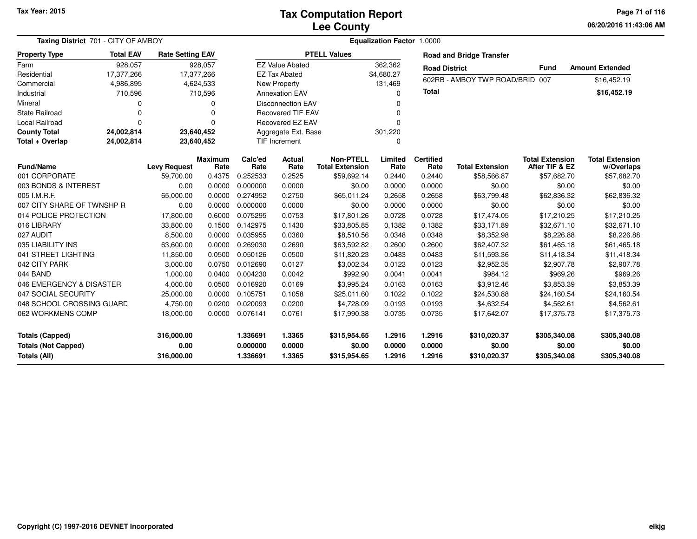#### **Lee CountyTax Computation Report**

**06/20/2016 11:43:06 AM Page 71 of 116**

| <b>Taxing District</b> 701 - CITY OF AMBOY |                          |                         |                          | <b>Equalization Factor 1.0000</b> |                          |                                            |                 |                                 |                        |                                          |                                      |  |
|--------------------------------------------|--------------------------|-------------------------|--------------------------|-----------------------------------|--------------------------|--------------------------------------------|-----------------|---------------------------------|------------------------|------------------------------------------|--------------------------------------|--|
| <b>Property Type</b>                       | <b>Total EAV</b>         | <b>Rate Setting EAV</b> |                          | <b>PTELL Values</b>               |                          |                                            |                 | <b>Road and Bridge Transfer</b> |                        |                                          |                                      |  |
| Farm                                       | 928,057                  |                         | 928,057                  | <b>EZ Value Abated</b><br>362,362 |                          | <b>Road District</b>                       |                 | <b>Fund</b>                     | <b>Amount Extended</b> |                                          |                                      |  |
| Residential                                | 17,377,266<br>17,377,266 |                         | <b>EZ Tax Abated</b>     |                                   |                          | \$4,680.27                                 |                 | 602RB - AMBOY TWP ROAD/BRID 007 |                        | \$16,452.19                              |                                      |  |
| Commercial                                 | 4,986,895<br>4,624,533   |                         |                          | New Property                      |                          | 131,469                                    |                 |                                 |                        |                                          |                                      |  |
| Industrial                                 | 710,596                  |                         | 710,596                  |                                   | <b>Annexation EAV</b>    |                                            | $\Omega$        | Total                           |                        |                                          | \$16,452.19                          |  |
| Mineral<br>0                               |                          |                         | $\Omega$                 |                                   | <b>Disconnection EAV</b> |                                            | U               |                                 |                        |                                          |                                      |  |
| State Railroad                             | $\Omega$<br>0            |                         | <b>Recovered TIF EAV</b> |                                   |                          |                                            |                 |                                 |                        |                                          |                                      |  |
| Local Railroad                             | 0                        | $\Omega$                |                          | Recovered EZ EAV                  |                          |                                            | $\Omega$        |                                 |                        |                                          |                                      |  |
| <b>County Total</b>                        | 24,002,814               | 23,640,452              |                          | Aggregate Ext. Base               |                          |                                            | 301,220         |                                 |                        |                                          |                                      |  |
| Total + Overlap                            | 24,002,814               |                         | 23,640,452               |                                   | TIF Increment            |                                            | $\Omega$        |                                 |                        |                                          |                                      |  |
| <b>Fund/Name</b>                           |                          | <b>Levy Request</b>     | <b>Maximum</b><br>Rate   | Calc'ed<br>Rate                   | Actual<br>Rate           | <b>Non-PTELL</b><br><b>Total Extension</b> | Limited<br>Rate | <b>Certified</b><br>Rate        | <b>Total Extension</b> | <b>Total Extension</b><br>After TIF & EZ | <b>Total Extension</b><br>w/Overlaps |  |
| 001 CORPORATE                              |                          | 59,700.00               | 0.4375                   | 0.252533                          | 0.2525                   | \$59,692.14                                | 0.2440          | 0.2440                          | \$58,566.87            | \$57,682.70                              | \$57,682.70                          |  |
| 003 BONDS & INTEREST                       |                          | 0.00                    | 0.0000                   | 0.000000                          | 0.0000                   | \$0.00                                     | 0.0000          | 0.0000                          | \$0.00                 | \$0.00                                   | \$0.00                               |  |
| 005 I.M.R.F.                               |                          | 65,000.00               | 0.0000                   | 0.274952                          | 0.2750                   | \$65,011.24                                | 0.2658          | 0.2658                          | \$63,799.48            | \$62,836.32                              | \$62,836.32                          |  |
| 007 CITY SHARE OF TWNSHP R                 |                          | 0.00                    | 0.0000                   | 0.000000                          | 0.0000                   | \$0.00                                     | 0.0000          | 0.0000                          | \$0.00                 | \$0.00                                   | \$0.00                               |  |
| 014 POLICE PROTECTION                      |                          | 17,800.00               | 0.6000                   | 0.075295                          | 0.0753                   | \$17,801.26                                | 0.0728          | 0.0728                          | \$17,474.05            | \$17,210.25                              | \$17,210.25                          |  |
| 016 LIBRARY                                |                          | 33,800.00               | 0.1500                   | 0.142975                          | 0.1430                   | \$33,805.85                                | 0.1382          | 0.1382                          | \$33,171.89            | \$32,671.10                              | \$32,671.10                          |  |
| 027 AUDIT                                  |                          | 8,500.00                | 0.0000                   | 0.035955                          | 0.0360                   | \$8,510.56                                 | 0.0348          | 0.0348                          | \$8,352.98             | \$8,226.88                               | \$8,226.88                           |  |
| 035 LIABILITY INS                          |                          | 63,600.00               | 0.0000                   | 0.269030                          | 0.2690                   | \$63,592.82                                | 0.2600          | 0.2600                          | \$62,407.32            | \$61,465.18                              | \$61,465.18                          |  |
| 041 STREET LIGHTING                        |                          | 11,850.00               | 0.0500                   | 0.050126                          | 0.0500                   | \$11,820.23                                | 0.0483          | 0.0483                          | \$11,593.36            | \$11,418.34                              | \$11,418.34                          |  |
| 042 CITY PARK                              |                          | 3,000.00                | 0.0750                   | 0.012690                          | 0.0127                   | \$3,002.34                                 | 0.0123          | 0.0123                          | \$2,952.35             | \$2,907.78                               | \$2,907.78                           |  |
| 044 BAND                                   |                          | 1,000.00                | 0.0400                   | 0.004230                          | 0.0042                   | \$992.90                                   | 0.0041          | 0.0041                          | \$984.12               | \$969.26                                 | \$969.26                             |  |
| 046 EMERGENCY & DISASTER                   |                          | 4,000.00                | 0.0500                   | 0.016920                          | 0.0169                   | \$3,995.24                                 | 0.0163          | 0.0163                          | \$3,912.46             | \$3,853.39                               | \$3,853.39                           |  |
| 047 SOCIAL SECURITY                        |                          | 25,000.00               | 0.0000                   | 0.105751                          | 0.1058                   | \$25,011.60                                | 0.1022          | 0.1022                          | \$24,530.88            | \$24,160.54                              | \$24,160.54                          |  |
| 048 SCHOOL CROSSING GUARD                  |                          | 4,750.00                | 0.0200                   | 0.020093                          | 0.0200                   | \$4,728.09                                 | 0.0193          | 0.0193                          | \$4,632.54             | \$4,562.61                               | \$4,562.61                           |  |
| 062 WORKMENS COMP                          |                          | 18,000.00               | 0.0000                   | 0.076141                          | 0.0761                   | \$17,990.38                                | 0.0735          | 0.0735                          | \$17,642.07            | \$17,375.73                              | \$17,375.73                          |  |
| <b>Totals (Capped)</b>                     |                          | 316,000.00              |                          | 1.336691                          | 1.3365                   | \$315,954.65                               | 1.2916          | 1.2916                          | \$310,020.37           | \$305,340.08                             | \$305,340.08                         |  |
| <b>Totals (Not Capped)</b>                 |                          | 0.00                    |                          | 0.000000                          | 0.0000                   | \$0.00                                     | 0.0000          | 0.0000                          | \$0.00                 | \$0.00                                   | \$0.00                               |  |
| <b>Totals (All)</b>                        |                          | 316,000.00              |                          | 1.336691                          | 1.3365                   | \$315,954.65                               | 1.2916          | 1.2916                          | \$310,020.37           | \$305,340.08                             | \$305,340.08                         |  |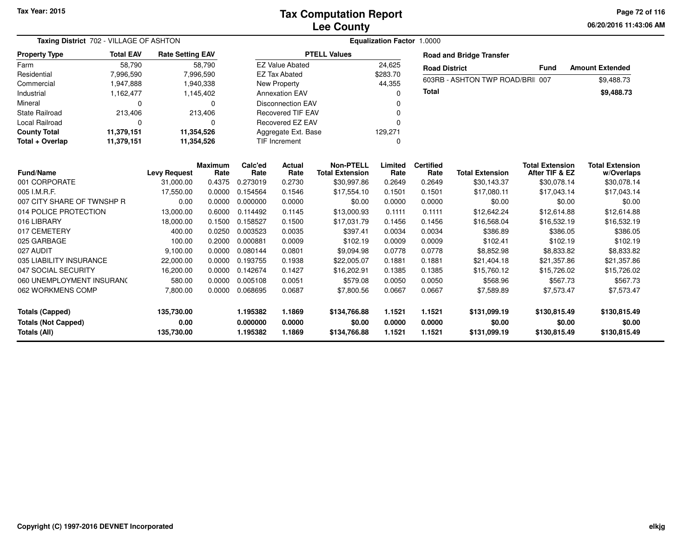**06/20/2016 11:43:06 AM Page 72 of 116**

| Taxing District 702 - VILLAGE OF ASHTON              |                                             |                     |                        | <b>Equalization Factor</b><br>1.0000 |                  |                        |                      |                  |                                  |                        |                        |  |
|------------------------------------------------------|---------------------------------------------|---------------------|------------------------|--------------------------------------|------------------|------------------------|----------------------|------------------|----------------------------------|------------------------|------------------------|--|
| <b>Property Type</b>                                 | <b>Total EAV</b><br><b>Rate Setting EAV</b> |                     |                        | <b>PTELL Values</b>                  |                  |                        |                      |                  | <b>Road and Bridge Transfer</b>  |                        |                        |  |
| Farm                                                 | 58.790<br>58,790                            |                     | <b>EZ Value Abated</b> |                                      |                  | 24,625                 | <b>Road District</b> |                  | <b>Fund</b>                      | <b>Amount Extended</b> |                        |  |
| 7,996,590<br>Residential                             |                                             | 7,996,590           |                        | <b>EZ Tax Abated</b>                 |                  |                        | \$283.70             |                  | 603RB - ASHTON TWP ROAD/BRII 007 |                        |                        |  |
| Commercial<br>1,947,888                              |                                             | 1,940,338           |                        | New Property                         |                  |                        | 44,355               |                  |                                  |                        | \$9,488.73             |  |
| 1,162,477<br>Industrial                              |                                             | 1,145,402           |                        | <b>Annexation EAV</b>                |                  |                        | 0                    | <b>Total</b>     |                                  |                        | \$9,488.73             |  |
| Mineral<br>0                                         |                                             | $\Omega$            |                        | <b>Disconnection EAV</b>             |                  |                        | 0                    |                  |                                  |                        |                        |  |
| <b>State Railroad</b><br>213,406                     |                                             | 213,406             |                        | <b>Recovered TIF EAV</b>             |                  |                        | 0                    |                  |                                  |                        |                        |  |
| Local Railroad                                       | O                                           |                     | $\Omega$               | Recovered EZ EAV                     |                  |                        | 0                    |                  |                                  |                        |                        |  |
| <b>County Total</b>                                  | 11,379,151                                  | 11,354,526          |                        | Aggregate Ext. Base                  |                  |                        | 129,271              |                  |                                  |                        |                        |  |
| Total + Overlap                                      | 11,379,151                                  | 11,354,526          |                        | TIF Increment                        |                  |                        | 0                    |                  |                                  |                        |                        |  |
|                                                      |                                             |                     | <b>Maximum</b>         | Calc'ed                              | Actual           | <b>Non-PTELL</b>       | Limited              | <b>Certified</b> |                                  | <b>Total Extension</b> | <b>Total Extension</b> |  |
| <b>Fund/Name</b>                                     |                                             | <b>Levy Request</b> | Rate                   | Rate                                 | Rate             | <b>Total Extension</b> | Rate                 | Rate             | <b>Total Extension</b>           | After TIF & EZ         | w/Overlaps             |  |
| 001 CORPORATE                                        |                                             | 31,000.00           | 0.4375                 | 0.273019                             | 0.2730           | \$30,997.86            | 0.2649               | 0.2649           | \$30,143.37                      | \$30,078.14            | \$30,078.14            |  |
| 005 I.M.R.F.                                         |                                             | 17,550.00           | 0.0000                 | 0.154564                             | 0.1546           | \$17,554.10            | 0.1501               | 0.1501           | \$17,080.11                      | \$17,043.14            | \$17,043.14            |  |
| 007 CITY SHARE OF TWNSHP R                           |                                             | 0.00                | 0.0000                 | 0.000000                             | 0.0000           | \$0.00                 | 0.0000               | 0.0000           | \$0.00                           | \$0.00                 | \$0.00                 |  |
| 014 POLICE PROTECTION                                |                                             | 13,000.00           | 0.6000                 | 0.114492                             | 0.1145           | \$13,000.93            | 0.1111               | 0.1111           | \$12,642.24                      | \$12,614.88            | \$12,614.88            |  |
| 016 LIBRARY                                          |                                             | 18,000.00           | 0.1500                 | 0.158527                             | 0.1500           | \$17,031.79            | 0.1456               | 0.1456           | \$16,568.04                      | \$16,532.19            | \$16,532.19            |  |
| 017 CEMETERY                                         |                                             | 400.00              | 0.0250                 | 0.003523                             | 0.0035           | \$397.41               | 0.0034               | 0.0034           | \$386.89                         | \$386.05               | \$386.05               |  |
| 025 GARBAGE                                          |                                             | 100.00              | 0.2000                 | 0.000881                             | 0.0009           | \$102.19               | 0.0009               | 0.0009           | \$102.41                         | \$102.19               | \$102.19               |  |
| 027 AUDIT                                            |                                             | 9,100.00            | 0.0000                 | 0.080144                             | 0.0801           | \$9,094.98             | 0.0778               | 0.0778           | \$8,852.98                       | \$8,833.82             | \$8,833.82             |  |
| 035 LIABILITY INSURANCE                              |                                             | 22,000.00           | 0.0000                 | 0.193755                             | 0.1938           | \$22,005.07            | 0.1881               | 0.1881           | \$21,404.18                      | \$21,357.86            | \$21,357.86            |  |
| 047 SOCIAL SECURITY                                  |                                             | 16,200.00           | 0.0000                 | 0.142674                             | 0.1427           | \$16,202.91            | 0.1385               | 0.1385           | \$15,760.12                      | \$15,726.02            | \$15,726.02            |  |
| 060 UNEMPLOYMENT INSURANC                            |                                             | 580.00              | 0.0000                 | 0.005108                             | 0.0051           | \$579.08               | 0.0050               | 0.0050           | \$568.96                         | \$567.73               | \$567.73               |  |
| 062 WORKMENS COMP                                    |                                             | 7,800.00            | 0.0000                 | 0.068695                             | 0.0687           | \$7,800.56             | 0.0667               | 0.0667           | \$7,589.89                       | \$7,573.47             | \$7,573.47             |  |
| <b>Totals (Capped)</b><br><b>Totals (Not Capped)</b> |                                             | 135,730.00<br>0.00  |                        | 1.195382<br>0.000000                 | 1.1869<br>0.0000 | \$134,766.88<br>\$0.00 | 1.1521<br>0.0000     | 1.1521<br>0.0000 | \$131,099.19<br>\$0.00           | \$130,815.49<br>\$0.00 | \$130,815.49<br>\$0.00 |  |
| <b>Totals (All)</b>                                  |                                             | 135,730.00          |                        | 1.195382                             | 1.1869           | \$134,766.88           | 1.1521               | 1.1521           | \$131,099.19                     | \$130,815.49           | \$130,815.49           |  |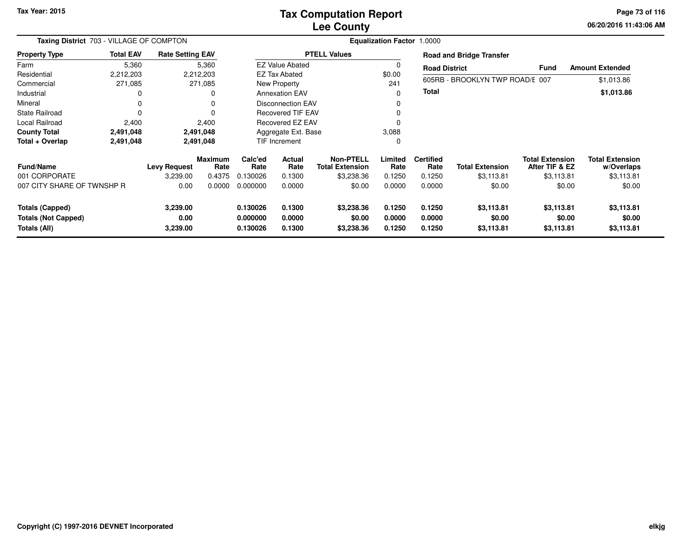# **Lee CountyTax Computation Report**

**06/20/2016 11:43:06 AMPage 73 of 116**

| Taxing District 703 - VILLAGE OF COMPTON                             |                  |                              |                 | <b>Equalization Factor 1.0000</b> |                            |                                            |                            |                            |                                    |                                          |                                      |  |
|----------------------------------------------------------------------|------------------|------------------------------|-----------------|-----------------------------------|----------------------------|--------------------------------------------|----------------------------|----------------------------|------------------------------------|------------------------------------------|--------------------------------------|--|
| <b>Property Type</b>                                                 | <b>Total EAV</b> | <b>Rate Setting EAV</b>      |                 |                                   |                            | <b>PTELL Values</b>                        |                            |                            | <b>Road and Bridge Transfer</b>    |                                          |                                      |  |
| Farm                                                                 | 5,360            |                              | 5,360           |                                   | <b>EZ Value Abated</b>     |                                            | 0                          | <b>Road District</b>       |                                    | <b>Fund</b>                              | <b>Amount Extended</b>               |  |
| Residential                                                          | 2,212,203        |                              | 2,212,203       |                                   | EZ Tax Abated              |                                            | \$0.00                     |                            |                                    |                                          |                                      |  |
| Commercial                                                           | 271,085          |                              | 271,085         |                                   | New Property               |                                            | 241                        |                            | 605RB - BROOKLYN TWP ROAD/E 007    |                                          | \$1,013.86                           |  |
| Industrial                                                           | 0                |                              | 0               |                                   | <b>Annexation EAV</b>      |                                            | 0                          | <b>Total</b>               |                                    |                                          | \$1,013.86                           |  |
| Mineral                                                              | 0                |                              | 0               |                                   | <b>Disconnection EAV</b>   |                                            |                            |                            |                                    |                                          |                                      |  |
| <b>State Railroad</b>                                                | $\Omega$         |                              | 0               |                                   | <b>Recovered TIF EAV</b>   |                                            |                            |                            |                                    |                                          |                                      |  |
| Local Railroad                                                       | 2,400            |                              | 2,400           |                                   | Recovered EZ EAV           |                                            |                            |                            |                                    |                                          |                                      |  |
| <b>County Total</b>                                                  | 2,491,048        |                              | 2,491,048       |                                   | Aggregate Ext. Base        |                                            | 3,088                      |                            |                                    |                                          |                                      |  |
| Total + Overlap                                                      | 2,491,048        |                              | 2,491,048       |                                   | <b>TIF Increment</b>       |                                            | $\Omega$                   |                            |                                    |                                          |                                      |  |
| <b>Fund/Name</b>                                                     |                  | <b>Levy Request</b>          | Maximum<br>Rate | Calc'ed<br>Rate                   | <b>Actual</b><br>Rate      | <b>Non-PTELL</b><br><b>Total Extension</b> | Limited<br>Rate            | <b>Certified</b><br>Rate   | <b>Total Extension</b>             | <b>Total Extension</b><br>After TIF & EZ | <b>Total Extension</b><br>w/Overlaps |  |
| 001 CORPORATE                                                        |                  | 3,239.00                     | 0.4375          | 0.130026                          | 0.1300                     | \$3,238.36                                 | 0.1250                     | 0.1250                     | \$3,113.81                         | \$3,113.81                               | \$3,113.81                           |  |
| 007 CITY SHARE OF TWNSHP R                                           |                  | 0.00                         | 0.0000          | 0.000000                          | 0.0000                     | \$0.00                                     | 0.0000                     | 0.0000                     | \$0.00                             | \$0.00                                   | \$0.00                               |  |
| <b>Totals (Capped)</b><br><b>Totals (Not Capped)</b><br>Totals (All) |                  | 3,239.00<br>0.00<br>3,239.00 |                 | 0.130026<br>0.000000<br>0.130026  | 0.1300<br>0.0000<br>0.1300 | \$3,238.36<br>\$0.00<br>\$3,238.36         | 0.1250<br>0.0000<br>0.1250 | 0.1250<br>0.0000<br>0.1250 | \$3,113.81<br>\$0.00<br>\$3,113.81 | \$3,113.81<br>\$0.00<br>\$3,113.81       | \$3,113.81<br>\$0.00<br>\$3,113.81   |  |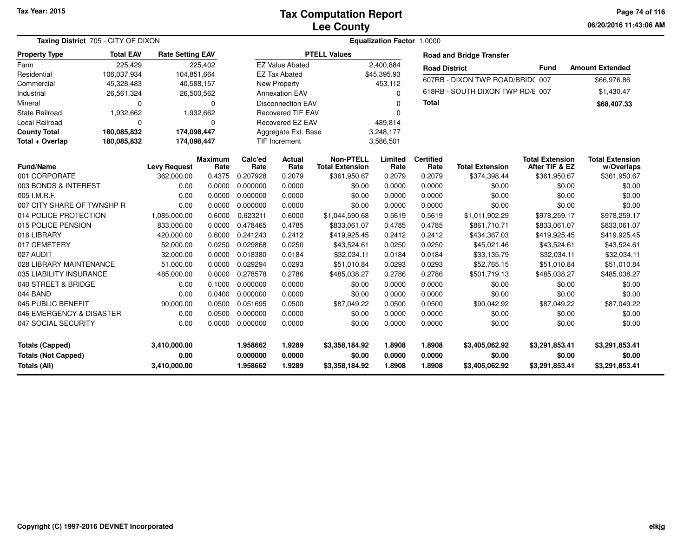**06/20/2016 11:43:06 AM Page 74 of 116**

| Taxing District 705 - CITY OF DIXON |                  |                         |                 |                 | <b>Equalization Factor 1.0000</b> |                                            |                 |                          |                                  |                                          |                                      |
|-------------------------------------|------------------|-------------------------|-----------------|-----------------|-----------------------------------|--------------------------------------------|-----------------|--------------------------|----------------------------------|------------------------------------------|--------------------------------------|
| <b>Property Type</b>                | <b>Total EAV</b> | <b>Rate Setting EAV</b> |                 |                 |                                   | <b>PTELL Values</b>                        |                 |                          | <b>Road and Bridge Transfer</b>  |                                          |                                      |
| Farm                                | 225,429          |                         | 225,402         |                 | <b>EZ Value Abated</b>            |                                            | 2,400,884       | <b>Road District</b>     |                                  | <b>Fund</b>                              | <b>Amount Extended</b>               |
| Residential                         | 106,037,934      | 104,851,664             |                 |                 | <b>EZ Tax Abated</b>              |                                            | \$45,395.93     |                          | 607RB - DIXON TWP ROAD/BRID(007  |                                          | \$66,976.86                          |
| Commercial                          | 45,328,483       | 40,588,157              |                 |                 | <b>New Property</b>               |                                            | 453,112         |                          |                                  |                                          |                                      |
| Industrial                          | 26,561,324       |                         | 26,500,562      |                 | <b>Annexation EAV</b>             |                                            | $\Omega$        |                          | 618RB - SOUTH DIXON TWP RD/E 007 |                                          | \$1,430.47                           |
| Mineral                             | $\mathbf 0$      |                         | 0               |                 | <b>Disconnection EAV</b>          |                                            | $\Omega$        | Total                    |                                  |                                          | \$68,407.33                          |
| <b>State Railroad</b>               | 1,932,662        |                         | 1,932,662       |                 | <b>Recovered TIF EAV</b>          |                                            | <sup>0</sup>    |                          |                                  |                                          |                                      |
| Local Railroad                      | 0                |                         | 0               |                 | Recovered EZ EAV                  |                                            | 489,814         |                          |                                  |                                          |                                      |
| <b>County Total</b>                 | 180,085,832      | 174,098,447             |                 |                 | Aggregate Ext. Base               |                                            | 3,248,177       |                          |                                  |                                          |                                      |
| Total + Overlap                     | 180,085,832      | 174,098,447             |                 |                 | TIF Increment<br>3,586,501        |                                            |                 |                          |                                  |                                          |                                      |
| <b>Fund/Name</b>                    |                  | <b>Levy Request</b>     | Maximum<br>Rate | Calc'ed<br>Rate | Actual<br>Rate                    | <b>Non-PTELL</b><br><b>Total Extension</b> | Limited<br>Rate | <b>Certified</b><br>Rate | <b>Total Extension</b>           | <b>Total Extension</b><br>After TIF & EZ | <b>Total Extension</b><br>w/Overlaps |
| 001 CORPORATE                       |                  | 362,000.00              | 0.4375          | 0.207928        | 0.2079                            | \$361,950.67                               | 0.2079          | 0.2079                   | \$374,398.44                     | \$361,950.67                             | \$361,950.67                         |
| 003 BONDS & INTEREST                |                  | 0.00                    | 0.0000          | 0.000000        | 0.0000                            | \$0.00                                     | 0.0000          | 0.0000                   | \$0.00                           | \$0.00                                   | \$0.00                               |
| 005 I.M.R.F.                        |                  | 0.00                    | 0.0000          | 0.000000        | 0.0000                            | \$0.00                                     | 0.0000          | 0.0000                   | \$0.00                           | \$0.00                                   | \$0.00                               |
| 007 CITY SHARE OF TWNSHP R          |                  | 0.00                    | 0.0000          | 0.000000        | 0.0000                            | \$0.00                                     | 0.0000          | 0.0000                   | \$0.00                           | \$0.00                                   | \$0.00                               |
| 014 POLICE PROTECTION               |                  | 1,085,000.00            | 0.6000          | 0.623211        | 0.6000                            | \$1,044,590.68                             | 0.5619          | 0.5619                   | \$1,011,902.29                   | \$978,259.17                             | \$978,259.17                         |
| 015 POLICE PENSION                  |                  | 833,000.00              | 0.0000          | 0.478465        | 0.4785                            | \$833,061.07                               | 0.4785          | 0.4785                   | \$861,710.71                     | \$833,061.07                             | \$833,061.07                         |
| 016 LIBRARY                         |                  | 420,000.00              | 0.6000          | 0.241243        | 0.2412                            | \$419,925.45                               | 0.2412          | 0.2412                   | \$434,367.03                     | \$419,925.45                             | \$419,925.45                         |
| 017 CEMETERY                        |                  | 52,000.00               | 0.0250          | 0.029868        | 0.0250                            | \$43,524.61                                | 0.0250          | 0.0250                   | \$45,021.46                      | \$43,524.61                              | \$43,524.61                          |
| 027 AUDIT                           |                  | 32,000.00               | 0.0000          | 0.018380        | 0.0184                            | \$32,034.11                                | 0.0184          | 0.0184                   | \$33,135.79                      | \$32,034.11                              | \$32,034.11                          |
| 028 LIBRARY MAINTENANCE             |                  | 51,000.00               | 0.0000          | 0.029294        | 0.0293                            | \$51,010.84                                | 0.0293          | 0.0293                   | \$52,765.15                      | \$51,010.84                              | \$51,010.84                          |
| 035 LIABILITY INSURANCE             |                  | 485,000.00              | 0.0000          | 0.278578        | 0.2786                            | \$485,038.27                               | 0.2786          | 0.2786                   | \$501,719.13                     | \$485,038.27                             | \$485,038.27                         |
| 040 STREET & BRIDGE                 |                  | 0.00                    | 0.1000          | 0.000000        | 0.0000                            | \$0.00                                     | 0.0000          | 0.0000                   | \$0.00                           | \$0.00                                   | \$0.00                               |
| 044 BAND                            |                  | 0.00                    | 0.0400          | 0.000000        | 0.0000                            | \$0.00                                     | 0.0000          | 0.0000                   | \$0.00                           | \$0.00                                   | \$0.00                               |
| 045 PUBLIC BENEFIT                  |                  | 90,000.00               | 0.0500          | 0.051695        | 0.0500                            | \$87,049.22                                | 0.0500          | 0.0500                   | \$90,042.92                      | \$87,049.22                              | \$87,049.22                          |
| 046 EMERGENCY & DISASTER            |                  | 0.00                    | 0.0500          | 0.000000        | 0.0000                            | \$0.00                                     | 0.0000          | 0.0000                   | \$0.00                           | \$0.00                                   | \$0.00                               |
| 047 SOCIAL SECURITY                 |                  | 0.00                    | 0.0000          | 0.000000        | 0.0000                            | \$0.00                                     | 0.0000          | 0.0000                   | \$0.00                           | \$0.00                                   | \$0.00                               |
| Totals (Capped)                     |                  | 3,410,000.00            |                 | 1.958662        | 1.9289                            | \$3,358,184.92                             | 1.8908          | 1.8908                   | \$3,405,062.92                   | \$3,291,853.41                           | \$3,291,853.41                       |
| <b>Totals (Not Capped)</b>          |                  | 0.00                    |                 | 0.000000        | 0.0000                            | \$0.00                                     | 0.0000          | 0.0000                   | \$0.00                           | \$0.00                                   | \$0.00                               |
| <b>Totals (All)</b>                 |                  | 3,410,000.00            |                 | 1.958662        | 1.9289                            | \$3,358,184.92                             | 1.8908          | 1.8908                   | \$3,405,062.92                   | \$3,291,853.41                           | \$3,291,853.41                       |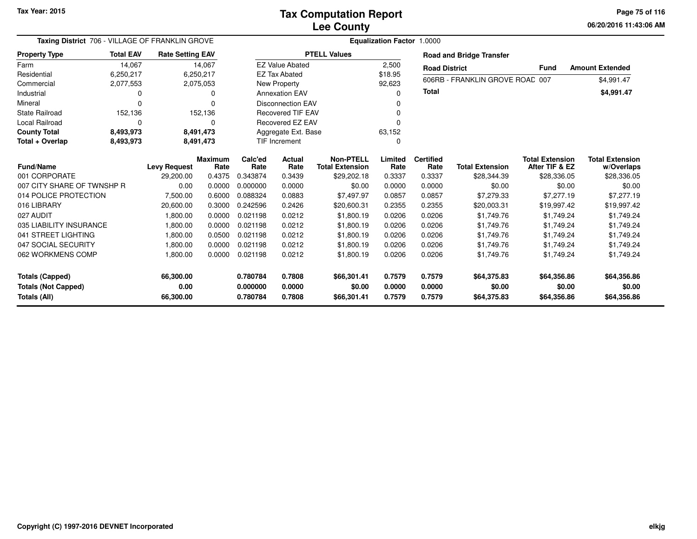**06/20/2016 11:43:06 AM Page 75 of 116**

| <b>Taxing District</b> 706 - VILLAGE OF FRANKLIN GROVE |                  | <b>Equalization Factor 1.0000</b> |                        |                 |                          |                                            |                 |                          |                                 |                                          |                                      |  |
|--------------------------------------------------------|------------------|-----------------------------------|------------------------|-----------------|--------------------------|--------------------------------------------|-----------------|--------------------------|---------------------------------|------------------------------------------|--------------------------------------|--|
| <b>Property Type</b>                                   | <b>Total EAV</b> | <b>Rate Setting EAV</b>           |                        |                 |                          | <b>PTELL Values</b>                        |                 |                          | <b>Road and Bridge Transfer</b> |                                          |                                      |  |
| Farm                                                   | 14,067           |                                   | 14,067                 |                 | <b>EZ Value Abated</b>   |                                            | 2,500           | <b>Road District</b>     |                                 | <b>Fund</b>                              | <b>Amount Extended</b>               |  |
| Residential                                            | 6,250,217        |                                   | 6,250,217              |                 | <b>EZ Tax Abated</b>     |                                            | \$18.95         |                          | 606RB - FRANKLIN GROVE ROAD 007 |                                          |                                      |  |
| Commercial                                             | 2,077,553        |                                   | 2,075,053              |                 | New Property             |                                            | 92,623          |                          |                                 |                                          | \$4,991.47                           |  |
| Industrial                                             | 0                |                                   | ŋ                      |                 | <b>Annexation EAV</b>    |                                            | O               | <b>Total</b>             |                                 |                                          | \$4,991.47                           |  |
| Mineral                                                | $\Omega$         |                                   |                        |                 | <b>Disconnection EAV</b> |                                            |                 |                          |                                 |                                          |                                      |  |
| <b>State Railroad</b>                                  | 152,136          |                                   | 152,136                |                 | <b>Recovered TIF EAV</b> |                                            | n               |                          |                                 |                                          |                                      |  |
| Local Railroad                                         | $\Omega$         |                                   |                        |                 | <b>Recovered EZ EAV</b>  |                                            | O               |                          |                                 |                                          |                                      |  |
| <b>County Total</b>                                    | 8,493,973        |                                   | 8,491,473              |                 | Aggregate Ext. Base      |                                            | 63,152          |                          |                                 |                                          |                                      |  |
| Total + Overlap                                        | 8,493,973        |                                   | 8,491,473              |                 | TIF Increment            |                                            | 0               |                          |                                 |                                          |                                      |  |
| <b>Fund/Name</b>                                       |                  | <b>Levy Request</b>               | <b>Maximum</b><br>Rate | Calc'ed<br>Rate | Actual<br>Rate           | <b>Non-PTELL</b><br><b>Total Extension</b> | Limited<br>Rate | <b>Certified</b><br>Rate | <b>Total Extension</b>          | <b>Total Extension</b><br>After TIF & EZ | <b>Total Extension</b><br>w/Overlaps |  |
| 001 CORPORATE                                          |                  | 29,200.00                         | 0.4375                 | 0.343874        | 0.3439                   | \$29,202.18                                | 0.3337          | 0.3337                   | \$28,344.39                     | \$28,336.05                              | \$28,336.05                          |  |
| 007 CITY SHARE OF TWNSHP R                             |                  | 0.00                              | 0.0000                 | 0.000000        | 0.0000                   | \$0.00                                     | 0.0000          | 0.0000                   | \$0.00                          | \$0.00                                   | \$0.00                               |  |
| 014 POLICE PROTECTION                                  |                  | 7,500.00                          | 0.6000                 | 0.088324        | 0.0883                   | \$7,497.97                                 | 0.0857          | 0.0857                   | \$7,279.33                      | \$7,277.19                               | \$7,277.19                           |  |
| 016 LIBRARY                                            |                  | 20,600.00                         | 0.3000                 | 0.242596        | 0.2426                   | \$20,600.31                                | 0.2355          | 0.2355                   | \$20,003.31                     | \$19,997.42                              | \$19,997.42                          |  |
| 027 AUDIT                                              |                  | 1,800.00                          | 0.0000                 | 0.021198        | 0.0212                   | \$1,800.19                                 | 0.0206          | 0.0206                   | \$1,749.76                      | \$1,749.24                               | \$1,749.24                           |  |
| 035 LIABILITY INSURANCE                                |                  | 1,800.00                          | 0.0000                 | 0.021198        | 0.0212                   | \$1,800.19                                 | 0.0206          | 0.0206                   | \$1,749.76                      | \$1,749.24                               | \$1,749.24                           |  |
| 041 STREET LIGHTING                                    |                  | 1,800.00                          | 0.0500                 | 0.021198        | 0.0212                   | \$1,800.19                                 | 0.0206          | 0.0206                   | \$1,749.76                      | \$1,749.24                               | \$1,749.24                           |  |
| 047 SOCIAL SECURITY                                    |                  | 1,800.00                          | 0.0000                 | 0.021198        | 0.0212                   | \$1,800.19                                 | 0.0206          | 0.0206                   | \$1,749.76                      | \$1,749.24                               | \$1,749.24                           |  |
| 062 WORKMENS COMP                                      |                  | 1,800.00                          | 0.0000                 | 0.021198        | 0.0212                   | \$1,800.19                                 | 0.0206          | 0.0206                   | \$1,749.76                      | \$1,749.24                               | \$1,749.24                           |  |
| <b>Totals (Capped)</b>                                 |                  | 66,300.00                         |                        | 0.780784        | 0.7808                   | \$66,301.41                                | 0.7579          | 0.7579                   | \$64,375.83                     | \$64,356.86                              | \$64,356.86                          |  |
| <b>Totals (Not Capped)</b>                             |                  | 0.00                              |                        | 0.000000        | 0.0000                   | \$0.00                                     | 0.0000          | 0.0000                   | \$0.00                          | \$0.00                                   | \$0.00                               |  |
| Totals (All)                                           |                  | 66,300.00                         |                        | 0.780784        | 0.7808                   | \$66,301.41                                | 0.7579          | 0.7579                   | \$64,375.83                     | \$64,356.86                              | \$64,356.86                          |  |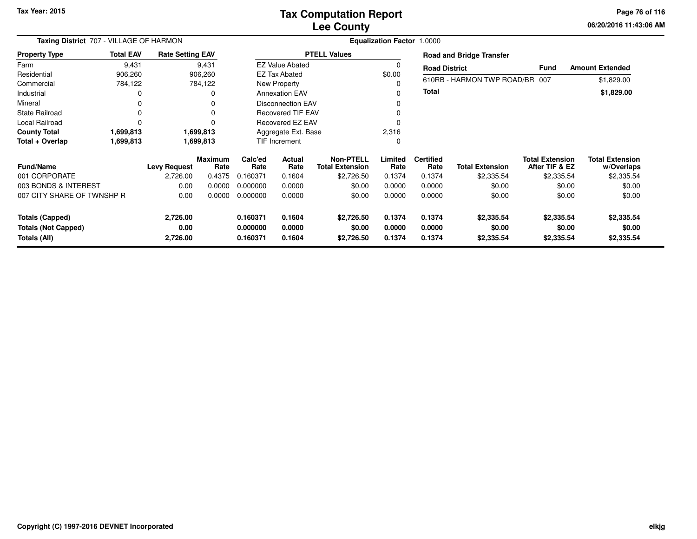## **Lee CountyTax Computation Report**

**06/20/2016 11:43:06 AM Page 76 of 116**

|                                            | Taxing District 707 - VILLAGE OF HARMON |                         |                        |                      |                          | Equalization Factor 1.0000                 |                  |                          |                                 |                                          |                                      |  |  |  |
|--------------------------------------------|-----------------------------------------|-------------------------|------------------------|----------------------|--------------------------|--------------------------------------------|------------------|--------------------------|---------------------------------|------------------------------------------|--------------------------------------|--|--|--|
| <b>Property Type</b>                       | <b>Total EAV</b>                        | <b>Rate Setting EAV</b> |                        |                      |                          | <b>PTELL Values</b>                        |                  |                          | <b>Road and Bridge Transfer</b> |                                          |                                      |  |  |  |
| Farm                                       | 9,431                                   |                         | 9,431                  |                      | <b>EZ Value Abated</b>   |                                            | 0                | <b>Road District</b>     |                                 | <b>Fund</b>                              | <b>Amount Extended</b>               |  |  |  |
| Residential                                | 906,260                                 |                         | 906,260                |                      | EZ Tax Abated            |                                            | \$0.00           |                          |                                 |                                          |                                      |  |  |  |
| Commercial                                 | 784,122                                 |                         | 784,122                |                      | New Property             |                                            | 0                |                          | 610RB - HARMON TWP ROAD/BR 007  |                                          | \$1,829.00                           |  |  |  |
| Industrial                                 |                                         |                         | O                      |                      | <b>Annexation EAV</b>    |                                            | 0                | Total                    |                                 |                                          | \$1,829.00                           |  |  |  |
| Mineral                                    |                                         |                         |                        |                      | <b>Disconnection EAV</b> |                                            | 0                |                          |                                 |                                          |                                      |  |  |  |
| <b>State Railroad</b>                      | 0                                       |                         | ŋ                      |                      | <b>Recovered TIF EAV</b> |                                            |                  |                          |                                 |                                          |                                      |  |  |  |
| Local Railroad                             | $\Omega$                                |                         |                        |                      | <b>Recovered EZ EAV</b>  |                                            | $\Omega$         |                          |                                 |                                          |                                      |  |  |  |
| <b>County Total</b>                        | 1,699,813                               |                         | 1,699,813              |                      | Aggregate Ext. Base      |                                            | 2,316            |                          |                                 |                                          |                                      |  |  |  |
| Total + Overlap                            | 1,699,813                               | 1,699,813               |                        |                      | TIF Increment            |                                            | 0                |                          |                                 |                                          |                                      |  |  |  |
| <b>Fund/Name</b>                           |                                         | <b>Levy Request</b>     | <b>Maximum</b><br>Rate | Calc'ed<br>Rate      | Actual<br>Rate           | <b>Non-PTELL</b><br><b>Total Extension</b> | Limited<br>Rate  | <b>Certified</b><br>Rate | <b>Total Extension</b>          | <b>Total Extension</b><br>After TIF & EZ | <b>Total Extension</b><br>w/Overlaps |  |  |  |
| 001 CORPORATE                              |                                         | 2,726.00                | 0.4375                 | 0.160371             | 0.1604                   | \$2,726.50                                 | 0.1374           | 0.1374                   | \$2,335.54                      | \$2,335.54                               | \$2,335.54                           |  |  |  |
| 003 BONDS & INTEREST                       |                                         | 0.00                    | 0.0000                 | 0.000000             | 0.0000                   | \$0.00                                     | 0.0000           | 0.0000                   | \$0.00                          | \$0.00                                   | \$0.00                               |  |  |  |
| 007 CITY SHARE OF TWNSHP R                 |                                         | 0.00                    | 0.0000                 | 0.000000             | 0.0000                   | \$0.00                                     | 0.0000           | 0.0000                   | \$0.00                          | \$0.00                                   | \$0.00                               |  |  |  |
| <b>Totals (Capped)</b>                     |                                         | 2,726.00                |                        | 0.160371             | 0.1604                   | \$2,726.50                                 | 0.1374           | 0.1374                   | \$2,335.54                      | \$2,335.54                               | \$2,335.54                           |  |  |  |
| <b>Totals (Not Capped)</b><br>Totals (All) |                                         | 0.00<br>2,726.00        |                        | 0.000000<br>0.160371 | 0.0000<br>0.1604         | \$0.00<br>\$2,726.50                       | 0.0000<br>0.1374 | 0.0000<br>0.1374         | \$0.00<br>\$2,335.54            | \$0.00<br>\$2,335.54                     | \$0.00<br>\$2,335.54                 |  |  |  |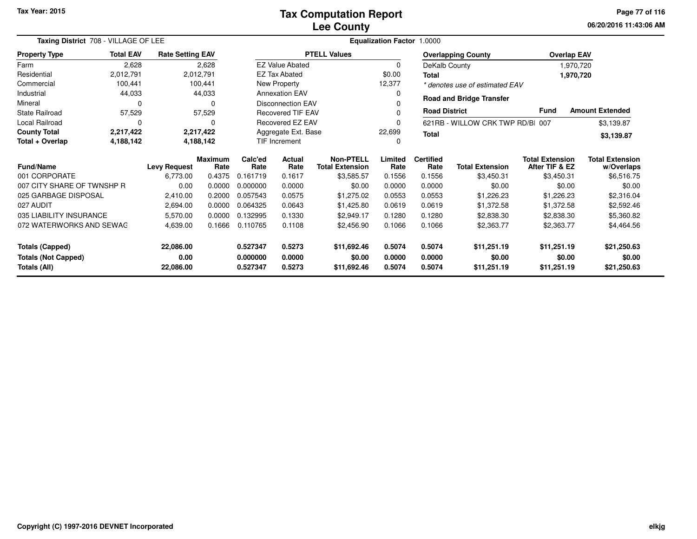| Taxing District 708 - VILLAGE OF LEE |                  |                         |                 | Equalization Factor 1.0000 |                          |                                            |                 |                          |                                 |                                          |                                      |
|--------------------------------------|------------------|-------------------------|-----------------|----------------------------|--------------------------|--------------------------------------------|-----------------|--------------------------|---------------------------------|------------------------------------------|--------------------------------------|
| <b>Property Type</b>                 | <b>Total EAV</b> | <b>Rate Setting EAV</b> |                 |                            |                          | <b>PTELL Values</b>                        |                 |                          | <b>Overlapping County</b>       | <b>Overlap EAV</b>                       |                                      |
| Farm                                 | 2,628            |                         | 2,628           |                            | <b>EZ Value Abated</b>   |                                            | $\Omega$        |                          | DeKalb County                   | 1,970,720                                |                                      |
| Residential                          | 2,012,791        |                         | 2,012,791       |                            | <b>EZ Tax Abated</b>     |                                            | \$0.00          | Total                    |                                 | 1,970,720                                |                                      |
| Commercial                           | 100,441          |                         | 100,441         |                            | New Property             |                                            | 12,377          |                          | * denotes use of estimated EAV  |                                          |                                      |
| Industrial                           | 44,033           |                         | 44,033          |                            | <b>Annexation EAV</b>    |                                            | 0               |                          |                                 |                                          |                                      |
| Mineral                              | $\Omega$         |                         | $\Omega$        |                            | <b>Disconnection EAV</b> |                                            |                 |                          | <b>Road and Bridge Transfer</b> |                                          |                                      |
| State Railroad                       | 57,529           |                         | 57,529          |                            | <b>Recovered TIF EAV</b> |                                            | $\Omega$        | <b>Road District</b>     |                                 | <b>Fund</b>                              | <b>Amount Extended</b>               |
| Local Railroad                       | $\Omega$         |                         | 0               |                            | <b>Recovered EZ EAV</b>  |                                            | $\Omega$        |                          | 621RB - WILLOW CRK TWP RD/BI    | 007                                      | \$3,139.87                           |
| <b>County Total</b>                  | 2,217,422        |                         | 2,217,422       |                            | Aggregate Ext. Base      |                                            | 22,699          | <b>Total</b>             |                                 |                                          | \$3,139.87                           |
| Total + Overlap                      | 4,188,142        |                         | 4,188,142       |                            | TIF Increment            |                                            | $\Omega$        |                          |                                 |                                          |                                      |
| <b>Fund/Name</b>                     |                  | <b>Levy Request</b>     | Maximum<br>Rate | Calc'ed<br>Rate            | Actual<br>Rate           | <b>Non-PTELL</b><br><b>Total Extension</b> | Limited<br>Rate | <b>Certified</b><br>Rate | <b>Total Extension</b>          | <b>Total Extension</b><br>After TIF & EZ | <b>Total Extension</b><br>w/Overlaps |
| 001 CORPORATE                        |                  | 6,773.00                | 0.4375          | 0.161719                   | 0.1617                   | \$3,585.57                                 | 0.1556          | 0.1556                   | \$3,450.31                      | \$3,450.31                               | \$6,516.75                           |
| 007 CITY SHARE OF TWNSHP R           |                  | 0.00                    | 0.0000          | 0.000000                   | 0.0000                   | \$0.00                                     | 0.0000          | 0.0000                   | \$0.00                          | \$0.00                                   | \$0.00                               |
| 025 GARBAGE DISPOSAL                 |                  | 2,410.00                | 0.2000          | 0.057543                   | 0.0575                   | \$1,275.02                                 | 0.0553          | 0.0553                   | \$1,226.23                      | \$1,226.23                               | \$2,316.04                           |
| 027 AUDIT                            |                  | 2,694.00                | 0.0000          | 0.064325                   | 0.0643                   | \$1,425.80                                 | 0.0619          | 0.0619                   | \$1,372.58                      | \$1,372.58                               | \$2,592.46                           |
| 035 LIABILITY INSURANCE              |                  | 5,570.00                | 0.0000          | 0.132995                   | 0.1330                   | \$2,949.17                                 | 0.1280          | 0.1280                   | \$2,838.30                      | \$2,838.30                               | \$5,360.82                           |
| 072 WATERWORKS AND SEWAG             |                  | 4,639.00                | 0.1666          | 0.110765                   | 0.1108                   | \$2,456.90                                 | 0.1066          | 0.1066                   | \$2,363.77                      | \$2,363.77                               | \$4,464.56                           |
| <b>Totals (Capped)</b>               |                  | 22,086.00               |                 | 0.527347                   | 0.5273                   | \$11,692.46                                | 0.5074          | 0.5074                   | \$11,251.19                     | \$11,251.19                              | \$21,250.63                          |
| <b>Totals (Not Capped)</b>           |                  | 0.00                    |                 | 0.000000                   | 0.0000                   | \$0.00                                     | 0.0000          | 0.0000                   | \$0.00                          | \$0.00                                   | \$0.00                               |
| 22,086.00<br>Totals (All)            |                  |                         | 0.527347        | 0.5273                     | \$11,692.46              | 0.5074                                     | 0.5074          | \$11,251.19              | \$11,251.19                     | \$21,250.63                              |                                      |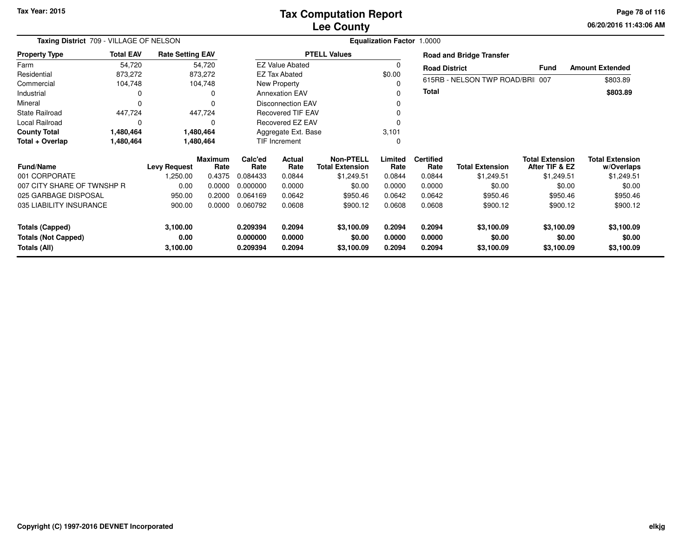**06/20/2016 11:43:06 AMPage 78 of 116**

| Taxing District 709 - VILLAGE OF NELSON                              | Equalization Factor 1.0000 |                              |                        |                                  |                            |                                            |                            |                            |                                    |                                          |                                      |
|----------------------------------------------------------------------|----------------------------|------------------------------|------------------------|----------------------------------|----------------------------|--------------------------------------------|----------------------------|----------------------------|------------------------------------|------------------------------------------|--------------------------------------|
| <b>Property Type</b>                                                 | <b>Total EAV</b>           | <b>Rate Setting EAV</b>      |                        |                                  |                            | <b>PTELL Values</b>                        |                            |                            | <b>Road and Bridge Transfer</b>    |                                          |                                      |
| Farm                                                                 | 54,720                     |                              | 54,720                 |                                  | <b>EZ Value Abated</b>     |                                            |                            | <b>Road District</b>       |                                    | <b>Fund</b>                              | <b>Amount Extended</b>               |
| Residential                                                          | 873,272                    |                              | 873,272                |                                  | <b>EZ Tax Abated</b>       |                                            | \$0.00                     |                            |                                    |                                          |                                      |
| Commercial                                                           | 104,748                    |                              | 104,748                |                                  | New Property               |                                            |                            |                            | 615RB - NELSON TWP ROAD/BRI 007    |                                          | \$803.89                             |
| Industrial                                                           | 0                          |                              | 0                      |                                  | <b>Annexation EAV</b>      |                                            |                            | Total                      |                                    |                                          | \$803.89                             |
| Mineral                                                              | $\Omega$                   |                              | $\Omega$               |                                  | <b>Disconnection EAV</b>   |                                            |                            |                            |                                    |                                          |                                      |
| <b>State Railroad</b>                                                | 447,724                    |                              | 447,724                |                                  | <b>Recovered TIF EAV</b>   |                                            |                            |                            |                                    |                                          |                                      |
| Local Railroad                                                       | 0                          |                              | $\Omega$               |                                  | <b>Recovered EZ EAV</b>    |                                            |                            |                            |                                    |                                          |                                      |
| <b>County Total</b>                                                  | 1,480,464                  |                              | 1,480,464              |                                  | Aggregate Ext. Base        |                                            | 3,101                      |                            |                                    |                                          |                                      |
| Total + Overlap                                                      | 1,480,464                  |                              | 1,480,464              |                                  | TIF Increment              |                                            | $\Omega$                   |                            |                                    |                                          |                                      |
| <b>Fund/Name</b>                                                     |                            | <b>Levy Request</b>          | <b>Maximum</b><br>Rate | Calc'ed<br>Rate                  | Actual<br>Rate             | <b>Non-PTELL</b><br><b>Total Extension</b> | Limited<br>Rate            | <b>Certified</b><br>Rate   | <b>Total Extension</b>             | <b>Total Extension</b><br>After TIF & EZ | <b>Total Extension</b><br>w/Overlaps |
| 001 CORPORATE                                                        |                            | 1,250.00                     | 0.4375                 | 0.084433                         | 0.0844                     | \$1,249.51                                 | 0.0844                     | 0.0844                     | \$1,249.51                         | \$1,249.51                               | \$1,249.51                           |
| 007 CITY SHARE OF TWNSHP R                                           |                            | 0.00                         | 0.0000                 | 0.000000                         | 0.0000                     | \$0.00                                     | 0.0000                     | 0.0000                     | \$0.00                             | \$0.00                                   | \$0.00                               |
| 025 GARBAGE DISPOSAL                                                 |                            | 950.00                       | 0.2000                 | 0.064169                         | 0.0642                     | \$950.46                                   | 0.0642                     | 0.0642                     | \$950.46                           | \$950.46                                 | \$950.46                             |
| 035 LIABILITY INSURANCE                                              |                            | 900.00                       | 0.0000                 | 0.060792                         | 0.0608                     | \$900.12                                   | 0.0608                     | 0.0608                     | \$900.12                           | \$900.12                                 | \$900.12                             |
| <b>Totals (Capped)</b><br><b>Totals (Not Capped)</b><br>Totals (All) |                            | 3,100.00<br>0.00<br>3,100.00 |                        | 0.209394<br>0.000000<br>0.209394 | 0.2094<br>0.0000<br>0.2094 | \$3,100.09<br>\$0.00<br>\$3,100.09         | 0.2094<br>0.0000<br>0.2094 | 0.2094<br>0.0000<br>0.2094 | \$3,100.09<br>\$0.00<br>\$3,100.09 | \$3,100.09<br>\$0.00<br>\$3,100.09       | \$3,100.09<br>\$0.00<br>\$3,100.09   |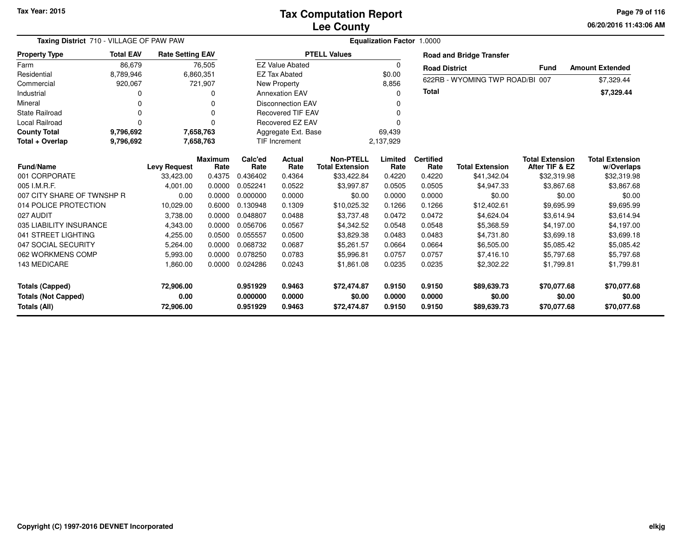**06/20/2016 11:43:06 AM Page 79 of 116**

| Taxing District 710 - VILLAGE OF PAW PAW                             |                  |                                |                        | Equalization Factor 1.0000       |                            |                                            |                            |                            |                                      |                                          |                                      |
|----------------------------------------------------------------------|------------------|--------------------------------|------------------------|----------------------------------|----------------------------|--------------------------------------------|----------------------------|----------------------------|--------------------------------------|------------------------------------------|--------------------------------------|
| <b>Property Type</b>                                                 | <b>Total EAV</b> | <b>Rate Setting EAV</b>        |                        |                                  |                            | <b>PTELL Values</b>                        |                            |                            | <b>Road and Bridge Transfer</b>      |                                          |                                      |
| Farm                                                                 | 86,679           |                                | 76,505                 |                                  | <b>EZ Value Abated</b>     |                                            | $\Omega$                   | <b>Road District</b>       |                                      | <b>Fund</b>                              | <b>Amount Extended</b>               |
| Residential                                                          | 8,789,946        | 6,860,351                      |                        |                                  | <b>EZ Tax Abated</b>       |                                            | \$0.00                     |                            | 622RB - WYOMING TWP ROAD/BI 007      |                                          |                                      |
| Commercial                                                           | 920,067          |                                | 721,907                |                                  | <b>New Property</b>        |                                            | 8,856                      |                            |                                      |                                          | \$7,329.44                           |
| Industrial                                                           | O                |                                | O                      |                                  | <b>Annexation EAV</b>      |                                            | <sup>0</sup>               | <b>Total</b>               |                                      |                                          | \$7,329.44                           |
| Mineral                                                              | $\Omega$         |                                | $\Omega$               |                                  | <b>Disconnection EAV</b>   |                                            |                            |                            |                                      |                                          |                                      |
| <b>State Railroad</b>                                                | $\Omega$         |                                | $\Omega$               |                                  | <b>Recovered TIF EAV</b>   |                                            | $\Omega$                   |                            |                                      |                                          |                                      |
| Local Railroad                                                       | $\Omega$         |                                | $\Omega$               |                                  | Recovered EZ EAV           |                                            |                            |                            |                                      |                                          |                                      |
| <b>County Total</b>                                                  | 9,796,692        |                                | 7,658,763              |                                  | Aggregate Ext. Base        |                                            | 69,439                     |                            |                                      |                                          |                                      |
| Total + Overlap                                                      | 9,796,692        |                                | 7,658,763              |                                  | TIF Increment<br>2,137,929 |                                            |                            |                            |                                      |                                          |                                      |
| <b>Fund/Name</b>                                                     |                  | <b>Levy Request</b>            | <b>Maximum</b><br>Rate | Calc'ed<br>Rate                  | Actual<br>Rate             | <b>Non-PTELL</b><br><b>Total Extension</b> | Limited<br>Rate            | <b>Certified</b><br>Rate   | <b>Total Extension</b>               | <b>Total Extension</b><br>After TIF & EZ | <b>Total Extension</b><br>w/Overlaps |
| 001 CORPORATE                                                        |                  | 33,423.00                      | 0.4375                 | 0.436402                         | 0.4364                     | \$33,422.84                                | 0.4220                     | 0.4220                     | \$41,342.04                          | \$32,319.98                              | \$32,319.98                          |
| 005 I.M.R.F.                                                         |                  | 4,001.00                       | 0.0000                 | 0.052241                         | 0.0522                     | \$3.997.87                                 | 0.0505                     | 0.0505                     | \$4,947.33                           | \$3,867.68                               | \$3,867.68                           |
| 007 CITY SHARE OF TWNSHP R                                           |                  | 0.00                           | 0.0000                 | 0.000000                         | 0.0000                     | \$0.00                                     | 0.0000                     | 0.0000                     | \$0.00                               | \$0.00                                   | \$0.00                               |
| 014 POLICE PROTECTION                                                |                  | 10,029.00                      | 0.6000                 | 0.130948                         | 0.1309                     | \$10,025.32                                | 0.1266                     | 0.1266                     | \$12,402.61                          | \$9,695.99                               | \$9,695.99                           |
| 027 AUDIT                                                            |                  | 3,738.00                       | 0.0000                 | 0.048807                         | 0.0488                     | \$3,737.48                                 | 0.0472                     | 0.0472                     | \$4,624.04                           | \$3,614.94                               | \$3,614.94                           |
| 035 LIABILITY INSURANCE                                              |                  | 4,343.00                       | 0.0000                 | 0.056706                         | 0.0567                     | \$4,342.52                                 | 0.0548                     | 0.0548                     | \$5,368.59                           | \$4,197.00                               | \$4,197.00                           |
| 041 STREET LIGHTING                                                  |                  | 4,255.00                       | 0.0500                 | 0.055557                         | 0.0500                     | \$3,829.38                                 | 0.0483                     | 0.0483                     | \$4,731.80                           | \$3,699.18                               | \$3,699.18                           |
| 047 SOCIAL SECURITY                                                  |                  | 5,264.00                       | 0.0000                 | 0.068732                         | 0.0687                     | \$5,261.57                                 | 0.0664                     | 0.0664                     | \$6,505.00                           | \$5,085.42                               | \$5,085.42                           |
| 062 WORKMENS COMP                                                    |                  | 5,993.00                       | 0.0000                 | 0.078250                         | 0.0783                     | \$5.996.81                                 | 0.0757                     | 0.0757                     | \$7,416.10                           | \$5,797.68                               | \$5,797.68                           |
| 143 MEDICARE                                                         |                  | 1,860.00                       | 0.0000                 | 0.024286                         | 0.0243                     | \$1,861.08                                 | 0.0235                     | 0.0235                     | \$2,302.22                           | \$1,799.81                               | \$1,799.81                           |
| <b>Totals (Capped)</b><br><b>Totals (Not Capped)</b><br>Totals (All) |                  | 72,906.00<br>0.00<br>72,906.00 |                        | 0.951929<br>0.000000<br>0.951929 | 0.9463<br>0.0000<br>0.9463 | \$72,474.87<br>\$0.00<br>\$72,474.87       | 0.9150<br>0.0000<br>0.9150 | 0.9150<br>0.0000<br>0.9150 | \$89,639.73<br>\$0.00<br>\$89,639.73 | \$70,077.68<br>\$0.00<br>\$70,077.68     | \$70,077.68<br>\$0.00<br>\$70,077.68 |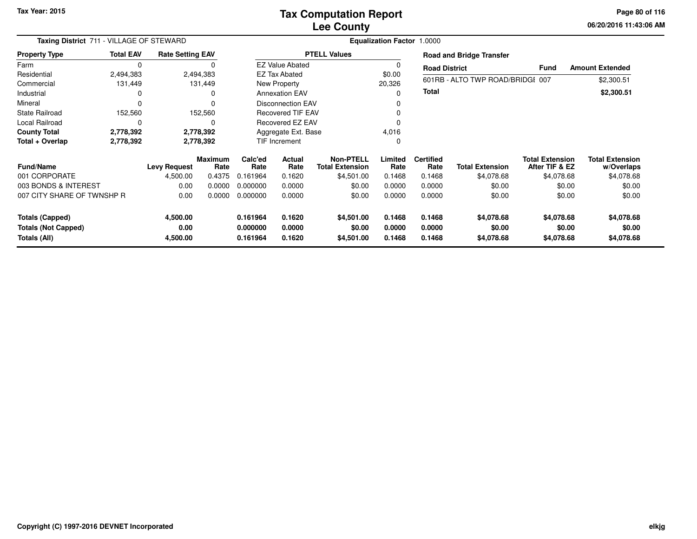**06/20/2016 11:43:06 AM Page 80 of 116**

| Taxing District 711 - VILLAGE OF STEWARD             | <b>Equalization Factor</b><br>1.0000 |                         |                        |                      |                          |                                            |                  |                          |                                  |                                          |                                      |
|------------------------------------------------------|--------------------------------------|-------------------------|------------------------|----------------------|--------------------------|--------------------------------------------|------------------|--------------------------|----------------------------------|------------------------------------------|--------------------------------------|
| <b>Property Type</b>                                 | <b>Total EAV</b>                     | <b>Rate Setting EAV</b> |                        |                      |                          | <b>PTELL Values</b>                        |                  |                          | <b>Road and Bridge Transfer</b>  |                                          |                                      |
| Farm                                                 | 0                                    |                         |                        |                      | <b>EZ Value Abated</b>   |                                            |                  | <b>Road District</b>     |                                  | <b>Fund</b>                              | <b>Amount Extended</b>               |
| Residential                                          | 2,494,383                            |                         | 2,494,383              |                      | EZ Tax Abated            |                                            | \$0.00           |                          |                                  |                                          |                                      |
| Commercial                                           | 131,449                              |                         | 131,449                |                      | New Property             |                                            | 20,326           |                          | 601RB - ALTO TWP ROAD/BRIDGI 007 |                                          | \$2,300.51                           |
| Industrial                                           |                                      |                         | 0                      |                      | <b>Annexation EAV</b>    |                                            | 0                | Total                    |                                  |                                          | \$2,300.51                           |
| Mineral                                              |                                      |                         | 0                      |                      | <b>Disconnection EAV</b> |                                            |                  |                          |                                  |                                          |                                      |
| <b>State Railroad</b>                                | 152,560                              |                         | 152,560                |                      | <b>Recovered TIF EAV</b> |                                            |                  |                          |                                  |                                          |                                      |
| Local Railroad                                       | 0                                    |                         | 0                      |                      | Recovered EZ EAV         |                                            |                  |                          |                                  |                                          |                                      |
| <b>County Total</b>                                  | 2,778,392                            |                         | 2,778,392              |                      | Aggregate Ext. Base      |                                            | 4,016            |                          |                                  |                                          |                                      |
| Total + Overlap<br>2,778,392                         |                                      | 2,778,392               |                        | TIF Increment        |                          | 0                                          |                  |                          |                                  |                                          |                                      |
| <b>Fund/Name</b>                                     |                                      | <b>Levy Request</b>     | <b>Maximum</b><br>Rate | Calc'ed<br>Rate      | Actual<br>Rate           | <b>Non-PTELL</b><br><b>Total Extension</b> | Limited<br>Rate  | <b>Certified</b><br>Rate | <b>Total Extension</b>           | <b>Total Extension</b><br>After TIF & EZ | <b>Total Extension</b><br>w/Overlaps |
| 001 CORPORATE                                        |                                      | 4,500.00                | 0.4375                 | 0.161964             | 0.1620                   | \$4,501.00                                 | 0.1468           | 0.1468                   | \$4,078.68                       | \$4,078.68                               | \$4,078.68                           |
| 003 BONDS & INTEREST                                 |                                      | 0.00                    | 0.0000                 | 0.000000             | 0.0000                   | \$0.00                                     | 0.0000           | 0.0000                   | \$0.00                           | \$0.00                                   | \$0.00                               |
| 007 CITY SHARE OF TWNSHP R                           |                                      | 0.00                    | 0.0000                 | 0.000000             | 0.0000                   | \$0.00                                     | 0.0000           | 0.0000                   | \$0.00                           | \$0.00                                   | \$0.00                               |
| <b>Totals (Capped)</b><br><b>Totals (Not Capped)</b> |                                      | 4,500.00<br>0.00        |                        | 0.161964<br>0.000000 | 0.1620<br>0.0000         | \$4,501.00<br>\$0.00                       | 0.1468<br>0.0000 | 0.1468<br>0.0000         | \$4,078.68<br>\$0.00             | \$4,078.68<br>\$0.00                     | \$4,078.68<br>\$0.00                 |
| Totals (All)                                         |                                      | 4,500.00                |                        | 0.161964             | 0.1620                   | \$4,501.00                                 | 0.1468           | 0.1468                   | \$4,078.68                       | \$4,078.68                               | \$4,078.68                           |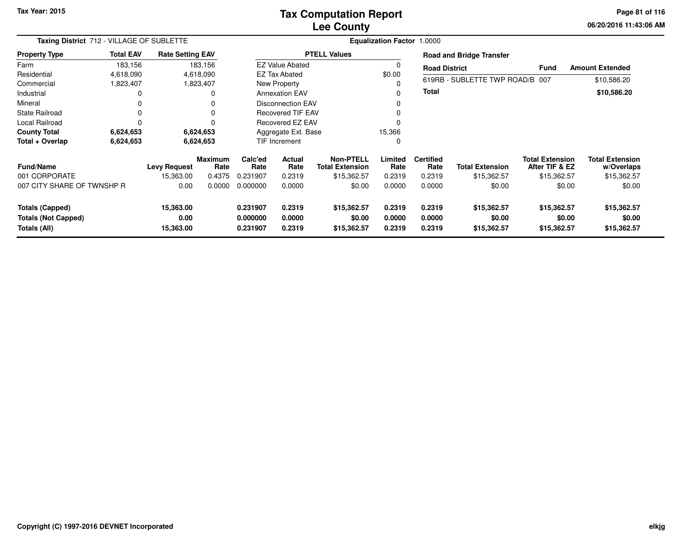## **Lee CountyTax Computation Report**

**06/20/2016 11:43:06 AMPage 81 of 116**

| Taxing District 712 - VILLAGE OF SUBLETTE                            |                  |                                |                        | Equalization Factor 1.0000       |                            |                                            |                            |                            |                                      |                                          |                                      |  |  |
|----------------------------------------------------------------------|------------------|--------------------------------|------------------------|----------------------------------|----------------------------|--------------------------------------------|----------------------------|----------------------------|--------------------------------------|------------------------------------------|--------------------------------------|--|--|
| <b>Property Type</b>                                                 | <b>Total EAV</b> | <b>Rate Setting EAV</b>        |                        |                                  |                            | <b>PTELL Values</b>                        |                            |                            | <b>Road and Bridge Transfer</b>      |                                          |                                      |  |  |
| Farm                                                                 | 183,156          |                                | 183,156                |                                  | <b>EZ Value Abated</b>     |                                            | 0                          | <b>Road District</b>       |                                      | <b>Fund</b>                              | <b>Amount Extended</b>               |  |  |
| Residential                                                          | 4,618,090        |                                | 4,618,090              |                                  | <b>EZ Tax Abated</b>       |                                            | \$0.00                     |                            |                                      |                                          |                                      |  |  |
| Commercial                                                           | 1,823,407        |                                | 1,823,407              |                                  | <b>New Property</b>        |                                            | 0                          |                            | 619RB - SUBLETTE TWP ROAD/B 007      |                                          | \$10,586.20                          |  |  |
| Industrial                                                           |                  |                                |                        |                                  | <b>Annexation EAV</b>      |                                            | 0                          | <b>Total</b>               |                                      |                                          | \$10,586.20                          |  |  |
| Mineral                                                              |                  |                                |                        |                                  | <b>Disconnection EAV</b>   |                                            | 0                          |                            |                                      |                                          |                                      |  |  |
| State Railroad                                                       |                  |                                |                        |                                  | Recovered TIF EAV          |                                            | 0                          |                            |                                      |                                          |                                      |  |  |
| Local Railroad                                                       |                  |                                |                        |                                  | Recovered EZ EAV           |                                            | 0                          |                            |                                      |                                          |                                      |  |  |
| <b>County Total</b>                                                  | 6,624,653        |                                | 6,624,653              |                                  | Aggregate Ext. Base        |                                            | 15,366                     |                            |                                      |                                          |                                      |  |  |
| Total + Overlap                                                      | 6,624,653        |                                | 6,624,653              |                                  | TIF Increment              |                                            | 0                          |                            |                                      |                                          |                                      |  |  |
| <b>Fund/Name</b>                                                     |                  | <b>Levy Request</b>            | <b>Maximum</b><br>Rate | Calc'ed<br>Rate                  | <b>Actual</b><br>Rate      | <b>Non-PTELL</b><br><b>Total Extension</b> | Limited<br>Rate            | <b>Certified</b><br>Rate   | <b>Total Extension</b>               | <b>Total Extension</b><br>After TIF & EZ | <b>Total Extension</b><br>w/Overlaps |  |  |
| 001 CORPORATE                                                        |                  | 15,363.00                      | 0.4375                 | 0.231907                         | 0.2319                     | \$15,362.57                                | 0.2319                     | 0.2319                     | \$15,362.57                          | \$15,362.57                              | \$15,362.57                          |  |  |
| 007 CITY SHARE OF TWNSHP R                                           |                  | 0.00                           | 0.0000                 | 0.000000                         | 0.0000                     | \$0.00                                     | 0.0000                     | 0.0000                     | \$0.00                               | \$0.00                                   | \$0.00                               |  |  |
| <b>Totals (Capped)</b><br><b>Totals (Not Capped)</b><br>Totals (All) |                  | 15,363.00<br>0.00<br>15,363.00 |                        | 0.231907<br>0.000000<br>0.231907 | 0.2319<br>0.0000<br>0.2319 | \$15,362.57<br>\$0.00<br>\$15,362.57       | 0.2319<br>0.0000<br>0.2319 | 0.2319<br>0.0000<br>0.2319 | \$15,362.57<br>\$0.00<br>\$15,362.57 | \$15,362.57<br>\$0.00<br>\$15,362.57     | \$15,362.57<br>\$0.00<br>\$15,362.57 |  |  |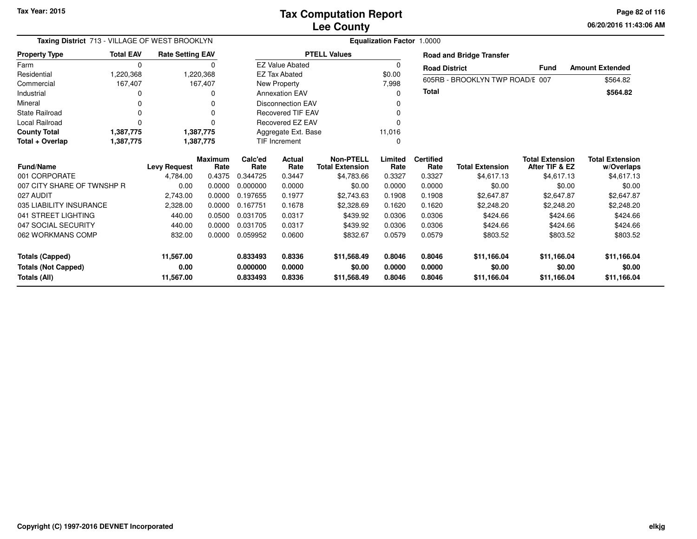**06/20/2016 11:43:06 AMPage 82 of 116**

| Taxing District 713 - VILLAGE OF WEST BROOKLYN |                  |                         | Equalization Factor 1.0000 |                 |                          |                                            |                 |                          |                                 |                                          |                                      |  |  |
|------------------------------------------------|------------------|-------------------------|----------------------------|-----------------|--------------------------|--------------------------------------------|-----------------|--------------------------|---------------------------------|------------------------------------------|--------------------------------------|--|--|
| <b>Property Type</b>                           | <b>Total EAV</b> | <b>Rate Setting EAV</b> |                            |                 |                          | <b>PTELL Values</b>                        |                 |                          | <b>Road and Bridge Transfer</b> |                                          |                                      |  |  |
| Farm                                           | 0                |                         | 0                          |                 | <b>EZ Value Abated</b>   |                                            | 0               | <b>Road District</b>     |                                 | Fund                                     | <b>Amount Extended</b>               |  |  |
| Residential                                    | 1,220,368        |                         | 1,220,368                  |                 | <b>EZ Tax Abated</b>     |                                            | \$0.00          |                          | 605RB - BROOKLYN TWP ROAD/E 007 |                                          | \$564.82                             |  |  |
| Commercial                                     | 167,407          |                         | 167,407                    |                 | New Property             |                                            | 7,998           |                          |                                 |                                          |                                      |  |  |
| Industrial                                     | <sup>0</sup>     |                         | O                          |                 | <b>Annexation EAV</b>    |                                            | 0               | Total                    |                                 |                                          | \$564.82                             |  |  |
| Mineral                                        | <sup>0</sup>     |                         |                            |                 | <b>Disconnection EAV</b> |                                            | 0               |                          |                                 |                                          |                                      |  |  |
| <b>State Railroad</b>                          | $\Omega$         |                         |                            |                 | <b>Recovered TIF EAV</b> |                                            | 0               |                          |                                 |                                          |                                      |  |  |
| Local Railroad                                 | $\Omega$         |                         |                            |                 | <b>Recovered EZ EAV</b>  |                                            | O               |                          |                                 |                                          |                                      |  |  |
| <b>County Total</b>                            | 1,387,775        |                         | 1,387,775                  |                 | Aggregate Ext. Base      |                                            | 11,016          |                          |                                 |                                          |                                      |  |  |
| Total + Overlap                                | 1,387,775        |                         | 1,387,775                  |                 | <b>TIF Increment</b>     |                                            | 0               |                          |                                 |                                          |                                      |  |  |
| <b>Fund/Name</b>                               |                  | <b>Levy Request</b>     | <b>Maximum</b><br>Rate     | Calc'ed<br>Rate | Actual<br>Rate           | <b>Non-PTELL</b><br><b>Total Extension</b> | Limited<br>Rate | <b>Certified</b><br>Rate | <b>Total Extension</b>          | <b>Total Extension</b><br>After TIF & EZ | <b>Total Extension</b><br>w/Overlaps |  |  |
| 001 CORPORATE                                  |                  | 4,784.00                | 0.4375                     | 0.344725        | 0.3447                   | \$4,783.66                                 | 0.3327          | 0.3327                   | \$4,617.13                      | \$4,617.13                               | \$4,617.13                           |  |  |
| 007 CITY SHARE OF TWNSHP R                     |                  | 0.00                    | 0.0000                     | 0.000000        | 0.0000                   | \$0.00                                     | 0.0000          | 0.0000                   | \$0.00                          | \$0.00                                   | \$0.00                               |  |  |
| 027 AUDIT                                      |                  | 2,743.00                | 0.0000                     | 0.197655        | 0.1977                   | \$2,743.63                                 | 0.1908          | 0.1908                   | \$2,647.87                      | \$2,647.87                               | \$2,647.87                           |  |  |
| 035 LIABILITY INSURANCE                        |                  | 2,328.00                | 0.0000                     | 0.167751        | 0.1678                   | \$2,328.69                                 | 0.1620          | 0.1620                   | \$2,248.20                      | \$2,248.20                               | \$2,248.20                           |  |  |
| 041 STREET LIGHTING                            |                  | 440.00                  | 0.0500                     | 0.031705        | 0.0317                   | \$439.92                                   | 0.0306          | 0.0306                   | \$424.66                        | \$424.66                                 | \$424.66                             |  |  |
| 047 SOCIAL SECURITY                            |                  | 440.00                  | 0.0000                     | 0.031705        | 0.0317                   | \$439.92                                   | 0.0306          | 0.0306                   | \$424.66                        | \$424.66                                 | \$424.66                             |  |  |
| 062 WORKMANS COMP                              |                  | 832.00                  | 0.0000                     | 0.059952        | 0.0600                   | \$832.67                                   | 0.0579          | 0.0579                   | \$803.52                        | \$803.52                                 | \$803.52                             |  |  |
| <b>Totals (Capped)</b>                         |                  | 11,567.00               |                            | 0.833493        | 0.8336                   | \$11,568.49                                | 0.8046          | 0.8046                   | \$11,166.04                     | \$11,166.04                              | \$11,166.04                          |  |  |
| <b>Totals (Not Capped)</b>                     |                  | 0.00                    |                            | 0.000000        | 0.0000                   | \$0.00                                     | 0.0000          | 0.0000                   | \$0.00                          | \$0.00                                   | \$0.00                               |  |  |
| Totals (All)                                   |                  | 11,567.00               |                            | 0.833493        | 0.8336                   | \$11,568.49                                | 0.8046          | 0.8046                   | \$11,166.04                     | \$11,166.04                              | \$11,166.04                          |  |  |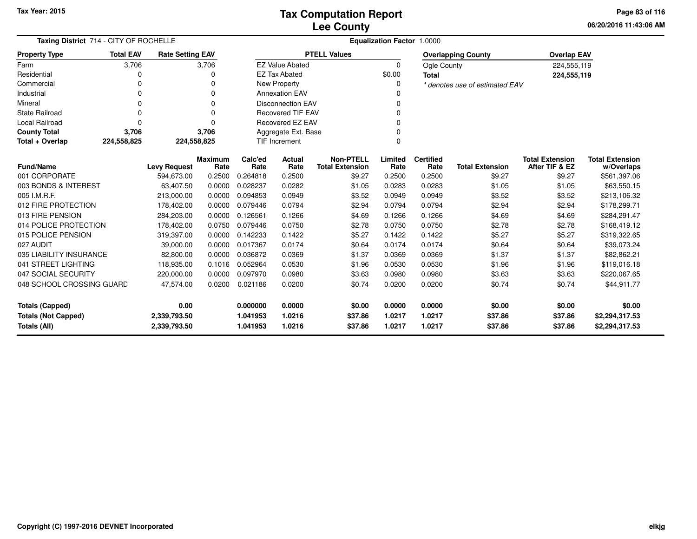**06/20/2016 11:43:06 AM Page 83 of 116**

| Taxing District 714 - CITY OF ROCHELLE                                     |                  |                         |                        | <b>Equalization Factor 1.0000</b> |                          |                                            |                  |                          |                                |                                          |                                      |  |  |
|----------------------------------------------------------------------------|------------------|-------------------------|------------------------|-----------------------------------|--------------------------|--------------------------------------------|------------------|--------------------------|--------------------------------|------------------------------------------|--------------------------------------|--|--|
| <b>Property Type</b>                                                       | <b>Total EAV</b> | <b>Rate Setting EAV</b> |                        |                                   |                          | <b>PTELL Values</b>                        |                  |                          | <b>Overlapping County</b>      | <b>Overlap EAV</b>                       |                                      |  |  |
| Farm                                                                       | 3,706            |                         | 3,706                  |                                   | <b>EZ Value Abated</b>   |                                            | $\Omega$         | Ogle County              |                                | 224,555,119                              |                                      |  |  |
| Residential                                                                | O                |                         | O                      |                                   | <b>EZ Tax Abated</b>     |                                            | \$0.00           | <b>Total</b>             |                                | 224,555,119                              |                                      |  |  |
| Commercial                                                                 | 0                |                         | $\Omega$               |                                   | New Property             |                                            | 0                |                          | * denotes use of estimated EAV |                                          |                                      |  |  |
| Industrial                                                                 | 0                |                         | 0                      |                                   | <b>Annexation EAV</b>    |                                            |                  |                          |                                |                                          |                                      |  |  |
| Mineral                                                                    | O                |                         | $\Omega$               |                                   | <b>Disconnection EAV</b> |                                            |                  |                          |                                |                                          |                                      |  |  |
| State Railroad                                                             | $\Omega$         |                         | $\Omega$               |                                   | <b>Recovered TIF EAV</b> |                                            | $\Omega$         |                          |                                |                                          |                                      |  |  |
| <b>Local Railroad</b>                                                      | $\Omega$         |                         | $\Omega$               |                                   | Recovered EZ EAV         |                                            | $\Omega$         |                          |                                |                                          |                                      |  |  |
| <b>County Total</b>                                                        | 3,706            |                         | 3,706                  |                                   | Aggregate Ext. Base      |                                            | $\Omega$         |                          |                                |                                          |                                      |  |  |
| Total + Overlap                                                            | 224,558,825      |                         | 224,558,825            |                                   | <b>TIF Increment</b>     |                                            | 0                |                          |                                |                                          |                                      |  |  |
| <b>Fund/Name</b>                                                           |                  | <b>Levy Request</b>     | <b>Maximum</b><br>Rate | Calc'ed<br>Rate                   | <b>Actual</b><br>Rate    | <b>Non-PTELL</b><br><b>Total Extension</b> | Limited<br>Rate  | <b>Certified</b><br>Rate | <b>Total Extension</b>         | <b>Total Extension</b><br>After TIF & EZ | <b>Total Extension</b><br>w/Overlaps |  |  |
| 001 CORPORATE                                                              |                  | 594,673.00              | 0.2500                 | 0.264818                          | 0.2500                   | \$9.27                                     | 0.2500           | 0.2500                   | \$9.27                         | \$9.27                                   | \$561,397.06                         |  |  |
| 003 BONDS & INTEREST                                                       |                  | 63,407.50               | 0.0000                 | 0.028237                          | 0.0282                   | \$1.05                                     | 0.0283           | 0.0283                   | \$1.05                         | \$1.05                                   | \$63,550.15                          |  |  |
| 005 I.M.R.F.                                                               |                  | 213,000.00              | 0.0000                 | 0.094853                          | 0.0949                   | \$3.52                                     | 0.0949           | 0.0949                   | \$3.52                         | \$3.52                                   | \$213,106.32                         |  |  |
| 012 FIRE PROTECTION                                                        |                  | 178,402.00              | 0.0000                 | 0.079446                          | 0.0794                   | \$2.94                                     | 0.0794           | 0.0794                   | \$2.94                         | \$2.94                                   | \$178,299.71                         |  |  |
| 013 FIRE PENSION                                                           |                  | 284,203.00              | 0.0000                 | 0.126561                          | 0.1266                   | \$4.69                                     | 0.1266           | 0.1266                   | \$4.69                         | \$4.69                                   | \$284,291.47                         |  |  |
| 014 POLICE PROTECTION                                                      |                  | 178,402.00              | 0.0750                 | 0.079446                          | 0.0750                   | \$2.78                                     | 0.0750           | 0.0750                   | \$2.78                         | \$2.78                                   | \$168,419.12                         |  |  |
| 015 POLICE PENSION                                                         |                  | 319,397.00              | 0.0000                 | 0.142233                          | 0.1422                   | \$5.27                                     | 0.1422           | 0.1422                   | \$5.27                         | \$5.27                                   | \$319,322.65                         |  |  |
| 027 AUDIT                                                                  |                  | 39,000.00               | 0.0000                 | 0.017367                          | 0.0174                   | \$0.64                                     | 0.0174           | 0.0174                   | \$0.64                         | \$0.64                                   | \$39,073.24                          |  |  |
| 035 LIABILITY INSURANCE                                                    |                  | 82,800.00               | 0.0000                 | 0.036872                          | 0.0369                   | \$1.37                                     | 0.0369           | 0.0369                   | \$1.37                         | \$1.37                                   | \$82,862.21                          |  |  |
| 041 STREET LIGHTING                                                        |                  | 118,935.00              | 0.1016                 | 0.052964                          | 0.0530                   | \$1.96                                     | 0.0530           | 0.0530                   | \$1.96                         | \$1.96                                   | \$119,016.18                         |  |  |
| 047 SOCIAL SECURITY                                                        |                  | 220,000.00              | 0.0000                 | 0.097970                          | 0.0980                   | \$3.63                                     | 0.0980           | 0.0980                   | \$3.63                         | \$3.63                                   | \$220,067.65                         |  |  |
| 048 SCHOOL CROSSING GUARD                                                  |                  | 47,574.00               | 0.0200                 | 0.021186                          | 0.0200                   | \$0.74                                     | 0.0200           | 0.0200                   | \$0.74                         | \$0.74                                   | \$44,911.77                          |  |  |
| <b>Totals (Capped)</b>                                                     |                  | 0.00                    |                        | 0.000000                          | 0.0000                   | \$0.00                                     | 0.0000           | 0.0000                   | \$0.00                         | \$0.00                                   | \$0.00                               |  |  |
| <b>Totals (Not Capped)</b><br>2,339,793.50<br>Totals (All)<br>2,339,793.50 |                  |                         |                        | 1.041953<br>1.041953              | 1.0216<br>1.0216         | \$37.86<br>\$37.86                         | 1.0217<br>1.0217 | 1.0217<br>1.0217         | \$37.86<br>\$37.86             | \$37.86<br>\$37.86                       | \$2,294,317.53<br>\$2,294,317.53     |  |  |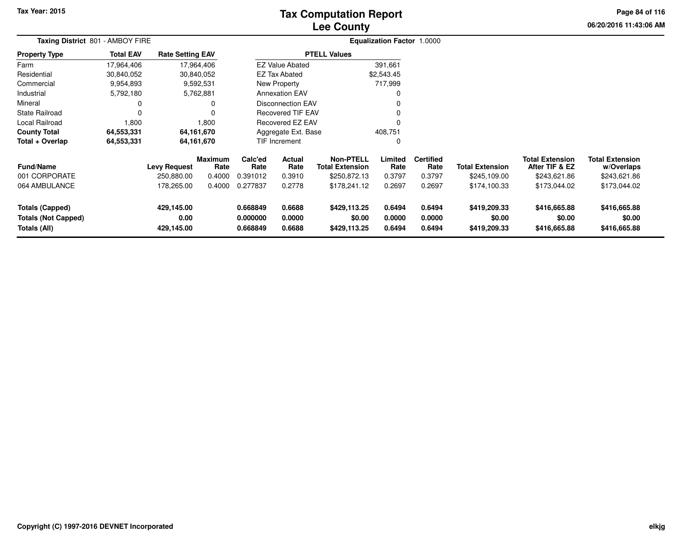## **Lee CountyTax Computation Report**

**06/20/2016 11:43:06 AM Page 84 of 116**

|                                                                      | Taxing District 801 - AMBOY FIRE |                                  |                        |                                  |                            |                                            | <b>Equalization Factor 1.0000</b> |                            |                                        |                                          |                                        |  |
|----------------------------------------------------------------------|----------------------------------|----------------------------------|------------------------|----------------------------------|----------------------------|--------------------------------------------|-----------------------------------|----------------------------|----------------------------------------|------------------------------------------|----------------------------------------|--|
| <b>Property Type</b>                                                 | <b>Total EAV</b>                 | <b>Rate Setting EAV</b>          |                        |                                  |                            | <b>PTELL Values</b>                        |                                   |                            |                                        |                                          |                                        |  |
| Farm                                                                 | 17,964,406                       | 17,964,406                       |                        |                                  | <b>EZ Value Abated</b>     |                                            | 391,661                           |                            |                                        |                                          |                                        |  |
| Residential                                                          | 30,840,052                       | 30,840,052                       |                        |                                  | EZ Tax Abated              |                                            | \$2,543.45                        |                            |                                        |                                          |                                        |  |
| Commercial                                                           | 9,954,893                        | 9,592,531                        |                        |                                  | New Property               |                                            | 717,999                           |                            |                                        |                                          |                                        |  |
| Industrial                                                           | 5,792,180                        | 5,762,881                        |                        |                                  | <b>Annexation EAV</b>      |                                            | 0                                 |                            |                                        |                                          |                                        |  |
| Mineral                                                              | 0                                |                                  | 0                      |                                  | <b>Disconnection EAV</b>   |                                            | 0                                 |                            |                                        |                                          |                                        |  |
| <b>State Railroad</b>                                                | 0                                |                                  |                        |                                  | Recovered TIF EAV          |                                            | 0                                 |                            |                                        |                                          |                                        |  |
| Local Railroad                                                       | 1,800                            |                                  | 1,800                  |                                  | Recovered EZ EAV           |                                            | $\mathbf 0$                       |                            |                                        |                                          |                                        |  |
| <b>County Total</b>                                                  | 64,553,331                       | 64,161,670                       |                        | Aggregate Ext. Base              |                            |                                            | 408,751                           |                            |                                        |                                          |                                        |  |
| Total + Overlap                                                      | 64,553,331                       | 64,161,670                       |                        |                                  | TIF Increment              |                                            | 0                                 |                            |                                        |                                          |                                        |  |
| <b>Fund/Name</b>                                                     |                                  | <b>Levy Request</b>              | <b>Maximum</b><br>Rate | Calc'ed<br>Rate                  | <b>Actual</b><br>Rate      | <b>Non-PTELL</b><br><b>Total Extension</b> | Limited<br>Rate                   | <b>Certified</b><br>Rate   | <b>Total Extension</b>                 | <b>Total Extension</b><br>After TIF & EZ | <b>Total Extension</b><br>w/Overlaps   |  |
| 001 CORPORATE                                                        |                                  | 250,880.00                       | 0.4000                 | 0.391012                         | 0.3910                     | \$250,872.13                               | 0.3797                            | 0.3797                     | \$245,109.00                           | \$243,621.86                             | \$243,621.86                           |  |
| 064 AMBULANCE                                                        |                                  | 178,265.00                       | 0.4000                 | 0.277837                         | 0.2778                     | \$178,241.12                               | 0.2697                            | 0.2697                     | \$174,100.33                           | \$173,044.02                             | \$173,044.02                           |  |
| <b>Totals (Capped)</b><br><b>Totals (Not Capped)</b><br>Totals (All) |                                  | 429,145.00<br>0.00<br>429,145.00 |                        | 0.668849<br>0.000000<br>0.668849 | 0.6688<br>0.0000<br>0.6688 | \$429,113.25<br>\$0.00<br>\$429,113.25     | 0.6494<br>0.0000<br>0.6494        | 0.6494<br>0.0000<br>0.6494 | \$419,209.33<br>\$0.00<br>\$419,209.33 | \$416,665.88<br>\$0.00<br>\$416,665.88   | \$416,665.88<br>\$0.00<br>\$416,665.88 |  |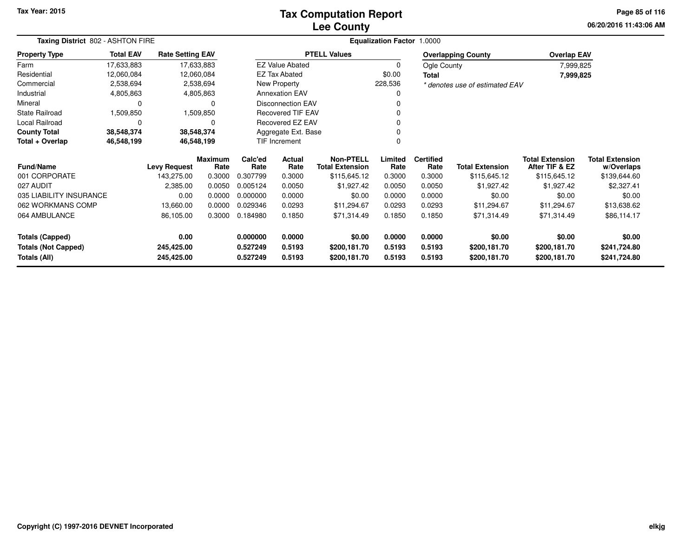## **Lee CountyTax Computation Report**

**06/20/2016 11:43:06 AM Page 85 of 116**

| Taxing District 802 - ASHTON FIRE |                  |                         |                        |                 | <b>Equalization Factor 1.0000</b> |                                            |                 |                          |                                |                                          |                                      |
|-----------------------------------|------------------|-------------------------|------------------------|-----------------|-----------------------------------|--------------------------------------------|-----------------|--------------------------|--------------------------------|------------------------------------------|--------------------------------------|
| <b>Property Type</b>              | <b>Total EAV</b> | <b>Rate Setting EAV</b> |                        |                 |                                   | <b>PTELL Values</b>                        |                 |                          | <b>Overlapping County</b>      | <b>Overlap EAV</b>                       |                                      |
| Farm                              | 17,633,883       |                         | 17,633,883             |                 | <b>EZ Value Abated</b>            |                                            | $\Omega$        | Ogle County              |                                | 7,999,825                                |                                      |
| Residential                       | 12,060,084       |                         | 12,060,084             |                 | <b>EZ Tax Abated</b>              |                                            | \$0.00          | Total                    |                                | 7,999,825                                |                                      |
| Commercial                        | 2,538,694        |                         | 2,538,694              |                 | New Property                      |                                            | 228,536         |                          | * denotes use of estimated EAV |                                          |                                      |
| Industrial                        | 4,805,863        |                         | 4,805,863              |                 | <b>Annexation EAV</b>             |                                            | O               |                          |                                |                                          |                                      |
| Mineral                           | 0                |                         | 0                      |                 | <b>Disconnection EAV</b>          |                                            |                 |                          |                                |                                          |                                      |
| State Railroad                    | 1,509,850        |                         | 1,509,850              |                 | Recovered TIF EAV                 |                                            |                 |                          |                                |                                          |                                      |
| Local Railroad                    | 0                |                         | 0                      |                 | Recovered EZ EAV                  |                                            |                 |                          |                                |                                          |                                      |
| <b>County Total</b>               | 38,548,374       |                         | 38,548,374             |                 | Aggregate Ext. Base               |                                            |                 |                          |                                |                                          |                                      |
| Total + Overlap<br>46,548,199     |                  |                         | 46,548,199             |                 | TIF Increment                     |                                            |                 |                          |                                |                                          |                                      |
| Fund/Name                         |                  | <b>Levy Request</b>     | <b>Maximum</b><br>Rate | Calc'ed<br>Rate | Actual<br>Rate                    | <b>Non-PTELL</b><br><b>Total Extension</b> | Limited<br>Rate | <b>Certified</b><br>Rate | <b>Total Extension</b>         | <b>Total Extension</b><br>After TIF & EZ | <b>Total Extension</b><br>w/Overlaps |
| 001 CORPORATE                     |                  | 143,275.00              | 0.3000                 | 0.307799        | 0.3000                            | \$115,645.12                               | 0.3000          | 0.3000                   | \$115,645.12                   | \$115,645.12                             | \$139,644.60                         |
| 027 AUDIT                         |                  | 2,385.00                | 0.0050                 | 0.005124        | 0.0050                            | \$1,927.42                                 | 0.0050          | 0.0050                   | \$1,927.42                     | \$1,927.42                               | \$2,327.41                           |
| 035 LIABILITY INSURANCE           |                  | 0.00                    | 0.0000                 | 0.000000        | 0.0000                            | \$0.00                                     | 0.0000          | 0.0000                   | \$0.00                         | \$0.00                                   | \$0.00                               |
| 062 WORKMANS COMP                 |                  | 13,660.00               | 0.0000                 | 0.029346        | 0.0293                            | \$11,294.67                                | 0.0293          | 0.0293                   | \$11,294.67                    | \$11,294.67                              | \$13,638.62                          |
| 064 AMBULANCE                     |                  | 86,105.00               | 0.3000                 | 0.184980        | 0.1850                            | \$71,314.49                                | 0.1850          | 0.1850                   | \$71,314.49                    | \$71,314.49                              | \$86,114.17                          |
| <b>Totals (Capped)</b>            |                  | 0.00                    |                        | 0.000000        | 0.0000                            | \$0.00                                     | 0.0000          | 0.0000                   | \$0.00                         | \$0.00                                   | \$0.00                               |
| <b>Totals (Not Capped)</b>        |                  | 245,425.00              |                        | 0.527249        | 0.5193                            | \$200,181.70                               | 0.5193          | 0.5193                   | \$200,181.70                   | \$200,181.70                             | \$241,724.80                         |
| <b>Totals (All)</b>               |                  | 245,425.00              |                        | 0.527249        | 0.5193                            | \$200,181.70                               | 0.5193          | 0.5193                   | \$200,181.70                   | \$200,181.70                             | \$241,724.80                         |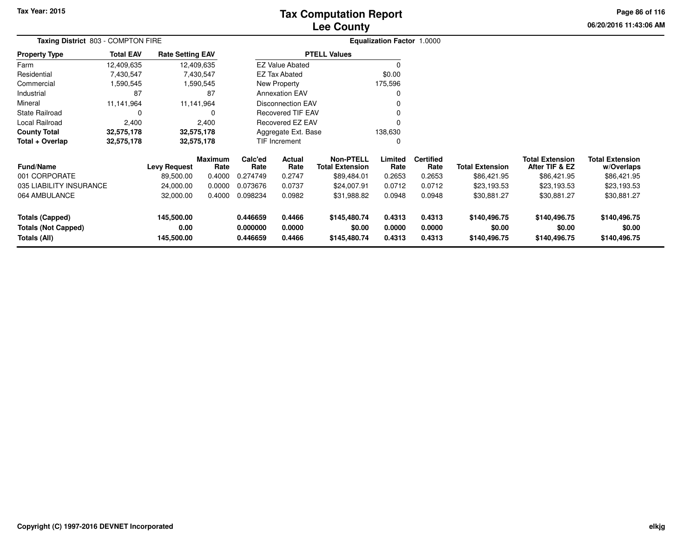# **Lee CountyTax Computation Report**

**06/20/2016 11:43:06 AM Page 86 of 116**

|                                            | Taxing District 803 - COMPTON FIRE |                         |                        |                                   |                          |                                            | Equalization Factor 1.0000 |                          |                        |                                          |                                      |
|--------------------------------------------|------------------------------------|-------------------------|------------------------|-----------------------------------|--------------------------|--------------------------------------------|----------------------------|--------------------------|------------------------|------------------------------------------|--------------------------------------|
| <b>Property Type</b>                       | <b>Total EAV</b>                   | <b>Rate Setting EAV</b> |                        |                                   |                          | <b>PTELL Values</b>                        |                            |                          |                        |                                          |                                      |
| Farm                                       | 12,409,635                         |                         | 12,409,635             |                                   | <b>EZ Value Abated</b>   |                                            |                            |                          |                        |                                          |                                      |
| Residential                                | 7,430,547                          |                         | 7,430,547              |                                   | EZ Tax Abated            |                                            | \$0.00                     |                          |                        |                                          |                                      |
| Commercial                                 | 1,590,545                          |                         | 1,590,545              |                                   | New Property             |                                            | 175,596                    |                          |                        |                                          |                                      |
| Industrial                                 | 87                                 |                         | 87                     |                                   | <b>Annexation EAV</b>    |                                            |                            |                          |                        |                                          |                                      |
| Mineral                                    | 11,141,964                         |                         | 11,141,964             |                                   | <b>Disconnection EAV</b> |                                            |                            |                          |                        |                                          |                                      |
| <b>State Railroad</b>                      |                                    |                         | 0                      |                                   | <b>Recovered TIF EAV</b> |                                            |                            |                          |                        |                                          |                                      |
| Local Railroad                             | 2,400                              |                         | 2,400                  | <b>Recovered EZ EAV</b>           |                          |                                            |                            |                          |                        |                                          |                                      |
| <b>County Total</b>                        | 32,575,178                         |                         | 32,575,178             |                                   | Aggregate Ext. Base      |                                            | 138,630                    |                          |                        |                                          |                                      |
| Total + Overlap                            | 32,575,178                         |                         | 32,575,178             |                                   | <b>TIF Increment</b>     |                                            |                            |                          |                        |                                          |                                      |
| <b>Fund/Name</b>                           |                                    | Levy Request            | <b>Maximum</b><br>Rate | Calc'ed<br>Actual<br>Rate<br>Rate |                          | <b>Non-PTELL</b><br><b>Total Extension</b> | Limited<br>Rate            | <b>Certified</b><br>Rate | <b>Total Extension</b> | <b>Total Extension</b><br>After TIF & EZ | <b>Total Extension</b><br>w/Overlaps |
| 001 CORPORATE                              |                                    | 89,500.00               | 0.4000                 | 0.274749                          | 0.2747                   | \$89,484.01                                | 0.2653                     | 0.2653                   | \$86,421.95            | \$86,421.95                              | \$86,421.95                          |
| 035 LIABILITY INSURANCE                    |                                    | 24,000.00               | 0.0000                 | 0.073676                          | 0.0737                   | \$24,007.91                                | 0.0712                     | 0.0712                   | \$23,193.53            | \$23,193.53                              | \$23,193.53                          |
| 064 AMBULANCE                              |                                    | 32,000.00               | 0.4000                 | 0.098234                          | 0.0982                   | \$31,988.82                                | 0.0948                     | 0.0948                   | \$30,881.27            | \$30,881.27                              | \$30,881.27                          |
| <b>Totals (Capped)</b>                     |                                    | 145,500.00              |                        | 0.446659<br>0.4466                |                          | \$145,480.74                               | 0.4313                     | 0.4313                   | \$140,496.75           | \$140,496.75                             | \$140,496.75                         |
| <b>Totals (Not Capped)</b><br>Totals (All) |                                    | 0.00<br>145,500.00      |                        | 0.000000<br>0.446659              | 0.0000<br>0.4466         | \$0.00<br>\$145,480.74                     | 0.0000<br>0.4313           | 0.0000<br>0.4313         | \$0.00<br>\$140,496.75 | \$0.00<br>\$140,496.75                   | \$0.00<br>\$140,496.75               |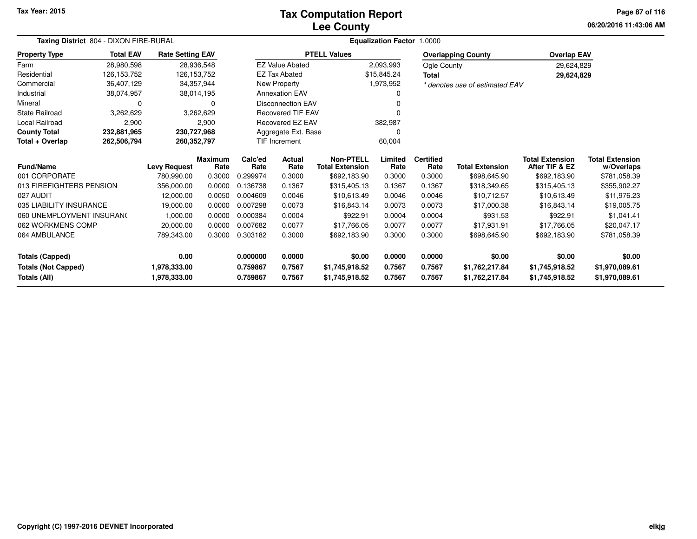#### **Lee CountyTax Computation Report**

**06/20/2016 11:43:06 AM Page 87 of 116**

| Taxing District 804 - DIXON FIRE-RURAL |                  |                         |                        |                 | <b>Equalization Factor 1.0000</b> |                                            |                 |                          |                                |                                          |                                      |
|----------------------------------------|------------------|-------------------------|------------------------|-----------------|-----------------------------------|--------------------------------------------|-----------------|--------------------------|--------------------------------|------------------------------------------|--------------------------------------|
| <b>Property Type</b>                   | <b>Total EAV</b> | <b>Rate Setting EAV</b> |                        |                 |                                   | <b>PTELL Values</b>                        |                 |                          | <b>Overlapping County</b>      | <b>Overlap EAV</b>                       |                                      |
| Farm                                   | 28,980,598       | 28,936,548              |                        |                 | <b>EZ Value Abated</b>            |                                            | 2,093,993       | Ogle County              |                                | 29,624,829                               |                                      |
| Residential                            | 126,153,752      | 126, 153, 752           |                        |                 | <b>EZ Tax Abated</b>              |                                            | \$15,845.24     | <b>Total</b>             |                                | 29,624,829                               |                                      |
| Commercial                             | 36,407,129       | 34,357,944              |                        |                 | New Property                      |                                            | 1,973,952       |                          | * denotes use of estimated EAV |                                          |                                      |
| Industrial                             | 38,074,957       | 38,014,195              |                        |                 | <b>Annexation EAV</b>             |                                            |                 |                          |                                |                                          |                                      |
| Mineral                                | $\Omega$         |                         | 0                      |                 | <b>Disconnection EAV</b>          |                                            |                 |                          |                                |                                          |                                      |
| State Railroad                         | 3,262,629        |                         | 3,262,629              |                 | <b>Recovered TIF EAV</b>          |                                            |                 |                          |                                |                                          |                                      |
| <b>Local Railroad</b>                  | 2,900            |                         | 2,900                  |                 | Recovered EZ EAV                  |                                            | 382,987         |                          |                                |                                          |                                      |
| <b>County Total</b>                    | 232,881,965      | 230,727,968             |                        |                 | Aggregate Ext. Base               |                                            |                 |                          |                                |                                          |                                      |
| Total + Overlap                        | 262,506,794      | 260,352,797             |                        |                 | TIF Increment                     |                                            | 60,004          |                          |                                |                                          |                                      |
| <b>Fund/Name</b>                       |                  | <b>Levy Request</b>     | <b>Maximum</b><br>Rate | Calc'ed<br>Rate | Actual<br>Rate                    | <b>Non-PTELL</b><br><b>Total Extension</b> | Limited<br>Rate | <b>Certified</b><br>Rate | <b>Total Extension</b>         | <b>Total Extension</b><br>After TIF & EZ | <b>Total Extension</b><br>w/Overlaps |
| 001 CORPORATE                          |                  | 780,990.00              | 0.3000                 | 0.299974        | 0.3000                            | \$692,183.90                               | 0.3000          | 0.3000                   | \$698,645.90                   | \$692,183.90                             | \$781,058.39                         |
| 013 FIREFIGHTERS PENSION               |                  | 356,000.00              | 0.0000                 | 0.136738        | 0.1367                            | \$315,405.13                               | 0.1367          | 0.1367                   | \$318,349.65                   | \$315,405.13                             | \$355,902.27                         |
| 027 AUDIT                              |                  | 12,000.00               | 0.0050                 | 0.004609        | 0.0046                            | \$10,613.49                                | 0.0046          | 0.0046                   | \$10,712.57                    | \$10,613.49                              | \$11,976.23                          |
| 035 LIABILITY INSURANCE                |                  | 19,000.00               | 0.0000                 | 0.007298        | 0.0073                            | \$16,843.14                                | 0.0073          | 0.0073                   | \$17,000.38                    | \$16,843.14                              | \$19,005.75                          |
| 060 UNEMPLOYMENT INSURANG              |                  | 1,000.00                | 0.0000                 | 0.000384        | 0.0004                            | \$922.91                                   | 0.0004          | 0.0004                   | \$931.53                       | \$922.91                                 | \$1,041.41                           |
| 062 WORKMENS COMP                      |                  | 20,000.00               | 0.0000                 | 0.007682        | 0.0077                            | \$17,766.05                                | 0.0077          | 0.0077                   | \$17,931.91                    | \$17,766.05                              | \$20,047.17                          |
| 064 AMBULANCE                          |                  | 789,343.00              | 0.3000                 | 0.303182        | 0.3000                            | \$692,183.90                               | 0.3000          | 0.3000                   | \$698,645.90                   | \$692,183.90                             | \$781,058.39                         |
| <b>Totals (Capped)</b>                 |                  | 0.00                    |                        | 0.000000        | 0.0000                            | \$0.00                                     | 0.0000          | 0.0000                   | \$0.00                         | \$0.00                                   | \$0.00                               |
| <b>Totals (Not Capped)</b>             |                  | 1,978,333.00            |                        | 0.759867        | 0.7567                            | \$1,745,918.52                             | 0.7567          | 0.7567                   | \$1,762,217.84                 | \$1,745,918.52                           | \$1,970,089.61                       |
| Totals (All)                           |                  | 1,978,333.00            |                        | 0.759867        | 0.7567                            | \$1,745,918.52                             | 0.7567          | 0.7567                   | \$1,762,217.84                 | \$1,745,918.52                           | \$1,970,089.61                       |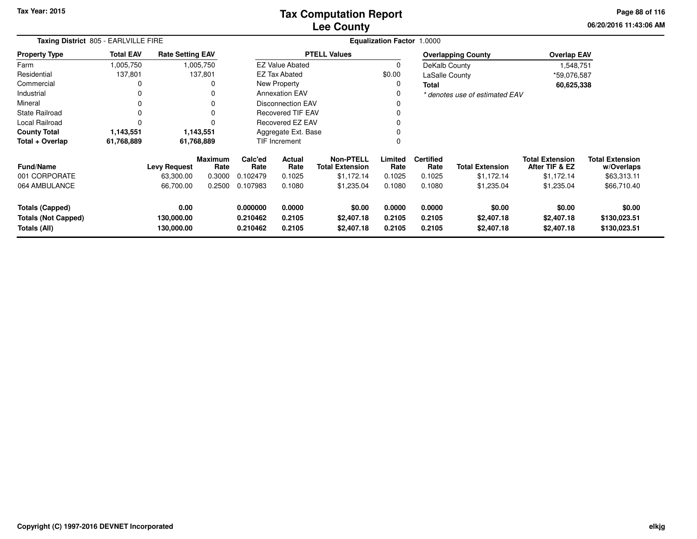**06/20/2016 11:43:06 AM Page 88 of 116**

|                                                                      | Taxing District 805 - EARLVILLE FIRE |                                  |                        |                                  |                            |                                            | <b>Equalization Factor 1.0000</b> |                            |                                    |                                          |                                        |  |
|----------------------------------------------------------------------|--------------------------------------|----------------------------------|------------------------|----------------------------------|----------------------------|--------------------------------------------|-----------------------------------|----------------------------|------------------------------------|------------------------------------------|----------------------------------------|--|
| <b>Property Type</b>                                                 | <b>Total EAV</b>                     | <b>Rate Setting EAV</b>          |                        |                                  |                            | <b>PTELL Values</b>                        |                                   |                            | <b>Overlapping County</b>          | <b>Overlap EAV</b>                       |                                        |  |
| Farm                                                                 | 1,005,750                            |                                  | 1,005,750              |                                  | <b>EZ Value Abated</b>     |                                            | $\Omega$                          | DeKalb County              |                                    | 1,548,751                                |                                        |  |
| Residential                                                          | 137,801                              |                                  | 137,801                |                                  | <b>EZ Tax Abated</b>       |                                            | \$0.00                            | LaSalle County             |                                    | *59,076,587                              |                                        |  |
| Commercial                                                           | 0                                    |                                  | 0                      |                                  | New Property               |                                            | 0                                 | Total                      |                                    | 60,625,338                               |                                        |  |
| Industrial                                                           | 0                                    |                                  | 0                      |                                  | <b>Annexation EAV</b>      |                                            | 0                                 |                            | * denotes use of estimated EAV     |                                          |                                        |  |
| Mineral                                                              | 0                                    |                                  | 0                      |                                  | <b>Disconnection EAV</b>   |                                            | 0                                 |                            |                                    |                                          |                                        |  |
| State Railroad                                                       | $\Omega$                             |                                  | 0                      |                                  | <b>Recovered TIF EAV</b>   |                                            |                                   |                            |                                    |                                          |                                        |  |
| Local Railroad                                                       | $\Omega$                             |                                  | $\Omega$               | Recovered EZ EAV                 |                            |                                            | 0                                 |                            |                                    |                                          |                                        |  |
| <b>County Total</b>                                                  | 1,143,551                            | 1,143,551                        |                        | Aggregate Ext. Base              |                            |                                            |                                   |                            |                                    |                                          |                                        |  |
| Total + Overlap                                                      | 61,768,889                           | 61,768,889                       |                        |                                  | <b>TIF Increment</b>       |                                            | 0                                 |                            |                                    |                                          |                                        |  |
| Fund/Name                                                            |                                      | <b>Levy Request</b>              | <b>Maximum</b><br>Rate | Calc'ed<br>Rate                  | Actual<br>Rate             | <b>Non-PTELL</b><br><b>Total Extension</b> | Limited<br>Rate                   | <b>Certified</b><br>Rate   | <b>Total Extension</b>             | <b>Total Extension</b><br>After TIF & EZ | <b>Total Extension</b><br>w/Overlaps   |  |
| 001 CORPORATE                                                        |                                      | 63,300.00                        | 0.3000                 | 0.102479                         | 0.1025                     | \$1,172.14                                 | 0.1025                            | 0.1025                     | \$1,172.14                         | \$1,172.14                               | \$63,313.11                            |  |
| 064 AMBULANCE                                                        |                                      | 66,700.00                        | 0.2500                 | 0.107983                         | 0.1080                     | \$1,235.04                                 | 0.1080                            | 0.1080                     | \$1,235.04                         | \$1,235.04                               | \$66,710.40                            |  |
| <b>Totals (Capped)</b><br><b>Totals (Not Capped)</b><br>Totals (All) |                                      | 0.00<br>130,000.00<br>130,000.00 |                        | 0.000000<br>0.210462<br>0.210462 | 0.0000<br>0.2105<br>0.2105 | \$0.00<br>\$2,407.18<br>\$2,407.18         | 0.0000<br>0.2105<br>0.2105        | 0.0000<br>0.2105<br>0.2105 | \$0.00<br>\$2,407.18<br>\$2,407.18 | \$0.00<br>\$2,407.18<br>\$2,407.18       | \$0.00<br>\$130,023.51<br>\$130,023.51 |  |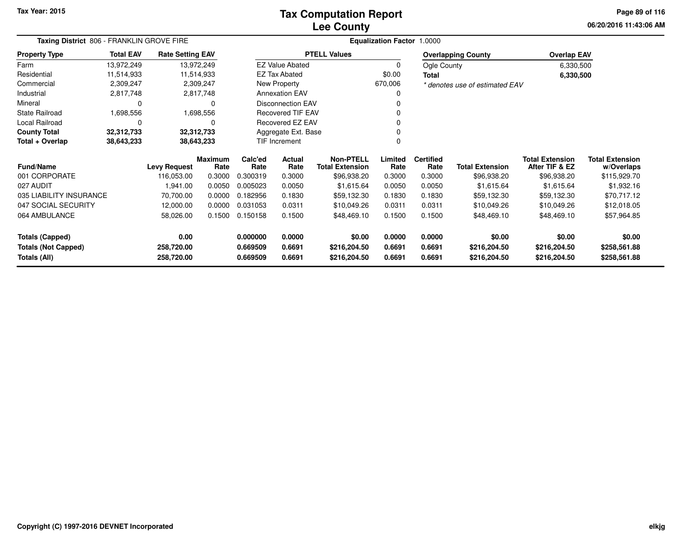## **Lee CountyTax Computation Report**

**06/20/2016 11:43:06 AM Page 89 of 116**

| Taxing District 806 - FRANKLIN GROVE FIRE |                  |                         |                        |                 |                          |                                            | <b>Equalization Factor</b> | 1.0000                   |                                |                                          |                                      |
|-------------------------------------------|------------------|-------------------------|------------------------|-----------------|--------------------------|--------------------------------------------|----------------------------|--------------------------|--------------------------------|------------------------------------------|--------------------------------------|
| <b>Property Type</b>                      | <b>Total EAV</b> | <b>Rate Setting EAV</b> |                        |                 |                          | <b>PTELL Values</b>                        |                            |                          | <b>Overlapping County</b>      | <b>Overlap EAV</b>                       |                                      |
| Farm                                      | 13,972,249       |                         | 13,972,249             |                 | <b>EZ Value Abated</b>   |                                            | 0                          | Ogle County              |                                | 6,330,500                                |                                      |
| Residential                               | 11,514,933       |                         | 11,514,933             |                 | <b>EZ Tax Abated</b>     |                                            | \$0.00                     | <b>Total</b>             |                                | 6,330,500                                |                                      |
| Commercial                                | 2,309,247        |                         | 2,309,247              |                 | New Property             |                                            | 670,006                    |                          | * denotes use of estimated EAV |                                          |                                      |
| Industrial                                | 2,817,748        |                         | 2,817,748              |                 | <b>Annexation EAV</b>    |                                            |                            |                          |                                |                                          |                                      |
| Mineral                                   | 0                |                         | 0                      |                 | <b>Disconnection EAV</b> |                                            |                            |                          |                                |                                          |                                      |
| <b>State Railroad</b>                     | 1,698,556        |                         | 1,698,556              |                 | <b>Recovered TIF EAV</b> |                                            |                            |                          |                                |                                          |                                      |
| Local Railroad                            | 0                |                         | 0                      |                 | Recovered EZ EAV         |                                            |                            |                          |                                |                                          |                                      |
| <b>County Total</b>                       | 32,312,733       |                         | 32,312,733             |                 | Aggregate Ext. Base      |                                            |                            |                          |                                |                                          |                                      |
| Total + Overlap                           | 38,643,233       |                         | 38,643,233             |                 | TIF Increment            |                                            |                            |                          |                                |                                          |                                      |
| Fund/Name                                 |                  | <b>Levy Request</b>     | <b>Maximum</b><br>Rate | Calc'ed<br>Rate | Actual<br>Rate           | <b>Non-PTELL</b><br><b>Total Extension</b> | Limited<br>Rate            | <b>Certified</b><br>Rate | <b>Total Extension</b>         | <b>Total Extension</b><br>After TIF & EZ | <b>Total Extension</b><br>w/Overlaps |
| 001 CORPORATE                             |                  | 116,053.00              | 0.3000                 | 0.300319        | 0.3000                   | \$96,938.20                                | 0.3000                     | 0.3000                   | \$96,938.20                    | \$96,938.20                              | \$115,929.70                         |
| 027 AUDIT                                 |                  | 1,941.00                | 0.0050                 | 0.005023        | 0.0050                   | \$1,615.64                                 | 0.0050                     | 0.0050                   | \$1,615.64                     | \$1,615.64                               | \$1,932.16                           |
| 035 LIABILITY INSURANCE                   |                  | 70,700.00               | 0.0000                 | 0.182956        | 0.1830                   | \$59,132.30                                | 0.1830                     | 0.1830                   | \$59,132.30                    | \$59,132.30                              | \$70,717.12                          |
| 047 SOCIAL SECURITY                       |                  | 12,000.00               | 0.0000                 | 0.031053        | 0.0311                   | \$10,049.26                                | 0.0311                     | 0.0311                   | \$10,049.26                    | \$10,049.26                              | \$12,018.05                          |
| 064 AMBULANCE                             |                  | 58,026.00               | 0.1500                 | 0.150158        | 0.1500                   | \$48,469.10                                | 0.1500                     | 0.1500                   | \$48,469.10                    | \$48,469.10                              | \$57,964.85                          |
| <b>Totals (Capped)</b>                    |                  | 0.00                    |                        | 0.000000        | 0.0000                   | \$0.00                                     | 0.0000                     | 0.0000                   | \$0.00                         | \$0.00                                   | \$0.00                               |
| <b>Totals (Not Capped)</b>                |                  | 258,720.00              |                        | 0.669509        | 0.6691                   | \$216,204.50                               | 0.6691                     | 0.6691                   | \$216,204.50                   | \$216,204.50                             | \$258,561.88                         |
| Totals (All)                              |                  | 258,720.00              |                        | 0.669509        | 0.6691                   | \$216,204.50                               | 0.6691                     | 0.6691                   | \$216,204.50                   | \$216,204.50                             | \$258,561.88                         |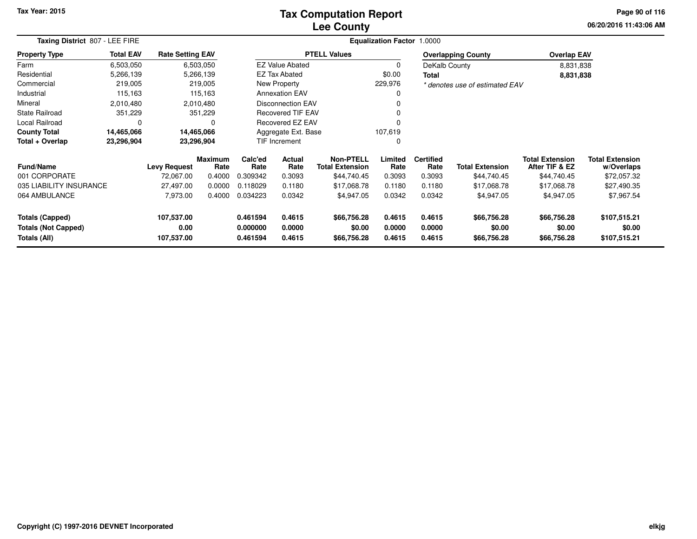### **Lee CountyTax Computation Report**

**06/20/2016 11:43:06 AM Page 90 of 116**

|                                            | Taxing District 807 - LEE FIRE |                         |                        |                      |                          |                                            | <b>Equalization Factor 1.0000</b> |                          |                                |                                          |                                      |
|--------------------------------------------|--------------------------------|-------------------------|------------------------|----------------------|--------------------------|--------------------------------------------|-----------------------------------|--------------------------|--------------------------------|------------------------------------------|--------------------------------------|
| <b>Property Type</b>                       | <b>Total EAV</b>               | <b>Rate Setting EAV</b> |                        |                      |                          | <b>PTELL Values</b>                        |                                   |                          | <b>Overlapping County</b>      | <b>Overlap EAV</b>                       |                                      |
| Farm                                       | 6,503,050                      |                         | 6,503,050              |                      | <b>EZ Value Abated</b>   |                                            |                                   | DeKalb County            |                                | 8,831,838                                |                                      |
| Residential                                | 5,266,139                      |                         | 5,266,139              |                      | <b>EZ Tax Abated</b>     |                                            | \$0.00                            | <b>Total</b>             |                                | 8,831,838                                |                                      |
| Commercial                                 | 219,005                        |                         | 219,005                |                      | New Property             |                                            | 229,976                           |                          | * denotes use of estimated EAV |                                          |                                      |
| Industrial                                 | 115,163                        |                         | 115,163                |                      | <b>Annexation EAV</b>    |                                            |                                   |                          |                                |                                          |                                      |
| Mineral                                    | 2,010,480                      |                         | 2,010,480              |                      | <b>Disconnection EAV</b> |                                            |                                   |                          |                                |                                          |                                      |
| <b>State Railroad</b>                      | 351,229                        |                         | 351,229                |                      | Recovered TIF EAV        |                                            |                                   |                          |                                |                                          |                                      |
| Local Railroad                             | $\Omega$                       |                         | $\Omega$               |                      | <b>Recovered EZ EAV</b>  |                                            |                                   |                          |                                |                                          |                                      |
| <b>County Total</b>                        | 14,465,066                     |                         | 14,465,066             |                      | Aggregate Ext. Base      |                                            | 107,619                           |                          |                                |                                          |                                      |
| Total + Overlap                            | 23,296,904                     |                         | 23,296,904             |                      | <b>TIF Increment</b>     |                                            |                                   |                          |                                |                                          |                                      |
| <b>Fund/Name</b>                           | <b>Levy Request</b>            |                         | <b>Maximum</b><br>Rate | Calc'ed<br>Rate      | Actual<br>Rate           | <b>Non-PTELL</b><br><b>Total Extension</b> | Limited<br>Rate                   | <b>Certified</b><br>Rate | <b>Total Extension</b>         | <b>Total Extension</b><br>After TIF & EZ | <b>Total Extension</b><br>w/Overlaps |
| 001 CORPORATE                              |                                | 72,067.00               | 0.4000                 | 0.309342             | 0.3093                   | \$44,740.45                                | 0.3093                            | 0.3093                   | \$44,740.45                    | \$44,740.45                              | \$72,057.32                          |
| 035 LIABILITY INSURANCE                    |                                | 27,497.00               | 0.0000                 | 0.118029             | 0.1180                   | \$17,068.78                                | 0.1180                            | 0.1180                   | \$17,068.78                    | \$17,068.78                              | \$27,490.35                          |
| 064 AMBULANCE                              |                                | 7,973.00                | 0.4000                 | 0.034223             | 0.0342                   | \$4,947.05                                 | 0.0342                            | 0.0342                   | \$4,947.05                     | \$4,947.05                               | \$7,967.54                           |
| <b>Totals (Capped)</b>                     |                                | 107,537.00              |                        | 0.461594             | 0.4615                   | \$66,756.28                                | 0.4615                            | 0.4615                   | \$66,756.28                    | \$66,756.28                              | \$107,515.21                         |
| <b>Totals (Not Capped)</b><br>Totals (All) |                                | 0.00<br>107,537.00      |                        | 0.000000<br>0.461594 | 0.0000<br>0.4615         | \$0.00<br>\$66,756.28                      | 0.0000<br>0.4615                  | 0.0000<br>0.4615         | \$0.00<br>\$66,756.28          | \$0.00<br>\$66,756.28                    | \$0.00<br>\$107,515.21               |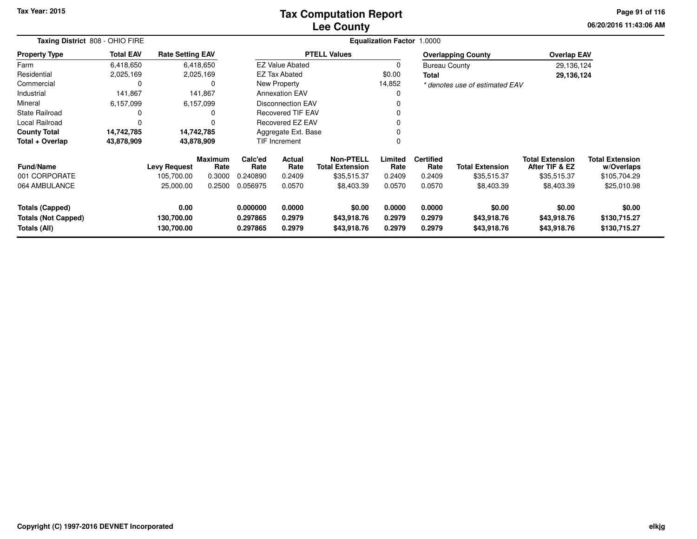## **Lee CountyTax Computation Report**

**06/20/2016 11:43:06 AMPage 91 of 116**

|                                                                      | Taxing District 808 - OHIO FIRE |                                  |                        |                                                                |                                                 |                                      | <b>Equalization Factor 1.0000</b> |                            |                                      |                                          |                                        |
|----------------------------------------------------------------------|---------------------------------|----------------------------------|------------------------|----------------------------------------------------------------|-------------------------------------------------|--------------------------------------|-----------------------------------|----------------------------|--------------------------------------|------------------------------------------|----------------------------------------|
| <b>Property Type</b>                                                 | <b>Total EAV</b>                | <b>Rate Setting EAV</b>          |                        |                                                                |                                                 | <b>PTELL Values</b>                  |                                   |                            | <b>Overlapping County</b>            | <b>Overlap EAV</b>                       |                                        |
| Farm                                                                 | 6,418,650                       |                                  | 6,418,650              |                                                                | <b>EZ Value Abated</b>                          |                                      | 0                                 | <b>Bureau County</b>       |                                      | 29,136,124                               |                                        |
| Residential                                                          | 2,025,169                       |                                  | 2,025,169              |                                                                | <b>EZ Tax Abated</b>                            |                                      | \$0.00                            | Total                      |                                      | 29,136,124                               |                                        |
| Commercial                                                           | 0                               |                                  |                        |                                                                | New Property                                    |                                      | 14,852                            |                            | * denotes use of estimated EAV       |                                          |                                        |
| Industrial                                                           | 141,867                         |                                  | 141,867                |                                                                | <b>Annexation EAV</b>                           |                                      | 0                                 |                            |                                      |                                          |                                        |
| Mineral                                                              | 6,157,099                       |                                  | 6,157,099              |                                                                | <b>Disconnection EAV</b>                        |                                      | 0                                 |                            |                                      |                                          |                                        |
| <b>State Railroad</b>                                                | 0                               |                                  |                        |                                                                | <b>Recovered TIF EAV</b>                        |                                      | 0                                 |                            |                                      |                                          |                                        |
| Local Railroad                                                       | $\mathbf 0$                     |                                  |                        |                                                                | <b>Recovered EZ EAV</b>                         |                                      | 0                                 |                            |                                      |                                          |                                        |
| <b>County Total</b>                                                  | 14,742,785                      |                                  | 14,742,785             |                                                                | Aggregate Ext. Base                             |                                      | 0                                 |                            |                                      |                                          |                                        |
| Total + Overlap                                                      | 43,878,909                      |                                  | 43,878,909             |                                                                | <b>TIF Increment</b>                            |                                      | 0                                 |                            |                                      |                                          |                                        |
| <b>Fund/Name</b>                                                     |                                 | <b>Levy Request</b>              | <b>Maximum</b><br>Rate | Calc'ed<br>Rate                                                | <b>Actual</b><br>Rate<br><b>Total Extension</b> |                                      | Limited<br>Rate                   | <b>Certified</b><br>Rate   | <b>Total Extension</b>               | <b>Total Extension</b><br>After TIF & EZ | <b>Total Extension</b><br>w/Overlaps   |
| 001 CORPORATE                                                        |                                 | 105,700.00                       | 0.3000                 | 0.240890                                                       | 0.2409                                          | \$35,515.37                          | 0.2409                            | 0.2409                     | \$35,515.37                          | \$35,515.37                              | \$105,704.29                           |
| 064 AMBULANCE                                                        |                                 | 25,000.00                        | 0.2500                 | 0.056975                                                       | 0.0570                                          | \$8,403.39                           | 0.0570                            | 0.0570                     | \$8,403.39                           | \$8,403.39                               | \$25,010.98                            |
| <b>Totals (Capped)</b><br><b>Totals (Not Capped)</b><br>Totals (All) |                                 | 0.00<br>130,700.00<br>130,700.00 |                        | 0.000000<br>0.0000<br>0.297865<br>0.2979<br>0.297865<br>0.2979 |                                                 | \$0.00<br>\$43,918.76<br>\$43,918.76 | 0.0000<br>0.2979<br>0.2979        | 0.0000<br>0.2979<br>0.2979 | \$0.00<br>\$43,918.76<br>\$43,918.76 | \$0.00<br>\$43,918.76<br>\$43,918.76     | \$0.00<br>\$130,715.27<br>\$130,715.27 |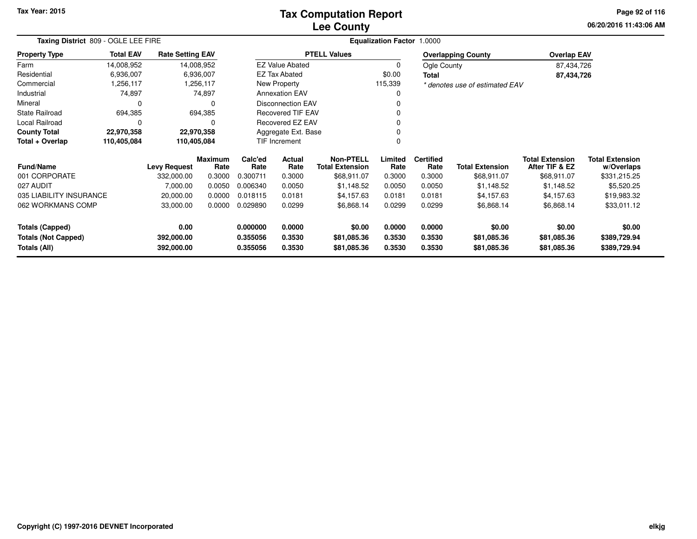## **Lee CountyTax Computation Report**

**06/20/2016 11:43:06 AM Page 92 of 116**

| Taxing District 809 - OGLE LEE FIRE        |                  |                          |                        |                      |                          |                                     | <b>Equalization Factor</b> | 1.0000                   |                                |                                          |                                      |
|--------------------------------------------|------------------|--------------------------|------------------------|----------------------|--------------------------|-------------------------------------|----------------------------|--------------------------|--------------------------------|------------------------------------------|--------------------------------------|
| <b>Property Type</b>                       | <b>Total EAV</b> | <b>Rate Setting EAV</b>  |                        |                      |                          | <b>PTELL Values</b>                 |                            |                          | <b>Overlapping County</b>      | <b>Overlap EAV</b>                       |                                      |
| Farm                                       | 14,008,952       | 14,008,952               |                        |                      | <b>EZ Value Abated</b>   |                                     | 0                          | Ogle County              |                                | 87,434,726                               |                                      |
| Residential                                | 6,936,007        |                          | 6,936,007              |                      | EZ Tax Abated            |                                     | \$0.00                     | Total                    |                                | 87,434,726                               |                                      |
| Commercial                                 | 1,256,117        |                          | 1,256,117              |                      | New Property             |                                     | 115,339                    |                          | * denotes use of estimated EAV |                                          |                                      |
| Industrial                                 | 74,897           |                          | 74,897                 |                      | <b>Annexation EAV</b>    |                                     |                            |                          |                                |                                          |                                      |
| Mineral                                    | 0                |                          |                        |                      | <b>Disconnection EAV</b> |                                     |                            |                          |                                |                                          |                                      |
| <b>State Railroad</b>                      | 694,385          |                          | 694,385                |                      | <b>Recovered TIF EAV</b> |                                     |                            |                          |                                |                                          |                                      |
| Local Railroad                             | 0                |                          | O                      |                      | Recovered EZ EAV         |                                     |                            |                          |                                |                                          |                                      |
| <b>County Total</b>                        | 22,970,358       | 22,970,358               |                        |                      | Aggregate Ext. Base      |                                     |                            |                          |                                |                                          |                                      |
| Total + Overlap                            | 110,405,084      | 110,405,084              |                        |                      | TIF Increment            |                                     |                            |                          |                                |                                          |                                      |
| <b>Fund/Name</b>                           |                  | <b>Levy Request</b>      | <b>Maximum</b><br>Rate | Calc'ed<br>Rate      | Actual<br>Rate           | Non-PTELL<br><b>Total Extension</b> | Limited<br>Rate            | <b>Certified</b><br>Rate | <b>Total Extension</b>         | <b>Total Extension</b><br>After TIF & EZ | <b>Total Extension</b><br>w/Overlaps |
| 001 CORPORATE                              |                  | 332,000.00               | 0.3000                 | 0.300711             | 0.3000                   | \$68,911.07                         | 0.3000                     | 0.3000                   | \$68,911.07                    | \$68,911.07                              | \$331,215.25                         |
| 027 AUDIT                                  |                  | 7,000.00                 | 0.0050                 | 0.006340             | 0.0050                   | \$1,148.52                          | 0.0050                     | 0.0050                   | \$1,148.52                     | \$1,148.52                               | \$5,520.25                           |
| 035 LIABILITY INSURANCE                    |                  | 20,000.00                | 0.0000                 | 0.018115             | 0.0181                   | \$4,157.63                          | 0.0181                     | 0.0181                   | \$4,157.63                     | \$4,157.63                               | \$19,983.32                          |
| 062 WORKMANS COMP                          |                  | 33,000.00                | 0.0000                 | 0.029890             | 0.0299                   | \$6,868.14                          | 0.0299                     | 0.0299                   | \$6,868.14                     | \$6,868.14                               | \$33,011.12                          |
| <b>Totals (Capped)</b>                     |                  | 0.00                     |                        | 0.000000             | 0.0000                   | \$0.00                              | 0.0000                     | 0.0000                   | \$0.00                         | \$0.00                                   | \$0.00                               |
| <b>Totals (Not Capped)</b><br>Totals (All) |                  | 392,000.00<br>392,000.00 |                        | 0.355056<br>0.355056 | 0.3530<br>0.3530         | \$81,085.36<br>\$81,085.36          | 0.3530<br>0.3530           | 0.3530<br>0.3530         | \$81,085.36<br>\$81,085.36     | \$81,085.36<br>\$81,085.36               | \$389,729.94<br>\$389,729.94         |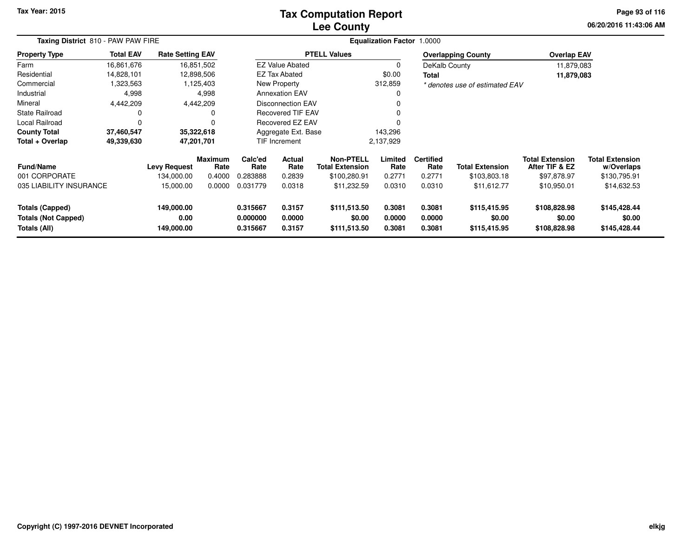## **Lee CountyTax Computation Report**

**06/20/2016 11:43:06 AM Page 93 of 116**

| Taxing District 810 - PAW PAW FIRE                                   |                  |                                  |                        |                                   |                            |                                            | <b>Equalization Factor 1.0000</b> |                            |                                        |                                          |                                        |
|----------------------------------------------------------------------|------------------|----------------------------------|------------------------|-----------------------------------|----------------------------|--------------------------------------------|-----------------------------------|----------------------------|----------------------------------------|------------------------------------------|----------------------------------------|
| Property Type                                                        | <b>Total EAV</b> | <b>Rate Setting EAV</b>          |                        |                                   |                            | <b>PTELL Values</b>                        |                                   |                            | <b>Overlapping County</b>              | <b>Overlap EAV</b>                       |                                        |
| Farm                                                                 | 16,861,676       |                                  | 16,851,502             |                                   | <b>EZ Value Abated</b>     |                                            | 0                                 | DeKalb County              |                                        | 11,879,083                               |                                        |
| Residential                                                          | 14,828,101       |                                  | 12,898,506             |                                   | <b>EZ Tax Abated</b>       |                                            | \$0.00                            | Total                      |                                        | 11,879,083                               |                                        |
| Commercial                                                           | 1,323,563        |                                  | 1,125,403              |                                   | New Property               |                                            | 312,859                           |                            | * denotes use of estimated EAV         |                                          |                                        |
| Industrial                                                           | 4,998            |                                  | 4,998                  |                                   | <b>Annexation EAV</b>      |                                            | O                                 |                            |                                        |                                          |                                        |
| Mineral                                                              | 4,442,209        |                                  | 4,442,209              |                                   | <b>Disconnection EAV</b>   |                                            |                                   |                            |                                        |                                          |                                        |
| State Railroad                                                       | 0                |                                  | 0                      |                                   | <b>Recovered TIF EAV</b>   |                                            |                                   |                            |                                        |                                          |                                        |
| Local Railroad                                                       | $\Omega$         |                                  |                        |                                   | Recovered EZ EAV           |                                            |                                   |                            |                                        |                                          |                                        |
| <b>County Total</b>                                                  | 37,460,547       |                                  | 35,322,618             |                                   | Aggregate Ext. Base        |                                            | 143,296                           |                            |                                        |                                          |                                        |
| Total + Overlap                                                      | 49,339,630       |                                  | 47,201,701             |                                   | TIF Increment<br>2,137,929 |                                            |                                   |                            |                                        |                                          |                                        |
| <b>Fund/Name</b>                                                     |                  | <b>Levy Request</b>              | <b>Maximum</b><br>Rate | Calc'ed<br>Actual<br>Rate<br>Rate |                            | <b>Non-PTELL</b><br><b>Total Extension</b> | Limited<br>Rate                   | <b>Certified</b><br>Rate   | <b>Total Extension</b>                 | <b>Total Extension</b><br>After TIF & EZ | <b>Total Extension</b><br>w/Overlaps   |
| 001 CORPORATE                                                        |                  | 134,000.00                       | 0.4000                 | 0.283888                          | 0.2839                     | \$100,280.91                               | 0.2771                            | 0.2771                     | \$103,803.18                           | \$97,878.97                              | \$130,795.91                           |
| 035 LIABILITY INSURANCE                                              |                  | 15,000.00                        | 0.0000                 | 0.031779                          | 0.0318                     | \$11,232.59                                | 0.0310                            | 0.0310                     | \$11,612.77                            | \$10,950.01                              | \$14,632.53                            |
| <b>Totals (Capped)</b><br><b>Totals (Not Capped)</b><br>Totals (All) |                  | 149,000.00<br>0.00<br>149,000.00 |                        | 0.315667<br>0.000000<br>0.315667  | 0.3157<br>0.0000<br>0.3157 | \$111,513.50<br>\$0.00<br>\$111,513.50     | 0.3081<br>0.0000<br>0.3081        | 0.3081<br>0.0000<br>0.3081 | \$115,415.95<br>\$0.00<br>\$115,415.95 | \$108,828.98<br>\$0.00<br>\$108,828.98   | \$145,428.44<br>\$0.00<br>\$145,428.44 |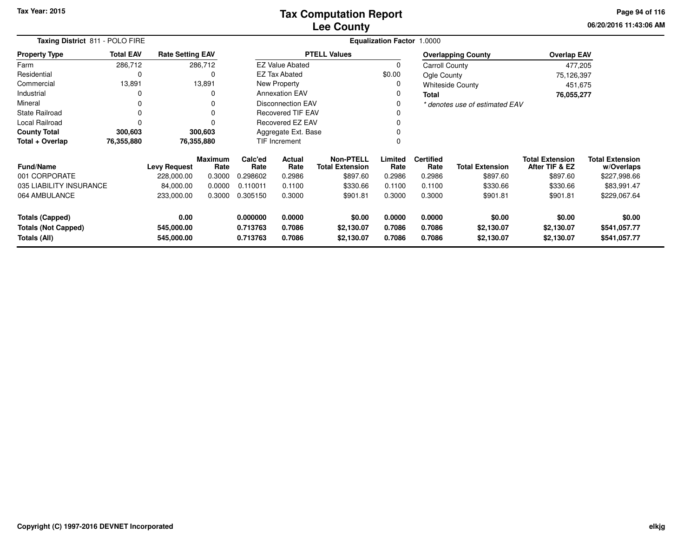**06/20/2016 11:43:06 AM Page 94 of 116**

|                                                      | Taxing District 811 - POLO FIRE |                         |                 |                      |                          |                                            | Equalization Factor 1.0000 |                          |                                |                                          |                               |
|------------------------------------------------------|---------------------------------|-------------------------|-----------------|----------------------|--------------------------|--------------------------------------------|----------------------------|--------------------------|--------------------------------|------------------------------------------|-------------------------------|
| <b>Property Type</b>                                 | <b>Total EAV</b>                | <b>Rate Setting EAV</b> |                 |                      |                          | <b>PTELL Values</b>                        |                            |                          | <b>Overlapping County</b>      | <b>Overlap EAV</b>                       |                               |
| Farm                                                 | 286,712                         |                         | 286,712         |                      | <b>EZ Value Abated</b>   |                                            | 0                          | <b>Carroll County</b>    |                                | 477,205                                  |                               |
| Residential                                          | 0                               |                         | 0               |                      | EZ Tax Abated            |                                            | \$0.00                     | Ogle County              |                                | 75,126,397                               |                               |
| Commercial                                           | 13,891                          |                         | 13,891          |                      | <b>New Property</b>      |                                            | 0                          |                          | <b>Whiteside County</b>        | 451,675                                  |                               |
| Industrial                                           | 0                               |                         | 0               |                      | <b>Annexation EAV</b>    |                                            |                            | Total                    |                                | 76,055,277                               |                               |
| Mineral                                              | $\Omega$                        |                         | 0               |                      | <b>Disconnection EAV</b> |                                            | 0                          |                          | * denotes use of estimated EAV |                                          |                               |
| <b>State Railroad</b>                                | 0                               |                         | $\Omega$        |                      | <b>Recovered TIF EAV</b> |                                            |                            |                          |                                |                                          |                               |
| Local Railroad                                       | 0                               |                         | $\Omega$        |                      | <b>Recovered EZ EAV</b>  |                                            |                            |                          |                                |                                          |                               |
| <b>County Total</b>                                  | 300,603                         |                         | 300,603         |                      | Aggregate Ext. Base      |                                            |                            |                          |                                |                                          |                               |
| Total + Overlap                                      | 76,355,880                      |                         | 76,355,880      |                      | TIF Increment            |                                            |                            |                          |                                |                                          |                               |
| <b>Fund/Name</b>                                     |                                 | <b>Levy Request</b>     | Maximum<br>Rate | Calc'ed<br>Rate      | Actual<br>Rate           | <b>Non-PTELL</b><br><b>Total Extension</b> | Limited<br>Rate            | <b>Certified</b><br>Rate | <b>Total Extension</b>         | <b>Total Extension</b><br>After TIF & EZ | Total Extension<br>w/Overlaps |
| 001 CORPORATE                                        |                                 | 228,000.00              | 0.3000          | 0.298602             | 0.2986                   | \$897.60                                   | 0.2986                     | 0.2986                   | \$897.60                       | \$897.60                                 | \$227,998.66                  |
| 035 LIABILITY INSURANCE                              |                                 | 84,000.00               | 0.0000          | 0.110011             | 0.1100                   | \$330.66                                   | 0.1100                     | 0.1100                   | \$330.66                       | \$330.66                                 | \$83,991.47                   |
| 064 AMBULANCE                                        |                                 | 233,000.00              | 0.3000          | 0.305150             | 0.3000                   | \$901.81                                   | 0.3000                     | 0.3000                   | \$901.81                       | \$901.81                                 | \$229,067.64                  |
| <b>Totals (Capped)</b><br><b>Totals (Not Capped)</b> |                                 | 0.00<br>545,000.00      |                 | 0.000000<br>0.713763 | 0.0000<br>0.7086         | \$0.00<br>\$2,130.07                       | 0.0000<br>0.7086           | 0.0000<br>0.7086         | \$0.00<br>\$2,130.07           | \$0.00<br>\$2,130.07                     | \$0.00<br>\$541,057.77        |
| Totals (All)                                         |                                 | 545,000.00              |                 | 0.713763             | 0.7086                   | \$2,130.07                                 | 0.7086                     | 0.7086                   | \$2,130.07                     | \$2,130.07                               | \$541,057.77                  |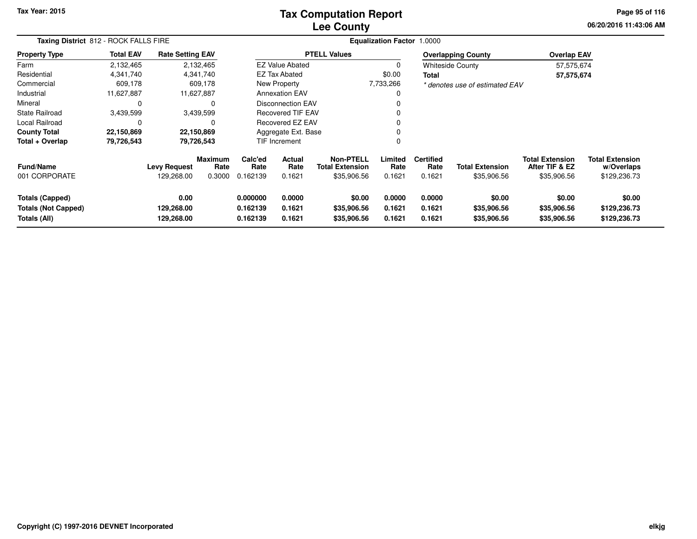## **Lee CountyTax Computation Report**

**06/20/2016 11:43:06 AM Page 95 of 116**

|                                                               | Taxing District 812 - ROCK FALLS FIRE |                                   |                           |                                  |                            |                                                           | <b>Equalization Factor</b> | 1.0000                             |                                       |                                                         |                                                      |  |
|---------------------------------------------------------------|---------------------------------------|-----------------------------------|---------------------------|----------------------------------|----------------------------|-----------------------------------------------------------|----------------------------|------------------------------------|---------------------------------------|---------------------------------------------------------|------------------------------------------------------|--|
| <b>Property Type</b>                                          | <b>Total EAV</b>                      | <b>Rate Setting EAV</b>           |                           |                                  |                            | <b>PTELL Values</b>                                       |                            |                                    | <b>Overlapping County</b>             | <b>Overlap EAV</b>                                      |                                                      |  |
| Farm                                                          | 2,132,465                             |                                   | 2,132,465                 |                                  | <b>EZ Value Abated</b>     |                                                           | 0                          |                                    | <b>Whiteside County</b>               | 57,575,674                                              |                                                      |  |
| Residential                                                   | 4,341,740                             |                                   | 4,341,740                 |                                  | EZ Tax Abated              |                                                           | \$0.00                     | <b>Total</b>                       |                                       | 57,575,674                                              |                                                      |  |
| Commercial                                                    | 609,178                               |                                   | 609,178                   |                                  | New Property               |                                                           | 7,733,266                  |                                    | * denotes use of estimated EAV        |                                                         |                                                      |  |
| Industrial                                                    | 11,627,887                            |                                   | 11,627,887                | <b>Annexation EAV</b>            |                            |                                                           | 0                          |                                    |                                       |                                                         |                                                      |  |
| Mineral                                                       | <sup>0</sup>                          |                                   | 0                         | <b>Disconnection EAV</b>         |                            |                                                           | 0                          |                                    |                                       |                                                         |                                                      |  |
| State Railroad                                                | 3,439,599                             |                                   | 3,439,599                 | <b>Recovered TIF EAV</b>         |                            |                                                           | 0                          |                                    |                                       |                                                         |                                                      |  |
| Local Railroad                                                |                                       |                                   | $\Omega$                  | Recovered EZ EAV                 |                            |                                                           | 0                          |                                    |                                       |                                                         |                                                      |  |
| <b>County Total</b>                                           | 22,150,869                            |                                   | 22,150,869                |                                  | Aggregate Ext. Base        |                                                           | 0                          |                                    |                                       |                                                         |                                                      |  |
| Total + Overlap                                               | 79,726,543                            |                                   | 79,726,543                |                                  | TIF Increment              |                                                           | $\Omega$                   |                                    |                                       |                                                         |                                                      |  |
| <b>Fund/Name</b><br>001 CORPORATE                             |                                       | <b>Levy Request</b><br>129,268.00 | Maximum<br>Rate<br>0.3000 | Calc'ed<br>Rate<br>0.162139      | Actual<br>Rate<br>0.1621   | <b>Non-PTELL</b><br><b>Total Extension</b><br>\$35,906.56 | Limited<br>Rate<br>0.1621  | <b>Certified</b><br>Rate<br>0.1621 | <b>Total Extension</b><br>\$35,906.56 | <b>Total Extension</b><br>After TIF & EZ<br>\$35,906.56 | <b>Total Extension</b><br>w/Overlaps<br>\$129,236.73 |  |
| Totals (Capped)<br><b>Totals (Not Capped)</b><br>Totals (All) |                                       | 0.00<br>129,268.00<br>129,268.00  |                           | 0.000000<br>0.162139<br>0.162139 | 0.0000<br>0.1621<br>0.1621 | \$0.00<br>\$35,906.56<br>\$35,906.56                      | 0.0000<br>0.1621<br>0.1621 | 0.0000<br>0.1621<br>0.1621         | \$0.00<br>\$35,906.56<br>\$35,906.56  | \$0.00<br>\$35,906.56<br>\$35,906.56                    | \$0.00<br>\$129,236.73<br>\$129,236.73               |  |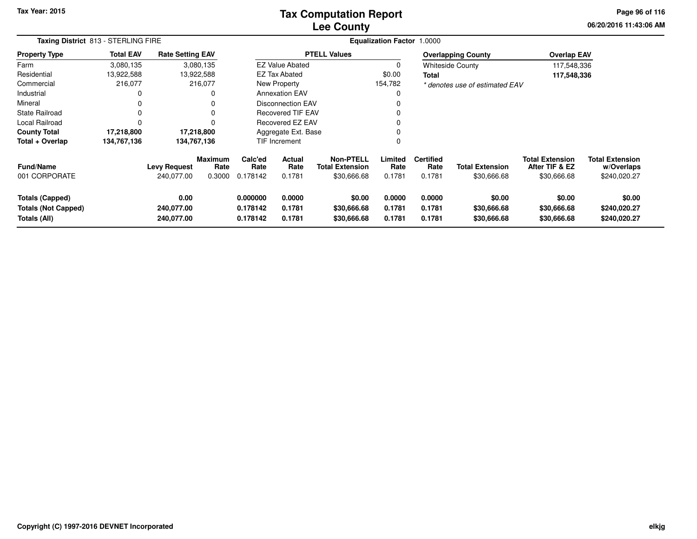## **Lee CountyTax Computation Report**

**06/20/2016 11:43:06 AM Page 96 of 116**

| Taxing District 813 - STERLING FIRE                                  |                  |                                   |                                  |                                  |                            |                                                           | Equalization Factor 1.0000 |                                    |                                       |                                                         |                                                      |  |
|----------------------------------------------------------------------|------------------|-----------------------------------|----------------------------------|----------------------------------|----------------------------|-----------------------------------------------------------|----------------------------|------------------------------------|---------------------------------------|---------------------------------------------------------|------------------------------------------------------|--|
| <b>Property Type</b>                                                 | <b>Total EAV</b> | <b>Rate Setting EAV</b>           |                                  |                                  |                            | <b>PTELL Values</b>                                       |                            |                                    | <b>Overlapping County</b>             | <b>Overlap EAV</b>                                      |                                                      |  |
| Farm                                                                 | 3,080,135        |                                   | 3,080,135                        |                                  | <b>EZ Value Abated</b>     |                                                           |                            |                                    | <b>Whiteside County</b>               | 117,548,336                                             |                                                      |  |
| Residential                                                          | 13,922,588       |                                   | 13,922,588                       |                                  | EZ Tax Abated              |                                                           | \$0.00                     | <b>Total</b>                       |                                       | 117,548,336                                             |                                                      |  |
| Commercial                                                           | 216,077          |                                   | 216,077                          |                                  | New Property               |                                                           | 154,782                    |                                    | * denotes use of estimated EAV        |                                                         |                                                      |  |
| Industrial                                                           | 0                |                                   | 0                                |                                  | <b>Annexation EAV</b>      |                                                           | 0                          |                                    |                                       |                                                         |                                                      |  |
| Mineral                                                              |                  |                                   |                                  |                                  | <b>Disconnection EAV</b>   |                                                           |                            |                                    |                                       |                                                         |                                                      |  |
| State Railroad                                                       | 0                |                                   | 0                                |                                  | <b>Recovered TIF EAV</b>   |                                                           |                            |                                    |                                       |                                                         |                                                      |  |
| Local Railroad                                                       |                  |                                   | 0                                |                                  | Recovered EZ EAV           |                                                           |                            |                                    |                                       |                                                         |                                                      |  |
| <b>County Total</b>                                                  | 17,218,800       |                                   | 17,218,800                       |                                  | Aggregate Ext. Base        |                                                           |                            |                                    |                                       |                                                         |                                                      |  |
| Total + Overlap                                                      | 134,767,136      | 134,767,136                       |                                  |                                  | TIF Increment              |                                                           | 0                          |                                    |                                       |                                                         |                                                      |  |
| <b>Fund/Name</b><br>001 CORPORATE                                    |                  | <b>Levy Request</b><br>240,077.00 | <b>Maximum</b><br>Rate<br>0.3000 | Calc'ed<br>Rate<br>0.178142      | Actual<br>Rate<br>0.1781   | <b>Non-PTELL</b><br><b>Total Extension</b><br>\$30,666.68 | Limited<br>Rate<br>0.1781  | <b>Certified</b><br>Rate<br>0.1781 | <b>Total Extension</b><br>\$30,666.68 | <b>Total Extension</b><br>After TIF & EZ<br>\$30,666.68 | <b>Total Extension</b><br>w/Overlaps<br>\$240,020.27 |  |
| <b>Totals (Capped)</b><br><b>Totals (Not Capped)</b><br>Totals (All) |                  | 0.00<br>240,077.00<br>240,077.00  |                                  | 0.000000<br>0.178142<br>0.178142 | 0.0000<br>0.1781<br>0.1781 | \$0.00<br>\$30,666.68<br>\$30,666.68                      | 0.0000<br>0.1781<br>0.1781 | 0.0000<br>0.1781<br>0.1781         | \$0.00<br>\$30,666.68<br>\$30,666.68  | \$0.00<br>\$30,666.68<br>\$30,666.68                    | \$0.00<br>\$240,020.27<br>\$240,020.27               |  |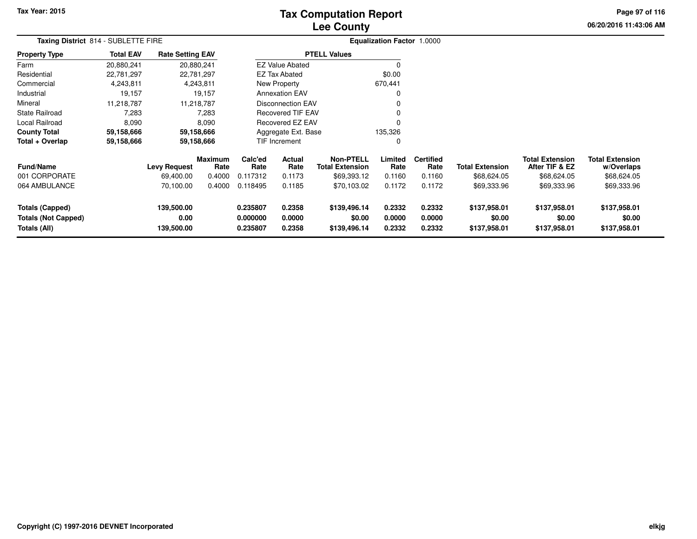# **Lee CountyTax Computation Report**

**06/20/2016 11:43:06 AM Page 97 of 116**

|                                                                      | Taxing District 814 - SUBLETTE FIRE |                                  |                        |                                                                |                          |                                            | Equalization Factor 1.0000 |                            |                                        |                                          |                                        |  |
|----------------------------------------------------------------------|-------------------------------------|----------------------------------|------------------------|----------------------------------------------------------------|--------------------------|--------------------------------------------|----------------------------|----------------------------|----------------------------------------|------------------------------------------|----------------------------------------|--|
| <b>Property Type</b>                                                 | <b>Total EAV</b>                    | <b>Rate Setting EAV</b>          |                        |                                                                |                          | <b>PTELL Values</b>                        |                            |                            |                                        |                                          |                                        |  |
| Farm                                                                 | 20,880,241                          | 20,880,241                       |                        |                                                                | <b>EZ Value Abated</b>   |                                            | 0                          |                            |                                        |                                          |                                        |  |
| Residential                                                          | 22,781,297                          | 22,781,297                       |                        |                                                                | <b>EZ Tax Abated</b>     |                                            | \$0.00                     |                            |                                        |                                          |                                        |  |
| Commercial                                                           | 4,243,811                           |                                  | 4,243,811              |                                                                | New Property             |                                            | 670,441                    |                            |                                        |                                          |                                        |  |
| Industrial                                                           | 19,157                              |                                  | 19,157                 |                                                                | <b>Annexation EAV</b>    |                                            | 0                          |                            |                                        |                                          |                                        |  |
| Mineral                                                              | 11,218,787                          | 11,218,787                       |                        |                                                                | <b>Disconnection EAV</b> |                                            | 0                          |                            |                                        |                                          |                                        |  |
| <b>State Railroad</b>                                                | 7,283                               |                                  | 7,283                  |                                                                | Recovered TIF EAV        |                                            | 0                          |                            |                                        |                                          |                                        |  |
| Local Railroad                                                       | 8,090                               |                                  | 8,090                  |                                                                | <b>Recovered EZ EAV</b>  |                                            | $\Omega$                   |                            |                                        |                                          |                                        |  |
| <b>County Total</b>                                                  | 59,158,666                          |                                  | 59,158,666             |                                                                | Aggregate Ext. Base      |                                            | 135,326                    |                            |                                        |                                          |                                        |  |
| Total + Overlap                                                      | 59,158,666                          |                                  | 59,158,666             |                                                                | <b>TIF Increment</b>     |                                            | 0                          |                            |                                        |                                          |                                        |  |
| Fund/Name                                                            |                                     | <b>Levy Request</b>              | <b>Maximum</b><br>Rate | Calc'ed<br>Rate                                                | <b>Actual</b><br>Rate    | <b>Non-PTELL</b><br><b>Total Extension</b> | Limited<br>Rate            | <b>Certified</b><br>Rate   | <b>Total Extension</b>                 | <b>Total Extension</b><br>After TIF & EZ | <b>Total Extension</b><br>w/Overlaps   |  |
| 001 CORPORATE                                                        |                                     | 69,400.00                        | 0.4000                 | 0.117312                                                       | 0.1173                   | \$69,393.12                                | 0.1160                     | 0.1160                     | \$68,624.05                            | \$68,624.05                              | \$68,624.05                            |  |
| 064 AMBULANCE                                                        |                                     | 70,100.00                        | 0.4000                 | 0.118495                                                       | 0.1185                   | \$70,103.02                                | 0.1172                     | 0.1172                     | \$69,333.96                            | \$69,333.96                              | \$69,333.96                            |  |
| <b>Totals (Capped)</b><br><b>Totals (Not Capped)</b><br>Totals (All) |                                     | 139,500.00<br>0.00<br>139,500.00 |                        | 0.235807<br>0.2358<br>0.000000<br>0.0000<br>0.235807<br>0.2358 |                          | \$139,496.14<br>\$0.00<br>\$139,496.14     | 0.2332<br>0.0000<br>0.2332 | 0.2332<br>0.0000<br>0.2332 | \$137,958.01<br>\$0.00<br>\$137,958.01 | \$137,958.01<br>\$0.00<br>\$137,958.01   | \$137,958.01<br>\$0.00<br>\$137,958.01 |  |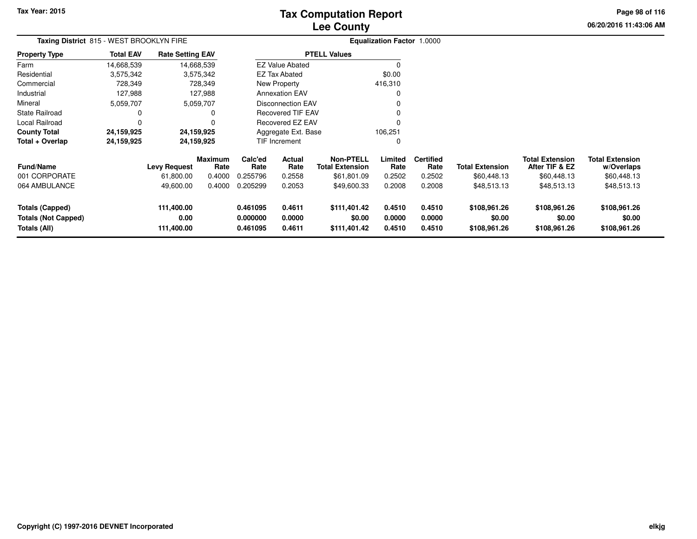# **Lee CountyTax Computation Report**

**06/20/2016 11:43:06 AM Page 98 of 116**

|                                                                      | Taxing District 815 - WEST BROOKLYN FIRE |                                  |                        |                                  |                            |                                            | Equalization Factor 1.0000 |                            |                                        |                                          |                                        |  |
|----------------------------------------------------------------------|------------------------------------------|----------------------------------|------------------------|----------------------------------|----------------------------|--------------------------------------------|----------------------------|----------------------------|----------------------------------------|------------------------------------------|----------------------------------------|--|
| <b>Property Type</b>                                                 | <b>Total EAV</b>                         | <b>Rate Setting EAV</b>          |                        |                                  |                            | <b>PTELL Values</b>                        |                            |                            |                                        |                                          |                                        |  |
| Farm                                                                 | 14,668,539                               |                                  | 14,668,539             |                                  | <b>EZ Value Abated</b>     |                                            | 0                          |                            |                                        |                                          |                                        |  |
| Residential                                                          | 3,575,342                                |                                  | 3,575,342              |                                  | <b>EZ Tax Abated</b>       |                                            | \$0.00                     |                            |                                        |                                          |                                        |  |
| Commercial                                                           | 728,349                                  |                                  | 728,349                |                                  | New Property               |                                            | 416,310                    |                            |                                        |                                          |                                        |  |
| Industrial                                                           | 127,988                                  |                                  | 127,988                |                                  | <b>Annexation EAV</b>      |                                            | 0                          |                            |                                        |                                          |                                        |  |
| Mineral                                                              | 5,059,707                                |                                  | 5,059,707              |                                  | <b>Disconnection EAV</b>   |                                            | 0                          |                            |                                        |                                          |                                        |  |
| <b>State Railroad</b>                                                | 0                                        |                                  | 0                      |                                  | <b>Recovered TIF EAV</b>   |                                            | 0                          |                            |                                        |                                          |                                        |  |
| Local Railroad                                                       | C                                        |                                  | $\Omega$               |                                  | <b>Recovered EZ EAV</b>    |                                            | 0                          |                            |                                        |                                          |                                        |  |
| <b>County Total</b>                                                  | 24,159,925                               |                                  | 24,159,925             |                                  | Aggregate Ext. Base        |                                            | 106,251                    |                            |                                        |                                          |                                        |  |
| Total + Overlap                                                      | 24,159,925                               |                                  | 24,159,925             |                                  | <b>TIF Increment</b>       |                                            | 0                          |                            |                                        |                                          |                                        |  |
| Fund/Name                                                            |                                          | <b>Levy Request</b>              | <b>Maximum</b><br>Rate | Calc'ed<br>Rate                  | Actual<br>Rate             | <b>Non-PTELL</b><br><b>Total Extension</b> | Limited<br>Rate            | <b>Certified</b><br>Rate   | <b>Total Extension</b>                 | <b>Total Extension</b><br>After TIF & EZ | <b>Total Extension</b><br>w/Overlaps   |  |
| 001 CORPORATE                                                        |                                          | 61,800.00                        | 0.4000                 | 0.255796                         | 0.2558                     | \$61,801.09                                | 0.2502                     | 0.2502                     | \$60,448.13                            | \$60,448.13                              | \$60,448.13                            |  |
| 064 AMBULANCE                                                        |                                          | 49,600.00                        | 0.4000                 | 0.205299                         | 0.2053                     | \$49,600.33                                | 0.2008                     | 0.2008                     | \$48,513.13                            | \$48,513.13                              | \$48,513.13                            |  |
| <b>Totals (Capped)</b><br><b>Totals (Not Capped)</b><br>Totals (All) |                                          | 111,400.00<br>0.00<br>111,400.00 |                        | 0.461095<br>0.000000<br>0.461095 | 0.4611<br>0.0000<br>0.4611 | \$111,401.42<br>\$0.00<br>\$111,401.42     | 0.4510<br>0.0000<br>0.4510 | 0.4510<br>0.0000<br>0.4510 | \$108,961.26<br>\$0.00<br>\$108,961.26 | \$108,961.26<br>\$0.00<br>\$108,961.26   | \$108,961.26<br>\$0.00<br>\$108,961.26 |  |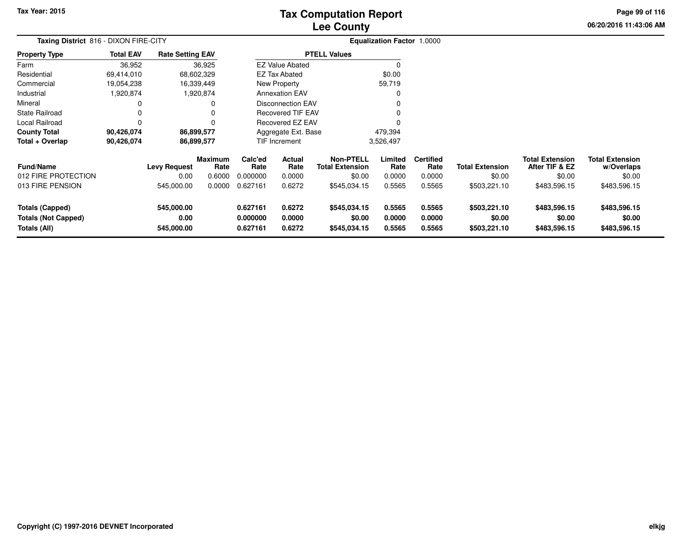# **Lee CountyTax Computation Report**

**06/20/2016 11:43:06 AM Page 99 of 116**

| Taxing District 816 - DIXON FIRE-CITY                                |                  |                                  |                        |                                  |                            |                                            | Equalization Factor 1.0000 |                            |                                        |                                          |                                        |
|----------------------------------------------------------------------|------------------|----------------------------------|------------------------|----------------------------------|----------------------------|--------------------------------------------|----------------------------|----------------------------|----------------------------------------|------------------------------------------|----------------------------------------|
| <b>Property Type</b>                                                 | <b>Total EAV</b> | <b>Rate Setting EAV</b>          |                        |                                  |                            | <b>PTELL Values</b>                        |                            |                            |                                        |                                          |                                        |
| Farm                                                                 | 36,952           |                                  | 36,925                 |                                  | <b>EZ Value Abated</b>     |                                            |                            |                            |                                        |                                          |                                        |
| Residential                                                          | 69,414,010       |                                  | 68,602,329             |                                  | <b>EZ Tax Abated</b>       |                                            | \$0.00                     |                            |                                        |                                          |                                        |
| Commercial                                                           | 19,054,238       |                                  | 16,339,449             |                                  | New Property               |                                            | 59,719                     |                            |                                        |                                          |                                        |
| Industrial                                                           | 1,920,874        |                                  | 1,920,874              |                                  | <b>Annexation EAV</b>      |                                            |                            |                            |                                        |                                          |                                        |
| Mineral                                                              |                  |                                  | 0                      |                                  | Disconnection EAV          |                                            |                            |                            |                                        |                                          |                                        |
| <b>State Railroad</b>                                                | 0                |                                  | 0                      |                                  | <b>Recovered TIF EAV</b>   |                                            |                            |                            |                                        |                                          |                                        |
| Local Railroad                                                       | $\Omega$         |                                  | 0                      |                                  | Recovered EZ EAV           |                                            |                            |                            |                                        |                                          |                                        |
| <b>County Total</b>                                                  | 90,426,074       |                                  | 86,899,577             |                                  | Aggregate Ext. Base        |                                            | 479,394                    |                            |                                        |                                          |                                        |
| Total + Overlap                                                      | 90,426,074       |                                  | 86,899,577             |                                  | TIF Increment              |                                            | 3,526,497                  |                            |                                        |                                          |                                        |
| <b>Fund/Name</b>                                                     |                  | <b>Levy Request</b>              | <b>Maximum</b><br>Rate | Calc'ed<br>Rate                  | Actual<br>Rate             | <b>Non-PTELL</b><br><b>Total Extension</b> | Limited<br>Rate            | <b>Certified</b><br>Rate   | <b>Total Extension</b>                 | <b>Total Extension</b><br>After TIF & EZ | <b>Total Extension</b><br>w/Overlaps   |
| 012 FIRE PROTECTION                                                  |                  | 0.00                             | 0.6000                 | 0.000000                         | 0.0000                     | \$0.00                                     | 0.0000                     | 0.0000                     | \$0.00                                 | \$0.00                                   | \$0.00                                 |
| 013 FIRE PENSION                                                     |                  | 545,000.00                       | 0.0000                 | 0.627161                         | 0.6272                     | \$545,034.15                               | 0.5565                     | 0.5565                     | \$503,221.10                           | \$483,596.15                             | \$483,596.15                           |
| <b>Totals (Capped)</b><br><b>Totals (Not Capped)</b><br>Totals (All) |                  | 545,000.00<br>0.00<br>545,000.00 |                        | 0.627161<br>0.000000<br>0.627161 | 0.6272<br>0.0000<br>0.6272 | \$545,034.15<br>\$0.00<br>\$545,034.15     | 0.5565<br>0.0000<br>0.5565 | 0.5565<br>0.0000<br>0.5565 | \$503,221.10<br>\$0.00<br>\$503,221.10 | \$483,596.15<br>\$0.00<br>\$483,596.15   | \$483,596.15<br>\$0.00<br>\$483,596.15 |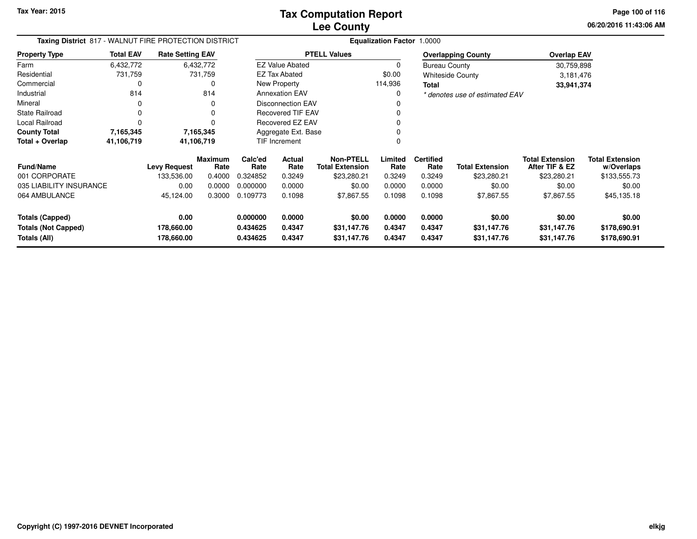**06/20/2016 11:43:06 AM Page 100 of 116**

| Taxing District 817 - WALNUT FIRE PROTECTION DISTRICT |                  |                          |                 |                      |                          |                                            | <b>Equalization Factor 1.0000</b> |                          |                                |                                          |                                      |
|-------------------------------------------------------|------------------|--------------------------|-----------------|----------------------|--------------------------|--------------------------------------------|-----------------------------------|--------------------------|--------------------------------|------------------------------------------|--------------------------------------|
| <b>Property Type</b>                                  | <b>Total EAV</b> | <b>Rate Setting EAV</b>  |                 |                      |                          | <b>PTELL Values</b>                        |                                   |                          | <b>Overlapping County</b>      | <b>Overlap EAV</b>                       |                                      |
| Farm                                                  | 6,432,772        |                          | 6,432,772       |                      | <b>EZ Value Abated</b>   |                                            | 0                                 | <b>Bureau County</b>     |                                | 30,759,898                               |                                      |
| Residential                                           | 731,759          |                          | 731,759         |                      | EZ Tax Abated            |                                            | \$0.00                            |                          | <b>Whiteside County</b>        | 3,181,476                                |                                      |
| Commercial                                            |                  |                          |                 |                      | New Property             |                                            | 114,936                           | Total                    |                                | 33,941,374                               |                                      |
| Industrial                                            | 814              |                          | 814             |                      | <b>Annexation EAV</b>    |                                            | 0                                 |                          | * denotes use of estimated EAV |                                          |                                      |
| Mineral                                               | 0                |                          | O               |                      | <b>Disconnection EAV</b> |                                            |                                   |                          |                                |                                          |                                      |
| <b>State Railroad</b>                                 |                  |                          |                 |                      | <b>Recovered TIF EAV</b> |                                            |                                   |                          |                                |                                          |                                      |
| Local Railroad                                        |                  |                          |                 |                      | Recovered EZ EAV         |                                            |                                   |                          |                                |                                          |                                      |
| <b>County Total</b>                                   | 7,165,345        |                          | 7,165,345       |                      | Aggregate Ext. Base      |                                            |                                   |                          |                                |                                          |                                      |
| Total + Overlap                                       | 41,106,719       |                          | 41,106,719      |                      | <b>TIF Increment</b>     |                                            |                                   |                          |                                |                                          |                                      |
| <b>Fund/Name</b>                                      |                  | <b>Levy Request</b>      | Maximum<br>Rate | Calc'ed<br>Rate      | Actual<br>Rate           | <b>Non-PTELL</b><br><b>Total Extension</b> | Limited<br>Rate                   | <b>Certified</b><br>Rate | <b>Total Extension</b>         | <b>Total Extension</b><br>After TIF & EZ | <b>Total Extension</b><br>w/Overlaps |
| 001 CORPORATE                                         |                  | 133,536.00               | 0.4000          | 0.324852             | 0.3249                   | \$23,280.21                                | 0.3249                            | 0.3249                   | \$23,280.21                    | \$23,280.21                              | \$133,555.73                         |
| 035 LIABILITY INSURANCE                               |                  | 0.00                     | 0.0000          | 0.000000             | 0.0000                   | \$0.00                                     | 0.0000                            | 0.0000                   | \$0.00                         | \$0.00                                   | \$0.00                               |
| 064 AMBULANCE                                         |                  | 45,124.00                | 0.3000          | 0.109773             | 0.1098                   | \$7,867.55                                 | 0.1098                            | 0.1098                   | \$7,867.55                     | \$7,867.55                               | \$45,135.18                          |
| <b>Totals (Capped)</b>                                |                  | 0.00                     |                 | 0.000000             | 0.0000                   | \$0.00                                     | 0.0000                            | 0.0000                   | \$0.00                         | \$0.00                                   | \$0.00                               |
| <b>Totals (Not Capped)</b><br>Totals (All)            |                  | 178,660.00<br>178,660.00 |                 | 0.434625<br>0.434625 | 0.4347<br>0.4347         | \$31,147.76<br>\$31,147.76                 | 0.4347<br>0.4347                  | 0.4347<br>0.4347         | \$31,147.76<br>\$31,147.76     | \$31,147.76<br>\$31,147.76               | \$178,690.91<br>\$178,690.91         |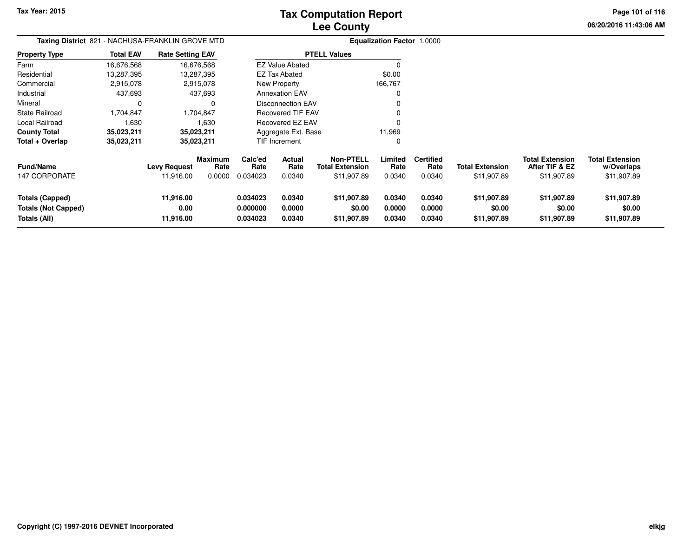**Page 101 of 116**

| Taxing District 821 - NACHUSA-FRANKLIN GROVE MTD              |                  |                                  |                                  |                                  |                            |                                                           | <b>Equalization Factor 1.0000</b> |                                    |                                       |                                                         |                                                     |
|---------------------------------------------------------------|------------------|----------------------------------|----------------------------------|----------------------------------|----------------------------|-----------------------------------------------------------|-----------------------------------|------------------------------------|---------------------------------------|---------------------------------------------------------|-----------------------------------------------------|
| <b>Property Type</b>                                          | <b>Total EAV</b> | <b>Rate Setting EAV</b>          |                                  |                                  |                            | <b>PTELL Values</b>                                       |                                   |                                    |                                       |                                                         |                                                     |
| Farm                                                          | 16,676,568       |                                  | 16,676,568                       |                                  | <b>EZ Value Abated</b>     |                                                           |                                   |                                    |                                       |                                                         |                                                     |
| Residential                                                   | 13,287,395       |                                  | 13,287,395                       |                                  | <b>EZ Tax Abated</b>       |                                                           | \$0.00                            |                                    |                                       |                                                         |                                                     |
| Commercial                                                    | 2,915,078        |                                  | 2,915,078                        |                                  | New Property               |                                                           | 166,767                           |                                    |                                       |                                                         |                                                     |
| Industrial                                                    | 437,693          |                                  | 437,693                          |                                  | <b>Annexation EAV</b>      |                                                           | 0                                 |                                    |                                       |                                                         |                                                     |
| Mineral                                                       | 0                |                                  | 0                                |                                  | Disconnection EAV          |                                                           |                                   |                                    |                                       |                                                         |                                                     |
| State Railroad                                                | 1,704,847        |                                  | 1,704,847                        |                                  | <b>Recovered TIF EAV</b>   |                                                           |                                   |                                    |                                       |                                                         |                                                     |
| Local Railroad                                                | 1,630            |                                  | 1,630                            |                                  | Recovered EZ EAV           |                                                           |                                   |                                    |                                       |                                                         |                                                     |
| <b>County Total</b>                                           | 35,023,211       |                                  | 35,023,211                       |                                  | Aggregate Ext. Base        |                                                           | 11,969                            |                                    |                                       |                                                         |                                                     |
| Total + Overlap                                               | 35.023,211       |                                  | 35,023,211                       |                                  | TIF Increment              |                                                           | 0                                 |                                    |                                       |                                                         |                                                     |
| <b>Fund/Name</b><br><b>147 CORPORATE</b>                      |                  | <b>Levy Request</b><br>11,916.00 | <b>Maximum</b><br>Rate<br>0.0000 | Calc'ed<br>Rate<br>0.034023      | Actual<br>Rate<br>0.0340   | <b>Non-PTELL</b><br><b>Total Extension</b><br>\$11,907.89 | Limited<br>Rate<br>0.0340         | <b>Certified</b><br>Rate<br>0.0340 | <b>Total Extension</b><br>\$11,907.89 | <b>Total Extension</b><br>After TIF & EZ<br>\$11,907.89 | <b>Total Extension</b><br>w/Overlaps<br>\$11,907.89 |
| Totals (Capped)<br><b>Totals (Not Capped)</b><br>Totals (All) |                  | 11,916.00<br>0.00<br>11,916.00   |                                  | 0.034023<br>0.000000<br>0.034023 | 0.0340<br>0.0000<br>0.0340 | \$11,907.89<br>\$0.00<br>\$11,907.89                      | 0.0340<br>0.0000<br>0.0340        | 0.0340<br>0.0000<br>0.0340         | \$11,907.89<br>\$0.00<br>\$11,907.89  | \$11,907.89<br>\$0.00<br>\$11,907.89                    | \$11,907.89<br>\$0.00<br>\$11,907.89                |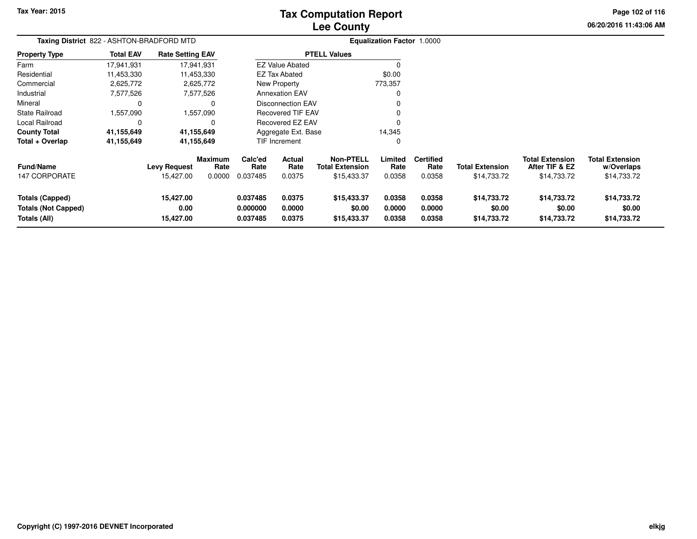# **Lee CountyTax Computation Report**

**06/20/2016 11:43:06 AM Page 102 of 116**

|                                                                      | Taxing District 822 - ASHTON-BRADFORD MTD |                                  |                           |                                  |                                 |                                                    | <b>Equalization Factor 1.0000</b> |                                    |                                       |                                                         |                                                     |
|----------------------------------------------------------------------|-------------------------------------------|----------------------------------|---------------------------|----------------------------------|---------------------------------|----------------------------------------------------|-----------------------------------|------------------------------------|---------------------------------------|---------------------------------------------------------|-----------------------------------------------------|
| <b>Property Type</b>                                                 | <b>Total EAV</b>                          | <b>Rate Setting EAV</b>          |                           |                                  |                                 | <b>PTELL Values</b>                                |                                   |                                    |                                       |                                                         |                                                     |
| Farm                                                                 | 17,941,931                                | 17,941,931                       |                           |                                  | <b>EZ Value Abated</b>          |                                                    |                                   |                                    |                                       |                                                         |                                                     |
| Residential                                                          | 11,453,330                                | 11,453,330                       |                           |                                  | <b>EZ Tax Abated</b>            |                                                    | \$0.00                            |                                    |                                       |                                                         |                                                     |
| Commercial                                                           | 2,625,772                                 | 2,625,772                        |                           |                                  | New Property                    |                                                    | 773,357                           |                                    |                                       |                                                         |                                                     |
| Industrial                                                           | 7,577,526                                 | 7,577,526                        |                           |                                  | <b>Annexation EAV</b>           |                                                    |                                   |                                    |                                       |                                                         |                                                     |
| Mineral                                                              | 0                                         |                                  | 0                         |                                  | Disconnection EAV               |                                                    |                                   |                                    |                                       |                                                         |                                                     |
| <b>State Railroad</b>                                                | 1,557,090                                 | 1,557,090                        |                           |                                  | <b>Recovered TIF EAV</b>        |                                                    |                                   |                                    |                                       |                                                         |                                                     |
| <b>Local Railroad</b>                                                | 0                                         |                                  | 0                         |                                  | <b>Recovered EZ EAV</b>         |                                                    |                                   |                                    |                                       |                                                         |                                                     |
| <b>County Total</b>                                                  | 41,155,649                                | 41,155,649                       |                           |                                  | Aggregate Ext. Base             |                                                    | 14,345                            |                                    |                                       |                                                         |                                                     |
| Total + Overlap                                                      | 41,155,649                                | 41,155,649                       |                           |                                  | TIF Increment<br>0              |                                                    |                                   |                                    |                                       |                                                         |                                                     |
| <b>Fund/Name</b><br><b>147 CORPORATE</b>                             |                                           | <b>Levy Request</b><br>15,427.00 | Maximum<br>Rate<br>0.0000 | Calc'ed<br>Rate<br>0.037485      | <b>Actual</b><br>Rate<br>0.0375 | Non-PTELL<br><b>Total Extension</b><br>\$15,433.37 | Limited<br>Rate<br>0.0358         | <b>Certified</b><br>Rate<br>0.0358 | <b>Total Extension</b><br>\$14,733.72 | <b>Total Extension</b><br>After TIF & EZ<br>\$14,733.72 | <b>Total Extension</b><br>w/Overlaps<br>\$14,733.72 |
| <b>Totals (Capped)</b><br><b>Totals (Not Capped)</b><br>Totals (All) |                                           | 15,427.00<br>0.00<br>15,427.00   |                           | 0.037485<br>0.000000<br>0.037485 | 0.0375<br>0.0000<br>0.0375      | \$15,433.37<br>\$0.00<br>\$15,433.37               | 0.0358<br>0.0000<br>0.0358        | 0.0358<br>0.0000<br>0.0358         | \$14,733.72<br>\$0.00<br>\$14,733.72  | \$14,733.72<br>\$0.00<br>\$14,733.72                    | \$14,733.72<br>\$0.00<br>\$14,733.72                |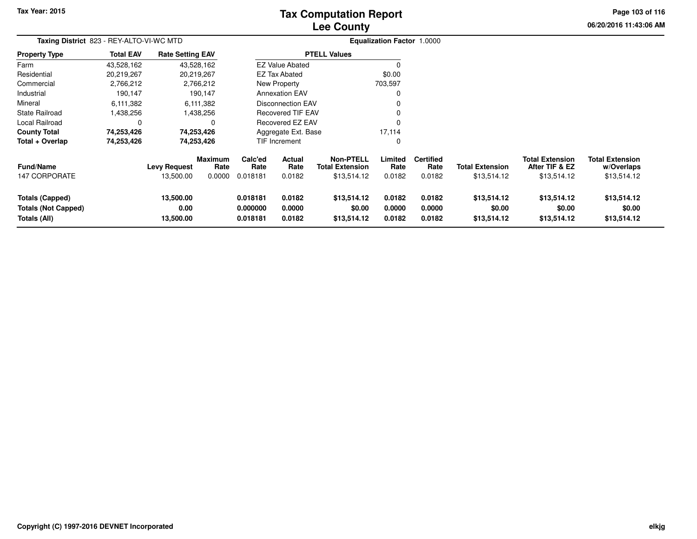# **Lee CountyTax Computation Report**

**06/20/2016 11:43:06 AM Page 103 of 116**

| Taxing District 823 - REY-ALTO-VI-WC MTD                      |                  |                                  |                                  |                                  |                            |                                                           | <b>Equalization Factor 1.0000</b> |                                    |                                       |                                                         |                                                     |
|---------------------------------------------------------------|------------------|----------------------------------|----------------------------------|----------------------------------|----------------------------|-----------------------------------------------------------|-----------------------------------|------------------------------------|---------------------------------------|---------------------------------------------------------|-----------------------------------------------------|
| <b>Property Type</b>                                          | <b>Total EAV</b> | <b>Rate Setting EAV</b>          |                                  |                                  |                            | <b>PTELL Values</b>                                       |                                   |                                    |                                       |                                                         |                                                     |
| Farm                                                          | 43,528,162       |                                  | 43,528,162                       |                                  | <b>EZ Value Abated</b>     |                                                           |                                   |                                    |                                       |                                                         |                                                     |
| Residential                                                   | 20,219,267       |                                  | 20,219,267                       |                                  | <b>EZ Tax Abated</b>       |                                                           | \$0.00                            |                                    |                                       |                                                         |                                                     |
| Commercial                                                    | 2,766,212        |                                  | 2,766,212                        |                                  | New Property               |                                                           | 703,597                           |                                    |                                       |                                                         |                                                     |
| Industrial                                                    | 190,147          |                                  | 190,147                          |                                  | <b>Annexation EAV</b>      |                                                           | 0                                 |                                    |                                       |                                                         |                                                     |
| Mineral                                                       | 6,111,382        |                                  | 6,111,382                        |                                  | Disconnection EAV          |                                                           |                                   |                                    |                                       |                                                         |                                                     |
| State Railroad                                                | 1,438,256        |                                  | 1,438,256                        |                                  | Recovered TIF EAV          |                                                           |                                   |                                    |                                       |                                                         |                                                     |
| Local Railroad                                                | 0                |                                  | 0                                |                                  | Recovered EZ EAV           |                                                           |                                   |                                    |                                       |                                                         |                                                     |
| <b>County Total</b>                                           | 74,253,426       |                                  | 74,253,426                       |                                  | Aggregate Ext. Base        |                                                           | 17,114                            |                                    |                                       |                                                         |                                                     |
| Total + Overlap                                               | 74,253,426       |                                  | 74,253,426                       |                                  | <b>TIF Increment</b>       |                                                           | 0                                 |                                    |                                       |                                                         |                                                     |
| <b>Fund/Name</b><br><b>147 CORPORATE</b>                      |                  | <b>Levy Request</b><br>13,500.00 | <b>Maximum</b><br>Rate<br>0.0000 | Calc'ed<br>Rate<br>0.018181      | Actual<br>Rate<br>0.0182   | <b>Non-PTELL</b><br><b>Total Extension</b><br>\$13,514.12 | Limited<br>Rate<br>0.0182         | <b>Certified</b><br>Rate<br>0.0182 | <b>Total Extension</b><br>\$13,514.12 | <b>Total Extension</b><br>After TIF & EZ<br>\$13,514.12 | <b>Total Extension</b><br>w/Overlaps<br>\$13,514.12 |
| Totals (Capped)<br><b>Totals (Not Capped)</b><br>Totals (All) |                  | 13,500.00<br>0.00<br>13,500.00   |                                  | 0.018181<br>0.000000<br>0.018181 | 0.0182<br>0.0000<br>0.0182 | \$13,514.12<br>\$0.00<br>\$13,514.12                      | 0.0182<br>0.0000<br>0.0182        | 0.0182<br>0.0000<br>0.0182         | \$13,514.12<br>\$0.00<br>\$13,514.12  | \$13,514.12<br>\$0.00<br>\$13,514.12                    | \$13,514.12<br>\$0.00<br>\$13,514.12                |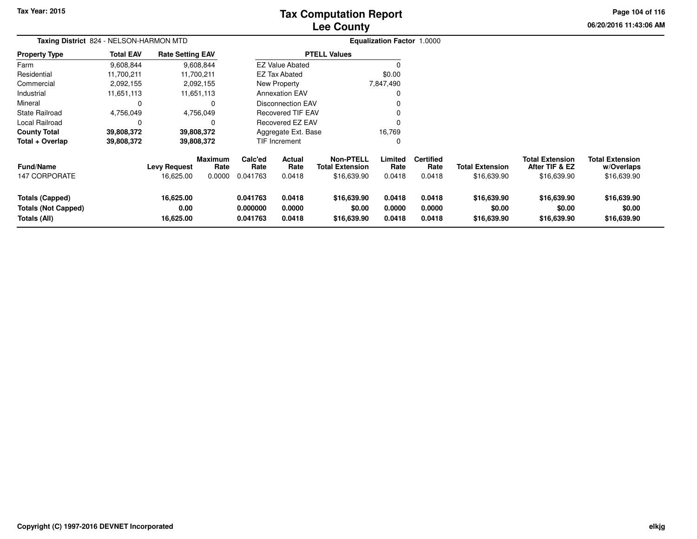# **Lee CountyTax Computation Report**

**06/20/2016 11:43:06 AM Page 104 of 116**

|                                                               | Taxing District 824 - NELSON-HARMON MTD |                                |                        |                                  |                            |                                            | <b>Equalization Factor 1.0000</b> |                            |                                      |                                          |                                      |  |
|---------------------------------------------------------------|-----------------------------------------|--------------------------------|------------------------|----------------------------------|----------------------------|--------------------------------------------|-----------------------------------|----------------------------|--------------------------------------|------------------------------------------|--------------------------------------|--|
| <b>Property Type</b>                                          | <b>Total EAV</b>                        | <b>Rate Setting EAV</b>        |                        |                                  |                            | <b>PTELL Values</b>                        |                                   |                            |                                      |                                          |                                      |  |
| Farm                                                          | 9,608,844                               |                                | 9,608,844              |                                  | <b>EZ Value Abated</b>     |                                            |                                   |                            |                                      |                                          |                                      |  |
| Residential                                                   | 11,700,211                              |                                | 11,700,211             |                                  | <b>EZ Tax Abated</b>       |                                            | \$0.00                            |                            |                                      |                                          |                                      |  |
| Commercial                                                    | 2,092,155                               |                                | 2,092,155              |                                  | New Property               |                                            | 7,847,490                         |                            |                                      |                                          |                                      |  |
| Industrial                                                    | 11,651,113                              |                                | 11,651,113             |                                  | <b>Annexation EAV</b>      |                                            |                                   |                            |                                      |                                          |                                      |  |
| Mineral                                                       | 0                                       |                                | 0                      |                                  | Disconnection EAV          |                                            |                                   |                            |                                      |                                          |                                      |  |
| <b>State Railroad</b>                                         | 4,756,049                               |                                | 4,756,049              |                                  | <b>Recovered TIF EAV</b>   |                                            |                                   |                            |                                      |                                          |                                      |  |
| <b>Local Railroad</b>                                         | 0                                       |                                | 0                      |                                  | Recovered EZ EAV           |                                            | $\Omega$                          |                            |                                      |                                          |                                      |  |
| <b>County Total</b>                                           | 39,808,372                              |                                | 39,808,372             |                                  | Aggregate Ext. Base        |                                            | 16,769                            |                            |                                      |                                          |                                      |  |
| Total + Overlap                                               | 39,808,372                              |                                | 39,808,372             |                                  | TIF Increment              |                                            | 0                                 |                            |                                      |                                          |                                      |  |
| <b>Fund/Name</b>                                              |                                         | <b>Levy Request</b>            | <b>Maximum</b><br>Rate | Calc'ed<br>Rate                  | <b>Actual</b><br>Rate      | <b>Non-PTELL</b><br><b>Total Extension</b> | Limited<br>Rate                   | <b>Certified</b><br>Rate   | <b>Total Extension</b>               | <b>Total Extension</b><br>After TIF & EZ | <b>Total Extension</b><br>w/Overlaps |  |
| <b>147 CORPORATE</b>                                          |                                         | 16,625.00                      | 0.0000                 | 0.041763                         | 0.0418                     | \$16,639.90                                | 0.0418                            | 0.0418                     | \$16,639.90                          | \$16,639.90                              | \$16,639.90                          |  |
| Totals (Capped)<br><b>Totals (Not Capped)</b><br>Totals (All) |                                         | 16,625.00<br>0.00<br>16,625.00 |                        | 0.041763<br>0.000000<br>0.041763 | 0.0418<br>0.0000<br>0.0418 | \$16,639.90<br>\$0.00<br>\$16,639.90       | 0.0418<br>0.0000<br>0.0418        | 0.0418<br>0.0000<br>0.0418 | \$16,639.90<br>\$0.00<br>\$16,639.90 | \$16,639.90<br>\$0.00<br>\$16,639.90     | \$16,639.90<br>\$0.00<br>\$16,639.90 |  |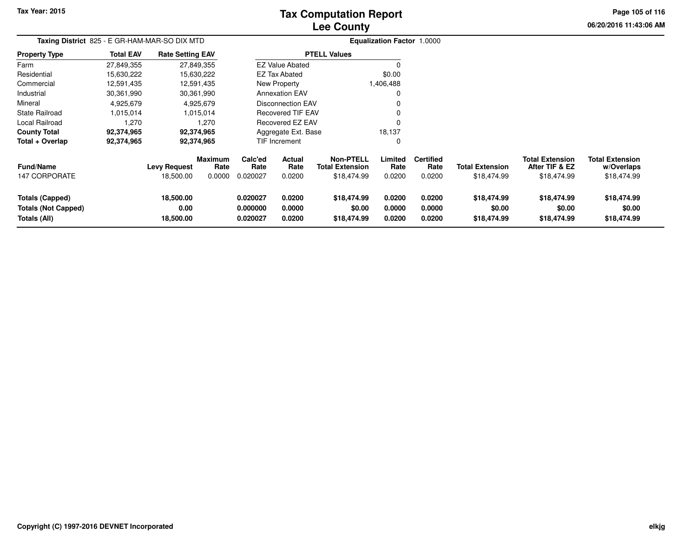# **Lee CountyTax Computation Report**

**06/20/2016 11:43:06 AMPage 105 of 116**

| Taxing District 825 - E GR-HAM-MAR-SO DIX MTD                 |                  |                                  |                                  |                                  |                                 |                                                    | Equalization Factor 1.0000 |                                    |                                      |                                                         |                                                     |
|---------------------------------------------------------------|------------------|----------------------------------|----------------------------------|----------------------------------|---------------------------------|----------------------------------------------------|----------------------------|------------------------------------|--------------------------------------|---------------------------------------------------------|-----------------------------------------------------|
| <b>Property Type</b>                                          | <b>Total EAV</b> | <b>Rate Setting EAV</b>          |                                  |                                  |                                 | <b>PTELL Values</b>                                |                            |                                    |                                      |                                                         |                                                     |
| Farm                                                          | 27,849,355       |                                  | 27,849,355                       |                                  | <b>EZ Value Abated</b>          |                                                    | 0                          |                                    |                                      |                                                         |                                                     |
| Residential                                                   | 15,630,222       |                                  | 15,630,222                       |                                  | <b>EZ Tax Abated</b>            |                                                    | \$0.00                     |                                    |                                      |                                                         |                                                     |
| Commercial                                                    | 12,591,435       |                                  | 12,591,435                       |                                  | New Property                    |                                                    | 1,406,488                  |                                    |                                      |                                                         |                                                     |
| Industrial                                                    | 30,361,990       |                                  | 30,361,990                       |                                  | <b>Annexation EAV</b>           |                                                    | 0                          |                                    |                                      |                                                         |                                                     |
| Mineral                                                       | 4,925,679        |                                  | 4,925,679                        |                                  | <b>Disconnection EAV</b>        |                                                    | 0                          |                                    |                                      |                                                         |                                                     |
| <b>State Railroad</b>                                         | 1,015,014        |                                  | 1,015,014                        |                                  | <b>Recovered TIF EAV</b>        |                                                    | $\Omega$                   |                                    |                                      |                                                         |                                                     |
| Local Railroad                                                | 1,270            |                                  | 1,270                            |                                  | Recovered EZ EAV                |                                                    | $\Omega$                   |                                    |                                      |                                                         |                                                     |
| <b>County Total</b>                                           | 92,374,965       |                                  | 92,374,965                       |                                  | Aggregate Ext. Base             |                                                    | 18,137                     |                                    |                                      |                                                         |                                                     |
| Total + Overlap                                               | 92,374,965       |                                  | 92,374,965                       |                                  | <b>TIF Increment</b>            |                                                    | $\mathbf 0$                |                                    |                                      |                                                         |                                                     |
| <b>Fund/Name</b><br>147 CORPORATE                             |                  | <b>Levy Request</b><br>18,500.00 | <b>Maximum</b><br>Rate<br>0.0000 | Calc'ed<br>Rate<br>0.020027      | <b>Actual</b><br>Rate<br>0.0200 | <b>Non-PTELL</b><br>Total Extension<br>\$18,474.99 | Limited<br>Rate<br>0.0200  | <b>Certified</b><br>Rate<br>0.0200 | Total Extension<br>\$18,474.99       | <b>Total Extension</b><br>After TIF & EZ<br>\$18,474.99 | <b>Total Extension</b><br>w/Overlaps<br>\$18,474.99 |
| Totals (Capped)<br><b>Totals (Not Capped)</b><br>Totals (All) |                  | 18,500.00<br>0.00<br>18,500.00   |                                  | 0.020027<br>0.000000<br>0.020027 | 0.0200<br>0.0000<br>0.0200      | \$18,474.99<br>\$0.00<br>\$18,474.99               | 0.0200<br>0.0000<br>0.0200 | 0.0200<br>0.0000<br>0.0200         | \$18,474.99<br>\$0.00<br>\$18,474.99 | \$18,474.99<br>\$0.00<br>\$18,474.99                    | \$18,474.99<br>\$0.00<br>\$18,474.99                |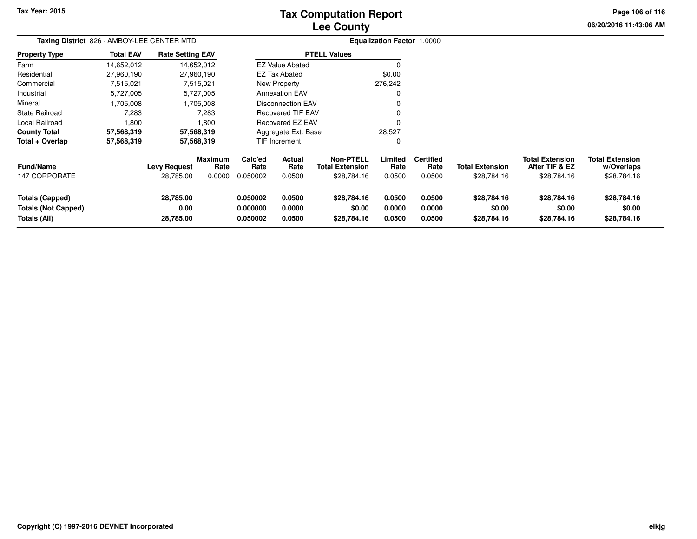# **Lee CountyTax Computation Report**

**06/20/2016 11:43:06 AM Page 106 of 116**

| Taxing District 826 - AMBOY-LEE CENTER MTD                           |                  |                                  |                           |                                  |                            |                                                           | Equalization Factor 1.0000 |                                    |                                       |                                                         |                                                     |
|----------------------------------------------------------------------|------------------|----------------------------------|---------------------------|----------------------------------|----------------------------|-----------------------------------------------------------|----------------------------|------------------------------------|---------------------------------------|---------------------------------------------------------|-----------------------------------------------------|
| <b>Property Type</b>                                                 | <b>Total EAV</b> | <b>Rate Setting EAV</b>          |                           |                                  |                            | <b>PTELL Values</b>                                       |                            |                                    |                                       |                                                         |                                                     |
| Farm                                                                 | 14,652,012       | 14,652,012                       |                           |                                  | <b>EZ Value Abated</b>     |                                                           |                            |                                    |                                       |                                                         |                                                     |
| Residential                                                          | 27,960,190       | 27,960,190                       |                           |                                  | EZ Tax Abated              |                                                           | \$0.00                     |                                    |                                       |                                                         |                                                     |
| Commercial                                                           | 7,515,021        | 7,515,021                        |                           |                                  | New Property               |                                                           | 276,242                    |                                    |                                       |                                                         |                                                     |
| Industrial                                                           | 5,727,005        | 5,727,005                        |                           |                                  | <b>Annexation EAV</b>      |                                                           | 0                          |                                    |                                       |                                                         |                                                     |
| Mineral                                                              | 1,705,008        | 1,705,008                        |                           |                                  | <b>Disconnection EAV</b>   |                                                           | 0                          |                                    |                                       |                                                         |                                                     |
| <b>State Railroad</b>                                                | 7,283            | 7,283                            |                           |                                  | <b>Recovered TIF EAV</b>   |                                                           | 0                          |                                    |                                       |                                                         |                                                     |
| Local Railroad                                                       | 1,800            | 1,800                            |                           |                                  | Recovered EZ EAV           |                                                           | $\Omega$                   |                                    |                                       |                                                         |                                                     |
| <b>County Total</b>                                                  | 57,568,319       | 57,568,319                       |                           |                                  | Aggregate Ext. Base        |                                                           | 28,527                     |                                    |                                       |                                                         |                                                     |
| Total + Overlap                                                      | 57,568,319       | 57,568,319                       |                           | <b>TIF Increment</b><br>0        |                            |                                                           |                            |                                    |                                       |                                                         |                                                     |
| <b>Fund/Name</b><br><b>147 CORPORATE</b>                             |                  | <b>Levy Request</b><br>28,785.00 | Maximum<br>Rate<br>0.0000 | Calc'ed<br>Rate<br>0.050002      | Actual<br>Rate<br>0.0500   | <b>Non-PTELL</b><br><b>Total Extension</b><br>\$28,784.16 | Limited<br>Rate<br>0.0500  | <b>Certified</b><br>Rate<br>0.0500 | <b>Total Extension</b><br>\$28,784.16 | <b>Total Extension</b><br>After TIF & EZ<br>\$28,784.16 | <b>Total Extension</b><br>w/Overlaps<br>\$28,784.16 |
| <b>Totals (Capped)</b><br><b>Totals (Not Capped)</b><br>Totals (All) |                  | 28,785.00<br>0.00<br>28,785.00   |                           | 0.050002<br>0.000000<br>0.050002 | 0.0500<br>0.0000<br>0.0500 | \$28,784.16<br>\$0.00<br>\$28,784.16                      | 0.0500<br>0.0000<br>0.0500 | 0.0500<br>0.0000<br>0.0500         | \$28,784.16<br>\$0.00<br>\$28,784.16  | \$28,784.16<br>\$0.00<br>\$28,784.16                    | \$28,784.16<br>\$0.00<br>\$28,784.16                |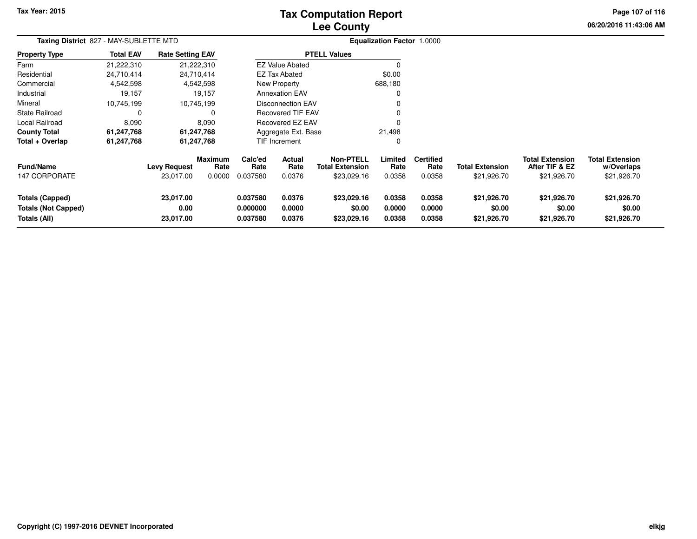# **Lee CountyTax Computation Report**

**06/20/2016 11:43:06 AMPage 107 of 116**

| Taxing District 827 - MAY-SUBLETTE MTD                               |                  |                                  |                           |                                  |                                 |                                                           | <b>Equalization Factor 1.0000</b> |                                    |                                       |                                                         |                                                     |
|----------------------------------------------------------------------|------------------|----------------------------------|---------------------------|----------------------------------|---------------------------------|-----------------------------------------------------------|-----------------------------------|------------------------------------|---------------------------------------|---------------------------------------------------------|-----------------------------------------------------|
| <b>Property Type</b>                                                 | <b>Total EAV</b> | <b>Rate Setting EAV</b>          |                           |                                  |                                 | <b>PTELL Values</b>                                       |                                   |                                    |                                       |                                                         |                                                     |
| Farm                                                                 | 21,222,310       |                                  | 21,222,310                |                                  | <b>EZ Value Abated</b>          |                                                           |                                   |                                    |                                       |                                                         |                                                     |
| Residential                                                          | 24,710,414       |                                  | 24,710,414                |                                  | <b>EZ Tax Abated</b>            |                                                           | \$0.00                            |                                    |                                       |                                                         |                                                     |
| Commercial                                                           | 4,542,598        |                                  | 4,542,598                 |                                  | New Property                    |                                                           | 688,180                           |                                    |                                       |                                                         |                                                     |
| Industrial                                                           | 19,157           |                                  | 19,157                    |                                  | <b>Annexation EAV</b>           |                                                           | 0                                 |                                    |                                       |                                                         |                                                     |
| Mineral                                                              | 10,745,199       |                                  | 10,745,199                |                                  | <b>Disconnection EAV</b>        |                                                           | 0                                 |                                    |                                       |                                                         |                                                     |
| State Railroad                                                       |                  |                                  | 0                         |                                  | <b>Recovered TIF EAV</b>        |                                                           | $\Omega$                          |                                    |                                       |                                                         |                                                     |
| Local Railroad                                                       | 8,090            |                                  | 8,090                     |                                  | Recovered EZ EAV                |                                                           | 0                                 |                                    |                                       |                                                         |                                                     |
| <b>County Total</b>                                                  | 61,247,768       |                                  | 61,247,768                |                                  | Aggregate Ext. Base             |                                                           | 21,498                            |                                    |                                       |                                                         |                                                     |
| Total + Overlap                                                      | 61,247,768       |                                  | 61,247,768                |                                  | <b>TIF Increment</b>            |                                                           | 0                                 |                                    |                                       |                                                         |                                                     |
| Fund/Name<br><b>147 CORPORATE</b>                                    |                  | <b>Levy Request</b><br>23,017.00 | Maximum<br>Rate<br>0.0000 | Calc'ed<br>Rate<br>0.037580      | <b>Actual</b><br>Rate<br>0.0376 | <b>Non-PTELL</b><br><b>Total Extension</b><br>\$23,029.16 | Limited<br>Rate<br>0.0358         | <b>Certified</b><br>Rate<br>0.0358 | <b>Total Extension</b><br>\$21,926.70 | <b>Total Extension</b><br>After TIF & EZ<br>\$21,926.70 | <b>Total Extension</b><br>w/Overlaps<br>\$21,926.70 |
| <b>Totals (Capped)</b><br><b>Totals (Not Capped)</b><br>Totals (All) |                  | 23,017.00<br>0.00<br>23,017.00   |                           | 0.037580<br>0.000000<br>0.037580 | 0.0376<br>0.0000<br>0.0376      | \$23,029.16<br>\$0.00<br>\$23,029.16                      | 0.0358<br>0.0000<br>0.0358        | 0.0358<br>0.0000<br>0.0358         | \$21,926.70<br>\$0.00<br>\$21,926.70  | \$21,926.70<br>\$0.00<br>\$21,926.70                    | \$21,926.70<br>\$0.00<br>\$21,926.70                |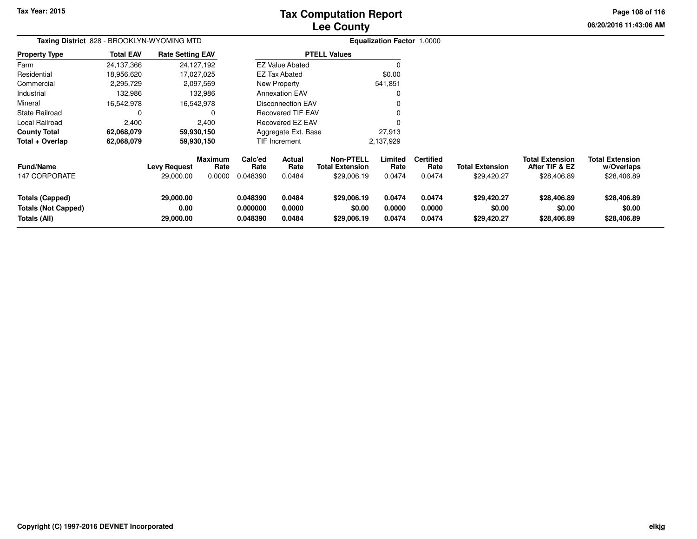# **Lee CountyTax Computation Report**

**06/20/2016 11:43:06 AMPage 108 of 116**

| Taxing District 828 - BROOKLYN-WYOMING MTD                    |                  |                                  |                                  |                                                                |                          |                                                           | <b>Equalization Factor 1.0000</b> |                                    |                                       |                                                         |                                                     |
|---------------------------------------------------------------|------------------|----------------------------------|----------------------------------|----------------------------------------------------------------|--------------------------|-----------------------------------------------------------|-----------------------------------|------------------------------------|---------------------------------------|---------------------------------------------------------|-----------------------------------------------------|
| <b>Property Type</b>                                          | <b>Total EAV</b> | <b>Rate Setting EAV</b>          |                                  |                                                                |                          | <b>PTELL Values</b>                                       |                                   |                                    |                                       |                                                         |                                                     |
| Farm                                                          | 24,137,366       |                                  | 24,127,192                       |                                                                | <b>EZ Value Abated</b>   |                                                           | $\Omega$                          |                                    |                                       |                                                         |                                                     |
| Residential                                                   | 18,956,620       |                                  | 17,027,025                       |                                                                | <b>EZ Tax Abated</b>     |                                                           | \$0.00                            |                                    |                                       |                                                         |                                                     |
| Commercial                                                    | 2,295,729        |                                  | 2,097,569                        |                                                                | New Property             |                                                           | 541,851                           |                                    |                                       |                                                         |                                                     |
| Industrial                                                    | 132,986          |                                  | 132,986                          |                                                                | <b>Annexation EAV</b>    |                                                           | 0                                 |                                    |                                       |                                                         |                                                     |
| Mineral                                                       | 16,542,978       |                                  | 16,542,978                       |                                                                | <b>Disconnection EAV</b> |                                                           |                                   |                                    |                                       |                                                         |                                                     |
| <b>State Railroad</b>                                         | 0                |                                  | 0                                |                                                                | <b>Recovered TIF EAV</b> |                                                           |                                   |                                    |                                       |                                                         |                                                     |
| Local Railroad                                                | 2,400            |                                  | 2,400                            |                                                                | Recovered EZ EAV         |                                                           |                                   |                                    |                                       |                                                         |                                                     |
| <b>County Total</b>                                           | 62,068,079       |                                  | 59,930,150                       |                                                                | Aggregate Ext. Base      |                                                           | 27,913                            |                                    |                                       |                                                         |                                                     |
| Total + Overlap                                               | 62,068,079       |                                  | 59,930,150                       |                                                                | TIF Increment            |                                                           | 2,137,929                         |                                    |                                       |                                                         |                                                     |
| <b>Fund/Name</b><br>147 CORPORATE                             |                  | <b>Levy Request</b><br>29,000.00 | <b>Maximum</b><br>Rate<br>0.0000 | Calc'ed<br>Rate<br>0.048390                                    | Actual<br>Rate<br>0.0484 | <b>Non-PTELL</b><br><b>Total Extension</b><br>\$29,006.19 | Limited<br>Rate<br>0.0474         | <b>Certified</b><br>Rate<br>0.0474 | <b>Total Extension</b><br>\$29,420.27 | <b>Total Extension</b><br>After TIF & EZ<br>\$28,406.89 | <b>Total Extension</b><br>w/Overlaps<br>\$28,406.89 |
| Totals (Capped)<br><b>Totals (Not Capped)</b><br>Totals (All) |                  | 29,000.00<br>0.00<br>29,000.00   |                                  | 0.0484<br>0.048390<br>0.000000<br>0.0000<br>0.0484<br>0.048390 |                          | \$29,006.19<br>\$0.00<br>\$29,006.19                      | 0.0474<br>0.0000<br>0.0474        | 0.0474<br>0.0000<br>0.0474         | \$29,420.27<br>\$0.00<br>\$29,420.27  | \$28,406.89<br>\$0.00<br>\$28,406.89                    | \$28,406.89<br>\$0.00<br>\$28,406.89                |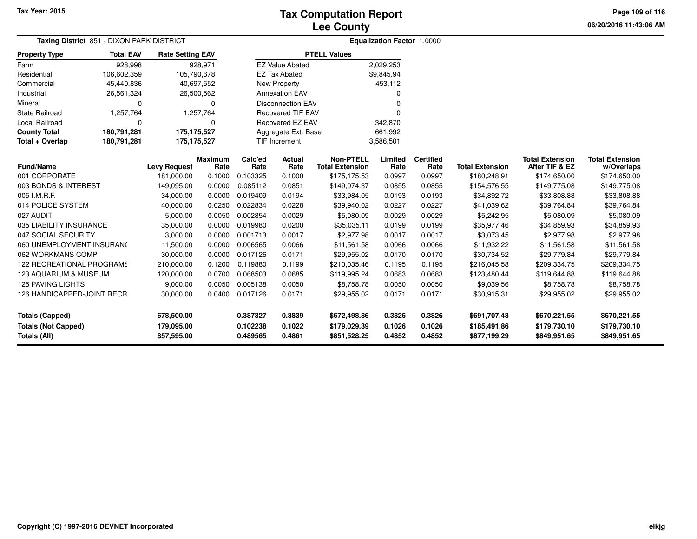**Page 109 of 116**

| Taxing District 851 - DIXON PARK DISTRICT<br><b>Total EAV</b><br><b>Rate Setting EAV</b> |             |                     |                 |                      |                          |                                            | <b>Equalization Factor 1.0000</b> |                          |                        |                                          |                                      |
|------------------------------------------------------------------------------------------|-------------|---------------------|-----------------|----------------------|--------------------------|--------------------------------------------|-----------------------------------|--------------------------|------------------------|------------------------------------------|--------------------------------------|
| <b>Property Type</b>                                                                     |             |                     |                 |                      | <b>PTELL Values</b>      |                                            |                                   |                          |                        |                                          |                                      |
| Farm                                                                                     | 928,998     |                     | 928,971         |                      | <b>EZ Value Abated</b>   |                                            | 2,029,253                         |                          |                        |                                          |                                      |
| Residential                                                                              | 106,602,359 |                     | 105,790,678     |                      | <b>EZ Tax Abated</b>     |                                            | \$9,845.94                        |                          |                        |                                          |                                      |
| Commercial                                                                               | 45,440,836  |                     | 40,697,552      |                      | New Property             |                                            | 453,112                           |                          |                        |                                          |                                      |
| Industrial                                                                               | 26,561,324  |                     | 26,500,562      |                      | <b>Annexation EAV</b>    |                                            | U                                 |                          |                        |                                          |                                      |
| Mineral                                                                                  | 0           |                     | 0               |                      | <b>Disconnection EAV</b> |                                            | 0                                 |                          |                        |                                          |                                      |
| State Railroad                                                                           | 1,257,764   |                     | 1,257,764       |                      | <b>Recovered TIF EAV</b> |                                            | $\Omega$                          |                          |                        |                                          |                                      |
| <b>Local Railroad</b>                                                                    | $\Omega$    |                     | 0               |                      | Recovered EZ EAV         |                                            | 342,870                           |                          |                        |                                          |                                      |
| <b>County Total</b>                                                                      | 180,791,281 |                     | 175,175,527     |                      | Aggregate Ext. Base      |                                            | 661,992                           |                          |                        |                                          |                                      |
| Total + Overlap                                                                          | 180,791,281 |                     | 175,175,527     | <b>TIF Increment</b> |                          |                                            | 3,586,501                         |                          |                        |                                          |                                      |
| <b>Fund/Name</b>                                                                         |             | <b>Levy Request</b> | Maximum<br>Rate | Calc'ed<br>Rate      | Actual<br>Rate           | <b>Non-PTELL</b><br><b>Total Extension</b> | Limited<br>Rate                   | <b>Certified</b><br>Rate | <b>Total Extension</b> | <b>Total Extension</b><br>After TIF & EZ | <b>Total Extension</b><br>w/Overlaps |
| 001 CORPORATE                                                                            |             | 181,000.00          | 0.1000          | 0.103325             | 0.1000                   | \$175,175.53                               | 0.0997                            | 0.0997                   | \$180,248.91           | \$174,650.00                             | \$174,650.00                         |
| 003 BONDS & INTEREST                                                                     |             | 149,095.00          | 0.0000          | 0.085112             | 0.0851                   | \$149,074.37                               | 0.0855                            | 0.0855                   | \$154,576.55           | \$149,775.08                             | \$149,775.08                         |
| 005 I.M.R.F.                                                                             |             | 34,000.00           | 0.0000          | 0.019409             | 0.0194                   | \$33,984.05                                | 0.0193                            | 0.0193                   | \$34,892.72            | \$33,808.88                              | \$33,808.88                          |
| 014 POLICE SYSTEM                                                                        |             | 40,000.00           | 0.0250          | 0.022834             | 0.0228                   | \$39,940.02                                | 0.0227                            | 0.0227                   | \$41,039.62            | \$39,764.84                              | \$39,764.84                          |
| 027 AUDIT                                                                                |             | 5,000.00            | 0.0050          | 0.002854             | 0.0029                   | \$5,080.09                                 | 0.0029                            | 0.0029                   | \$5,242.95             | \$5,080.09                               | \$5,080.09                           |
| 035 LIABILITY INSURANCE                                                                  |             | 35,000.00           | 0.0000          | 0.019980             | 0.0200                   | \$35,035.11                                | 0.0199                            | 0.0199                   | \$35,977.46            | \$34,859.93                              | \$34,859.93                          |
| 047 SOCIAL SECURITY                                                                      |             | 3,000.00            | 0.0000          | 0.001713             | 0.0017                   | \$2,977.98                                 | 0.0017                            | 0.0017                   | \$3,073.45             | \$2,977.98                               | \$2,977.98                           |
| 060 UNEMPLOYMENT INSURANC                                                                |             | 11,500.00           | 0.0000          | 0.006565             | 0.0066                   | \$11,561.58                                | 0.0066                            | 0.0066                   | \$11,932.22            | \$11,561.58                              | \$11,561.58                          |
| 062 WORKMANS COMP                                                                        |             | 30,000.00           | 0.0000          | 0.017126             | 0.0171                   | \$29,955.02                                | 0.0170                            | 0.0170                   | \$30,734.52            | \$29,779.84                              | \$29,779.84                          |
| 122 RECREATIONAL PROGRAMS                                                                |             | 210,000.00          | 0.1200          | 0.119880             | 0.1199                   | \$210,035.46                               | 0.1195                            | 0.1195                   | \$216,045.58           | \$209,334.75                             | \$209,334.75                         |
| 123 AQUARIUM & MUSEUM                                                                    |             | 120,000.00          | 0.0700          | 0.068503             | 0.0685                   | \$119,995.24                               | 0.0683                            | 0.0683                   | \$123,480.44           | \$119,644.88                             | \$119,644.88                         |
| <b>125 PAVING LIGHTS</b>                                                                 |             | 9,000.00            | 0.0050          | 0.005138             | 0.0050                   | \$8,758.78                                 | 0.0050                            | 0.0050                   | \$9,039.56             | \$8,758.78                               | \$8,758.78                           |
| 126 HANDICAPPED-JOINT RECR                                                               |             | 30,000.00           | 0.0400          | 0.017126             | 0.0171                   | \$29,955.02                                | 0.0171                            | 0.0171                   | \$30,915.31            | \$29,955.02                              | \$29,955.02                          |
| <b>Totals (Capped)</b>                                                                   |             | 678,500.00          |                 | 0.387327             | 0.3839                   | \$672,498.86                               | 0.3826                            | 0.3826                   | \$691,707.43           | \$670,221.55                             | \$670,221.55                         |
| <b>Totals (Not Capped)</b>                                                               |             | 179,095.00          |                 | 0.102238             | 0.1022                   | \$179,029.39                               | 0.1026                            | 0.1026                   | \$185,491.86           | \$179,730.10                             | \$179,730.10                         |
| Totals (All)                                                                             |             | 857,595.00          |                 | 0.489565             | 0.4861                   | \$851,528.25                               | 0.4852                            | 0.4852                   | \$877,199.29           | \$849,951.65                             | \$849,951.65                         |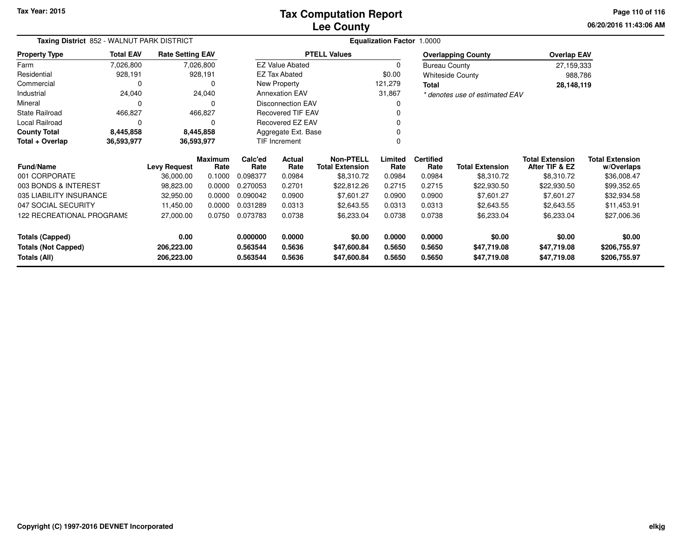**06/20/2016 11:43:06 AM Page 110 of 116**

| Taxing District 852 - WALNUT PARK DISTRICT                             |                  |                         |                        | Equalization Factor 1.0000 |                            |                                            |                  |                            |                                |                                          |                                      |  |
|------------------------------------------------------------------------|------------------|-------------------------|------------------------|----------------------------|----------------------------|--------------------------------------------|------------------|----------------------------|--------------------------------|------------------------------------------|--------------------------------------|--|
| <b>Property Type</b>                                                   | <b>Total EAV</b> | <b>Rate Setting EAV</b> |                        |                            |                            | <b>PTELL Values</b>                        |                  |                            | <b>Overlapping County</b>      | <b>Overlap EAV</b>                       |                                      |  |
| Farm                                                                   | 7,026,800        |                         | 7,026,800              |                            | <b>EZ Value Abated</b>     |                                            | $\Omega$         | <b>Bureau County</b>       |                                | 27,159,333                               |                                      |  |
| Residential                                                            | 928,191          |                         | 928,191                |                            | <b>EZ Tax Abated</b>       |                                            | \$0.00           |                            | <b>Whiteside County</b>        | 988,786                                  |                                      |  |
| Commercial                                                             | $\Omega$         |                         | O                      |                            | New Property               |                                            | 121,279          | Total                      |                                |                                          | 28,148,119                           |  |
| Industrial                                                             | 24,040           |                         | 24,040                 |                            | <b>Annexation EAV</b>      |                                            | 31,867           |                            | * denotes use of estimated EAV |                                          |                                      |  |
| Mineral                                                                | $\Omega$         |                         | 0                      |                            | <b>Disconnection EAV</b>   |                                            |                  |                            |                                |                                          |                                      |  |
| State Railroad                                                         | 466,827          |                         | 466,827                |                            | <b>Recovered TIF EAV</b>   |                                            |                  |                            |                                |                                          |                                      |  |
| Local Railroad                                                         | $\Omega$         |                         | 0                      |                            | Recovered EZ EAV           |                                            |                  |                            |                                |                                          |                                      |  |
| <b>County Total</b>                                                    | 8,445,858        |                         | 8,445,858              |                            | Aggregate Ext. Base        |                                            |                  |                            |                                |                                          |                                      |  |
| Total + Overlap<br>36,593,977<br>36,593,977                            |                  |                         |                        | TIF Increment              |                            |                                            |                  |                            |                                |                                          |                                      |  |
| <b>Fund/Name</b>                                                       |                  | <b>Levy Request</b>     | <b>Maximum</b><br>Rate | Calc'ed<br>Rate            | <b>Actual</b><br>Rate      | <b>Non-PTELL</b><br><b>Total Extension</b> | Limited<br>Rate  | <b>Certified</b><br>Rate   | <b>Total Extension</b>         | <b>Total Extension</b><br>After TIF & EZ | <b>Total Extension</b><br>w/Overlaps |  |
| 001 CORPORATE                                                          |                  | 36,000.00               | 0.1000                 | 0.098377                   | 0.0984                     | \$8,310.72                                 | 0.0984           | 0.0984                     | \$8,310.72                     | \$8,310.72                               | \$36,008.47                          |  |
| 003 BONDS & INTEREST                                                   |                  | 98,823.00               | 0.0000                 | 0.270053                   | 0.2701                     | \$22,812.26                                | 0.2715           | 0.2715                     | \$22,930.50                    | \$22,930.50                              | \$99,352.65                          |  |
| 035 LIABILITY INSURANCE                                                |                  | 32,950.00               | 0.0000                 | 0.090042                   | 0.0900                     | \$7,601.27                                 | 0.0900           | 0.0900                     | \$7,601.27                     | \$7,601.27                               | \$32,934.58                          |  |
| 047 SOCIAL SECURITY                                                    |                  | 11,450.00               | 0.0000                 | 0.031289                   | 0.0313                     | \$2,643.55                                 | 0.0313           | 0.0313                     | \$2,643.55                     | \$2,643.55                               | \$11,453.91                          |  |
| 122 RECREATIONAL PROGRAMS                                              |                  | 27,000.00               | 0.0750                 | 0.073783                   | 0.0738                     | \$6,233.04                                 | 0.0738           | 0.0738                     | \$6,233.04                     | \$6,233.04                               | \$27,006.36                          |  |
| <b>Totals (Capped)</b>                                                 |                  | 0.00                    |                        | 0.000000                   | 0.0000                     | \$0.00                                     | 0.0000           | 0.0000                     | \$0.00                         | \$0.00                                   | \$0.00                               |  |
| <b>Totals (Not Capped)</b><br>206,223.00<br>Totals (All)<br>206,223.00 |                  |                         | 0.563544<br>0.563544   | 0.5636<br>0.5636           | \$47,600.84<br>\$47,600.84 | 0.5650<br>0.5650                           | 0.5650<br>0.5650 | \$47,719.08<br>\$47,719.08 | \$47,719.08<br>\$47,719.08     | \$206,755.97<br>\$206,755.97             |                                      |  |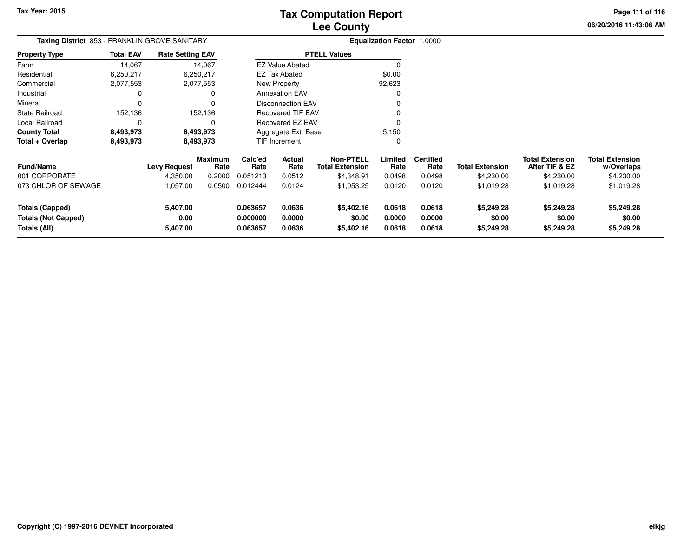**06/20/2016 11:43:06 AMPage 111 of 116**

| <b>Taxing District 853 - FRANKLIN GROVE SANITARY</b> |                  |                         |                        |                 | <b>Equalization Factor 1.0000</b> |                                            |                 |                          |                        |                                          |                                      |
|------------------------------------------------------|------------------|-------------------------|------------------------|-----------------|-----------------------------------|--------------------------------------------|-----------------|--------------------------|------------------------|------------------------------------------|--------------------------------------|
| <b>Property Type</b>                                 | <b>Total EAV</b> | <b>Rate Setting EAV</b> |                        |                 |                                   | <b>PTELL Values</b>                        |                 |                          |                        |                                          |                                      |
| Farm                                                 | 14,067           |                         | 14,067                 |                 | <b>EZ Value Abated</b>            |                                            |                 |                          |                        |                                          |                                      |
| Residential                                          | 6,250,217        |                         | 6,250,217              |                 | EZ Tax Abated                     |                                            | \$0.00          |                          |                        |                                          |                                      |
| Commercial                                           | 2,077,553        |                         | 2,077,553              |                 | New Property                      |                                            | 92,623          |                          |                        |                                          |                                      |
| Industrial                                           | 0                |                         |                        |                 | <b>Annexation EAV</b>             |                                            |                 |                          |                        |                                          |                                      |
| Mineral                                              |                  |                         |                        |                 | <b>Disconnection EAV</b>          |                                            |                 |                          |                        |                                          |                                      |
| <b>State Railroad</b>                                | 152,136          |                         | 152,136                |                 | <b>Recovered TIF EAV</b>          |                                            |                 |                          |                        |                                          |                                      |
| Local Railroad                                       | 0                |                         | ი                      |                 | Recovered EZ EAV                  |                                            |                 |                          |                        |                                          |                                      |
| <b>County Total</b>                                  | 8,493,973        |                         | 8,493,973              |                 | Aggregate Ext. Base               |                                            | 5,150           |                          |                        |                                          |                                      |
| Total + Overlap                                      | 8,493,973        |                         | 8,493,973              |                 | TIF Increment                     |                                            | -0              |                          |                        |                                          |                                      |
| <b>Fund/Name</b>                                     |                  | <b>Levy Request</b>     | <b>Maximum</b><br>Rate | Calc'ed<br>Rate | Actual<br>Rate                    | <b>Non-PTELL</b><br><b>Total Extension</b> | Limited<br>Rate | <b>Certified</b><br>Rate | <b>Total Extension</b> | <b>Total Extension</b><br>After TIF & EZ | <b>Total Extension</b><br>w/Overlaps |
| 001 CORPORATE                                        |                  | 4,350.00                | 0.2000                 | 0.051213        | 0.0512                            | \$4,348.91                                 | 0.0498          | 0.0498                   | \$4,230.00             | \$4,230.00                               | \$4,230.00                           |
| 073 CHLOR OF SEWAGE                                  |                  | 1,057.00                | 0.0500                 | 0.012444        | 0.0124                            | \$1,053.25                                 | 0.0120          | 0.0120                   | \$1,019.28             | \$1,019.28                               | \$1,019.28                           |
| <b>Totals (Capped)</b>                               |                  | 5,407.00                |                        | 0.063657        | 0.0636                            | \$5,402.16                                 | 0.0618          | 0.0618                   | \$5,249.28             | \$5,249.28                               | \$5,249.28                           |
| <b>Totals (Not Capped)</b>                           |                  | 0.00                    |                        | 0.000000        | 0.0000                            | \$0.00                                     | 0.0000          | 0.0000                   | \$0.00                 | \$0.00                                   | \$0.00                               |
| Totals (All)                                         |                  | 5,407.00                |                        | 0.063657        | 0.0636                            | \$5,402.16                                 | 0.0618          | 0.0618                   | \$5,249.28             | \$5,249.28                               | \$5,249.28                           |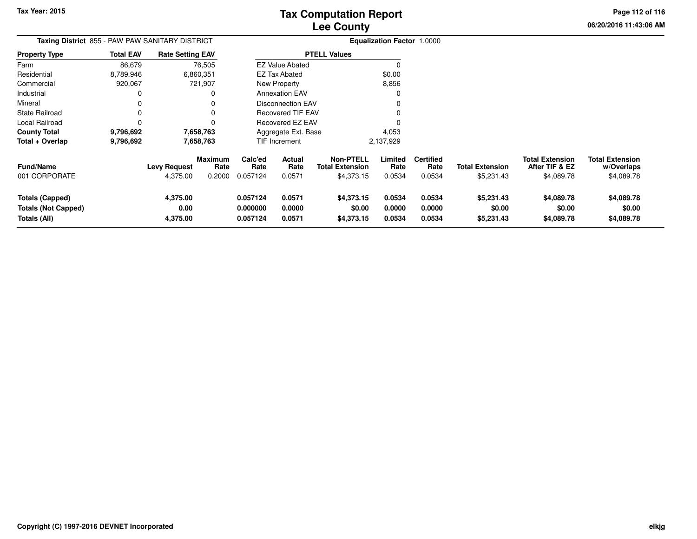**Page 112 of 116**

**06/20/2016 11:43:06 AM**

**w/Overlaps**\$4,089.78

| <b>Taxing District</b> 855 - PAW PAW SANITARY DISTRICT |                  |                                 |                                  | <b>Equalization Factor 1.0000</b> |                          |                                                          |                           |                                    |                                      |                                                        |                                                    |
|--------------------------------------------------------|------------------|---------------------------------|----------------------------------|-----------------------------------|--------------------------|----------------------------------------------------------|---------------------------|------------------------------------|--------------------------------------|--------------------------------------------------------|----------------------------------------------------|
| <b>Property Type</b>                                   | <b>Total EAV</b> | <b>Rate Setting EAV</b>         |                                  |                                   |                          | <b>PTELL Values</b>                                      |                           |                                    |                                      |                                                        |                                                    |
| Farm                                                   | 86,679           |                                 | 76,505                           |                                   | <b>EZ Value Abated</b>   |                                                          | $\Omega$                  |                                    |                                      |                                                        |                                                    |
| Residential                                            | 8,789,946        |                                 | 6,860,351                        |                                   | EZ Tax Abated            |                                                          | \$0.00                    |                                    |                                      |                                                        |                                                    |
| Commercial                                             | 920,067          |                                 | 721,907                          |                                   | <b>New Property</b>      |                                                          | 8,856                     |                                    |                                      |                                                        |                                                    |
| Industrial                                             | 0                |                                 | 0                                |                                   | <b>Annexation EAV</b>    |                                                          | 0                         |                                    |                                      |                                                        |                                                    |
| Mineral                                                | 0                |                                 | 0                                |                                   | <b>Disconnection EAV</b> |                                                          |                           |                                    |                                      |                                                        |                                                    |
| <b>State Railroad</b>                                  | 0                |                                 | 0                                |                                   | <b>Recovered TIF EAV</b> |                                                          |                           |                                    |                                      |                                                        |                                                    |
| Local Railroad                                         | 0                |                                 | 0                                |                                   | Recovered EZ EAV         |                                                          |                           |                                    |                                      |                                                        |                                                    |
| <b>County Total</b>                                    | 9,796,692        |                                 | 7,658,763                        |                                   | Aggregate Ext. Base      |                                                          | 4,053                     |                                    |                                      |                                                        |                                                    |
| Total + Overlap                                        | 9,796,692        |                                 | 7,658,763                        |                                   | TIF Increment            |                                                          | 2,137,929                 |                                    |                                      |                                                        |                                                    |
| Fund/Name<br>001 CORPORATE                             |                  | <b>Levy Request</b><br>4,375.00 | <b>Maximum</b><br>Rate<br>0.2000 | Calc'ed<br>Rate<br>0.057124       | Actual<br>Rate<br>0.0571 | <b>Non-PTELL</b><br><b>Total Extension</b><br>\$4,373.15 | Limited<br>Rate<br>0.0534 | <b>Certified</b><br>Rate<br>0.0534 | <b>Total Extension</b><br>\$5,231.43 | <b>Total Extension</b><br>After TIF & EZ<br>\$4,089.78 | <b>Total Extension</b><br>w/Overlaps<br>\$4,089.78 |
| <b>Totals (Capped)</b><br><b>Totals (Not Capped)</b>   |                  | 4,375.00<br>0.00                |                                  | 0.057124<br>0.000000              | 0.0571<br>0.0000         | \$4,373.15<br>\$0.00                                     | 0.0534<br>0.0000          | 0.0534<br>0.0000                   | \$5,231.43<br>\$0.00                 | \$4,089.78<br>\$0.00                                   | \$4,089.78<br>\$0.00                               |
| Totals (All)                                           |                  | 4,375.00                        |                                  | 0.057124<br>0.0571<br>\$4,373.15  |                          |                                                          | 0.0534                    | 0.0534                             | \$5,231.43                           | \$4,089.78                                             | \$4,089.78                                         |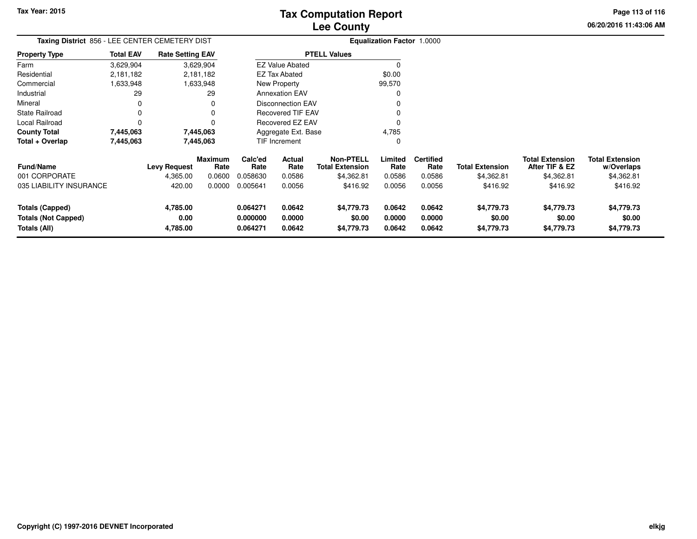**06/20/2016 11:43:06 AM Page 113 of 116**

| Taxing District 856 - LEE CENTER CEMETERY DIST |                  |                         |                 | <b>Equalization Factor 1.0000</b> |                          |                                            |                 |                          |                        |                                          |                                      |
|------------------------------------------------|------------------|-------------------------|-----------------|-----------------------------------|--------------------------|--------------------------------------------|-----------------|--------------------------|------------------------|------------------------------------------|--------------------------------------|
| <b>Property Type</b>                           | <b>Total EAV</b> | <b>Rate Setting EAV</b> |                 |                                   |                          | <b>PTELL Values</b>                        |                 |                          |                        |                                          |                                      |
| Farm                                           | 3,629,904        |                         | 3,629,904       |                                   | <b>EZ Value Abated</b>   |                                            |                 |                          |                        |                                          |                                      |
| Residential                                    | 2,181,182        |                         | 2,181,182       |                                   | EZ Tax Abated            |                                            | \$0.00          |                          |                        |                                          |                                      |
| Commercial                                     | 1,633,948        |                         | 1,633,948       |                                   | New Property             |                                            | 99,570          |                          |                        |                                          |                                      |
| Industrial                                     | 29               |                         | 29              |                                   | <b>Annexation EAV</b>    |                                            |                 |                          |                        |                                          |                                      |
| Mineral                                        | 0                |                         | $\Omega$        |                                   | <b>Disconnection EAV</b> |                                            |                 |                          |                        |                                          |                                      |
| <b>State Railroad</b>                          | 0                |                         | 0               |                                   | <b>Recovered TIF EAV</b> |                                            |                 |                          |                        |                                          |                                      |
| Local Railroad                                 | 0                |                         | O               |                                   | Recovered EZ EAV         |                                            |                 |                          |                        |                                          |                                      |
| <b>County Total</b>                            | 7,445,063        |                         | 7,445,063       |                                   | Aggregate Ext. Base      |                                            | 4,785           |                          |                        |                                          |                                      |
| Total + Overlap                                | 7,445,063        |                         | 7,445,063       |                                   | <b>TIF Increment</b>     |                                            | 0               |                          |                        |                                          |                                      |
| <b>Fund/Name</b>                               |                  | <b>Levy Request</b>     | Maximum<br>Rate | Calc'ed<br>Rate                   | <b>Actual</b><br>Rate    | <b>Non-PTELL</b><br><b>Total Extension</b> | Limited<br>Rate | <b>Certified</b><br>Rate | <b>Total Extension</b> | <b>Total Extension</b><br>After TIF & EZ | <b>Total Extension</b><br>w/Overlaps |
| 001 CORPORATE                                  |                  | 4,365.00                | 0.0600          | 0.058630                          | 0.0586                   | \$4,362.81                                 | 0.0586          | 0.0586                   | \$4,362.81             | \$4,362.81                               | \$4,362.81                           |
| 035 LIABILITY INSURANCE                        |                  | 420.00                  | 0.0000          | 0.005641                          | 0.0056                   | \$416.92                                   | 0.0056          | 0.0056                   | \$416.92               | \$416.92                                 | \$416.92                             |
| <b>Totals (Capped)</b>                         |                  | 4,785.00                |                 | 0.064271                          | 0.0642                   | \$4,779.73                                 | 0.0642          | 0.0642                   | \$4,779.73             | \$4,779.73                               | \$4,779.73                           |
| <b>Totals (Not Capped)</b>                     |                  | 0.00                    |                 | 0.000000                          | 0.0000                   | \$0.00                                     | 0.0000          | 0.0000                   | \$0.00                 | \$0.00                                   | \$0.00                               |
| Totals (All)                                   |                  | 4,785.00                |                 | 0.064271                          | 0.0642                   | \$4,779.73                                 | 0.0642          | 0.0642                   | \$4,779.73             | \$4,779.73                               | \$4,779.73                           |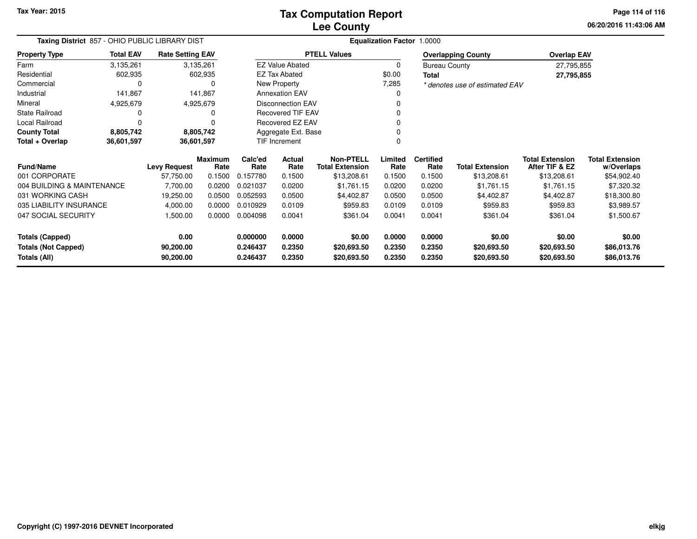**Tax Year: 2015**

#### **Lee CountyTax Computation Report**

**06/20/2016 11:43:06 AMPage 114 of 116**

| Taxing District 857 - OHIO PUBLIC LIBRARY DIST |                  |                         |                 |                 | <b>Equalization Factor 1.0000</b>                 |                                            |                 |                          |                                |                                          |                               |  |
|------------------------------------------------|------------------|-------------------------|-----------------|-----------------|---------------------------------------------------|--------------------------------------------|-----------------|--------------------------|--------------------------------|------------------------------------------|-------------------------------|--|
| Property Type                                  | <b>Total EAV</b> | <b>Rate Setting EAV</b> |                 |                 |                                                   | <b>PTELL Values</b>                        |                 |                          | <b>Overlapping County</b>      | <b>Overlap EAV</b>                       |                               |  |
| Farm                                           | 3,135,261        |                         | 3,135,261       |                 | <b>EZ Value Abated</b>                            |                                            | 0               | <b>Bureau County</b>     |                                | 27,795,855                               |                               |  |
| Residential                                    | 602,935          |                         | 602,935         |                 | <b>EZ Tax Abated</b>                              |                                            | \$0.00          | <b>Total</b>             |                                | 27,795,855                               |                               |  |
| Commercial                                     | 0                |                         |                 |                 | New Property                                      |                                            | 7,285           |                          | * denotes use of estimated EAV |                                          |                               |  |
| Industrial                                     | 141,867          |                         | 141,867         |                 | <b>Annexation EAV</b>                             |                                            | 0               |                          |                                |                                          |                               |  |
| Mineral                                        | 4,925,679        |                         | 4,925,679       |                 | <b>Disconnection EAV</b>                          |                                            |                 |                          |                                |                                          |                               |  |
| <b>State Railroad</b>                          | 0                |                         |                 |                 | <b>Recovered TIF EAV</b><br>Recovered EZ EAV<br>n |                                            |                 |                          |                                |                                          |                               |  |
| Local Railroad                                 | $\Omega$         |                         |                 |                 |                                                   |                                            |                 |                          |                                |                                          |                               |  |
| <b>County Total</b>                            | 8,805,742        |                         | 8,805,742       |                 | Aggregate Ext. Base                               |                                            |                 |                          |                                |                                          |                               |  |
| Total + Overlap<br>36,601,597                  |                  |                         | 36,601,597      |                 | TIF Increment                                     |                                            | ∩               |                          |                                |                                          |                               |  |
| Fund/Name                                      |                  | <b>Levy Request</b>     | Maximum<br>Rate | Calc'ed<br>Rate | Actual<br>Rate                                    | <b>Non-PTELL</b><br><b>Total Extension</b> | Limited<br>Rate | <b>Certified</b><br>Rate | <b>Total Extension</b>         | <b>Total Extension</b><br>After TIF & EZ | Total Extension<br>w/Overlaps |  |
| 001 CORPORATE                                  |                  | 57,750.00               | 0.1500          | 0.157780        | 0.1500                                            | \$13,208.61                                | 0.1500          | 0.1500                   | \$13,208.61                    | \$13,208.61                              | \$54,902.40                   |  |
| 004 BUILDING & MAINTENANCE                     |                  | 7,700.00                | 0.0200          | 0.021037        | 0.0200                                            | \$1,761.15                                 | 0.0200          | 0.0200                   | \$1,761.15                     | \$1,761.15                               | \$7,320.32                    |  |
| 031 WORKING CASH                               |                  | 19,250.00               | 0.0500          | 0.052593        | 0.0500                                            | \$4,402.87                                 | 0.0500          | 0.0500                   | \$4,402.87                     | \$4,402.87                               | \$18,300.80                   |  |
| 035 LIABILITY INSURANCE                        |                  | 4,000.00                | 0.0000          | 0.010929        | 0.0109                                            | \$959.83                                   | 0.0109          | 0.0109                   | \$959.83                       | \$959.83                                 | \$3,989.57                    |  |
| 047 SOCIAL SECURITY                            |                  | 1,500.00                | 0.0000          | 0.004098        | 0.0041                                            | \$361.04                                   | 0.0041          | 0.0041                   | \$361.04                       | \$361.04                                 | \$1,500.67                    |  |
| <b>Totals (Capped)</b>                         |                  | 0.00                    |                 | 0.000000        | 0.0000                                            | \$0.00                                     | 0.0000          | 0.0000                   | \$0.00                         | \$0.00                                   | \$0.00                        |  |
| <b>Totals (Not Capped)</b><br>90,200.00        |                  |                         | 0.246437        | 0.2350          | \$20,693.50                                       | 0.2350                                     | 0.2350          | \$20,693.50              | \$20,693.50                    | \$86,013.76                              |                               |  |
| Totals (All)<br>90,200.00                      |                  |                         | 0.246437        | 0.2350          | \$20,693.50                                       | 0.2350                                     | 0.2350          | \$20,693.50              | \$20,693.50                    | \$86,013.76                              |                               |  |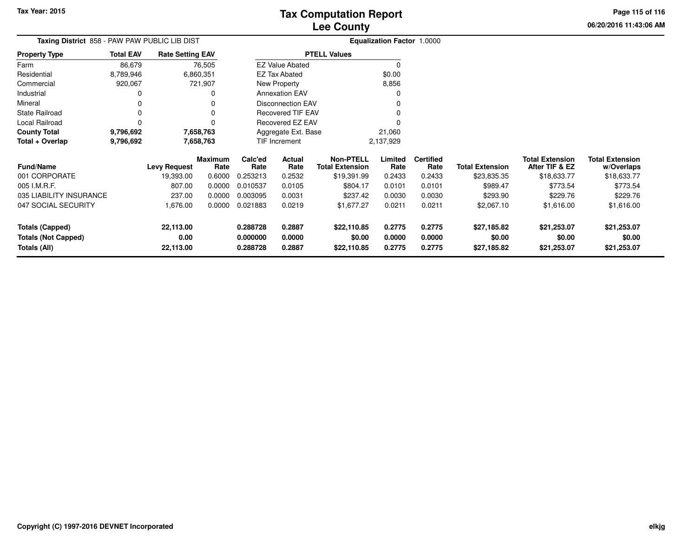**06/20/2016 11:43:06 AMPage 115 of 116**

|                       |  | . |  |
|-----------------------|--|---|--|
| 06/20/2016 11:43:06 / |  |   |  |

| Taxing District 858 - PAW PAW PUBLIC LIB DIST |                        |                         |                        |                 |                          |                                            | <b>Equalization Factor 1.0000</b> |                          |                        |                                          |                                      |
|-----------------------------------------------|------------------------|-------------------------|------------------------|-----------------|--------------------------|--------------------------------------------|-----------------------------------|--------------------------|------------------------|------------------------------------------|--------------------------------------|
| <b>Property Type</b>                          | <b>Total EAV</b>       | <b>Rate Setting EAV</b> |                        |                 |                          | <b>PTELL Values</b>                        |                                   |                          |                        |                                          |                                      |
| Farm                                          | 86,679                 |                         | 76,505                 |                 | <b>EZ Value Abated</b>   |                                            | $\Omega$                          |                          |                        |                                          |                                      |
| Residential                                   | 8,789,946              |                         | 6,860,351              |                 | EZ Tax Abated            |                                            | \$0.00                            |                          |                        |                                          |                                      |
| Commercial                                    | 920,067                |                         | 721,907                |                 | New Property             |                                            | 8,856                             |                          |                        |                                          |                                      |
| Industrial                                    |                        |                         | 0                      |                 | <b>Annexation EAV</b>    |                                            |                                   |                          |                        |                                          |                                      |
| Mineral                                       |                        |                         |                        |                 | <b>Disconnection EAV</b> |                                            |                                   |                          |                        |                                          |                                      |
| <b>State Railroad</b>                         | $\Omega$               |                         |                        |                 | Recovered TIF EAV        |                                            |                                   |                          |                        |                                          |                                      |
| Local Railroad                                | $\Omega$               |                         |                        |                 | Recovered EZ EAV         |                                            |                                   |                          |                        |                                          |                                      |
| <b>County Total</b>                           | 9,796,692              |                         | 7,658,763              |                 | Aggregate Ext. Base      |                                            | 21,060                            |                          |                        |                                          |                                      |
| Total + Overlap                               | 9,796,692<br>7,658,763 |                         |                        | TIF Increment   |                          |                                            | 2,137,929                         |                          |                        |                                          |                                      |
| <b>Fund/Name</b>                              |                        | <b>Levy Request</b>     | <b>Maximum</b><br>Rate | Calc'ed<br>Rate | Actual<br>Rate           | <b>Non-PTELL</b><br><b>Total Extension</b> | Limited<br>Rate                   | <b>Certified</b><br>Rate | <b>Total Extension</b> | <b>Total Extension</b><br>After TIF & EZ | <b>Total Extension</b><br>w/Overlaps |
| 001 CORPORATE                                 |                        | 19,393.00               | 0.6000                 | 0.253213        | 0.2532                   | \$19,391.99                                | 0.2433                            | 0.2433                   | \$23,835.35            | \$18,633.77                              | \$18,633.77                          |
| 005 I.M.R.F.                                  |                        | 807.00                  | 0.0000                 | 0.010537        | 0.0105                   | \$804.17                                   | 0.0101                            | 0.0101                   | \$989.47               | \$773.54                                 | \$773.54                             |
| 035 LIABILITY INSURANCE                       |                        | 237.00                  | 0.0000                 | 0.003095        | 0.0031                   | \$237.42                                   | 0.0030                            | 0.0030                   | \$293.90               | \$229.76                                 | \$229.76                             |
| 047 SOCIAL SECURITY                           |                        | 1,676.00                | 0.0000                 | 0.021883        | 0.0219                   | \$1,677.27                                 | 0.0211                            | 0.0211                   | \$2,067.10             | \$1,616.00                               | \$1,616.00                           |
| <b>Totals (Capped)</b>                        |                        | 22,113.00               |                        | 0.288728        | 0.2887                   | \$22,110.85                                | 0.2775                            | 0.2775                   | \$27,185.82            | \$21,253.07                              | \$21,253.07                          |
| <b>Totals (Not Capped)</b>                    |                        | 0.00                    |                        | 0.000000        | 0.0000                   | \$0.00                                     | 0.0000                            | 0.0000                   | \$0.00                 | \$0.00                                   | \$0.00                               |
| Totals (All)<br>22,113.00<br>0.288728         |                        | 0.2887                  | \$22,110.85            | 0.2775          | 0.2775                   | \$27,185.82                                | \$21,253.07                       | \$21,253.07              |                        |                                          |                                      |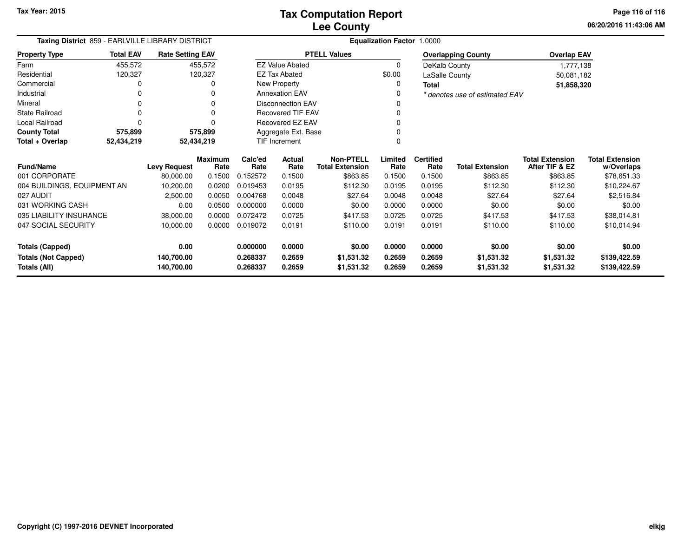**06/20/2016 11:43:06 AMPage 116 of 116**

| Taxing District 859 - EARLVILLE LIBRARY DISTRICT |                  |                         |                 | Equalization Factor 1.0000 |                          |                                            |                 |                          |                                |                                          |                                      |
|--------------------------------------------------|------------------|-------------------------|-----------------|----------------------------|--------------------------|--------------------------------------------|-----------------|--------------------------|--------------------------------|------------------------------------------|--------------------------------------|
| <b>Property Type</b>                             | <b>Total EAV</b> | <b>Rate Setting EAV</b> |                 |                            |                          | <b>PTELL Values</b>                        |                 |                          | <b>Overlapping County</b>      | <b>Overlap EAV</b>                       |                                      |
| Farm                                             | 455,572          |                         | 455,572         |                            | <b>EZ Value Abated</b>   |                                            | $\Omega$        | DeKalb County            |                                | 1,777,138                                |                                      |
| Residential                                      | 120,327          |                         | 120,327         |                            | <b>EZ Tax Abated</b>     |                                            | \$0.00          | LaSalle County           |                                | 50,081,182                               |                                      |
| Commercial                                       |                  |                         |                 |                            | New Property             |                                            |                 | <b>Total</b>             |                                | 51,858,320                               |                                      |
| Industrial                                       |                  |                         |                 |                            | <b>Annexation EAV</b>    |                                            |                 |                          | * denotes use of estimated EAV |                                          |                                      |
| Mineral                                          |                  |                         |                 |                            | <b>Disconnection EAV</b> |                                            |                 |                          |                                |                                          |                                      |
| <b>State Railroad</b>                            |                  |                         |                 |                            | <b>Recovered TIF EAV</b> |                                            |                 |                          |                                |                                          |                                      |
| Local Railroad                                   |                  |                         |                 |                            | <b>Recovered EZ EAV</b>  |                                            |                 |                          |                                |                                          |                                      |
| <b>County Total</b>                              | 575,899          |                         | 575,899         |                            | Aggregate Ext. Base      |                                            |                 |                          |                                |                                          |                                      |
| Total + Overlap                                  | 52,434,219       |                         | 52,434,219      |                            | TIF Increment            |                                            |                 |                          |                                |                                          |                                      |
| <b>Fund/Name</b>                                 |                  | <b>Levy Request</b>     | Maximum<br>Rate | Calc'ed<br>Rate            | <b>Actual</b><br>Rate    | <b>Non-PTELL</b><br><b>Total Extension</b> | Limited<br>Rate | <b>Certified</b><br>Rate | <b>Total Extension</b>         | <b>Total Extension</b><br>After TIF & EZ | <b>Total Extension</b><br>w/Overlaps |
| 001 CORPORATE                                    |                  | 80,000.00               | 0.1500          | 0.152572                   | 0.1500                   | \$863.85                                   | 0.1500          | 0.1500                   | \$863.85                       | \$863.85                                 | \$78,651.33                          |
| 004 BUILDINGS, EQUIPMENT AN                      |                  | 10,200.00               | 0.0200          | 0.019453                   | 0.0195                   | \$112.30                                   | 0.0195          | 0.0195                   | \$112.30                       | \$112.30                                 | \$10,224.67                          |
| 027 AUDIT                                        |                  | 2,500.00                | 0.0050          | 0.004768                   | 0.0048                   | \$27.64                                    | 0.0048          | 0.0048                   | \$27.64                        | \$27.64                                  | \$2,516.84                           |
| 031 WORKING CASH                                 |                  | 0.00                    | 0.0500          | 0.000000                   | 0.0000                   | \$0.00                                     | 0.0000          | 0.0000                   | \$0.00                         | \$0.00                                   | \$0.00                               |
| 035 LIABILITY INSURANCE                          |                  | 38,000.00               | 0.0000          | 0.072472                   | 0.0725                   | \$417.53                                   | 0.0725          | 0.0725                   | \$417.53                       | \$417.53                                 | \$38,014.81                          |
| 047 SOCIAL SECURITY                              |                  | 10,000.00               | 0.0000          | 0.019072                   | 0.0191                   | \$110.00                                   | 0.0191          | 0.0191                   | \$110.00                       | \$110.00                                 | \$10,014.94                          |
| <b>Totals (Capped)</b>                           |                  | 0.00                    |                 | 0.000000                   | 0.0000                   | \$0.00                                     | 0.0000          | 0.0000                   | \$0.00                         | \$0.00                                   | \$0.00                               |
| <b>Totals (Not Capped)</b>                       |                  | 140,700.00              |                 | 0.268337                   | 0.2659                   | \$1,531.32                                 | 0.2659          | 0.2659                   | \$1,531.32                     | \$1,531.32                               | \$139,422.59                         |
| Totals (All)                                     |                  | 140,700.00              |                 | 0.268337                   | 0.2659                   | \$1,531.32                                 | 0.2659          | 0.2659                   | \$1,531.32                     | \$1,531.32                               | \$139,422.59                         |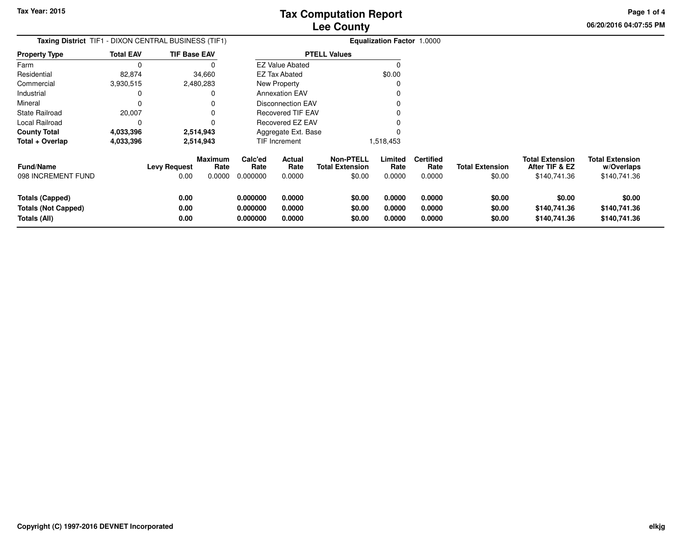**06/20/2016 04:07:55 PM Page 1 of 4**

| <b>Taxing District</b> TIF1 - DIXON CENTRAL BUSINESS (TIF1)          |                  |                      |                                  |                                  |                            |                                                      | <b>Equalization Factor 1.0000</b> |                                    |                                  |                                                          |                                                      |
|----------------------------------------------------------------------|------------------|----------------------|----------------------------------|----------------------------------|----------------------------|------------------------------------------------------|-----------------------------------|------------------------------------|----------------------------------|----------------------------------------------------------|------------------------------------------------------|
| <b>Property Type</b>                                                 | <b>Total EAV</b> | <b>TIF Base EAV</b>  |                                  |                                  |                            | <b>PTELL Values</b>                                  |                                   |                                    |                                  |                                                          |                                                      |
| Farm                                                                 |                  |                      |                                  |                                  | <b>EZ Value Abated</b>     |                                                      |                                   |                                    |                                  |                                                          |                                                      |
| Residential                                                          | 82,874           |                      | 34,660                           |                                  | <b>EZ Tax Abated</b>       |                                                      | \$0.00                            |                                    |                                  |                                                          |                                                      |
| Commercial                                                           | 3,930,515        |                      | 2,480,283                        |                                  | <b>New Property</b>        |                                                      |                                   |                                    |                                  |                                                          |                                                      |
| Industrial                                                           |                  |                      |                                  |                                  | <b>Annexation EAV</b>      |                                                      |                                   |                                    |                                  |                                                          |                                                      |
| Mineral                                                              |                  |                      |                                  |                                  | <b>Disconnection EAV</b>   |                                                      |                                   |                                    |                                  |                                                          |                                                      |
| State Railroad                                                       | 20,007           |                      |                                  |                                  | <b>Recovered TIF EAV</b>   |                                                      |                                   |                                    |                                  |                                                          |                                                      |
| Local Railroad                                                       |                  |                      |                                  |                                  | <b>Recovered EZ EAV</b>    |                                                      |                                   |                                    |                                  |                                                          |                                                      |
| <b>County Total</b>                                                  | 4,033,396        |                      | 2,514,943                        |                                  | Aggregate Ext. Base        |                                                      |                                   |                                    |                                  |                                                          |                                                      |
| Total + Overlap                                                      | 4,033,396        |                      | 2,514,943                        |                                  | TIF Increment              |                                                      | 1,518,453                         |                                    |                                  |                                                          |                                                      |
| <b>Fund/Name</b><br>098 INCREMENT FUND                               |                  | Levy Request<br>0.00 | <b>Maximum</b><br>Rate<br>0.0000 | Calc'ed<br>Rate<br>0.000000      | Actual<br>Rate<br>0.0000   | <b>Non-PTELL</b><br><b>Total Extension</b><br>\$0.00 | Limited<br>Rate<br>0.0000         | <b>Certified</b><br>Rate<br>0.0000 | <b>Total Extension</b><br>\$0.00 | <b>Total Extension</b><br>After TIF & EZ<br>\$140,741.36 | <b>Total Extension</b><br>w/Overlaps<br>\$140,741.36 |
| <b>Totals (Capped)</b><br><b>Totals (Not Capped)</b><br>Totals (All) |                  | 0.00<br>0.00<br>0.00 |                                  | 0.000000<br>0.000000<br>0.000000 | 0.0000<br>0.0000<br>0.0000 | \$0.00<br>\$0.00<br>\$0.00                           | 0.0000<br>0.0000<br>0.0000        | 0.0000<br>0.0000<br>0.0000         | \$0.00<br>\$0.00<br>\$0.00       | \$0.00<br>\$140,741.36<br>\$140,741.36                   | \$0.00<br>\$140,741.36<br>\$140,741.36               |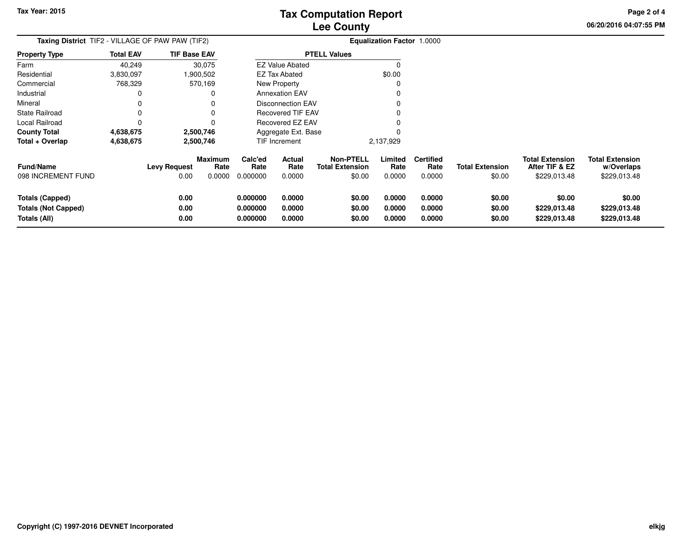**06/20/2016 04:07:55 PM Page 2 of 4**

| <b>Taxing District</b> TIF2 - VILLAGE OF PAW PAW (TIF2)       |                  | <b>Equalization Factor 1.0000</b> |                                  |                                  |                                 |                                                      |                            |                                    |                                  |                                                          |                                                      |
|---------------------------------------------------------------|------------------|-----------------------------------|----------------------------------|----------------------------------|---------------------------------|------------------------------------------------------|----------------------------|------------------------------------|----------------------------------|----------------------------------------------------------|------------------------------------------------------|
| <b>Property Type</b>                                          | <b>Total EAV</b> | <b>TIF Base EAV</b>               |                                  |                                  |                                 | <b>PTELL Values</b>                                  |                            |                                    |                                  |                                                          |                                                      |
| Farm                                                          | 40,249           |                                   | 30,075                           |                                  | <b>EZ Value Abated</b>          |                                                      |                            |                                    |                                  |                                                          |                                                      |
| Residential                                                   | 3,830,097        |                                   | .900,502                         |                                  | <b>EZ Tax Abated</b>            |                                                      | \$0.00                     |                                    |                                  |                                                          |                                                      |
| Commercial                                                    | 768,329          |                                   | 570,169                          |                                  | <b>New Property</b>             |                                                      |                            |                                    |                                  |                                                          |                                                      |
| Industrial                                                    |                  |                                   |                                  |                                  | <b>Annexation EAV</b>           |                                                      |                            |                                    |                                  |                                                          |                                                      |
| Mineral                                                       |                  |                                   |                                  |                                  | <b>Disconnection EAV</b>        |                                                      |                            |                                    |                                  |                                                          |                                                      |
| <b>State Railroad</b>                                         |                  |                                   |                                  |                                  | Recovered TIF EAV               |                                                      |                            |                                    |                                  |                                                          |                                                      |
| Local Railroad                                                |                  |                                   |                                  |                                  | <b>Recovered EZ EAV</b>         |                                                      |                            |                                    |                                  |                                                          |                                                      |
| <b>County Total</b>                                           | 4,638,675        |                                   | 2,500,746                        |                                  | Aggregate Ext. Base             |                                                      |                            |                                    |                                  |                                                          |                                                      |
| Total + Overlap                                               | 4,638,675        |                                   | 2,500,746                        |                                  | TIF Increment                   |                                                      | 2,137,929                  |                                    |                                  |                                                          |                                                      |
| <b>Fund/Name</b><br>098 INCREMENT FUND                        |                  | <b>Levy Request</b><br>0.00       | <b>Maximum</b><br>Rate<br>0.0000 | Calc'ed<br>Rate<br>0.000000      | <b>Actual</b><br>Rate<br>0.0000 | <b>Non-PTELL</b><br><b>Total Extension</b><br>\$0.00 | Limited<br>Rate<br>0.0000  | <b>Certified</b><br>Rate<br>0.0000 | <b>Total Extension</b><br>\$0.00 | <b>Total Extension</b><br>After TIF & EZ<br>\$229,013.48 | <b>Total Extension</b><br>w/Overlaps<br>\$229,013.48 |
| Totals (Capped)<br><b>Totals (Not Capped)</b><br>Totals (All) |                  | 0.00<br>0.00<br>0.00              |                                  | 0.000000<br>0.000000<br>0.000000 | 0.0000<br>0.0000<br>0.0000      | \$0.00<br>\$0.00<br>\$0.00                           | 0.0000<br>0.0000<br>0.0000 | 0.0000<br>0.0000<br>0.0000         | \$0.00<br>\$0.00<br>\$0.00       | \$0.00<br>\$229,013.48<br>\$229,013.48                   | \$0.00<br>\$229,013.48<br>\$229,013.48               |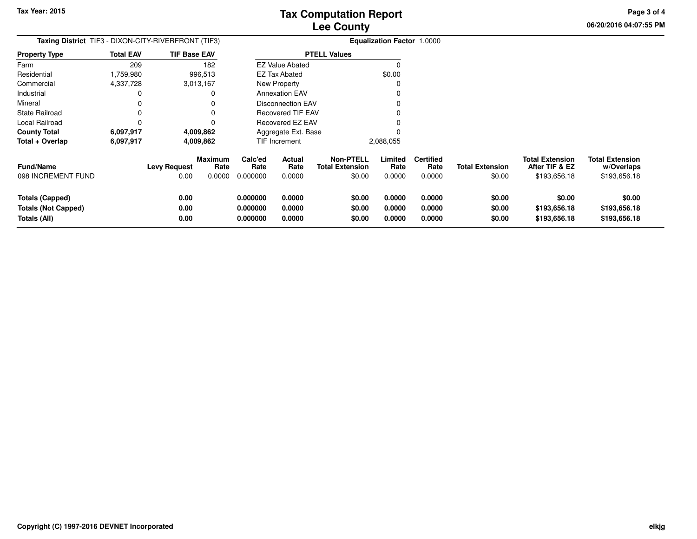**06/20/2016 04:07:55 PM Page 3 of 4**

| <b>Taxing District</b> TIF3 - DIXON-CITY-RIVERFRONT (TIF3)           |                  |                      |                                  | <b>Equalization Factor 1.0000</b> |                                 |                                                      |                            |                                    |                                  |                                                          |                                                      |
|----------------------------------------------------------------------|------------------|----------------------|----------------------------------|-----------------------------------|---------------------------------|------------------------------------------------------|----------------------------|------------------------------------|----------------------------------|----------------------------------------------------------|------------------------------------------------------|
| <b>Property Type</b>                                                 | <b>Total EAV</b> | <b>TIF Base EAV</b>  |                                  |                                   |                                 | <b>PTELL Values</b>                                  |                            |                                    |                                  |                                                          |                                                      |
| Farm                                                                 | 209              |                      | 182                              |                                   | <b>EZ Value Abated</b>          |                                                      |                            |                                    |                                  |                                                          |                                                      |
| Residential                                                          | 1,759,980        |                      | 996,513                          |                                   | <b>EZ Tax Abated</b>            |                                                      | \$0.00                     |                                    |                                  |                                                          |                                                      |
| Commercial                                                           | 4,337,728        |                      | 3,013,167                        |                                   | New Property                    |                                                      |                            |                                    |                                  |                                                          |                                                      |
| Industrial                                                           |                  |                      |                                  |                                   | <b>Annexation EAV</b>           |                                                      |                            |                                    |                                  |                                                          |                                                      |
| Mineral                                                              |                  |                      |                                  |                                   | <b>Disconnection EAV</b>        |                                                      |                            |                                    |                                  |                                                          |                                                      |
| State Railroad                                                       |                  |                      |                                  |                                   | Recovered TIF EAV               |                                                      |                            |                                    |                                  |                                                          |                                                      |
| Local Railroad                                                       |                  |                      |                                  |                                   | Recovered EZ EAV                |                                                      |                            |                                    |                                  |                                                          |                                                      |
| <b>County Total</b>                                                  | 6,097,917        |                      | 4,009,862                        |                                   | Aggregate Ext. Base             |                                                      |                            |                                    |                                  |                                                          |                                                      |
| Total + Overlap                                                      | 6,097,917        |                      | 4,009,862                        |                                   | TIF Increment                   |                                                      | 2,088,055                  |                                    |                                  |                                                          |                                                      |
| <b>Fund/Name</b><br>098 INCREMENT FUND                               |                  | Levy Request<br>0.00 | <b>Maximum</b><br>Rate<br>0.0000 | Calc'ed<br>Rate<br>0.000000       | <b>Actual</b><br>Rate<br>0.0000 | <b>Non-PTELL</b><br><b>Total Extension</b><br>\$0.00 | Limited<br>Rate<br>0.0000  | <b>Certified</b><br>Rate<br>0.0000 | <b>Total Extension</b><br>\$0.00 | <b>Total Extension</b><br>After TIF & EZ<br>\$193,656.18 | <b>Total Extension</b><br>w/Overlaps<br>\$193,656.18 |
| <b>Totals (Capped)</b><br><b>Totals (Not Capped)</b><br>Totals (All) |                  | 0.00<br>0.00<br>0.00 |                                  | 0.000000<br>0.000000<br>0.000000  | 0.0000<br>0.0000<br>0.0000      | \$0.00<br>\$0.00<br>\$0.00                           | 0.0000<br>0.0000<br>0.0000 | 0.0000<br>0.0000<br>0.0000         | \$0.00<br>\$0.00<br>\$0.00       | \$0.00<br>\$193,656.18<br>\$193,656.18                   | \$0.00<br>\$193,656.18<br>\$193,656.18               |